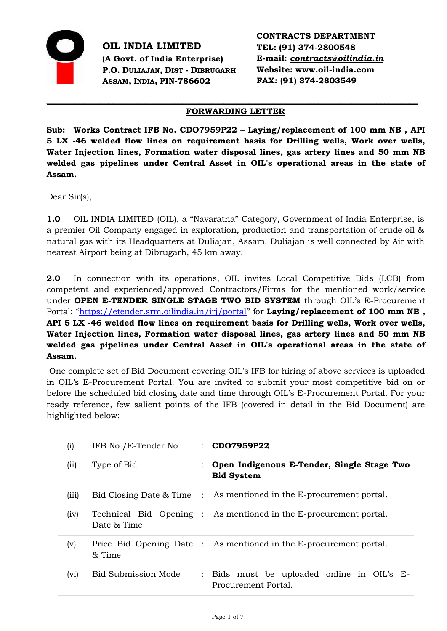

**OIL INDIA LIMITED (A Govt. of India Enterprise) P.O. DULIAJAN, DIST - DIBRUGARH ASSAM, INDIA, PIN-786602** 

**CONTRACTS DEPARTMENT TEL: (91) 374-2800548 E-mail:** *[contracts@oilindia.in](mailto:contracts@oil.asm.nic.in)* **Website: www.oil-india.com FAX: (91) 374-2803549** 

#### *\_\_\_\_\_\_\_\_\_\_\_\_\_\_\_\_\_\_\_\_\_\_\_\_\_\_\_\_\_\_\_\_\_\_\_\_\_\_\_\_\_\_\_\_\_\_\_\_\_\_\_\_\_\_\_\_\_\_\_\_\_\_\_\_\_\_\_\_\_\_\_\_\_\_\_\_\_\_\_\_\_\_\_\_\_\_\_\_\_\_* **FORWARDING LETTER**

**Sub: Works Contract IFB No. CDO7959P22 – Laying/replacement of 100 mm NB , API 5 LX -46 welded flow lines on requirement basis for Drilling wells, Work over wells, Water Injection lines, Formation water disposal lines, gas artery lines and 50 mm NB welded gas pipelines under Central Asset in OIL's operational areas in the state of Assam.**

Dear Sir(s),

**1.0** OIL INDIA LIMITED (OIL), a "Navaratna" Category, Government of India Enterprise, is a premier Oil Company engaged in exploration, production and transportation of crude oil & natural gas with its Headquarters at Duliajan, Assam. Duliajan is well connected by Air with nearest Airport being at Dibrugarh, 45 km away.

**2.0** In connection with its operations, OIL invites Local Competitive Bids (LCB) from competent and experienced/approved Contractors/Firms for the mentioned work/service under **OPEN E-TENDER SINGLE STAGE TWO BID SYSTEM** through OIL's E-Procurement Portal: "<https://etender.srm.oilindia.in/irj/portal>" for **Laying/replacement of 100 mm NB**, **API 5 LX -46 welded flow lines on requirement basis for Drilling wells, Work over wells, Water Injection lines, Formation water disposal lines, gas artery lines and 50 mm NB welded gas pipelines under Central Asset in OIL's operational areas in the state of Assam.**

One complete set of Bid Document covering OIL's IFB for hiring of above services is uploaded in OIL's E-Procurement Portal. You are invited to submit your most competitive bid on or before the scheduled bid closing date and time through OIL's E-Procurement Portal. For your ready reference, few salient points of the IFB (covered in detail in the Bid Document) are highlighted below:

| (i)   | IFB No./E-Tender No.                 | $\ddot{\cdot}$       | CDO7959P22                                                      |
|-------|--------------------------------------|----------------------|-----------------------------------------------------------------|
| (ii)  | Type of Bid                          |                      | Open Indigenous E-Tender, Single Stage Two<br><b>Bid System</b> |
| (iii) | Bid Closing Date & Time              | $\ddot{\cdot}$       | As mentioned in the E-procurement portal.                       |
| (iv)  | Technical Bid Opening<br>Date & Time | $\ddot{\cdot}$       | As mentioned in the E-procurement portal.                       |
| (v)   | Price Bid Opening Date<br>& Time     | $\ddot{\phantom{a}}$ | As mentioned in the E-procurement portal.                       |
| (vi)  | Bid Submission Mode                  | $\ddot{\cdot}$       | Bids must be uploaded online in OIL's E-<br>Procurement Portal. |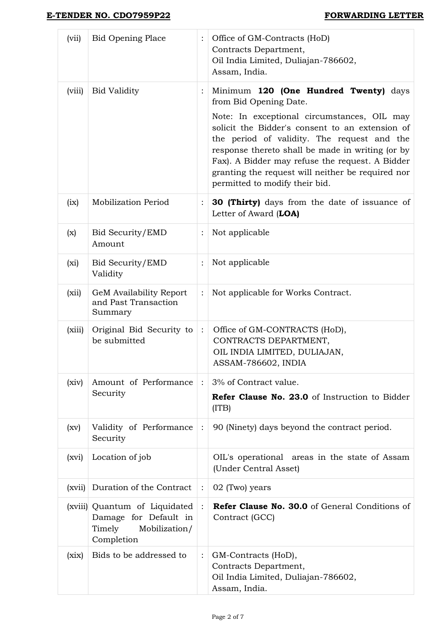| (vii)   | <b>Bid Opening Place</b>                                                                        | :                    | Office of GM-Contracts (HoD)<br>Contracts Department,<br>Oil India Limited, Duliajan-786602,<br>Assam, India.                                                                                                                                                                                                                               |
|---------|-------------------------------------------------------------------------------------------------|----------------------|---------------------------------------------------------------------------------------------------------------------------------------------------------------------------------------------------------------------------------------------------------------------------------------------------------------------------------------------|
| (viii)  | <b>Bid Validity</b>                                                                             |                      | Minimum 120 (One Hundred Twenty) days<br>from Bid Opening Date.                                                                                                                                                                                                                                                                             |
|         |                                                                                                 |                      | Note: In exceptional circumstances, OIL may<br>solicit the Bidder's consent to an extension of<br>the period of validity. The request and the<br>response thereto shall be made in writing (or by<br>Fax). A Bidder may refuse the request. A Bidder<br>granting the request will neither be required nor<br>permitted to modify their bid. |
| (ix)    | <b>Mobilization Period</b>                                                                      | $\vdots$             | <b>30 (Thirty)</b> days from the date of issuance of<br>Letter of Award (LOA)                                                                                                                                                                                                                                                               |
| (x)     | Bid Security/EMD<br>Amount                                                                      | :                    | Not applicable                                                                                                                                                                                                                                                                                                                              |
| $(x_i)$ | Bid Security/EMD<br>Validity                                                                    | :                    | Not applicable                                                                                                                                                                                                                                                                                                                              |
| (xii)   | GeM Availability Report<br>and Past Transaction<br>Summary                                      | $\vdots$             | Not applicable for Works Contract.                                                                                                                                                                                                                                                                                                          |
| (xiii)  | Original Bid Security to<br>be submitted                                                        | $\ddot{\cdot}$       | Office of GM-CONTRACTS (HoD),<br>CONTRACTS DEPARTMENT,<br>OIL INDIA LIMITED, DULIAJAN,<br>ASSAM-786602, INDIA                                                                                                                                                                                                                               |
| (xiv)   | Amount of Performance                                                                           | $\ddot{\phantom{a}}$ | 3% of Contract value.                                                                                                                                                                                                                                                                                                                       |
|         | Security                                                                                        |                      | Refer Clause No. 23.0 of Instruction to Bidder<br>(ITB)                                                                                                                                                                                                                                                                                     |
| (xv)    | Validity of Performance<br>Security                                                             | $\ddot{\cdot}$       | 90 (Ninety) days beyond the contract period.                                                                                                                                                                                                                                                                                                |
| (xvi)   | Location of job                                                                                 |                      | OIL's operational areas in the state of Assam<br>(Under Central Asset)                                                                                                                                                                                                                                                                      |
| (xvii)  | Duration of the Contract                                                                        | $\ddot{\cdot}$       | 02 (Two) years                                                                                                                                                                                                                                                                                                                              |
|         | (xviii) Quantum of Liquidated<br>Damage for Default in<br>Timely<br>Mobilization/<br>Completion | $\ddot{\cdot}$       | <b>Refer Clause No. 30.0</b> of General Conditions of<br>Contract (GCC)                                                                                                                                                                                                                                                                     |
| (xix)   | Bids to be addressed to                                                                         | $\ddot{\cdot}$       | GM-Contracts (HoD),<br>Contracts Department,<br>Oil India Limited, Duliajan-786602,<br>Assam, India.                                                                                                                                                                                                                                        |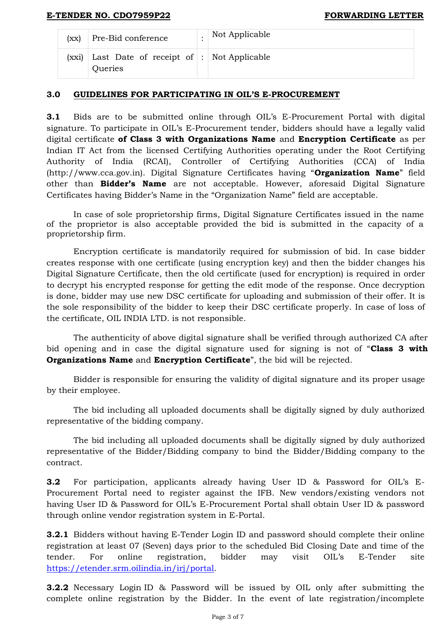| (xx)  | Pre-Bid conference                                  | Not Applicable |
|-------|-----------------------------------------------------|----------------|
| (xxi) | Last Date of receipt of : Not Applicable<br>Queries |                |

## **3.0 GUIDELINES FOR PARTICIPATING IN OIL'S E-PROCUREMENT**

**3.1** Bids are to be submitted online through OIL's E-Procurement Portal with digital signature. To participate in OIL's E-Procurement tender, bidders should have a legally valid digital certificate **of Class 3 with Organizations Name** and **Encryption Certificate** as per Indian IT Act from the licensed Certifying Authorities operating under the Root Certifying Authority of India (RCAI), Controller of Certifying Authorities (CCA) of India (http://www.cca.gov.in). Digital Signature Certificates having "**Organization Name**" field other than **Bidder's Name** are not acceptable. However, aforesaid Digital Signature Certificates having Bidder's Name in the "Organization Name" field are acceptable.

In case of sole proprietorship firms, Digital Signature Certificates issued in the name of the proprietor is also acceptable provided the bid is submitted in the capacity of a proprietorship firm.

Encryption certificate is mandatorily required for submission of bid. In case bidder creates response with one certificate (using encryption key) and then the bidder changes his Digital Signature Certificate, then the old certificate (used for encryption) is required in order to decrypt his encrypted response for getting the edit mode of the response. Once decryption is done, bidder may use new DSC certificate for uploading and submission of their offer. It is the sole responsibility of the bidder to keep their DSC certificate properly. In case of loss of the certificate, OIL INDIA LTD. is not responsible.

The authenticity of above digital signature shall be verified through authorized CA after bid opening and in case the digital signature used for signing is not of "**Class 3 with Organizations Name** and **Encryption Certificate**", the bid will be rejected.

Bidder is responsible for ensuring the validity of digital signature and its proper usage by their employee.

The bid including all uploaded documents shall be digitally signed by duly authorized representative of the bidding company.

The bid including all uploaded documents shall be digitally signed by duly authorized representative of the Bidder/Bidding company to bind the Bidder/Bidding company to the contract.

**3.2** For participation, applicants already having User ID & Password for OIL's E-Procurement Portal need to register against the IFB. New vendors/existing vendors not having User ID & Password for OIL's E-Procurement Portal shall obtain User ID & password through online vendor registration system in E-Portal.

**3.2.1** Bidders without having E-Tender Login ID and password should complete their online registration at least 07 (Seven) days prior to the scheduled Bid Closing Date and time of the tender. For online registration, bidder may visit OIL's E-Tender site [https://etender.srm.oilindia.in/irj/portal.](https://etender.srm.oilindia.in/irj/portal)

**3.2.2** Necessary Login ID & Password will be issued by OIL only after submitting the complete online registration by the Bidder. In the event of late registration/incomplete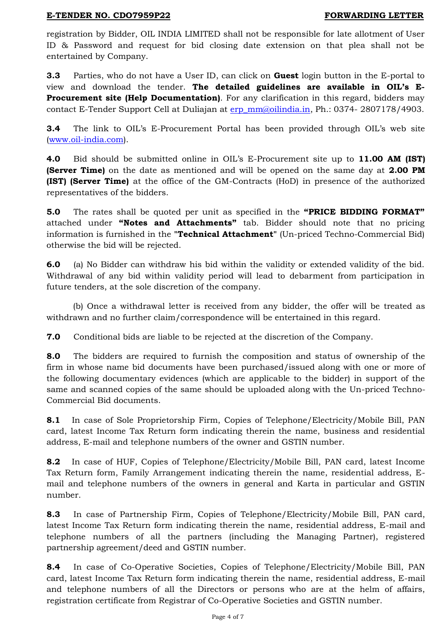registration by Bidder, OIL INDIA LIMITED shall not be responsible for late allotment of User ID & Password and request for bid closing date extension on that plea shall not be entertained by Company.

**3.3** Parties, who do not have a User ID, can click on **Guest** login button in the E-portal to view and download the tender. **The detailed guidelines are available in OIL's E-Procurement site (Help Documentation)**. For any clarification in this regard, bidders may contact E-Tender Support Cell at Duliajan at [erp\\_mm@oilindia.in,](file:///C:/Users/202490/AppData/Local/Microsoft/OIL202251/AppData/Local/Microsoft/OIL202251/AppData/Local/Microsoft/Windows/Temporary%20Internet%20Files/Content.Outlook/FDVS8045/erp_mm@oilindia.in) Ph.: 0374- 2807178/4903.

**3.4** The link to OIL's E-Procurement Portal has been provided through OIL's web site [\(www.oil-india.com\)](http://www.oil-india.com/).

**4.0** Bid should be submitted online in OIL's E-Procurement site up to **11.00 AM (IST) (Server Time)** on the date as mentioned and will be opened on the same day at **2.00 PM (IST) (Server Time)** at the office of the GM-Contracts (HoD) in presence of the authorized representatives of the bidders.

**5.0** The rates shall be quoted per unit as specified in the **"PRICE BIDDING FORMAT"**  attached under **"Notes and Attachments"** tab. Bidder should note that no pricing information is furnished in the **"Technical Attachment"** (Un-priced Techno-Commercial Bid) otherwise the bid will be rejected.

**6.0** (a) No Bidder can withdraw his bid within the validity or extended validity of the bid. Withdrawal of any bid within validity period will lead to debarment from participation in future tenders, at the sole discretion of the company.

(b) Once a withdrawal letter is received from any bidder, the offer will be treated as withdrawn and no further claim/correspondence will be entertained in this regard.

**7.0** Conditional bids are liable to be rejected at the discretion of the Company.

**8.0** The bidders are required to furnish the composition and status of ownership of the firm in whose name bid documents have been purchased/issued along with one or more of the following documentary evidences (which are applicable to the bidder) in support of the same and scanned copies of the same should be uploaded along with the Un-priced Techno-Commercial Bid documents.

**8.1** In case of Sole Proprietorship Firm, Copies of Telephone/Electricity/Mobile Bill, PAN card, latest Income Tax Return form indicating therein the name, business and residential address, E-mail and telephone numbers of the owner and GSTIN number.

**8.2** In case of HUF, Copies of Telephone/Electricity/Mobile Bill, PAN card, latest Income Tax Return form, Family Arrangement indicating therein the name, residential address, Email and telephone numbers of the owners in general and Karta in particular and GSTIN number.

**8.3** In case of Partnership Firm, Copies of Telephone/Electricity/Mobile Bill, PAN card, latest Income Tax Return form indicating therein the name, residential address, E-mail and telephone numbers of all the partners (including the Managing Partner), registered partnership agreement/deed and GSTIN number.

**8.4** In case of Co-Operative Societies, Copies of Telephone/Electricity/Mobile Bill, PAN card, latest Income Tax Return form indicating therein the name, residential address, E-mail and telephone numbers of all the Directors or persons who are at the helm of affairs, registration certificate from Registrar of Co-Operative Societies and GSTIN number.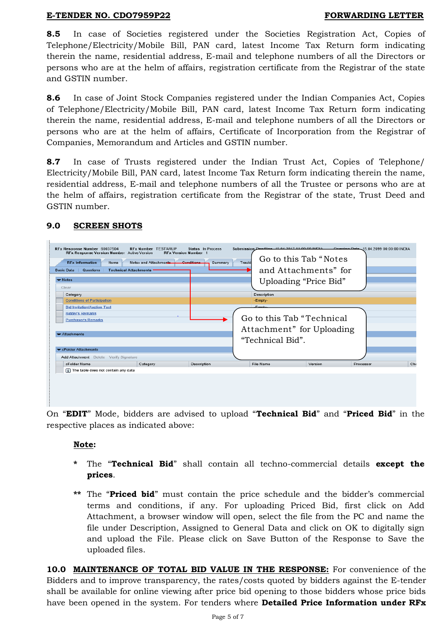**8.5** In case of Societies registered under the Societies Registration Act, Copies of Telephone/Electricity/Mobile Bill, PAN card, latest Income Tax Return form indicating therein the name, residential address, E-mail and telephone numbers of all the Directors or persons who are at the helm of affairs, registration certificate from the Registrar of the state and GSTIN number.

**8.6** In case of Joint Stock Companies registered under the Indian Companies Act, Copies of Telephone/Electricity/Mobile Bill, PAN card, latest Income Tax Return form indicating therein the name, residential address, E-mail and telephone numbers of all the Directors or persons who are at the helm of affairs, Certificate of Incorporation from the Registrar of Companies, Memorandum and Articles and GSTIN number.

**8.7** In case of Trusts registered under the Indian Trust Act, Copies of Telephone/ Electricity/Mobile Bill, PAN card, latest Income Tax Return form indicating therein the name, residential address, E-mail and telephone numbers of all the Trustee or persons who are at the helm of affairs, registration certificate from the Registrar of the state, Trust Deed and GSTIN number.

| <b>RFx Information</b><br>Items<br>Questions<br><b>Basic Data</b><br>$\blacktriangleright$ Notes<br>Clear<br>Category<br><b>Conditions of Participation</b><br><b>Bid Invitation/Auction Text</b><br><b>Bidder's Remarks</b><br><b>Purchaser's Remarks</b><br>$\blacktriangleright$ Attachments | Notes and Attachments<br><b>Technical Attachments</b> | Conditions<br>Summary | Tracki | Go to this Tab "Notes"<br>and Attachments" for<br>Uploading "Price Bid"<br>Description<br>-Empty-<br>Fmnty.<br>Go to this Tab "Technical<br>Attachment" for Uploading<br>"Technical Bid". |         |           |  |
|-------------------------------------------------------------------------------------------------------------------------------------------------------------------------------------------------------------------------------------------------------------------------------------------------|-------------------------------------------------------|-----------------------|--------|-------------------------------------------------------------------------------------------------------------------------------------------------------------------------------------------|---------|-----------|--|
| $\blacktriangleright$ cFolder Attachments<br>Add Attachment Delete Verify Signature                                                                                                                                                                                                             |                                                       |                       |        |                                                                                                                                                                                           |         |           |  |
| cFolder Name                                                                                                                                                                                                                                                                                    | Category                                              | Description           |        | File Name                                                                                                                                                                                 | Version | Processor |  |
| $\boxed{\mathbf{i}}$ The table does not contain any data                                                                                                                                                                                                                                        |                                                       |                       |        |                                                                                                                                                                                           |         |           |  |

# **9.0 SCREEN SHOTS**

On "**EDIT**" Mode, bidders are advised to upload "**Technical Bid**" and "**Priced Bid**" in the respective places as indicated above:

# **Note:**

- **\*** The "**Technical Bid**" shall contain all techno-commercial details **except the prices**.
- **\*\*** The "**Priced bid**" must contain the price schedule and the bidder's commercial terms and conditions, if any. For uploading Priced Bid, first click on Add Attachment, a browser window will open, select the file from the PC and name the file under Description, Assigned to General Data and click on OK to digitally sign and upload the File. Please click on Save Button of the Response to Save the uploaded files.

**10.0 MAINTENANCE OF TOTAL BID VALUE IN THE RESPONSE:** For convenience of the Bidders and to improve transparency, the rates/costs quoted by bidders against the E-tender shall be available for online viewing after price bid opening to those bidders whose price bids have been opened in the system. For tenders where **Detailed Price Information under RFx**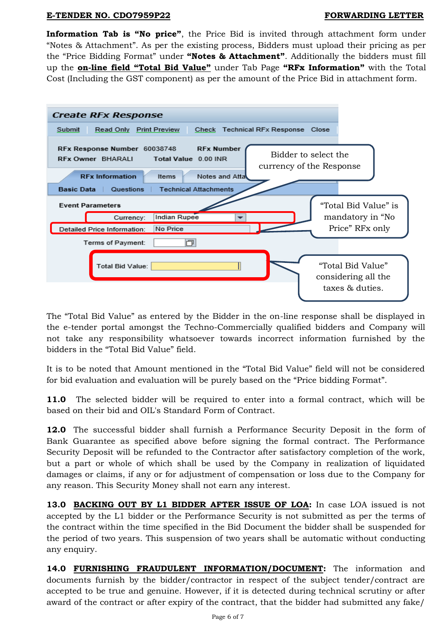**Information Tab is "No price"**, the Price Bid is invited through attachment form under "Notes & Attachment". As per the existing process, Bidders must upload their pricing as per the "Price Bidding Format" under **"Notes & Attachment"**. Additionally the bidders must fill up the **on-line field "Total Bid Value"** under Tab Page **"RFx Information"** with the Total Cost (Including the GST component) as per the amount of the Price Bid in attachment form.



The "Total Bid Value" as entered by the Bidder in the on-line response shall be displayed in the e-tender portal amongst the Techno-Commercially qualified bidders and Company will not take any responsibility whatsoever towards incorrect information furnished by the bidders in the "Total Bid Value" field.

It is to be noted that Amount mentioned in the "Total Bid Value" field will not be considered for bid evaluation and evaluation will be purely based on the "Price bidding Format".

**11.0** The selected bidder will be required to enter into a formal contract, which will be based on their bid and OIL's Standard Form of Contract.

**12.0** The successful bidder shall furnish a Performance Security Deposit in the form of Bank Guarantee as specified above before signing the formal contract. The Performance Security Deposit will be refunded to the Contractor after satisfactory completion of the work, but a part or whole of which shall be used by the Company in realization of liquidated damages or claims, if any or for adjustment of compensation or loss due to the Company for any reason. This Security Money shall not earn any interest.

**13.0 BACKING OUT BY L1 BIDDER AFTER ISSUE OF LOA:** In case LOA issued is not accepted by the L1 bidder or the Performance Security is not submitted as per the terms of the contract within the time specified in the Bid Document the bidder shall be suspended for the period of two years. This suspension of two years shall be automatic without conducting any enquiry.

**14.0 FURNISHING FRAUDULENT INFORMATION/DOCUMENT:** The information and documents furnish by the bidder/contractor in respect of the subject tender/contract are accepted to be true and genuine. However, if it is detected during technical scrutiny or after award of the contract or after expiry of the contract, that the bidder had submitted any fake/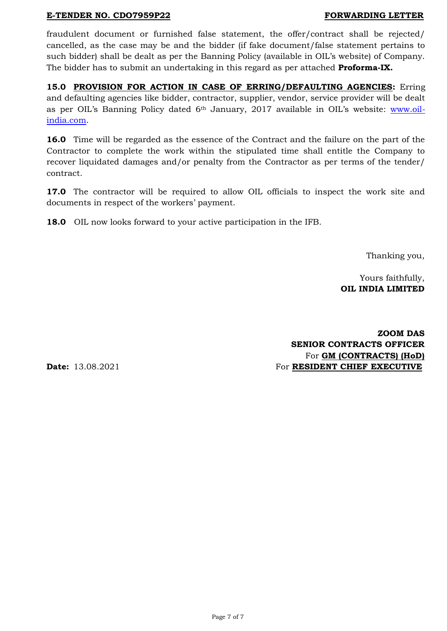fraudulent document or furnished false statement, the offer/contract shall be rejected/ cancelled, as the case may be and the bidder (if fake document/false statement pertains to such bidder) shall be dealt as per the Banning Policy (available in OIL's website) of Company. The bidder has to submit an undertaking in this regard as per attached **Proforma-IX.**

**15.0 PROVISION FOR ACTION IN CASE OF ERRING/DEFAULTING AGENCIES:** Erring and defaulting agencies like bidder, contractor, supplier, vendor, service provider will be dealt as per OIL's Banning Policy dated 6th January, 2017 available in OIL's website: [www.oil](http://www.oil-india.com/)[india.com.](http://www.oil-india.com/)

**16.0** Time will be regarded as the essence of the Contract and the failure on the part of the Contractor to complete the work within the stipulated time shall entitle the Company to recover liquidated damages and/or penalty from the Contractor as per terms of the tender/ contract.

**17.0** The contractor will be required to allow OIL officials to inspect the work site and documents in respect of the workers' payment.

**18.0** OIL now looks forward to your active participation in the IFB.

Thanking you,

Yours faithfully,  **OIL INDIA LIMITED**

**ZOOM DAS SENIOR CONTRACTS OFFICER** For **GM (CONTRACTS) (HoD) Date:** 13.08.2021 **For <b>RESIDENT CHIEF EXECUTIVE**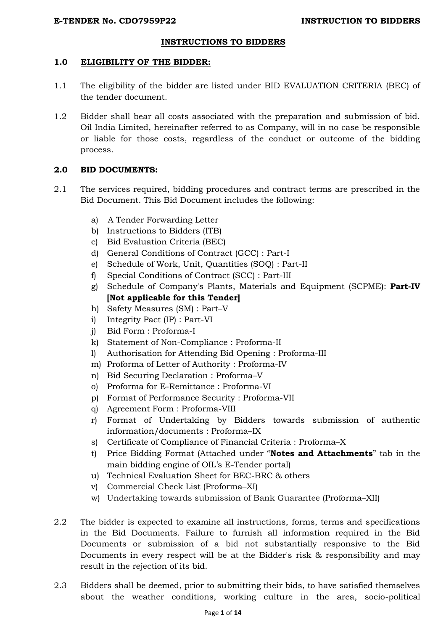## **INSTRUCTIONS TO BIDDERS**

#### **1.0 ELIGIBILITY OF THE BIDDER:**

- 1.1 The eligibility of the bidder are listed under BID EVALUATION CRITERIA (BEC) of the tender document.
- 1.2 Bidder shall bear all costs associated with the preparation and submission of bid. Oil India Limited, hereinafter referred to as Company, will in no case be responsible or liable for those costs, regardless of the conduct or outcome of the bidding process.

## **2.0 BID DOCUMENTS:**

- 2.1 The services required, bidding procedures and contract terms are prescribed in the Bid Document. This Bid Document includes the following:
	- a) A Tender Forwarding Letter
	- b) Instructions to Bidders (ITB)
	- c) Bid Evaluation Criteria (BEC)
	- d) General Conditions of Contract (GCC) : Part-I
	- e) Schedule of Work, Unit, Quantities (SOQ) : Part-II
	- f) Special Conditions of Contract (SCC) : Part-III
	- g) Schedule of Company's Plants, Materials and Equipment (SCPME): **Part-IV [Not applicable for this Tender]**
	- h) Safety Measures (SM) : Part–V
	- i) Integrity Pact (IP) : Part-VI
	- j) Bid Form : Proforma-I
	- k) Statement of Non-Compliance : Proforma-II
	- l) Authorisation for Attending Bid Opening : Proforma-III
	- m) Proforma of Letter of Authority : Proforma-IV
	- n) Bid Securing Declaration : Proforma–V
	- o) Proforma for E-Remittance : Proforma-VI
	- p) Format of Performance Security : Proforma-VII
	- q) Agreement Form : Proforma-VIII
	- r) Format of Undertaking by Bidders towards submission of authentic information/documents : Proforma–IX
	- s) Certificate of Compliance of Financial Criteria : Proforma–X
	- t) Price Bidding Format (Attached under "**Notes and Attachments**" tab in the main bidding engine of OIL"s E-Tender portal)
	- u) Technical Evaluation Sheet for BEC-BRC & others
	- v) Commercial Check List (Proforma–XI)
	- w) Undertaking towards submission of Bank Guarantee (Proforma–XII)
- 2.2 The bidder is expected to examine all instructions, forms, terms and specifications in the Bid Documents. Failure to furnish all information required in the Bid Documents or submission of a bid not substantially responsive to the Bid Documents in every respect will be at the Bidder's risk & responsibility and may result in the rejection of its bid.
- 2.3 Bidders shall be deemed, prior to submitting their bids, to have satisfied themselves about the weather conditions, working culture in the area, socio-political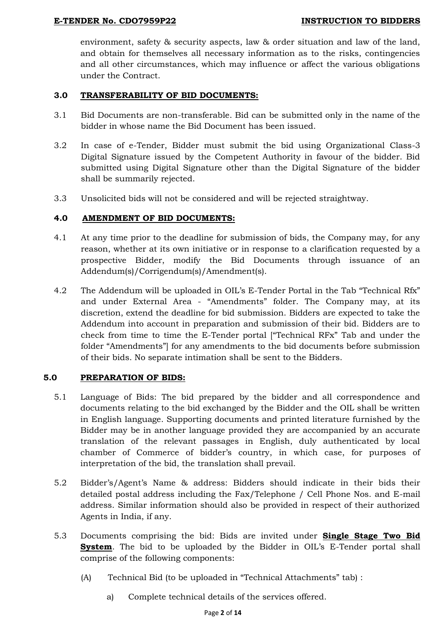## **E-TENDER No. CDO7959P22 INSTRUCTION TO BIDDERS**

environment, safety & security aspects, law & order situation and law of the land, and obtain for themselves all necessary information as to the risks, contingencies and all other circumstances, which may influence or affect the various obligations under the Contract.

## **3.0 TRANSFERABILITY OF BID DOCUMENTS:**

- 3.1 Bid Documents are non-transferable. Bid can be submitted only in the name of the bidder in whose name the Bid Document has been issued.
- 3.2 In case of e-Tender, Bidder must submit the bid using Organizational Class-3 Digital Signature issued by the Competent Authority in favour of the bidder. Bid submitted using Digital Signature other than the Digital Signature of the bidder shall be summarily rejected.
- 3.3 Unsolicited bids will not be considered and will be rejected straightway.

# **4.0 AMENDMENT OF BID DOCUMENTS:**

- 4.1 At any time prior to the deadline for submission of bids, the Company may, for any reason, whether at its own initiative or in response to a clarification requested by a prospective Bidder, modify the Bid Documents through issuance of an Addendum(s)/Corrigendum(s)/Amendment(s).
- 4.2 The Addendum will be uploaded in OIL"s E-Tender Portal in the Tab "Technical Rfx" and under External Area - "Amendments" folder. The Company may, at its discretion, extend the deadline for bid submission. Bidders are expected to take the Addendum into account in preparation and submission of their bid. Bidders are to check from time to time the E-Tender portal ["Technical RFx" Tab and under the folder "Amendments"] for any amendments to the bid documents before submission of their bids. No separate intimation shall be sent to the Bidders.

## **5.0 PREPARATION OF BIDS:**

- 5.1 Language of Bids: The bid prepared by the bidder and all correspondence and documents relating to the bid exchanged by the Bidder and the OIL shall be written in English language. Supporting documents and printed literature furnished by the Bidder may be in another language provided they are accompanied by an accurate translation of the relevant passages in English, duly authenticated by local chamber of Commerce of bidder"s country, in which case, for purposes of interpretation of the bid, the translation shall prevail.
- 5.2 Bidder"s/Agent"s Name & address: Bidders should indicate in their bids their detailed postal address including the Fax/Telephone / Cell Phone Nos. and E-mail address. Similar information should also be provided in respect of their authorized Agents in India, if any.
- 5.3 Documents comprising the bid: Bids are invited under **Single Stage Two Bid System**. The bid to be uploaded by the Bidder in OIL's E-Tender portal shall comprise of the following components:
	- (A) Technical Bid (to be uploaded in "Technical Attachments" tab) :
		- a) Complete technical details of the services offered.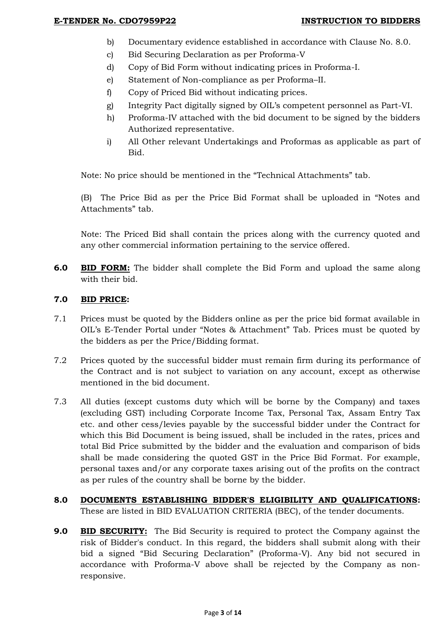- b) Documentary evidence established in accordance with Clause No. 8.0.
- c) Bid Securing Declaration as per Proforma-V
- d) Copy of Bid Form without indicating prices in Proforma-I.
- e) Statement of Non-compliance as per Proforma–II.
- f) Copy of Priced Bid without indicating prices.
- g) Integrity Pact digitally signed by OIL"s competent personnel as Part-VI.
- h) Proforma-IV attached with the bid document to be signed by the bidders Authorized representative.
- i) All Other relevant Undertakings and Proformas as applicable as part of Bid.

Note: No price should be mentioned in the "Technical Attachments" tab.

(B)The Price Bid as per the Price Bid Format shall be uploaded in "Notes and Attachments" tab.

Note: The Priced Bid shall contain the prices along with the currency quoted and any other commercial information pertaining to the service offered.

**6.0 BID FORM:** The bidder shall complete the Bid Form and upload the same along with their bid.

## **7.0 BID PRICE:**

- 7.1 Prices must be quoted by the Bidders online as per the price bid format available in OIL"s E-Tender Portal under "Notes & Attachment" Tab. Prices must be quoted by the bidders as per the Price/Bidding format.
- 7.2 Prices quoted by the successful bidder must remain firm during its performance of the Contract and is not subject to variation on any account, except as otherwise mentioned in the bid document.
- 7.3 All duties (except customs duty which will be borne by the Company) and taxes (excluding GST) including Corporate Income Tax, Personal Tax, Assam Entry Tax etc. and other cess/levies payable by the successful bidder under the Contract for which this Bid Document is being issued, shall be included in the rates, prices and total Bid Price submitted by the bidder and the evaluation and comparison of bids shall be made considering the quoted GST in the Price Bid Format. For example, personal taxes and/or any corporate taxes arising out of the profits on the contract as per rules of the country shall be borne by the bidder.
- **8.0 DOCUMENTS ESTABLISHING BIDDER'S ELIGIBILITY AND QUALIFICATIONS:**  These are listed in BID EVALUATION CRITERIA (BEC), of the tender documents.
- **9.0 <b>BID SECURITY:** The Bid Security is required to protect the Company against the risk of Bidder's conduct. In this regard, the bidders shall submit along with their bid a signed "Bid Securing Declaration" (Proforma-V). Any bid not secured in accordance with Proforma-V above shall be rejected by the Company as nonresponsive.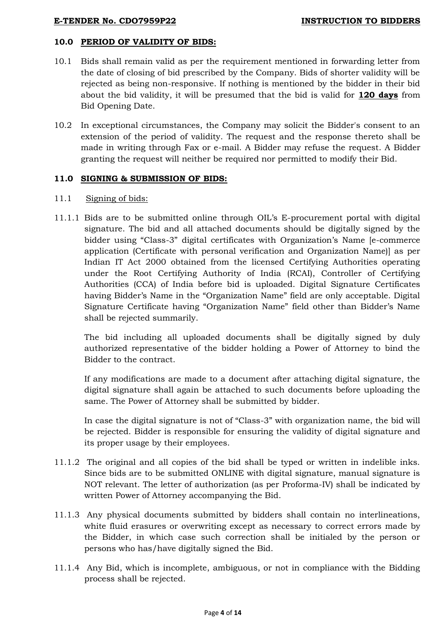# **10.0 PERIOD OF VALIDITY OF BIDS:**

- 10.1 Bids shall remain valid as per the requirement mentioned in forwarding letter from the date of closing of bid prescribed by the Company. Bids of shorter validity will be rejected as being non-responsive. If nothing is mentioned by the bidder in their bid about the bid validity, it will be presumed that the bid is valid for **120 days** from Bid Opening Date.
- 10.2 In exceptional circumstances, the Company may solicit the Bidder's consent to an extension of the period of validity. The request and the response thereto shall be made in writing through Fax or e-mail. A Bidder may refuse the request. A Bidder granting the request will neither be required nor permitted to modify their Bid.

# **11.0 SIGNING & SUBMISSION OF BIDS:**

## 11.1 Signing of bids:

11.1.1 Bids are to be submitted online through OIL"s E-procurement portal with digital signature. The bid and all attached documents should be digitally signed by the bidder using "Class-3" digital certificates with Organization"s Name [e-commerce application (Certificate with personal verification and Organization Name)] as per Indian IT Act 2000 obtained from the licensed Certifying Authorities operating under the Root Certifying Authority of India (RCAI), Controller of Certifying Authorities (CCA) of India before bid is uploaded. Digital Signature Certificates having Bidder"s Name in the "Organization Name" field are only acceptable. Digital Signature Certificate having "Organization Name" field other than Bidder"s Name shall be rejected summarily.

The bid including all uploaded documents shall be digitally signed by duly authorized representative of the bidder holding a Power of Attorney to bind the Bidder to the contract.

If any modifications are made to a document after attaching digital signature, the digital signature shall again be attached to such documents before uploading the same. The Power of Attorney shall be submitted by bidder.

In case the digital signature is not of "Class-3" with organization name, the bid will be rejected. Bidder is responsible for ensuring the validity of digital signature and its proper usage by their employees.

- 11.1.2 The original and all copies of the bid shall be typed or written in indelible inks. Since bids are to be submitted ONLINE with digital signature, manual signature is NOT relevant. The letter of authorization (as per Proforma-IV) shall be indicated by written Power of Attorney accompanying the Bid.
- 11.1.3 Any physical documents submitted by bidders shall contain no interlineations, white fluid erasures or overwriting except as necessary to correct errors made by the Bidder, in which case such correction shall be initialed by the person or persons who has/have digitally signed the Bid.
- 11.1.4 Any Bid, which is incomplete, ambiguous, or not in compliance with the Bidding process shall be rejected.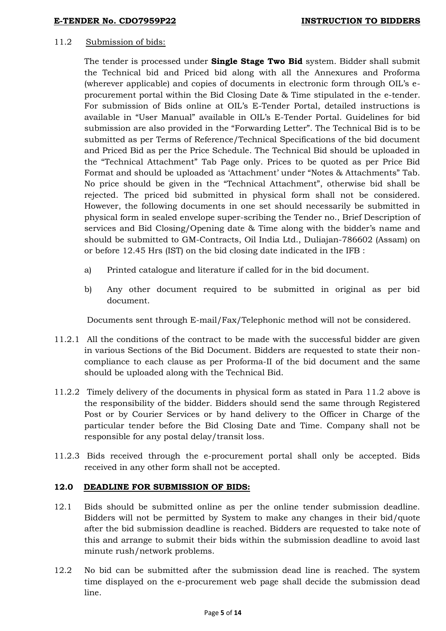#### 11.2 Submission of bids:

The tender is processed under **Single Stage Two Bid** system. Bidder shall submit the Technical bid and Priced bid along with all the Annexures and Proforma (wherever applicable) and copies of documents in electronic form through OIL"s eprocurement portal within the Bid Closing Date & Time stipulated in the e-tender. For submission of Bids online at OIL"s E-Tender Portal, detailed instructions is available in "User Manual" available in OIL"s E-Tender Portal. Guidelines for bid submission are also provided in the "Forwarding Letter". The Technical Bid is to be submitted as per Terms of Reference/Technical Specifications of the bid document and Priced Bid as per the Price Schedule. The Technical Bid should be uploaded in the "Technical Attachment" Tab Page only. Prices to be quoted as per Price Bid Format and should be uploaded as 'Attachment' under "Notes & Attachments" Tab. No price should be given in the "Technical Attachment", otherwise bid shall be rejected. The priced bid submitted in physical form shall not be considered. However, the following documents in one set should necessarily be submitted in physical form in sealed envelope super-scribing the Tender no., Brief Description of services and Bid Closing/Opening date & Time along with the bidder"s name and should be submitted to GM-Contracts, Oil India Ltd., Duliajan-786602 (Assam) on or before 12.45 Hrs (IST) on the bid closing date indicated in the IFB :

- a) Printed catalogue and literature if called for in the bid document.
- b) Any other document required to be submitted in original as per bid document.

Documents sent through E-mail/Fax/Telephonic method will not be considered.

- 11.2.1 All the conditions of the contract to be made with the successful bidder are given in various Sections of the Bid Document. Bidders are requested to state their noncompliance to each clause as per Proforma-II of the bid document and the same should be uploaded along with the Technical Bid.
- 11.2.2 Timely delivery of the documents in physical form as stated in Para 11.2 above is the responsibility of the bidder. Bidders should send the same through Registered Post or by Courier Services or by hand delivery to the Officer in Charge of the particular tender before the Bid Closing Date and Time. Company shall not be responsible for any postal delay/transit loss.
- 11.2.3 Bids received through the e-procurement portal shall only be accepted. Bids received in any other form shall not be accepted.

## **12.0 DEADLINE FOR SUBMISSION OF BIDS:**

- 12.1 Bids should be submitted online as per the online tender submission deadline. Bidders will not be permitted by System to make any changes in their bid/quote after the bid submission deadline is reached. Bidders are requested to take note of this and arrange to submit their bids within the submission deadline to avoid last minute rush/network problems.
- 12.2 No bid can be submitted after the submission dead line is reached. The system time displayed on the e-procurement web page shall decide the submission dead line.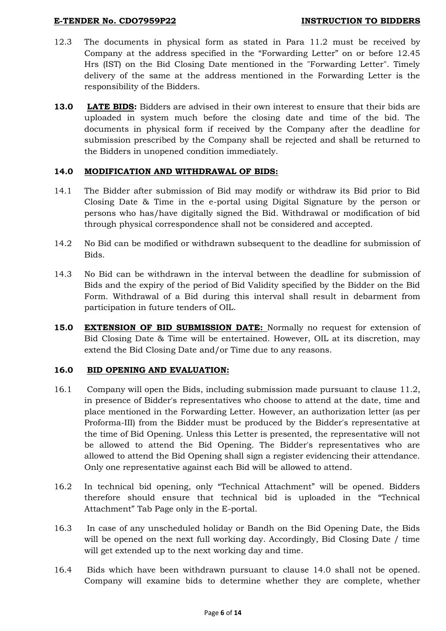#### **E-TENDER No. CDO7959P22 INSTRUCTION TO BIDDERS**

- 12.3 The documents in physical form as stated in Para 11.2 must be received by Company at the address specified in the "Forwarding Letter" on or before 12.45 Hrs (IST) on the Bid Closing Date mentioned in the "Forwarding Letter". Timely delivery of the same at the address mentioned in the Forwarding Letter is the responsibility of the Bidders.
- **13.0 LATE BIDS:** Bidders are advised in their own interest to ensure that their bids are uploaded in system much before the closing date and time of the bid. The documents in physical form if received by the Company after the deadline for submission prescribed by the Company shall be rejected and shall be returned to the Bidders in unopened condition immediately.

## **14.0 MODIFICATION AND WITHDRAWAL OF BIDS:**

- 14.1 The Bidder after submission of Bid may modify or withdraw its Bid prior to Bid Closing Date & Time in the e-portal using Digital Signature by the person or persons who has/have digitally signed the Bid. Withdrawal or modification of bid through physical correspondence shall not be considered and accepted.
- 14.2 No Bid can be modified or withdrawn subsequent to the deadline for submission of Bids.
- 14.3 No Bid can be withdrawn in the interval between the deadline for submission of Bids and the expiry of the period of Bid Validity specified by the Bidder on the Bid Form. Withdrawal of a Bid during this interval shall result in debarment from participation in future tenders of OIL.
- **15.0 EXTENSION OF BID SUBMISSION DATE:** Normally no request for extension of Bid Closing Date & Time will be entertained. However, OIL at its discretion, may extend the Bid Closing Date and/or Time due to any reasons.

## **16.0 BID OPENING AND EVALUATION:**

- 16.1 Company will open the Bids, including submission made pursuant to clause 11.2, in presence of Bidder's representatives who choose to attend at the date, time and place mentioned in the Forwarding Letter. However, an authorization letter (as per Proforma-III) from the Bidder must be produced by the Bidder's representative at the time of Bid Opening. Unless this Letter is presented, the representative will not be allowed to attend the Bid Opening. The Bidder's representatives who are allowed to attend the Bid Opening shall sign a register evidencing their attendance. Only one representative against each Bid will be allowed to attend.
- 16.2 In technical bid opening, only "Technical Attachment" will be opened. Bidders therefore should ensure that technical bid is uploaded in the "Technical Attachment" Tab Page only in the E-portal.
- 16.3 In case of any unscheduled holiday or Bandh on the Bid Opening Date, the Bids will be opened on the next full working day. Accordingly, Bid Closing Date / time will get extended up to the next working day and time.
- 16.4 Bids which have been withdrawn pursuant to clause 14.0 shall not be opened. Company will examine bids to determine whether they are complete, whether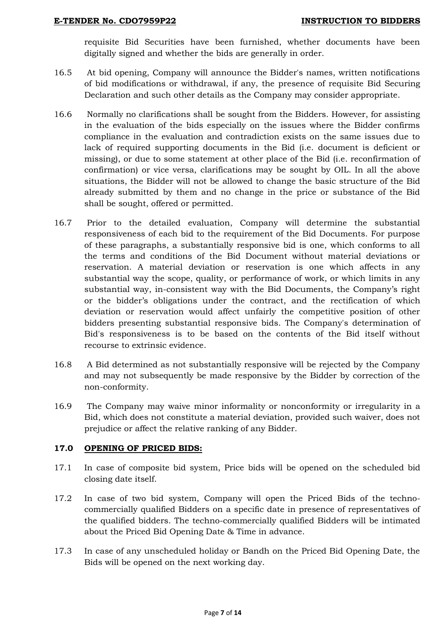requisite Bid Securities have been furnished, whether documents have been digitally signed and whether the bids are generally in order.

- 16.5 At bid opening, Company will announce the Bidder's names, written notifications of bid modifications or withdrawal, if any, the presence of requisite Bid Securing Declaration and such other details as the Company may consider appropriate.
- 16.6 Normally no clarifications shall be sought from the Bidders. However, for assisting in the evaluation of the bids especially on the issues where the Bidder confirms compliance in the evaluation and contradiction exists on the same issues due to lack of required supporting documents in the Bid (i.e. document is deficient or missing), or due to some statement at other place of the Bid (i.e. reconfirmation of confirmation) or vice versa, clarifications may be sought by OIL. In all the above situations, the Bidder will not be allowed to change the basic structure of the Bid already submitted by them and no change in the price or substance of the Bid shall be sought, offered or permitted.
- 16.7 Prior to the detailed evaluation, Company will determine the substantial responsiveness of each bid to the requirement of the Bid Documents. For purpose of these paragraphs, a substantially responsive bid is one, which conforms to all the terms and conditions of the Bid Document without material deviations or reservation. A material deviation or reservation is one which affects in any substantial way the scope, quality, or performance of work, or which limits in any substantial way, in-consistent way with the Bid Documents, the Company"s right or the bidder"s obligations under the contract, and the rectification of which deviation or reservation would affect unfairly the competitive position of other bidders presenting substantial responsive bids. The Company's determination of Bid's responsiveness is to be based on the contents of the Bid itself without recourse to extrinsic evidence.
- 16.8 A Bid determined as not substantially responsive will be rejected by the Company and may not subsequently be made responsive by the Bidder by correction of the non-conformity.
- 16.9 The Company may waive minor informality or nonconformity or irregularity in a Bid, which does not constitute a material deviation, provided such waiver, does not prejudice or affect the relative ranking of any Bidder.

## **17.0 OPENING OF PRICED BIDS:**

- 17.1 In case of composite bid system, Price bids will be opened on the scheduled bid closing date itself.
- 17.2 In case of two bid system, Company will open the Priced Bids of the technocommercially qualified Bidders on a specific date in presence of representatives of the qualified bidders. The techno-commercially qualified Bidders will be intimated about the Priced Bid Opening Date & Time in advance.
- 17.3 In case of any unscheduled holiday or Bandh on the Priced Bid Opening Date, the Bids will be opened on the next working day.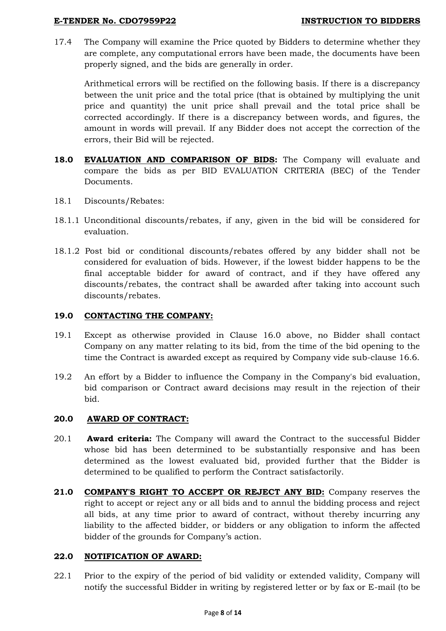## **E-TENDER No. CDO7959P22 INSTRUCTION TO BIDDERS**

17.4 The Company will examine the Price quoted by Bidders to determine whether they are complete, any computational errors have been made, the documents have been properly signed, and the bids are generally in order.

Arithmetical errors will be rectified on the following basis. If there is a discrepancy between the unit price and the total price (that is obtained by multiplying the unit price and quantity) the unit price shall prevail and the total price shall be corrected accordingly. If there is a discrepancy between words, and figures, the amount in words will prevail. If any Bidder does not accept the correction of the errors, their Bid will be rejected.

- **18.0 EVALUATION AND COMPARISON OF BIDS:** The Company will evaluate and compare the bids as per BID EVALUATION CRITERIA (BEC) of the Tender Documents.
- 18.1 Discounts/Rebates:
- 18.1.1 Unconditional discounts/rebates, if any, given in the bid will be considered for evaluation.
- 18.1.2 Post bid or conditional discounts/rebates offered by any bidder shall not be considered for evaluation of bids. However, if the lowest bidder happens to be the final acceptable bidder for award of contract, and if they have offered any discounts/rebates, the contract shall be awarded after taking into account such discounts/rebates.

# **19.0 CONTACTING THE COMPANY:**

- 19.1 Except as otherwise provided in Clause 16.0 above, no Bidder shall contact Company on any matter relating to its bid, from the time of the bid opening to the time the Contract is awarded except as required by Company vide sub-clause 16.6.
- 19.2 An effort by a Bidder to influence the Company in the Company's bid evaluation, bid comparison or Contract award decisions may result in the rejection of their bid.

## **20.0 AWARD OF CONTRACT:**

- 20.1 **Award criteria:** The Company will award the Contract to the successful Bidder whose bid has been determined to be substantially responsive and has been determined as the lowest evaluated bid, provided further that the Bidder is determined to be qualified to perform the Contract satisfactorily.
- **21.0 COMPANY'S RIGHT TO ACCEPT OR REJECT ANY BID:** Company reserves the right to accept or reject any or all bids and to annul the bidding process and reject all bids, at any time prior to award of contract, without thereby incurring any liability to the affected bidder, or bidders or any obligation to inform the affected bidder of the grounds for Company's action.

## **22.0 NOTIFICATION OF AWARD:**

22.1 Prior to the expiry of the period of bid validity or extended validity, Company will notify the successful Bidder in writing by registered letter or by fax or E-mail (to be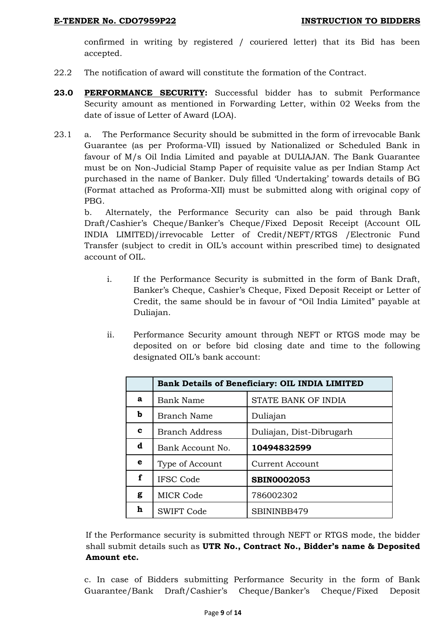confirmed in writing by registered / couriered letter) that its Bid has been accepted.

- 22.2 The notification of award will constitute the formation of the Contract.
- **23.0 PERFORMANCE SECURITY:** Successful bidder has to submit Performance Security amount as mentioned in Forwarding Letter, within 02 Weeks from the date of issue of Letter of Award (LOA).
- 23.1 a. The Performance Security should be submitted in the form of irrevocable Bank Guarantee (as per Proforma-VII) issued by Nationalized or Scheduled Bank in favour of M/s Oil India Limited and payable at DULIAJAN. The Bank Guarantee must be on Non-Judicial Stamp Paper of requisite value as per Indian Stamp Act purchased in the name of Banker. Duly filled "Undertaking" towards details of BG (Format attached as Proforma-XII) must be submitted along with original copy of PBG.

b. Alternately, the Performance Security can also be paid through Bank Draft/Cashier's Cheque/Banker's Cheque/Fixed Deposit Receipt (Account OIL INDIA LIMITED)/irrevocable Letter of Credit/NEFT/RTGS /Electronic Fund Transfer (subject to credit in OIL"s account within prescribed time) to designated account of OIL.

- i. If the Performance Security is submitted in the form of Bank Draft, Banker"s Cheque, Cashier"s Cheque, Fixed Deposit Receipt or Letter of Credit, the same should be in favour of "Oil India Limited" payable at Duliajan.
- ii. Performance Security amount through NEFT or RTGS mode may be deposited on or before bid closing date and time to the following designated OIL"s bank account:

|   |                       | <b>Bank Details of Beneficiary: OIL INDIA LIMITED</b> |
|---|-----------------------|-------------------------------------------------------|
| a | Bank Name             | STATE BANK OF INDIA                                   |
| b | <b>Branch Name</b>    | Duliajan                                              |
| c | <b>Branch Address</b> | Duliajan, Dist-Dibrugarh                              |
| d | Bank Account No.      | 10494832599                                           |
| е | Type of Account       | <b>Current Account</b>                                |
| f | <b>IFSC Code</b>      | <b>SBIN0002053</b>                                    |
| g | <b>MICR Code</b>      | 786002302                                             |
| h | <b>SWIFT Code</b>     | SBININBB479                                           |

If the Performance security is submitted through NEFT or RTGS mode, the bidder shall submit details such as **UTR No., Contract No., Bidder's name & Deposited Amount etc.** 

c. In case of Bidders submitting Performance Security in the form of Bank Guarantee/Bank Draft/Cashier"s Cheque/Banker"s Cheque/Fixed Deposit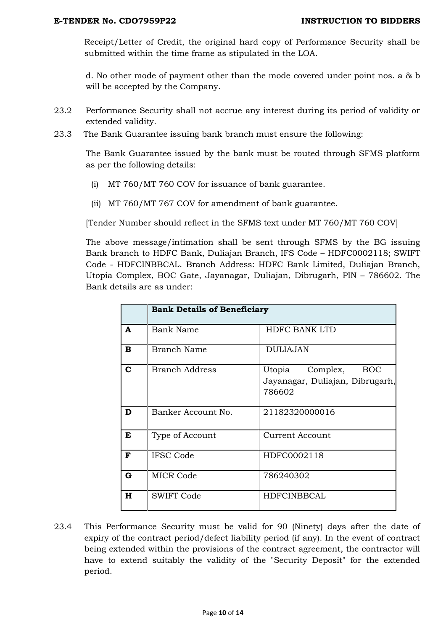Receipt/Letter of Credit, the original hard copy of Performance Security shall be submitted within the time frame as stipulated in the LOA.

d. No other mode of payment other than the mode covered under point nos. a & b will be accepted by the Company.

- 23.2 Performance Security shall not accrue any interest during its period of validity or extended validity.
- 23.3 The Bank Guarantee issuing bank branch must ensure the following:

The Bank Guarantee issued by the bank must be routed through SFMS platform as per the following details:

- (i) MT 760/MT 760 COV for issuance of bank guarantee.
- (ii) MT 760/MT 767 COV for amendment of bank guarantee.

[Tender Number should reflect in the SFMS text under MT 760/MT 760 COV]

The above message/intimation shall be sent through SFMS by the BG issuing Bank branch to HDFC Bank, Duliajan Branch, IFS Code – HDFC0002118; SWIFT Code - HDFCINBBCAL. Branch Address: HDFC Bank Limited, Duliajan Branch, Utopia Complex, BOC Gate, Jayanagar, Duliajan, Dibrugarh, PIN – 786602. The Bank details are as under:

|             | <b>Bank Details of Beneficiary</b> |                                                                               |
|-------------|------------------------------------|-------------------------------------------------------------------------------|
| A           | <b>Bank Name</b>                   | <b>HDFC BANK LTD</b>                                                          |
| в           | <b>Branch Name</b>                 | <b>DULIAJAN</b>                                                               |
| $\mathbf C$ | <b>Branch Address</b>              | Utopia<br>Complex,<br><b>BOC</b><br>Jayanagar, Duliajan, Dibrugarh,<br>786602 |
| D           | Banker Account No.                 | 21182320000016                                                                |
| E           | Type of Account                    | Current Account                                                               |
| F           | <b>IFSC Code</b>                   | HDFC0002118                                                                   |
| $\mathbf G$ | <b>MICR Code</b>                   | 786240302                                                                     |
| $\bf H$     | <b>SWIFT Code</b>                  | <b>HDFCINBBCAL</b>                                                            |

23.4 This Performance Security must be valid for 90 (Ninety) days after the date of expiry of the contract period/defect liability period (if any). In the event of contract being extended within the provisions of the contract agreement, the contractor will have to extend suitably the validity of the "Security Deposit" for the extended period.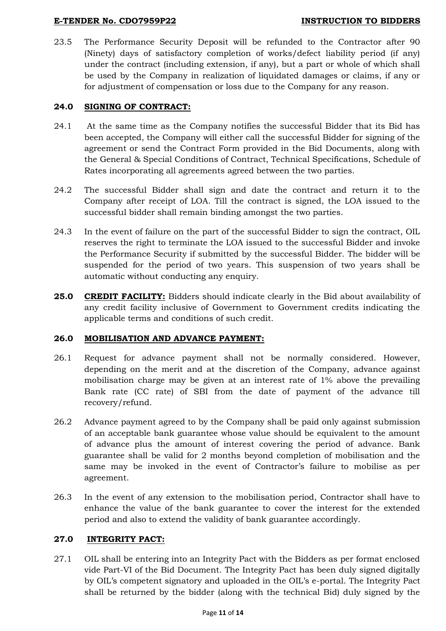#### **E-TENDER No. CDO7959P22 INSTRUCTION TO BIDDERS**

23.5 The Performance Security Deposit will be refunded to the Contractor after 90 (Ninety) days of satisfactory completion of works/defect liability period (if any) under the contract (including extension, if any), but a part or whole of which shall be used by the Company in realization of liquidated damages or claims, if any or for adjustment of compensation or loss due to the Company for any reason.

# **24.0 SIGNING OF CONTRACT:**

- 24.1 At the same time as the Company notifies the successful Bidder that its Bid has been accepted, the Company will either call the successful Bidder for signing of the agreement or send the Contract Form provided in the Bid Documents, along with the General & Special Conditions of Contract, Technical Specifications, Schedule of Rates incorporating all agreements agreed between the two parties.
- 24.2 The successful Bidder shall sign and date the contract and return it to the Company after receipt of LOA. Till the contract is signed, the LOA issued to the successful bidder shall remain binding amongst the two parties.
- 24.3 In the event of failure on the part of the successful Bidder to sign the contract, OIL reserves the right to terminate the LOA issued to the successful Bidder and invoke the Performance Security if submitted by the successful Bidder. The bidder will be suspended for the period of two years. This suspension of two years shall be automatic without conducting any enquiry.
- **25.0 CREDIT FACILITY:** Bidders should indicate clearly in the Bid about availability of any credit facility inclusive of Government to Government credits indicating the applicable terms and conditions of such credit.

# **26.0 MOBILISATION AND ADVANCE PAYMENT:**

- 26.1 Request for advance payment shall not be normally considered. However, depending on the merit and at the discretion of the Company, advance against mobilisation charge may be given at an interest rate of 1% above the prevailing Bank rate (CC rate) of SBI from the date of payment of the advance till recovery/refund.
- 26.2 Advance payment agreed to by the Company shall be paid only against submission of an acceptable bank guarantee whose value should be equivalent to the amount of advance plus the amount of interest covering the period of advance. Bank guarantee shall be valid for 2 months beyond completion of mobilisation and the same may be invoked in the event of Contractor's failure to mobilise as per agreement.
- 26.3 In the event of any extension to the mobilisation period, Contractor shall have to enhance the value of the bank guarantee to cover the interest for the extended period and also to extend the validity of bank guarantee accordingly.

## **27.0 INTEGRITY PACT:**

27.1 OIL shall be entering into an Integrity Pact with the Bidders as per format enclosed vide Part-VI of the Bid Document. The Integrity Pact has been duly signed digitally by OIL"s competent signatory and uploaded in the OIL"s e-portal. The Integrity Pact shall be returned by the bidder (along with the technical Bid) duly signed by the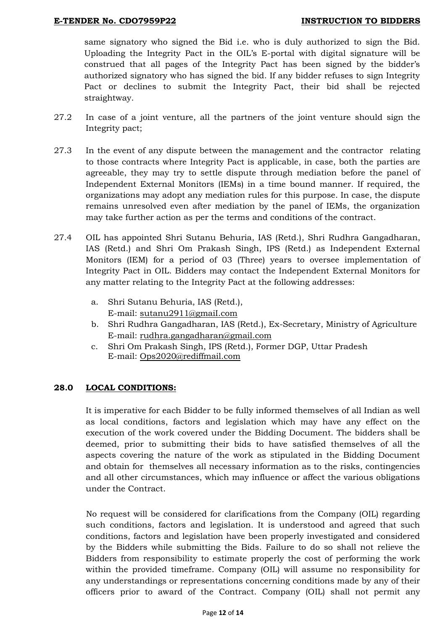same signatory who signed the Bid i.e. who is duly authorized to sign the Bid. Uploading the Integrity Pact in the OIL"s E-portal with digital signature will be construed that all pages of the Integrity Pact has been signed by the bidder"s authorized signatory who has signed the bid. If any bidder refuses to sign Integrity Pact or declines to submit the Integrity Pact, their bid shall be rejected straightway.

- 27.2 In case of a joint venture, all the partners of the joint venture should sign the Integrity pact;
- 27.3 In the event of any dispute between the management and the contractor relating to those contracts where Integrity Pact is applicable, in case, both the parties are agreeable, they may try to settle dispute through mediation before the panel of Independent External Monitors (IEMs) in a time bound manner. If required, the organizations may adopt any mediation rules for this purpose. In case, the dispute remains unresolved even after mediation by the panel of IEMs, the organization may take further action as per the terms and conditions of the contract.
- 27.4 OIL has appointed Shri Sutanu Behuria, IAS (Retd.), Shri Rudhra Gangadharan, IAS (Retd.) and Shri Om Prakash Singh, IPS (Retd.) as Independent External Monitors (IEM) for a period of 03 (Three) years to oversee implementation of Integrity Pact in OIL. Bidders may contact the Independent External Monitors for any matter relating to the Integrity Pact at the following addresses:
	- a. Shri Sutanu Behuria, IAS (Retd.), E-mail: [sutanu2911@gmaiI.com](mailto:sutanu2911@gmaiI.com)
	- b. Shri Rudhra Gangadharan, IAS (Retd.), Ex-Secretary, Ministry of Agriculture E-mail: [rudhra.gangadharan@gmail.com](mailto:rudhra.gangadharan@gmail.com)
	- c. Shri Om Prakash Singh, IPS (Retd.), Former DGP, Uttar Pradesh E-mail: [Ops2020@rediffmail.com](mailto:Ops2020@rediffmail.com)

## **28.0 LOCAL CONDITIONS:**

It is imperative for each Bidder to be fully informed themselves of all Indian as well as local conditions, factors and legislation which may have any effect on the execution of the work covered under the Bidding Document. The bidders shall be deemed, prior to submitting their bids to have satisfied themselves of all the aspects covering the nature of the work as stipulated in the Bidding Document and obtain for themselves all necessary information as to the risks, contingencies and all other circumstances, which may influence or affect the various obligations under the Contract.

No request will be considered for clarifications from the Company (OIL) regarding such conditions, factors and legislation. It is understood and agreed that such conditions, factors and legislation have been properly investigated and considered by the Bidders while submitting the Bids. Failure to do so shall not relieve the Bidders from responsibility to estimate properly the cost of performing the work within the provided timeframe. Company (OIL) will assume no responsibility for any understandings or representations concerning conditions made by any of their officers prior to award of the Contract. Company (OIL) shall not permit any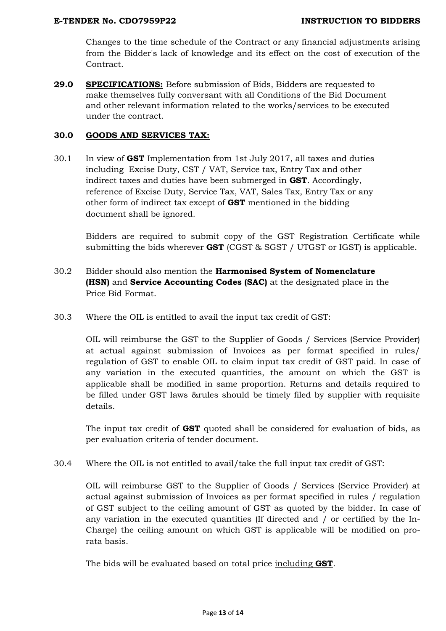Changes to the time schedule of the Contract or any financial adjustments arising from the Bidder's lack of knowledge and its effect on the cost of execution of the Contract.

**29.0 SPECIFICATIONS:** Before submission of Bids, Bidders are requested to make themselves fully conversant with all Conditions of the Bid Document and other relevant information related to the works/services to be executed under the contract.

#### **30.0 GOODS AND SERVICES TAX:**

30.1 In view of **GST** Implementation from 1st July 2017, all taxes and duties including Excise Duty, CST / VAT, Service tax, Entry Tax and other indirect taxes and duties have been submerged in **GST**. Accordingly, reference of Excise Duty, Service Tax, VAT, Sales Tax, Entry Tax or any other form of indirect tax except of **GST** mentioned in the bidding document shall be ignored.

Bidders are required to submit copy of the GST Registration Certificate while submitting the bids wherever **GST** (CGST & SGST / UTGST or IGST) is applicable.

- 30.2 Bidder should also mention the **Harmonised System of Nomenclature (HSN)** and **Service Accounting Codes (SAC)** at the designated place in the Price Bid Format.
- 30.3 Where the OIL is entitled to avail the input tax credit of GST:

OIL will reimburse the GST to the Supplier of Goods / Services (Service Provider) at actual against submission of Invoices as per format specified in rules/ regulation of GST to enable OIL to claim input tax credit of GST paid. In case of any variation in the executed quantities, the amount on which the GST is applicable shall be modified in same proportion. Returns and details required to be filled under GST laws &rules should be timely filed by supplier with requisite details.

The input tax credit of **GST** quoted shall be considered for evaluation of bids, as per evaluation criteria of tender document.

30.4 Where the OIL is not entitled to avail/take the full input tax credit of GST:

OIL will reimburse GST to the Supplier of Goods / Services (Service Provider) at actual against submission of Invoices as per format specified in rules / regulation of GST subject to the ceiling amount of GST as quoted by the bidder. In case of any variation in the executed quantities (If directed and / or certified by the In-Charge) the ceiling amount on which GST is applicable will be modified on prorata basis.

The bids will be evaluated based on total price including **GST**.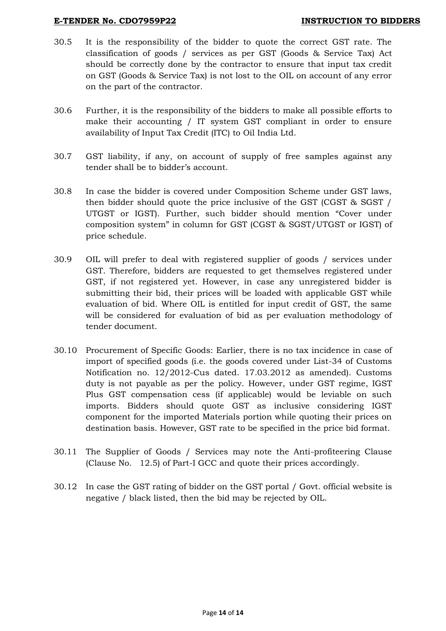#### **E-TENDER No. CDO7959P22 INSTRUCTION TO BIDDERS**

- 30.5 It is the responsibility of the bidder to quote the correct GST rate. The classification of goods / services as per GST (Goods & Service Tax) Act should be correctly done by the contractor to ensure that input tax credit on GST (Goods & Service Tax) is not lost to the OIL on account of any error on the part of the contractor.
- 30.6 Further, it is the responsibility of the bidders to make all possible efforts to make their accounting / IT system GST compliant in order to ensure availability of Input Tax Credit (ITC) to Oil India Ltd.
- 30.7 GST liability, if any, on account of supply of free samples against any tender shall be to bidder"s account.
- 30.8 In case the bidder is covered under Composition Scheme under GST laws, then bidder should quote the price inclusive of the GST (CGST & SGST / UTGST or IGST). Further, such bidder should mention "Cover under composition system" in column for GST (CGST & SGST/UTGST or IGST) of price schedule.
- 30.9 OIL will prefer to deal with registered supplier of goods / services under GST. Therefore, bidders are requested to get themselves registered under GST, if not registered yet. However, in case any unregistered bidder is submitting their bid, their prices will be loaded with applicable GST while evaluation of bid. Where OIL is entitled for input credit of GST, the same will be considered for evaluation of bid as per evaluation methodology of tender document.
- 30.10 Procurement of Specific Goods: Earlier, there is no tax incidence in case of import of specified goods (i.e. the goods covered under List-34 of Customs Notification no. 12/2012-Cus dated. 17.03.2012 as amended). Customs duty is not payable as per the policy. However, under GST regime, IGST Plus GST compensation cess (if applicable) would be leviable on such imports. Bidders should quote GST as inclusive considering IGST component for the imported Materials portion while quoting their prices on destination basis. However, GST rate to be specified in the price bid format.
- 30.11 The Supplier of Goods / Services may note the Anti-profiteering Clause (Clause No. 12.5) of Part-I GCC and quote their prices accordingly.
- 30.12 In case the GST rating of bidder on the GST portal / Govt. official website is negative / black listed, then the bid may be rejected by OIL.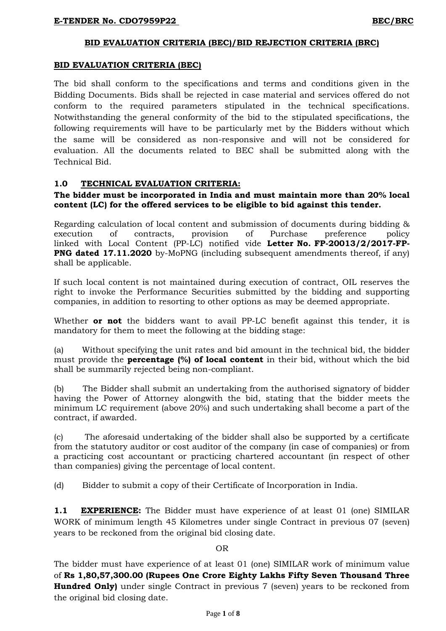## **BID EVALUATION CRITERIA (BEC)/BID REJECTION CRITERIA (BRC)**

#### **BID EVALUATION CRITERIA (BEC)**

The bid shall conform to the specifications and terms and conditions given in the Bidding Documents. Bids shall be rejected in case material and services offered do not conform to the required parameters stipulated in the technical specifications. Notwithstanding the general conformity of the bid to the stipulated specifications, the following requirements will have to be particularly met by the Bidders without which the same will be considered as non-responsive and will not be considered for evaluation. All the documents related to BEC shall be submitted along with the Technical Bid.

## **1.0 TECHNICAL EVALUATION CRITERIA:**

#### **The bidder must be incorporated in India and must maintain more than 20% local content (LC) for the offered services to be eligible to bid against this tender.**

Regarding calculation of local content and submission of documents during bidding & execution of contracts, provision of Purchase preference policy linked with Local Content (PP-LC) notified vide **Letter No. FP-20013/2/2017-FP-PNG dated 17.11.2020** by-MoPNG (including subsequent amendments thereof, if any) shall be applicable.

If such local content is not maintained during execution of contract, OIL reserves the right to invoke the Performance Securities submitted by the bidding and supporting companies, in addition to resorting to other options as may be deemed appropriate.

Whether **or not** the bidders want to avail PP-LC benefit against this tender, it is mandatory for them to meet the following at the bidding stage:

(a) Without specifying the unit rates and bid amount in the technical bid, the bidder must provide the **percentage (%) of local content** in their bid, without which the bid shall be summarily rejected being non-compliant.

(b) The Bidder shall submit an undertaking from the authorised signatory of bidder having the Power of Attorney alongwith the bid, stating that the bidder meets the minimum LC requirement (above 20%) and such undertaking shall become a part of the contract, if awarded.

(c) The aforesaid undertaking of the bidder shall also be supported by a certificate from the statutory auditor or cost auditor of the company (in case of companies) or from a practicing cost accountant or practicing chartered accountant (in respect of other than companies) giving the percentage of local content.

(d) Bidder to submit a copy of their Certificate of Incorporation in India.

**1.1 EXPERIENCE:** The Bidder must have experience of at least 01 (one) SIMILAR WORK of minimum length 45 Kilometres under single Contract in previous 07 (seven) years to be reckoned from the original bid closing date.

## OR

The bidder must have experience of at least 01 (one) SIMILAR work of minimum value of **Rs 1,80,57,300.00 (Rupees One Crore Eighty Lakhs Fifty Seven Thousand Three Hundred Only)** under single Contract in previous 7 (seven) years to be reckoned from the original bid closing date.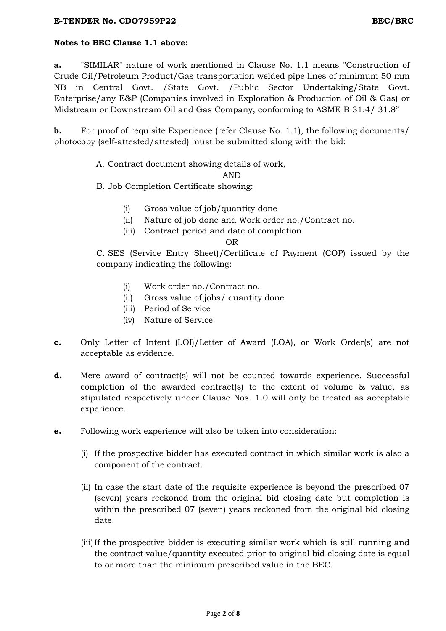# **Notes to BEC Clause 1.1 above:**

**a.** "SIMILAR" nature of work mentioned in Clause No. 1.1 means "Construction of Crude Oil/Petroleum Product/Gas transportation welded pipe lines of minimum 50 mm NB in Central Govt. /State Govt. /Public Sector Undertaking/State Govt. Enterprise/any E&P (Companies involved in Exploration & Production of Oil & Gas) or Midstream or Downstream Oil and Gas Company, conforming to ASME B 31.4/ 31.8"

**b.** For proof of requisite Experience (refer Clause No. 1.1), the following documents/ photocopy (self-attested/attested) must be submitted along with the bid:

# A. Contract document showing details of work,

AND

B. Job Completion Certificate showing:

- (i) Gross value of job/quantity done
- (ii) Nature of job done and Work order no./Contract no.
- (iii) Contract period and date of completion

OR

C. SES (Service Entry Sheet)/Certificate of Payment (COP) issued by the company indicating the following:

- (i) Work order no./Contract no.
- (ii) Gross value of jobs/ quantity done
- (iii) Period of Service
- (iv) Nature of Service
- **c.** Only Letter of Intent (LOI)/Letter of Award (LOA), or Work Order(s) are not acceptable as evidence.
- **d.** Mere award of contract(s) will not be counted towards experience. Successful completion of the awarded contract(s) to the extent of volume & value, as stipulated respectively under Clause Nos. 1.0 will only be treated as acceptable experience.
- **e.** Following work experience will also be taken into consideration:
	- (i) If the prospective bidder has executed contract in which similar work is also a component of the contract.
	- (ii) In case the start date of the requisite experience is beyond the prescribed 07 (seven) years reckoned from the original bid closing date but completion is within the prescribed 07 (seven) years reckoned from the original bid closing date.
	- (iii)If the prospective bidder is executing similar work which is still running and the contract value/quantity executed prior to original bid closing date is equal to or more than the minimum prescribed value in the BEC.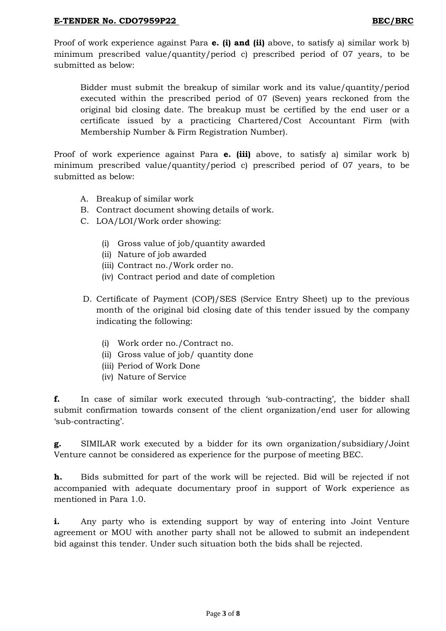Proof of work experience against Para **e. (i) and (ii)** above, to satisfy a) similar work b) minimum prescribed value/quantity/period c) prescribed period of 07 years, to be submitted as below:

Bidder must submit the breakup of similar work and its value/quantity/period executed within the prescribed period of 07 (Seven) years reckoned from the original bid closing date. The breakup must be certified by the end user or a certificate issued by a practicing Chartered/Cost Accountant Firm (with Membership Number & Firm Registration Number).

Proof of work experience against Para **e. (iii)** above, to satisfy a) similar work b) minimum prescribed value/quantity/period c) prescribed period of 07 years, to be submitted as below:

- A. Breakup of similar work
- B. Contract document showing details of work.
- C. LOA/LOI/Work order showing:
	- (i) Gross value of job/quantity awarded
	- (ii) Nature of job awarded
	- (iii) Contract no./Work order no.
	- (iv) Contract period and date of completion
- D. Certificate of Payment (COP)/SES (Service Entry Sheet) up to the previous month of the original bid closing date of this tender issued by the company indicating the following:
	- (i) Work order no./Contract no.
	- (ii) Gross value of job/ quantity done
	- (iii) Period of Work Done
	- (iv) Nature of Service

**f.** In case of similar work executed through 'sub-contracting', the bidder shall submit confirmation towards consent of the client organization/end user for allowing 'sub-contracting'.

**g.** SIMILAR work executed by a bidder for its own organization/subsidiary/Joint Venture cannot be considered as experience for the purpose of meeting BEC.

**h.** Bids submitted for part of the work will be rejected. Bid will be rejected if not accompanied with adequate documentary proof in support of Work experience as mentioned in Para 1.0.

**i.** Any party who is extending support by way of entering into Joint Venture agreement or MOU with another party shall not be allowed to submit an independent bid against this tender. Under such situation both the bids shall be rejected.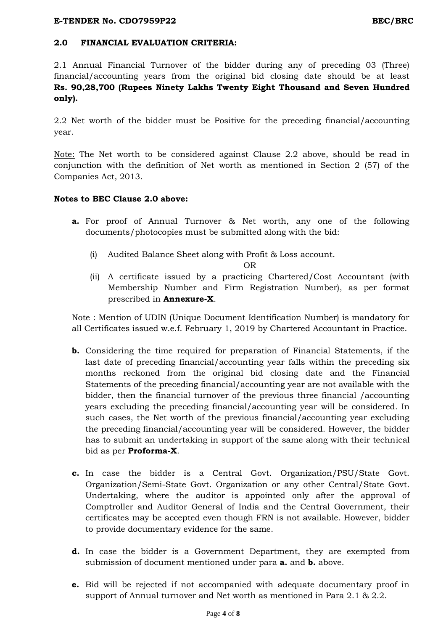## **2.0 FINANCIAL EVALUATION CRITERIA:**

2.1 Annual Financial Turnover of the bidder during any of preceding 03 (Three) financial/accounting years from the original bid closing date should be at least **Rs. 90,28,700 (Rupees Ninety Lakhs Twenty Eight Thousand and Seven Hundred only).**

2.2 Net worth of the bidder must be Positive for the preceding financial/accounting year.

Note: The Net worth to be considered against Clause 2.2 above, should be read in conjunction with the definition of Net worth as mentioned in Section 2 (57) of the Companies Act, 2013.

#### **Notes to BEC Clause 2.0 above:**

- **a.** For proof of Annual Turnover & Net worth, any one of the following documents/photocopies must be submitted along with the bid:
	- (i) Audited Balance Sheet along with Profit & Loss account.

#### OR

(ii) A certificate issued by a practicing Chartered/Cost Accountant (with Membership Number and Firm Registration Number), as per format prescribed in **Annexure-X**.

Note : Mention of UDIN (Unique Document Identification Number) is mandatory for all Certificates issued w.e.f. February 1, 2019 by Chartered Accountant in Practice.

- **b.** Considering the time required for preparation of Financial Statements, if the last date of preceding financial/accounting year falls within the preceding six months reckoned from the original bid closing date and the Financial Statements of the preceding financial/accounting year are not available with the bidder, then the financial turnover of the previous three financial /accounting years excluding the preceding financial/accounting year will be considered. In such cases, the Net worth of the previous financial/accounting year excluding the preceding financial/accounting year will be considered. However, the bidder has to submit an undertaking in support of the same along with their technical bid as per **Proforma-X**.
- **c.** In case the bidder is a Central Govt. Organization/PSU/State Govt. Organization/Semi-State Govt. Organization or any other Central/State Govt. Undertaking, where the auditor is appointed only after the approval of Comptroller and Auditor General of India and the Central Government, their certificates may be accepted even though FRN is not available. However, bidder to provide documentary evidence for the same.
- **d.** In case the bidder is a Government Department, they are exempted from submission of document mentioned under para **a.** and **b.** above.
- **e.** Bid will be rejected if not accompanied with adequate documentary proof in support of Annual turnover and Net worth as mentioned in Para 2.1 & 2.2.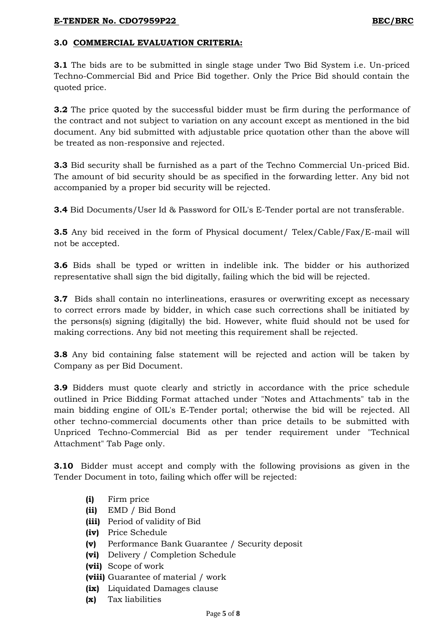# **3.0 COMMERCIAL EVALUATION CRITERIA:**

**3.1** The bids are to be submitted in single stage under Two Bid System i.e. Un-priced Techno-Commercial Bid and Price Bid together. Only the Price Bid should contain the quoted price.

**3.2** The price quoted by the successful bidder must be firm during the performance of the contract and not subject to variation on any account except as mentioned in the bid document. Any bid submitted with adjustable price quotation other than the above will be treated as non-responsive and rejected.

**3.3** Bid security shall be furnished as a part of the Techno Commercial Un-priced Bid. The amount of bid security should be as specified in the forwarding letter. Any bid not accompanied by a proper bid security will be rejected.

**3.4** Bid Documents/User Id & Password for OIL's E-Tender portal are not transferable.

**3.5** Any bid received in the form of Physical document/ Telex/Cable/Fax/E-mail will not be accepted.

**3.6** Bids shall be typed or written in indelible ink. The bidder or his authorized representative shall sign the bid digitally, failing which the bid will be rejected.

**3.7** Bids shall contain no interlineations, erasures or overwriting except as necessary to correct errors made by bidder, in which case such corrections shall be initiated by the persons(s) signing (digitally) the bid. However, white fluid should not be used for making corrections. Any bid not meeting this requirement shall be rejected.

**3.8** Any bid containing false statement will be rejected and action will be taken by Company as per Bid Document.

**3.9** Bidders must quote clearly and strictly in accordance with the price schedule outlined in Price Bidding Format attached under "Notes and Attachments" tab in the main bidding engine of OIL's E-Tender portal; otherwise the bid will be rejected. All other techno-commercial documents other than price details to be submitted with Unpriced Techno-Commercial Bid as per tender requirement under "Technical Attachment" Tab Page only.

**3.10** Bidder must accept and comply with the following provisions as given in the Tender Document in toto, failing which offer will be rejected:

- **(i)** Firm price
- **(ii)** EMD / Bid Bond
- **(iii)** Period of validity of Bid
- **(iv)** Price Schedule
- **(v)** Performance Bank Guarantee / Security deposit
- **(vi)** Delivery / Completion Schedule
- **(vii)** Scope of work
- **(viii)** Guarantee of material / work
- **(ix)** Liquidated Damages clause
- **(x)** Tax liabilities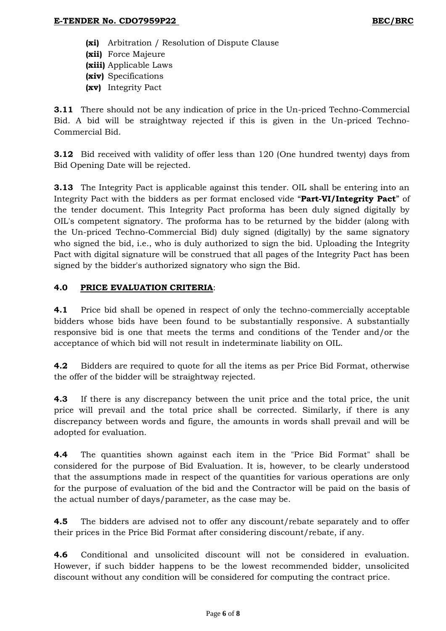**(xi)** Arbitration / Resolution of Dispute Clause **(xii)** Force Majeure **(xiii)** Applicable Laws **(xiv)** Specifications **(xv)** Integrity Pact

**3.11** There should not be any indication of price in the Un-priced Techno-Commercial Bid. A bid will be straightway rejected if this is given in the Un-priced Techno-Commercial Bid.

**3.12** Bid received with validity of offer less than 120 (One hundred twenty) days from Bid Opening Date will be rejected.

**3.13** The Integrity Pact is applicable against this tender. OIL shall be entering into an Integrity Pact with the bidders as per format enclosed vide "**Part-VI/Integrity Pact**" of the tender document. This Integrity Pact proforma has been duly signed digitally by OIL's competent signatory. The proforma has to be returned by the bidder (along with the Un-priced Techno-Commercial Bid) duly signed (digitally) by the same signatory who signed the bid, i.e., who is duly authorized to sign the bid. Uploading the Integrity Pact with digital signature will be construed that all pages of the Integrity Pact has been signed by the bidder's authorized signatory who sign the Bid.

# **4.0 PRICE EVALUATION CRITERIA**:

**4.1** Price bid shall be opened in respect of only the techno-commercially acceptable bidders whose bids have been found to be substantially responsive. A substantially responsive bid is one that meets the terms and conditions of the Tender and/or the acceptance of which bid will not result in indeterminate liability on OIL.

**4.2** Bidders are required to quote for all the items as per Price Bid Format, otherwise the offer of the bidder will be straightway rejected.

**4.3** If there is any discrepancy between the unit price and the total price, the unit price will prevail and the total price shall be corrected. Similarly, if there is any discrepancy between words and figure, the amounts in words shall prevail and will be adopted for evaluation.

**4.4** The quantities shown against each item in the "Price Bid Format" shall be considered for the purpose of Bid Evaluation. It is, however, to be clearly understood that the assumptions made in respect of the quantities for various operations are only for the purpose of evaluation of the bid and the Contractor will be paid on the basis of the actual number of days/parameter, as the case may be.

**4.5** The bidders are advised not to offer any discount/rebate separately and to offer their prices in the Price Bid Format after considering discount/rebate, if any.

**4.6** Conditional and unsolicited discount will not be considered in evaluation. However, if such bidder happens to be the lowest recommended bidder, unsolicited discount without any condition will be considered for computing the contract price.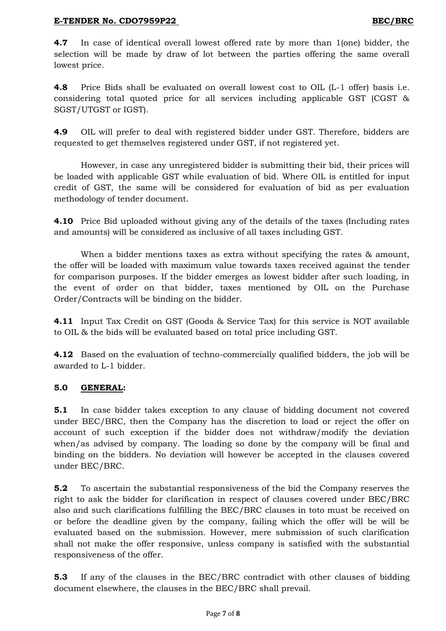**4.7** In case of identical overall lowest offered rate by more than 1(one) bidder, the selection will be made by draw of lot between the parties offering the same overall lowest price.

**4.8** Price Bids shall be evaluated on overall lowest cost to OIL (L-1 offer) basis i.e. considering total quoted price for all services including applicable GST (CGST & SGST/UTGST or IGST).

**4.9** OIL will prefer to deal with registered bidder under GST. Therefore, bidders are requested to get themselves registered under GST, if not registered yet.

However, in case any unregistered bidder is submitting their bid, their prices will be loaded with applicable GST while evaluation of bid. Where OIL is entitled for input credit of GST, the same will be considered for evaluation of bid as per evaluation methodology of tender document.

**4.10** Price Bid uploaded without giving any of the details of the taxes (Including rates and amounts) will be considered as inclusive of all taxes including GST.

When a bidder mentions taxes as extra without specifying the rates & amount, the offer will be loaded with maximum value towards taxes received against the tender for comparison purposes. If the bidder emerges as lowest bidder after such loading, in the event of order on that bidder, taxes mentioned by OIL on the Purchase Order/Contracts will be binding on the bidder.

**4.11** Input Tax Credit on GST (Goods & Service Tax) for this service is NOT available to OIL & the bids will be evaluated based on total price including GST.

**4.12** Based on the evaluation of techno-commercially qualified bidders, the job will be awarded to L-1 bidder.

## **5.0 GENERAL:**

**5.1** In case bidder takes exception to any clause of bidding document not covered under BEC/BRC, then the Company has the discretion to load or reject the offer on account of such exception if the bidder does not withdraw/modify the deviation when/as advised by company. The loading so done by the company will be final and binding on the bidders. No deviation will however be accepted in the clauses covered under BEC/BRC.

**5.2** To ascertain the substantial responsiveness of the bid the Company reserves the right to ask the bidder for clarification in respect of clauses covered under BEC/BRC also and such clarifications fulfilling the BEC/BRC clauses in toto must be received on or before the deadline given by the company, failing which the offer will be will be evaluated based on the submission. However, mere submission of such clarification shall not make the offer responsive, unless company is satisfied with the substantial responsiveness of the offer.

**5.3** If any of the clauses in the BEC/BRC contradict with other clauses of bidding document elsewhere, the clauses in the BEC/BRC shall prevail.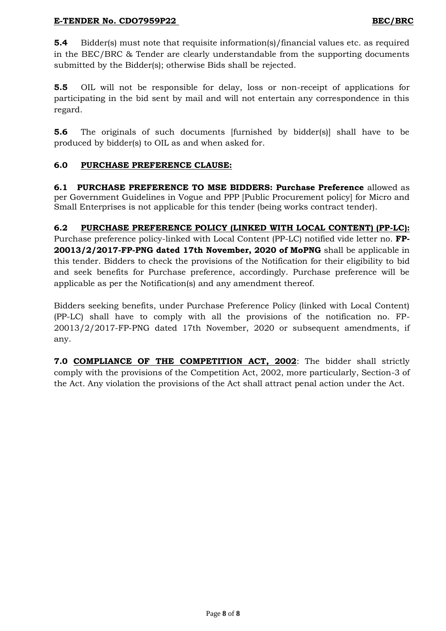**5.4** Bidder(s) must note that requisite information(s)/financial values etc. as required in the BEC/BRC & Tender are clearly understandable from the supporting documents submitted by the Bidder(s); otherwise Bids shall be rejected.

**5.5** OIL will not be responsible for delay, loss or non-receipt of applications for participating in the bid sent by mail and will not entertain any correspondence in this regard.

**5.6** The originals of such documents [furnished by bidder(s)] shall have to be produced by bidder(s) to OIL as and when asked for.

# **6.0 PURCHASE PREFERENCE CLAUSE:**

**6.1 PURCHASE PREFERENCE TO MSE BIDDERS: Purchase Preference** allowed as per Government Guidelines in Vogue and PPP [Public Procurement policy] for Micro and Small Enterprises is not applicable for this tender (being works contract tender).

# **6.2 PURCHASE PREFERENCE POLICY (LINKED WITH LOCAL CONTENT) (PP-LC):**

Purchase preference policy-linked with Local Content (PP-LC) notified vide letter no. **FP-20013/2/2017-FP-PNG dated 17th November, 2020 of MoPNG** shall be applicable in this tender. Bidders to check the provisions of the Notification for their eligibility to bid and seek benefits for Purchase preference, accordingly. Purchase preference will be applicable as per the Notification(s) and any amendment thereof.

Bidders seeking benefits, under Purchase Preference Policy (linked with Local Content) (PP-LC) shall have to comply with all the provisions of the notification no. FP-20013/2/2017-FP-PNG dated 17th November, 2020 or subsequent amendments, if any.

**7.0 COMPLIANCE OF THE COMPETITION ACT, 2002**: The bidder shall strictly comply with the provisions of the Competition Act, 2002, more particularly, Section-3 of the Act. Any violation the provisions of the Act shall attract penal action under the Act.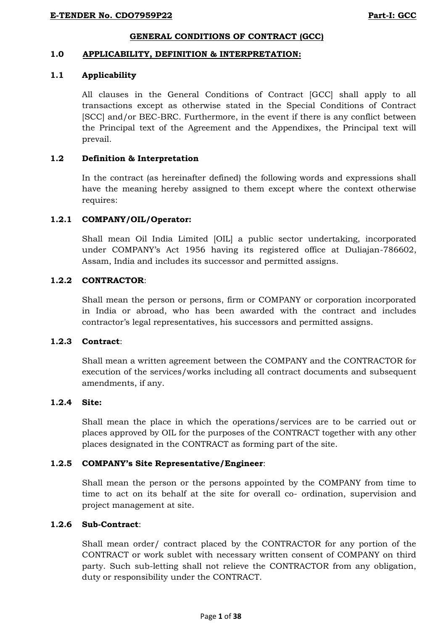## **GENERAL CONDITIONS OF CONTRACT (GCC)**

#### **1.0 APPLICABILITY, DEFINITION & INTERPRETATION:**

#### **1.1 Applicability**

All clauses in the General Conditions of Contract [GCC] shall apply to all transactions except as otherwise stated in the Special Conditions of Contract [SCC] and/or BEC-BRC. Furthermore, in the event if there is any conflict between the Principal text of the Agreement and the Appendixes, the Principal text will prevail.

## **1.2 Definition & Interpretation**

In the contract (as hereinafter defined) the following words and expressions shall have the meaning hereby assigned to them except where the context otherwise requires:

#### **1.2.1 COMPANY/OIL/Operator:**

Shall mean Oil India Limited [OIL] a public sector undertaking, incorporated under COMPANY"s Act 1956 having its registered office at Duliajan-786602, Assam, India and includes its successor and permitted assigns.

## **1.2.2 CONTRACTOR**:

Shall mean the person or persons, firm or COMPANY or corporation incorporated in India or abroad, who has been awarded with the contract and includes contractor"s legal representatives, his successors and permitted assigns.

#### **1.2.3 Contract**:

Shall mean a written agreement between the COMPANY and the CONTRACTOR for execution of the services/works including all contract documents and subsequent amendments, if any.

#### **1.2.4 Site:**

Shall mean the place in which the operations/services are to be carried out or places approved by OIL for the purposes of the CONTRACT together with any other places designated in the CONTRACT as forming part of the site.

## **1.2.5 COMPANY's Site Representative/Engineer**:

Shall mean the person or the persons appointed by the COMPANY from time to time to act on its behalf at the site for overall co- ordination, supervision and project management at site.

#### **1.2.6 Sub-Contract**:

Shall mean order/ contract placed by the CONTRACTOR for any portion of the CONTRACT or work sublet with necessary written consent of COMPANY on third party. Such sub-letting shall not relieve the CONTRACTOR from any obligation, duty or responsibility under the CONTRACT.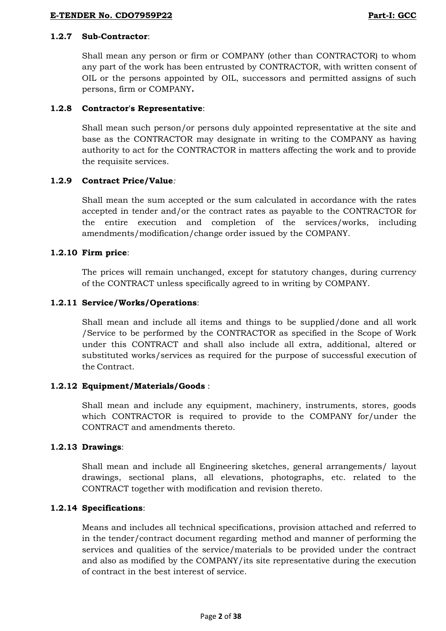#### **E-TENDER No. CDO7959P22 Part-I: GCC**

#### **1.2.7 Sub-Contractor**:

Shall mean any person or firm or COMPANY (other than CONTRACTOR) to whom any part of the work has been entrusted by CONTRACTOR, with written consent of OIL or the persons appointed by OIL, successors and permitted assigns of such persons, firm or COMPANY**.**

## **1.2.8 Contractor's Representative**:

Shall mean such person/or persons duly appointed representative at the site and base as the CONTRACTOR may designate in writing to the COMPANY as having authority to act for the CONTRACTOR in matters affecting the work and to provide the requisite services.

## **1.2.9 Contract Price/Value***:*

Shall mean the sum accepted or the sum calculated in accordance with the rates accepted in tender and/or the contract rates as payable to the CONTRACTOR for the entire execution and completion of the services/works, including amendments/modification/change order issued by the COMPANY.

# **1.2.10 Firm price**:

The prices will remain unchanged, except for statutory changes, during currency of the CONTRACT unless specifically agreed to in writing by COMPANY.

# **1.2.11 Service/Works/Operations**:

Shall mean and include all items and things to be supplied/done and all work /Service to be performed by the CONTRACTOR as specified in the Scope of Work under this CONTRACT and shall also include all extra, additional, altered or substituted works/services as required for the purpose of successful execution of the Contract.

## **1.2.12 Equipment/Materials/Goods** :

Shall mean and include any equipment, machinery, instruments, stores, goods which CONTRACTOR is required to provide to the COMPANY for/under the CONTRACT and amendments thereto.

## **1.2.13 Drawings**:

Shall mean and include all Engineering sketches, general arrangements/ layout drawings, sectional plans, all elevations, photographs, etc. related to the CONTRACT together with modification and revision thereto.

## **1.2.14 Specifications**:

Means and includes all technical specifications, provision attached and referred to in the tender/contract document regarding method and manner of performing the services and qualities of the service/materials to be provided under the contract and also as modified by the COMPANY/its site representative during the execution of contract in the best interest of service.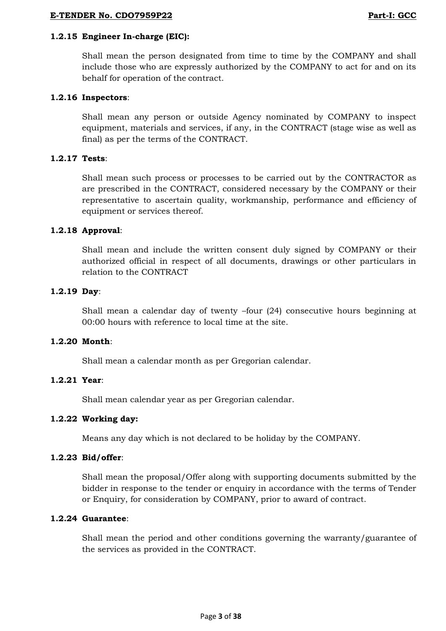#### **E-TENDER No. CDO7959P22 Part-I: GCC**

## **1.2.15 Engineer In-charge (EIC):**

Shall mean the person designated from time to time by the COMPANY and shall include those who are expressly authorized by the COMPANY to act for and on its behalf for operation of the contract.

## **1.2.16 Inspectors**:

Shall mean any person or outside Agency nominated by COMPANY to inspect equipment, materials and services, if any, in the CONTRACT (stage wise as well as final) as per the terms of the CONTRACT.

## **1.2.17 Tests**:

Shall mean such process or processes to be carried out by the CONTRACTOR as are prescribed in the CONTRACT, considered necessary by the COMPANY or their representative to ascertain quality, workmanship, performance and efficiency of equipment or services thereof.

# **1.2.18 Approval**:

Shall mean and include the written consent duly signed by COMPANY or their authorized official in respect of all documents, drawings or other particulars in relation to the CONTRACT

# **1.2.19 Day**:

Shall mean a calendar day of twenty –four (24) consecutive hours beginning at 00:00 hours with reference to local time at the site.

## **1.2.20 Month**:

Shall mean a calendar month as per Gregorian calendar.

## **1.2.21 Year**:

Shall mean calendar year as per Gregorian calendar.

## **1.2.22 Working day:**

Means any day which is not declared to be holiday by the COMPANY.

## **1.2.23 Bid/offer**:

Shall mean the proposal/Offer along with supporting documents submitted by the bidder in response to the tender or enquiry in accordance with the terms of Tender or Enquiry, for consideration by COMPANY, prior to award of contract.

## **1.2.24 Guarantee**:

Shall mean the period and other conditions governing the warranty/guarantee of the services as provided in the CONTRACT.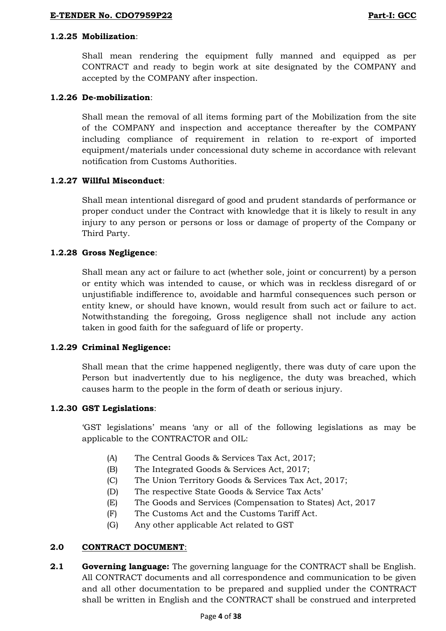## **1.2.25 Mobilization**:

Shall mean rendering the equipment fully manned and equipped as per CONTRACT and ready to begin work at site designated by the COMPANY and accepted by the COMPANY after inspection.

# **1.2.26 De-mobilization**:

Shall mean the removal of all items forming part of the Mobilization from the site of the COMPANY and inspection and acceptance thereafter by the COMPANY including compliance of requirement in relation to re-export of imported equipment/materials under concessional duty scheme in accordance with relevant notification from Customs Authorities.

# **1.2.27 Willful Misconduct**:

Shall mean intentional disregard of good and prudent standards of performance or proper conduct under the Contract with knowledge that it is likely to result in any injury to any person or persons or loss or damage of property of the Company or Third Party.

# **1.2.28 Gross Negligence**:

Shall mean any act or failure to act (whether sole, joint or concurrent) by a person or entity which was intended to cause, or which was in reckless disregard of or unjustifiable indifference to, avoidable and harmful consequences such person or entity knew, or should have known, would result from such act or failure to act. Notwithstanding the foregoing, Gross negligence shall not include any action taken in good faith for the safeguard of life or property.

## **1.2.29 Criminal Negligence:**

Shall mean that the crime happened negligently, there was duty of care upon the Person but inadvertently due to his negligence, the duty was breached, which causes harm to the people in the form of death or serious injury.

## **1.2.30 GST Legislations**:

"GST legislations" means "any or all of the following legislations as may be applicable to the CONTRACTOR and OIL:

- (A) The Central Goods & Services Tax Act, 2017;
- (B) The Integrated Goods & Services Act, 2017;
- (C) The Union Territory Goods & Services Tax Act, 2017;
- (D) The respective State Goods & Service Tax Acts"
- (E) The Goods and Services (Compensation to States) Act, 2017
- (F) The Customs Act and the Customs Tariff Act.
- (G) Any other applicable Act related to GST

# **2.0 CONTRACT DOCUMENT**:

**2.1 Governing language:** The governing language for the CONTRACT shall be English. All CONTRACT documents and all correspondence and communication to be given and all other documentation to be prepared and supplied under the CONTRACT shall be written in English and the CONTRACT shall be construed and interpreted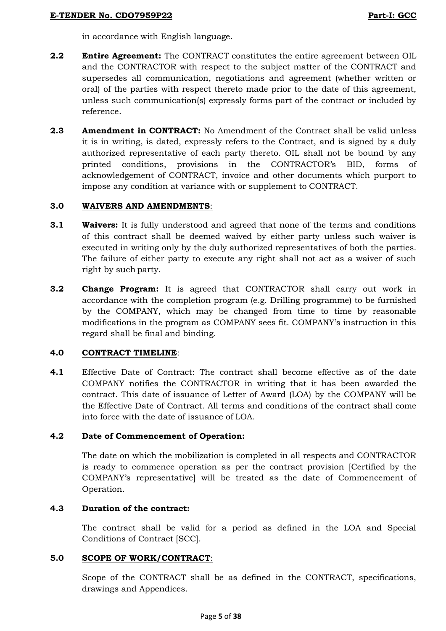in accordance with English language.

- **2.2 Entire Agreement:** The CONTRACT constitutes the entire agreement between OIL and the CONTRACTOR with respect to the subject matter of the CONTRACT and supersedes all communication, negotiations and agreement (whether written or oral) of the parties with respect thereto made prior to the date of this agreement, unless such communication(s) expressly forms part of the contract or included by reference.
- **2.3 Amendment in CONTRACT:** No Amendment of the Contract shall be valid unless it is in writing, is dated, expressly refers to the Contract, and is signed by a duly authorized representative of each party thereto. OIL shall not be bound by any printed conditions, provisions in the CONTRACTOR"s BID, forms of acknowledgement of CONTRACT, invoice and other documents which purport to impose any condition at variance with or supplement to CONTRACT.

# **3.0 WAIVERS AND AMENDMENTS**:

- **3.1 Waivers:** It is fully understood and agreed that none of the terms and conditions of this contract shall be deemed waived by either party unless such waiver is executed in writing only by the duly authorized representatives of both the parties. The failure of either party to execute any right shall not act as a waiver of such right by such party.
- **3.2 Change Program:** It is agreed that CONTRACTOR shall carry out work in accordance with the completion program (e.g. Drilling programme) to be furnished by the COMPANY, which may be changed from time to time by reasonable modifications in the program as COMPANY sees fit. COMPANY"s instruction in this regard shall be final and binding.

## **4.0 CONTRACT TIMELINE**:

**4.1** Effective Date of Contract: The contract shall become effective as of the date COMPANY notifies the CONTRACTOR in writing that it has been awarded the contract. This date of issuance of Letter of Award (LOA) by the COMPANY will be the Effective Date of Contract. All terms and conditions of the contract shall come into force with the date of issuance of LOA.

# **4.2 Date of Commencement of Operation:**

The date on which the mobilization is completed in all respects and CONTRACTOR is ready to commence operation as per the contract provision [Certified by the COMPANY"s representative] will be treated as the date of Commencement of Operation.

# **4.3 Duration of the contract:**

The contract shall be valid for a period as defined in the LOA and Special Conditions of Contract [SCC].

# **5.0 SCOPE OF WORK/CONTRACT**:

Scope of the CONTRACT shall be as defined in the CONTRACT, specifications, drawings and Appendices.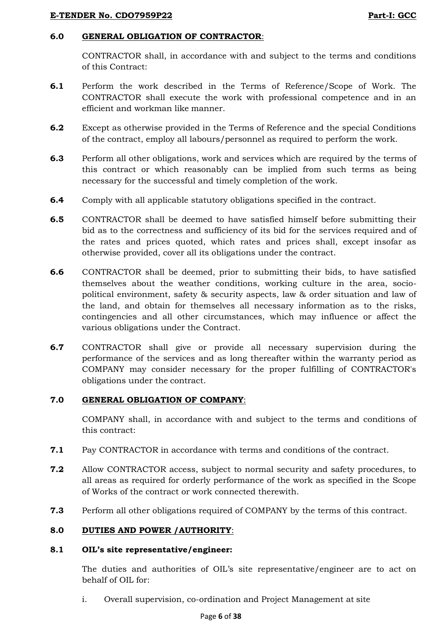## **E-TENDER No. CDO7959P22 Part-I: GCC**

## **6.0 GENERAL OBLIGATION OF CONTRACTOR**:

CONTRACTOR shall, in accordance with and subject to the terms and conditions of this Contract:

- **6.1** Perform the work described in the Terms of Reference/Scope of Work. The CONTRACTOR shall execute the work with professional competence and in an efficient and workman like manner.
- **6.2** Except as otherwise provided in the Terms of Reference and the special Conditions of the contract, employ all labours/personnel as required to perform the work.
- **6.3** Perform all other obligations, work and services which are required by the terms of this contract or which reasonably can be implied from such terms as being necessary for the successful and timely completion of the work.
- **6.4** Comply with all applicable statutory obligations specified in the contract.
- **6.5** CONTRACTOR shall be deemed to have satisfied himself before submitting their bid as to the correctness and sufficiency of its bid for the services required and of the rates and prices quoted, which rates and prices shall, except insofar as otherwise provided, cover all its obligations under the contract.
- **6.6** CONTRACTOR shall be deemed, prior to submitting their bids, to have satisfied themselves about the weather conditions, working culture in the area, sociopolitical environment, safety & security aspects, law & order situation and law of the land, and obtain for themselves all necessary information as to the risks, contingencies and all other circumstances, which may influence or affect the various obligations under the Contract.
- **6.7** CONTRACTOR shall give or provide all necessary supervision during the performance of the services and as long thereafter within the warranty period as COMPANY may consider necessary for the proper fulfilling of CONTRACTOR's obligations under the contract.

## **7.0 GENERAL OBLIGATION OF COMPANY**:

COMPANY shall, in accordance with and subject to the terms and conditions of this contract:

- **7.1** Pay CONTRACTOR in accordance with terms and conditions of the contract.
- **7.2** Allow CONTRACTOR access, subject to normal security and safety procedures, to all areas as required for orderly performance of the work as specified in the Scope of Works of the contract or work connected therewith.
- **7.3** Perform all other obligations required of COMPANY by the terms of this contract.

# **8.0 DUTIES AND POWER /AUTHORITY**:

## **8.1 OIL's site representative/engineer:**

The duties and authorities of OIL's site representative/engineer are to act on behalf of OIL for:

i. Overall supervision, co-ordination and Project Management at site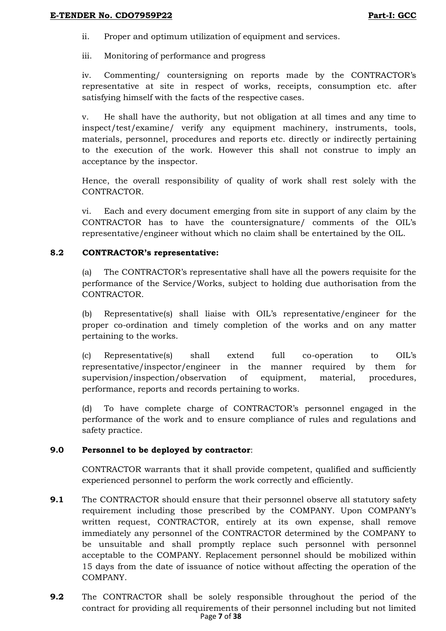ii. Proper and optimum utilization of equipment and services.

iii. Monitoring of performance and progress

iv. Commenting/ countersigning on reports made by the CONTRACTOR"s representative at site in respect of works, receipts, consumption etc. after satisfying himself with the facts of the respective cases.

v. He shall have the authority, but not obligation at all times and any time to inspect/test/examine/ verify any equipment machinery, instruments, tools, materials, personnel, procedures and reports etc. directly or indirectly pertaining to the execution of the work. However this shall not construe to imply an acceptance by the inspector.

Hence, the overall responsibility of quality of work shall rest solely with the CONTRACTOR.

vi. Each and every document emerging from site in support of any claim by the CONTRACTOR has to have the countersignature/ comments of the OIL"s representative/engineer without which no claim shall be entertained by the OIL.

## **8.2 CONTRACTOR's representative:**

(a) The CONTRACTOR"s representative shall have all the powers requisite for the performance of the Service/Works, subject to holding due authorisation from the CONTRACTOR.

(b) Representative(s) shall liaise with OIL"s representative/engineer for the proper co-ordination and timely completion of the works and on any matter pertaining to the works.

(c) Representative(s) shall extend full co-operation to OIL"s representative/inspector/engineer in the manner required by them for supervision/inspection/observation of equipment, material, procedures, performance, reports and records pertaining to works.

(d) To have complete charge of CONTRACTOR"s personnel engaged in the performance of the work and to ensure compliance of rules and regulations and safety practice.

# **9.0 Personnel to be deployed by contractor**:

CONTRACTOR warrants that it shall provide competent, qualified and sufficiently experienced personnel to perform the work correctly and efficiently.

- **9.1** The CONTRACTOR should ensure that their personnel observe all statutory safety requirement including those prescribed by the COMPANY. Upon COMPANY"s written request, CONTRACTOR, entirely at its own expense, shall remove immediately any personnel of the CONTRACTOR determined by the COMPANY to be unsuitable and shall promptly replace such personnel with personnel acceptable to the COMPANY. Replacement personnel should be mobilized within 15 days from the date of issuance of notice without affecting the operation of the COMPANY.
- Page **7** of **38 9.2** The CONTRACTOR shall be solely responsible throughout the period of the contract for providing all requirements of their personnel including but not limited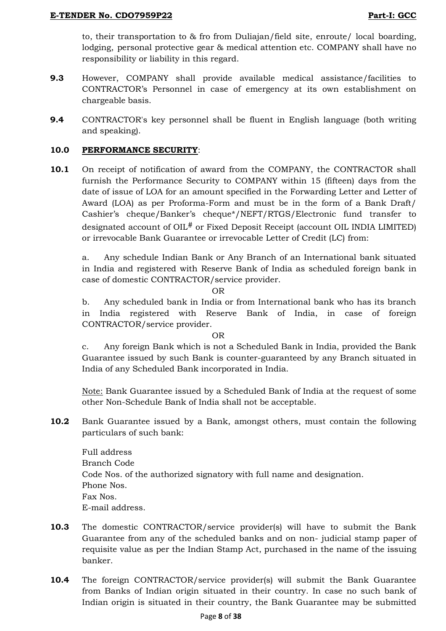to, their transportation to & fro from Duliajan/field site, enroute/ local boarding, lodging, personal protective gear & medical attention etc. COMPANY shall have no responsibility or liability in this regard.

- **9.3** However, COMPANY shall provide available medical assistance/facilities to CONTRACTOR"s Personnel in case of emergency at its own establishment on chargeable basis.
- **9.4** CONTRACTOR's key personnel shall be fluent in English language (both writing and speaking).

## <span id="page-36-0"></span>**10.0 PERFORMANCE SECURITY**:

**10.1** On receipt of notification of award from the COMPANY, the CONTRACTOR shall furnish the Performance Security to COMPANY within 15 (fifteen) days from the date of issue of LOA for an amount specified in the Forwarding Letter and Letter of Award (LOA) as per Proforma-Form and must be in the form of a Bank Draft/ Cashier"s cheque/Banker"s cheque\*/NEFT/RTGS/Electronic fund transfer to designated account of OIL# or Fixed Deposit Receipt (account OIL INDIA LIMITED) or irrevocable Bank Guarantee or irrevocable Letter of Credit (LC) from:

a. Any schedule Indian Bank or Any Branch of an International bank situated in India and registered with Reserve Bank of India as scheduled foreign bank in case of domestic CONTRACTOR/service provider.

OR

b. Any scheduled bank in India or from International bank who has its branch in India registered with Reserve Bank of India, in case of foreign CONTRACTOR/service provider.

OR

c. Any foreign Bank which is not a Scheduled Bank in India, provided the Bank Guarantee issued by such Bank is counter-guaranteed by any Branch situated in India of any Scheduled Bank incorporated in India.

Note: Bank Guarantee issued by a Scheduled Bank of India at the request of some other Non-Schedule Bank of India shall not be acceptable.

**10.2** Bank Guarantee issued by a Bank, amongst others, must contain the following particulars of such bank:

Full address Branch Code Code Nos. of the authorized signatory with full name and designation. Phone Nos. Fax Nos. E-mail address.

- **10.3** The domestic CONTRACTOR/service provider(s) will have to submit the Bank Guarantee from any of the scheduled banks and on non- judicial stamp paper of requisite value as per the Indian Stamp Act, purchased in the name of the issuing banker.
- **10.4** The foreign CONTRACTOR/service provider(s) will submit the Bank Guarantee from Banks of Indian origin situated in their country. In case no such bank of Indian origin is situated in their country, the Bank Guarantee may be submitted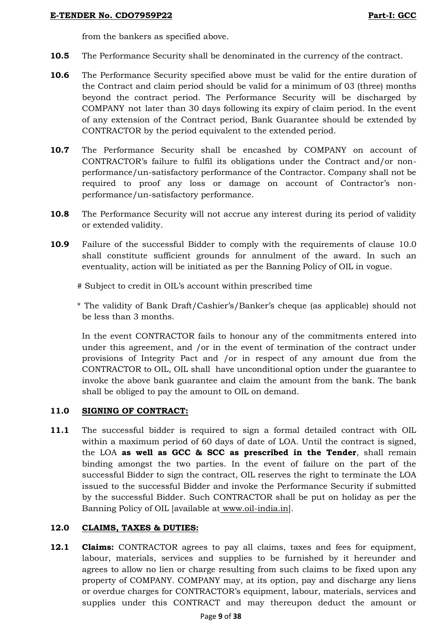from the bankers as specified above.

- **10.5** The Performance Security shall be denominated in the currency of the contract.
- **10.6** The Performance Security specified above must be valid for the entire duration of the Contract and claim period should be valid for a minimum of 03 (three) months beyond the contract period. The Performance Security will be discharged by COMPANY not later than 30 days following its expiry of claim period. In the event of any extension of the Contract period, Bank Guarantee should be extended by CONTRACTOR by the period equivalent to the extended period.
- **10.7** The Performance Security shall be encashed by COMPANY on account of CONTRACTOR"s failure to fulfil its obligations under the Contract and/or nonperformance/un-satisfactory performance of the Contractor. Company shall not be required to proof any loss or damage on account of Contractor's nonperformance/un-satisfactory performance.
- **10.8** The Performance Security will not accrue any interest during its period of validity or extended validity.
- **10.9** Failure of the successful Bidder to comply with the requirements of clause [10.0](#page-36-0) shall constitute sufficient grounds for annulment of the award. In such an eventuality, action will be initiated as per the Banning Policy of OIL in vogue.

# Subject to credit in OIL"s account within prescribed time

\* The validity of Bank Draft/Cashier"s/Banker"s cheque (as applicable) should not be less than 3 months.

In the event CONTRACTOR fails to honour any of the commitments entered into under this agreement, and /or in the event of termination of the contract under provisions of Integrity Pact and /or in respect of any amount due from the CONTRACTOR to OIL, OIL shall have unconditional option under the guarantee to invoke the above bank guarantee and claim the amount from the bank. The bank shall be obliged to pay the amount to OIL on demand.

# **11.0 SIGNING OF CONTRACT:**

**11.1** The successful bidder is required to sign a formal detailed contract with OIL within a maximum period of 60 days of date of LOA. Until the contract is signed, the LOA **as well as GCC & SCC as prescribed in the Tender**, shall remain binding amongst the two parties. In the event of failure on the part of the successful Bidder to sign the contract, OIL reserves the right to terminate the LOA issued to the successful Bidder and invoke the Performance Security if submitted by the successful Bidder. Such CONTRACTOR shall be put on holiday as per the Banning Policy of OIL [available at [www.oil-india.in\]](http://www.oil-india.in/).

# **12.0 CLAIMS, TAXES & DUTIES:**

**12.1 Claims:** CONTRACTOR agrees to pay all claims, taxes and fees for equipment, labour, materials, services and supplies to be furnished by it hereunder and agrees to allow no lien or charge resulting from such claims to be fixed upon any property of COMPANY. COMPANY may, at its option, pay and discharge any liens or overdue charges for CONTRACTOR"s equipment, labour, materials, services and supplies under this CONTRACT and may thereupon deduct the amount or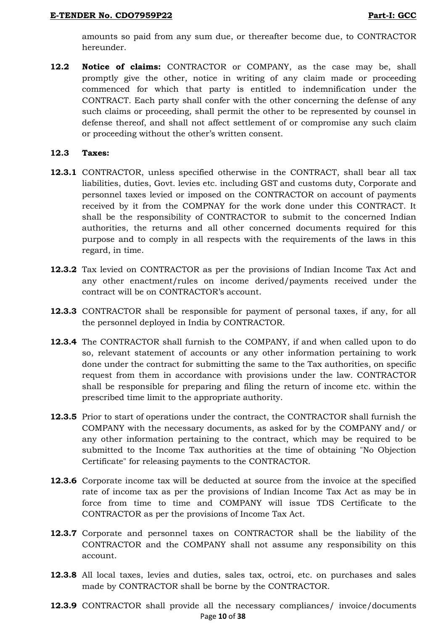amounts so paid from any sum due, or thereafter become due, to CONTRACTOR hereunder.

**12.2 Notice of claims:** CONTRACTOR or COMPANY, as the case may be, shall promptly give the other, notice in writing of any claim made or proceeding commenced for which that party is entitled to indemnification under the CONTRACT. Each party shall confer with the other concerning the defense of any such claims or proceeding, shall permit the other to be represented by counsel in defense thereof, and shall not affect settlement of or compromise any such claim or proceeding without the other"s written consent.

### **12.3 Taxes:**

- **12.3.1** CONTRACTOR, unless specified otherwise in the CONTRACT, shall bear all tax liabilities, duties, Govt. levies etc. including GST and customs duty, Corporate and personnel taxes levied or imposed on the CONTRACTOR on account of payments received by it from the COMPNAY for the work done under this CONTRACT. It shall be the responsibility of CONTRACTOR to submit to the concerned Indian authorities, the returns and all other concerned documents required for this purpose and to comply in all respects with the requirements of the laws in this regard, in time.
- **12.3.2** Tax levied on CONTRACTOR as per the provisions of Indian Income Tax Act and any other enactment/rules on income derived/payments received under the contract will be on CONTRACTOR's account.
- **12.3.3** CONTRACTOR shall be responsible for payment of personal taxes, if any, for all the personnel deployed in India by CONTRACTOR.
- **12.3.4** The CONTRACTOR shall furnish to the COMPANY, if and when called upon to do so, relevant statement of accounts or any other information pertaining to work done under the contract for submitting the same to the Tax authorities, on specific request from them in accordance with provisions under the law. CONTRACTOR shall be responsible for preparing and filing the return of income etc. within the prescribed time limit to the appropriate authority.
- **12.3.5** Prior to start of operations under the contract, the CONTRACTOR shall furnish the COMPANY with the necessary documents, as asked for by the COMPANY and/ or any other information pertaining to the contract, which may be required to be submitted to the Income Tax authorities at the time of obtaining "No Objection Certificate" for releasing payments to the CONTRACTOR.
- **12.3.6** Corporate income tax will be deducted at source from the invoice at the specified rate of income tax as per the provisions of Indian Income Tax Act as may be in force from time to time and COMPANY will issue TDS Certificate to the CONTRACTOR as per the provisions of Income Tax Act.
- **12.3.7** Corporate and personnel taxes on CONTRACTOR shall be the liability of the CONTRACTOR and the COMPANY shall not assume any responsibility on this account.
- **12.3.8** All local taxes, levies and duties, sales tax, octroi, etc. on purchases and sales made by CONTRACTOR shall be borne by the CONTRACTOR.
- Page **10** of **38 12.3.9** CONTRACTOR shall provide all the necessary compliances/ invoice/documents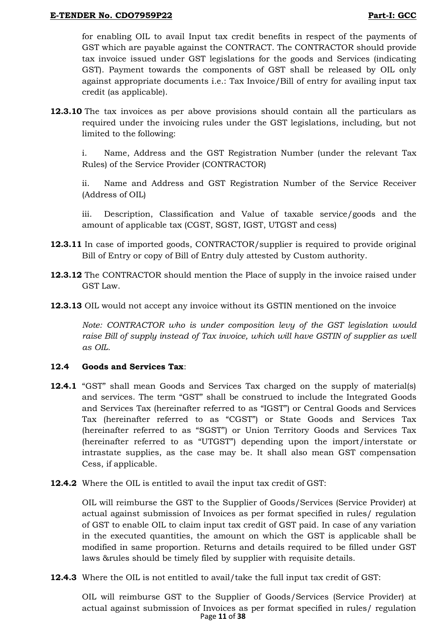for enabling OIL to avail Input tax credit benefits in respect of the payments of GST which are payable against the CONTRACT. The CONTRACTOR should provide tax invoice issued under GST legislations for the goods and Services (indicating GST). Payment towards the components of GST shall be released by OIL only against appropriate documents i.e.: Tax Invoice/Bill of entry for availing input tax credit (as applicable).

**12.3.10** The tax invoices as per above provisions should contain all the particulars as required under the invoicing rules under the GST legislations, including, but not limited to the following:

i. Name, Address and the GST Registration Number (under the relevant Tax Rules) of the Service Provider (CONTRACTOR)

ii. Name and Address and GST Registration Number of the Service Receiver (Address of OIL)

iii. Description, Classification and Value of taxable service/goods and the amount of applicable tax (CGST, SGST, IGST, UTGST and cess)

- **12.3.11** In case of imported goods, CONTRACTOR/supplier is required to provide original Bill of Entry or copy of Bill of Entry duly attested by Custom authority.
- **12.3.12** The CONTRACTOR should mention the Place of supply in the invoice raised under GST Law.
- **12.3.13** OIL would not accept any invoice without its GSTIN mentioned on the invoice

*Note: CONTRACTOR who is under composition levy of the GST legislation would*  raise Bill of supply instead of Tax invoice, which will have GSTIN of supplier as well *as OIL.*

## **12.4 Goods and Services Tax**:

- **12.4.1** "GST" shall mean Goods and Services Tax charged on the supply of material(s) and services. The term "GST" shall be construed to include the Integrated Goods and Services Tax (hereinafter referred to as "IGST") or Central Goods and Services Tax (hereinafter referred to as "CGST") or State Goods and Services Tax (hereinafter referred to as "SGST") or Union Territory Goods and Services Tax (hereinafter referred to as "UTGST") depending upon the import/interstate or intrastate supplies, as the case may be. It shall also mean GST compensation Cess, if applicable.
- **12.4.2** Where the OIL is entitled to avail the input tax credit of GST:

OIL will reimburse the GST to the Supplier of Goods/Services (Service Provider) at actual against submission of Invoices as per format specified in rules/ regulation of GST to enable OIL to claim input tax credit of GST paid. In case of any variation in the executed quantities, the amount on which the GST is applicable shall be modified in same proportion. Returns and details required to be filled under GST laws &rules should be timely filed by supplier with requisite details.

**12.4.3** Where the OIL is not entitled to avail/take the full input tax credit of GST:

Page **11** of **38** OIL will reimburse GST to the Supplier of Goods/Services (Service Provider) at actual against submission of Invoices as per format specified in rules/ regulation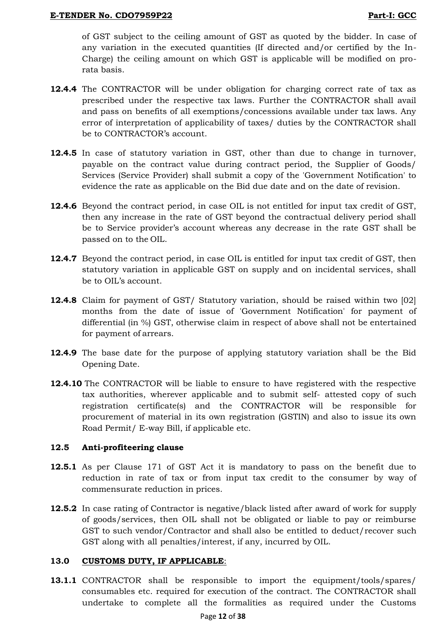of GST subject to the ceiling amount of GST as quoted by the bidder. In case of any variation in the executed quantities (If directed and/or certified by the In-Charge) the ceiling amount on which GST is applicable will be modified on prorata basis.

- **12.4.4** The CONTRACTOR will be under obligation for charging correct rate of tax as prescribed under the respective tax laws. Further the CONTRACTOR shall avail and pass on benefits of all exemptions/concessions available under tax laws. Any error of interpretation of applicability of taxes/ duties by the CONTRACTOR shall be to CONTRACTOR's account.
- **12.4.5** In case of statutory variation in GST, other than due to change in turnover, payable on the contract value during contract period, the Supplier of Goods/ Services (Service Provider) shall submit a copy of the 'Government Notification' to evidence the rate as applicable on the Bid due date and on the date of revision.
- **12.4.6** Beyond the contract period, in case OIL is not entitled for input tax credit of GST, then any increase in the rate of GST beyond the contractual delivery period shall be to Service provider's account whereas any decrease in the rate GST shall be passed on to the OIL.
- **12.4.7** Beyond the contract period, in case OIL is entitled for input tax credit of GST, then statutory variation in applicable GST on supply and on incidental services, shall be to OIL's account.
- **12.4.8** Claim for payment of GST/ Statutory variation, should be raised within two [02] months from the date of issue of 'Government Notification' for payment of differential (in %) GST, otherwise claim in respect of above shall not be entertained for payment of arrears.
- **12.4.9** The base date for the purpose of applying statutory variation shall be the Bid Opening Date.
- **12.4.10** The CONTRACTOR will be liable to ensure to have registered with the respective tax authorities, wherever applicable and to submit self- attested copy of such registration certificate(s) and the CONTRACTOR will be responsible for procurement of material in its own registration (GSTIN) and also to issue its own Road Permit/ E-way Bill, if applicable etc.

# **12.5 Anti-profiteering clause**

- **12.5.1** As per Clause 171 of GST Act it is mandatory to pass on the benefit due to reduction in rate of tax or from input tax credit to the consumer by way of commensurate reduction in prices.
- **12.5.2** In case rating of Contractor is negative/black listed after award of work for supply of goods/services, then OIL shall not be obligated or liable to pay or reimburse GST to such vendor/Contractor and shall also be entitled to deduct/recover such GST along with all penalties/interest, if any, incurred by OIL.

## **13.0 CUSTOMS DUTY, IF APPLICABLE**:

**13.1.1** CONTRACTOR shall be responsible to import the equipment/tools/spares/ consumables etc. required for execution of the contract. The CONTRACTOR shall undertake to complete all the formalities as required under the Customs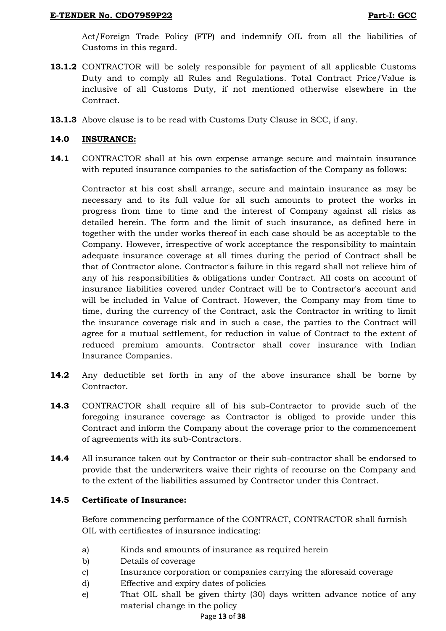Act/Foreign Trade Policy (FTP) and indemnify OIL from all the liabilities of Customs in this regard.

- **13.1.2** CONTRACTOR will be solely responsible for payment of all applicable Customs Duty and to comply all Rules and Regulations. Total Contract Price/Value is inclusive of all Customs Duty, if not mentioned otherwise elsewhere in the Contract.
- **13.1.3** Above clause is to be read with Customs Duty Clause in SCC, if any.

## **14.0 INSURANCE:**

**14.1** CONTRACTOR shall at his own expense arrange secure and maintain insurance with reputed insurance companies to the satisfaction of the Company as follows:

Contractor at his cost shall arrange, secure and maintain insurance as may be necessary and to its full value for all such amounts to protect the works in progress from time to time and the interest of Company against all risks as detailed herein. The form and the limit of such insurance, as defined here in together with the under works thereof in each case should be as acceptable to the Company. However, irrespective of work acceptance the responsibility to maintain adequate insurance coverage at all times during the period of Contract shall be that of Contractor alone. Contractor's failure in this regard shall not relieve him of any of his responsibilities & obligations under Contract. All costs on account of insurance liabilities covered under Contract will be to Contractor's account and will be included in Value of Contract. However, the Company may from time to time, during the currency of the Contract, ask the Contractor in writing to limit the insurance coverage risk and in such a case, the parties to the Contract will agree for a mutual settlement, for reduction in value of Contract to the extent of reduced premium amounts. Contractor shall cover insurance with Indian Insurance Companies.

- **14.2** Any deductible set forth in any of the above insurance shall be borne by Contractor.
- **14.3** CONTRACTOR shall require all of his sub-Contractor to provide such of the foregoing insurance coverage as Contractor is obliged to provide under this Contract and inform the Company about the coverage prior to the commencement of agreements with its sub-Contractors.
- **14.4** All insurance taken out by Contractor or their sub-contractor shall be endorsed to provide that the underwriters waive their rights of recourse on the Company and to the extent of the liabilities assumed by Contractor under this Contract.

## **14.5 Certificate of Insurance:**

Before commencing performance of the CONTRACT, CONTRACTOR shall furnish OIL with certificates of insurance indicating:

- a) Kinds and amounts of insurance as required herein
- b) Details of coverage
- c) Insurance corporation or companies carrying the aforesaid coverage
- d) Effective and expiry dates of policies
- e) That OIL shall be given thirty (30) days written advance notice of any material change in the policy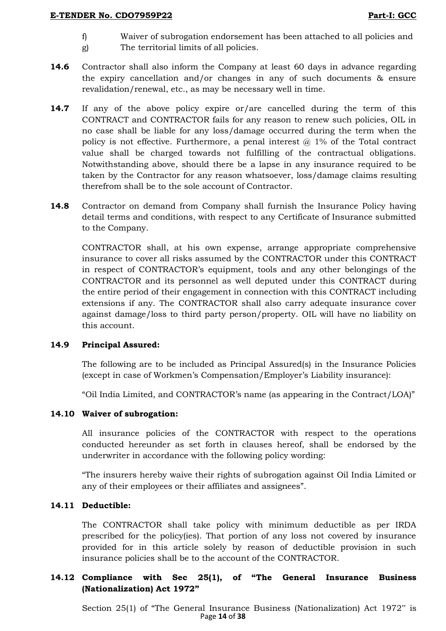- f) Waiver of subrogation endorsement has been attached to all policies and
- g) The territorial limits of all policies.
- **14.6** Contractor shall also inform the Company at least 60 days in advance regarding the expiry cancellation and/or changes in any of such documents & ensure revalidation/renewal, etc., as may be necessary well in time.
- **14.7** If any of the above policy expire or/are cancelled during the term of this CONTRACT and CONTRACTOR fails for any reason to renew such policies, OIL in no case shall be liable for any loss/damage occurred during the term when the policy is not effective. Furthermore, a penal interest  $@1\%$  of the Total contract value shall be charged towards not fulfilling of the contractual obligations. Notwithstanding above, should there be a lapse in any insurance required to be taken by the Contractor for any reason whatsoever, loss/damage claims resulting therefrom shall be to the sole account of Contractor.
- **14.8** Contractor on demand from Company shall furnish the Insurance Policy having detail terms and conditions, with respect to any Certificate of Insurance submitted to the Company.

CONTRACTOR shall, at his own expense, arrange appropriate comprehensive insurance to cover all risks assumed by the CONTRACTOR under this CONTRACT in respect of CONTRACTOR"s equipment, tools and any other belongings of the CONTRACTOR and its personnel as well deputed under this CONTRACT during the entire period of their engagement in connection with this CONTRACT including extensions if any. The CONTRACTOR shall also carry adequate insurance cover against damage/loss to third party person/property. OIL will have no liability on this account.

# **14.9 Principal Assured:**

The following are to be included as Principal Assured(s) in the Insurance Policies (except in case of Workmen's Compensation/Employer's Liability insurance):

"Oil India Limited, and CONTRACTOR"s name (as appearing in the Contract/LOA)"

## **14.10 Waiver of subrogation:**

All insurance policies of the CONTRACTOR with respect to the operations conducted hereunder as set forth in clauses hereof, shall be endorsed by the underwriter in accordance with the following policy wording:

"The insurers hereby waive their rights of subrogation against Oil India Limited or any of their employees or their affiliates and assignees".

# **14.11 Deductible:**

The CONTRACTOR shall take policy with minimum deductible as per IRDA prescribed for the policy(ies). That portion of any loss not covered by insurance provided for in this article solely by reason of deductible provision in such insurance policies shall be to the account of the CONTRACTOR.

# **14.12 Compliance with Sec 25(1), of "The General Insurance Business (Nationalization) Act 1972"**

Page **14** of **38** Section 25(1) of "The General Insurance Business (Nationalization) Act 1972" is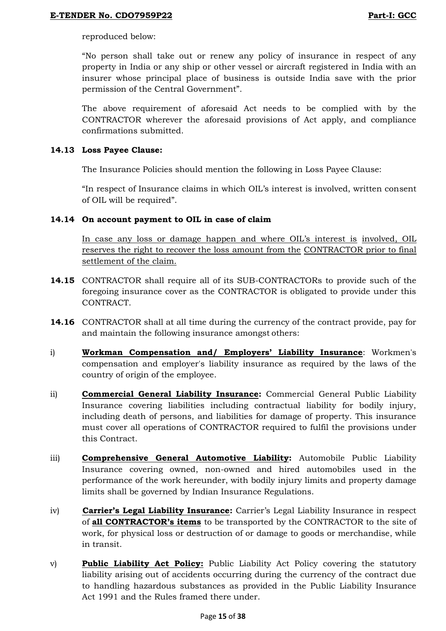reproduced below:

"No person shall take out or renew any policy of insurance in respect of any property in India or any ship or other vessel or aircraft registered in India with an insurer whose principal place of business is outside India save with the prior permission of the Central Government".

The above requirement of aforesaid Act needs to be complied with by the CONTRACTOR wherever the aforesaid provisions of Act apply, and compliance confirmations submitted.

## **14.13 Loss Payee Clause:**

The Insurance Policies should mention the following in Loss Payee Clause:

"In respect of Insurance claims in which OIL"s interest is involved, written consent of OIL will be required".

## **14.14 On account payment to OIL in case of claim**

In case any loss or damage happen and where OIL"s interest is involved, OIL reserves the right to recover the loss amount from the CONTRACTOR prior to final settlement of the claim.

- **14.15** CONTRACTOR shall require all of its SUB-CONTRACTORs to provide such of the foregoing insurance cover as the CONTRACTOR is obligated to provide under this CONTRACT.
- **14.16** CONTRACTOR shall at all time during the currency of the contract provide, pay for and maintain the following insurance amongst others:
- i) **Workman Compensation and/ Employers' Liability Insurance**: Workmen's compensation and employer's liability insurance as required by the laws of the country of origin of the employee.
- ii) **Commercial General Liability Insurance:** Commercial General Public Liability Insurance covering liabilities including contractual liability for bodily injury, including death of persons, and liabilities for damage of property. This insurance must cover all operations of CONTRACTOR required to fulfil the provisions under this Contract.
- iii) **Comprehensive General Automotive Liability:** Automobile Public Liability Insurance covering owned, non-owned and hired automobiles used in the performance of the work hereunder, with bodily injury limits and property damage limits shall be governed by Indian Insurance Regulations.
- iv) **Carrier's Legal Liability Insurance:** Carrier"s Legal Liability Insurance in respect of **all CONTRACTOR's items** to be transported by the CONTRACTOR to the site of work, for physical loss or destruction of or damage to goods or merchandise, while in transit.
- v) **Public Liability Act Policy:** Public Liability Act Policy covering the statutory liability arising out of accidents occurring during the currency of the contract due to handling hazardous substances as provided in the Public Liability Insurance Act 1991 and the Rules framed there under.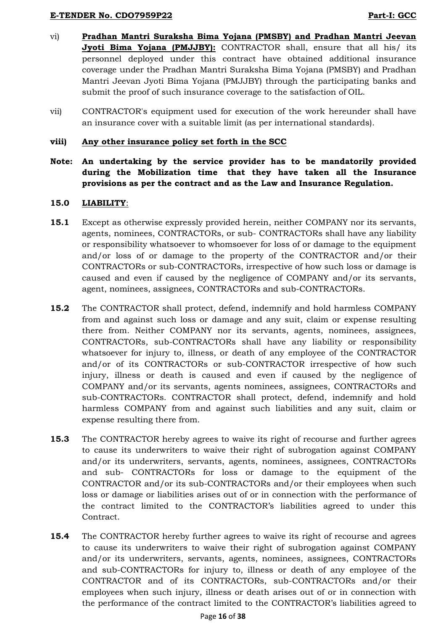- vi) **Pradhan Mantri Suraksha Bima Yojana (PMSBY) and Pradhan Mantri Jeevan Jyoti Bima Yojana (PMJJBY):** CONTRACTOR shall, ensure that all his/ its personnel deployed under this contract have obtained additional insurance coverage under the Pradhan Mantri Suraksha Bima Yojana (PMSBY) and Pradhan Mantri Jeevan Jyoti Bima Yojana (PMJJBY) through the participating banks and submit the proof of such insurance coverage to the satisfaction of OIL.
- vii) CONTRACTOR's equipment used for execution of the work hereunder shall have an insurance cover with a suitable limit (as per international standards).

### **viii) Any other insurance policy set forth in the SCC**

**Note: An undertaking by the service provider has to be mandatorily provided during the Mobilization time that they have taken all the Insurance provisions as per the contract and as the Law and Insurance Regulation.**

#### **15.0 LIABILITY**:

- **15.1** Except as otherwise expressly provided herein, neither COMPANY nor its servants, agents, nominees, CONTRACTORs, or sub- CONTRACTORs shall have any liability or responsibility whatsoever to whomsoever for loss of or damage to the equipment and/or loss of or damage to the property of the CONTRACTOR and/or their CONTRACTORs or sub-CONTRACTORs, irrespective of how such loss or damage is caused and even if caused by the negligence of COMPANY and/or its servants, agent, nominees, assignees, CONTRACTORs and sub-CONTRACTORs.
- **15.2** The CONTRACTOR shall protect, defend, indemnify and hold harmless COMPANY from and against such loss or damage and any suit, claim or expense resulting there from. Neither COMPANY nor its servants, agents, nominees, assignees, CONTRACTORs, sub-CONTRACTORs shall have any liability or responsibility whatsoever for injury to, illness, or death of any employee of the CONTRACTOR and/or of its CONTRACTORs or sub-CONTRACTOR irrespective of how such injury, illness or death is caused and even if caused by the negligence of COMPANY and/or its servants, agents nominees, assignees, CONTRACTORs and sub-CONTRACTORs. CONTRACTOR shall protect, defend, indemnify and hold harmless COMPANY from and against such liabilities and any suit, claim or expense resulting there from.
- **15.3** The CONTRACTOR hereby agrees to waive its right of recourse and further agrees to cause its underwriters to waive their right of subrogation against COMPANY and/or its underwriters, servants, agents, nominees, assignees, CONTRACTORs and sub- CONTRACTORs for loss or damage to the equipment of the CONTRACTOR and/or its sub-CONTRACTORs and/or their employees when such loss or damage or liabilities arises out of or in connection with the performance of the contract limited to the CONTRACTOR"s liabilities agreed to under this Contract.
- **15.4** The CONTRACTOR hereby further agrees to waive its right of recourse and agrees to cause its underwriters to waive their right of subrogation against COMPANY and/or its underwriters, servants, agents, nominees, assignees, CONTRACTORs and sub-CONTRACTORs for injury to, illness or death of any employee of the CONTRACTOR and of its CONTRACTORs, sub-CONTRACTORs and/or their employees when such injury, illness or death arises out of or in connection with the performance of the contract limited to the CONTRACTOR"s liabilities agreed to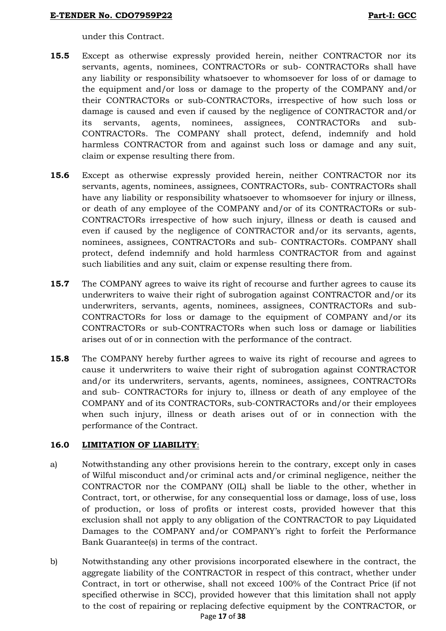under this Contract.

- **15.5** Except as otherwise expressly provided herein, neither CONTRACTOR nor its servants, agents, nominees, CONTRACTORs or sub- CONTRACTORs shall have any liability or responsibility whatsoever to whomsoever for loss of or damage to the equipment and/or loss or damage to the property of the COMPANY and/or their CONTRACTORs or sub-CONTRACTORs, irrespective of how such loss or damage is caused and even if caused by the negligence of CONTRACTOR and/or its servants, agents, nominees, assignees, CONTRACTORs and sub-CONTRACTORs. The COMPANY shall protect, defend, indemnify and hold harmless CONTRACTOR from and against such loss or damage and any suit, claim or expense resulting there from.
- **15.6** Except as otherwise expressly provided herein, neither CONTRACTOR nor its servants, agents, nominees, assignees, CONTRACTORs, sub- CONTRACTORs shall have any liability or responsibility whatsoever to whomsoever for injury or illness, or death of any employee of the COMPANY and/or of its CONTRACTORs or sub-CONTRACTORs irrespective of how such injury, illness or death is caused and even if caused by the negligence of CONTRACTOR and/or its servants, agents, nominees, assignees, CONTRACTORs and sub- CONTRACTORs. COMPANY shall protect, defend indemnify and hold harmless CONTRACTOR from and against such liabilities and any suit, claim or expense resulting there from.
- **15.7** The COMPANY agrees to waive its right of recourse and further agrees to cause its underwriters to waive their right of subrogation against CONTRACTOR and/or its underwriters, servants, agents, nominees, assignees, CONTRACTORs and sub-CONTRACTORs for loss or damage to the equipment of COMPANY and/or its CONTRACTORs or sub-CONTRACTORs when such loss or damage or liabilities arises out of or in connection with the performance of the contract.
- **15.8** The COMPANY hereby further agrees to waive its right of recourse and agrees to cause it underwriters to waive their right of subrogation against CONTRACTOR and/or its underwriters, servants, agents, nominees, assignees, CONTRACTORs and sub- CONTRACTORs for injury to, illness or death of any employee of the COMPANY and of its CONTRACTORs, sub-CONTRACTORs and/or their employees when such injury, illness or death arises out of or in connection with the performance of the Contract.

# **16.0 LIMITATION OF LIABILITY**:

- a) Notwithstanding any other provisions herein to the contrary, except only in cases of Wilful misconduct and/or criminal acts and/or criminal negligence, neither the CONTRACTOR nor the COMPANY (OIL) shall be liable to the other, whether in Contract, tort, or otherwise, for any consequential loss or damage, loss of use, loss of production, or loss of profits or interest costs, provided however that this exclusion shall not apply to any obligation of the CONTRACTOR to pay Liquidated Damages to the COMPANY and/or COMPANY"s right to forfeit the Performance Bank Guarantee(s) in terms of the contract.
- Page **17** of **38** b) Notwithstanding any other provisions incorporated elsewhere in the contract, the aggregate liability of the CONTRACTOR in respect of this contract, whether under Contract, in tort or otherwise, shall not exceed 100% of the Contract Price (if not specified otherwise in SCC), provided however that this limitation shall not apply to the cost of repairing or replacing defective equipment by the CONTRACTOR, or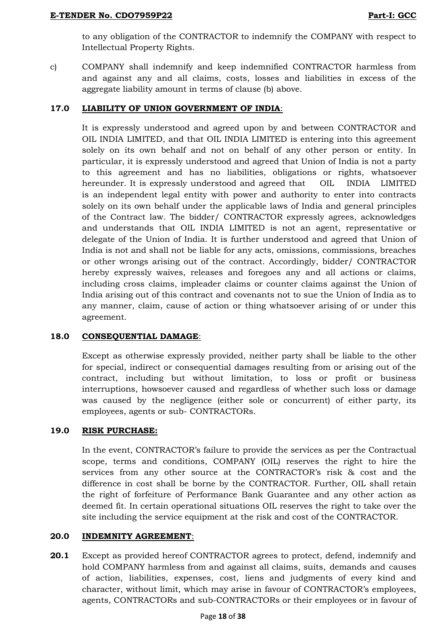to any obligation of the CONTRACTOR to indemnify the COMPANY with respect to Intellectual Property Rights.

c) COMPANY shall indemnify and keep indemnified CONTRACTOR harmless from and against any and all claims, costs, losses and liabilities in excess of the aggregate liability amount in terms of clause (b) above.

# **17.0 LIABILITY OF UNION GOVERNMENT OF INDIA**:

It is expressly understood and agreed upon by and between CONTRACTOR and OIL INDIA LIMITED, and that OIL INDIA LIMITED is entering into this agreement solely on its own behalf and not on behalf of any other person or entity. In particular, it is expressly understood and agreed that Union of India is not a party to this agreement and has no liabilities, obligations or rights, whatsoever hereunder. It is expressly understood and agreed that OIL INDIA LIMITED is an independent legal entity with power and authority to enter into contracts solely on its own behalf under the applicable laws of India and general principles of the Contract law. The bidder/ CONTRACTOR expressly agrees, acknowledges and understands that OIL INDIA LIMITED is not an agent, representative or delegate of the Union of India. It is further understood and agreed that Union of India is not and shall not be liable for any acts, omissions, commissions, breaches or other wrongs arising out of the contract. Accordingly, bidder/ CONTRACTOR hereby expressly waives, releases and foregoes any and all actions or claims, including cross claims, impleader claims or counter claims against the Union of India arising out of this contract and covenants not to sue the Union of India as to any manner, claim, cause of action or thing whatsoever arising of or under this agreement.

# **18.0 CONSEQUENTIAL DAMAGE**:

Except as otherwise expressly provided, neither party shall be liable to the other for special, indirect or consequential damages resulting from or arising out of the contract, including but without limitation, to loss or profit or business interruptions, howsoever caused and regardless of whether such loss or damage was caused by the negligence (either sole or concurrent) of either party, its employees, agents or sub- CONTRACTORs.

# **19.0 RISK PURCHASE:**

In the event, CONTRACTOR"s failure to provide the services as per the Contractual scope, terms and conditions, COMPANY (OIL) reserves the right to hire the services from any other source at the CONTRACTOR's risk & cost and the difference in cost shall be borne by the CONTRACTOR. Further, OIL shall retain the right of forfeiture of Performance Bank Guarantee and any other action as deemed fit. In certain operational situations OIL reserves the right to take over the site including the service equipment at the risk and cost of the CONTRACTOR.

# **20.0 INDEMNITY AGREEMENT**:

**20.1** Except as provided hereof CONTRACTOR agrees to protect, defend, indemnify and hold COMPANY harmless from and against all claims, suits, demands and causes of action, liabilities, expenses, cost, liens and judgments of every kind and character, without limit, which may arise in favour of CONTRACTOR"s employees, agents, CONTRACTORs and sub-CONTRACTORs or their employees or in favour of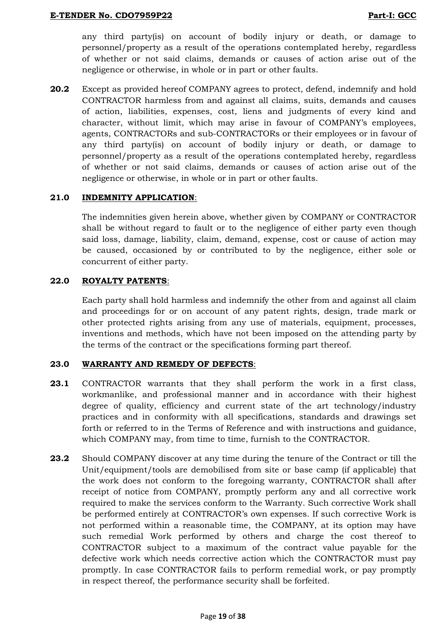any third party(is) on account of bodily injury or death, or damage to personnel/property as a result of the operations contemplated hereby, regardless of whether or not said claims, demands or causes of action arise out of the negligence or otherwise, in whole or in part or other faults.

**20.2** Except as provided hereof COMPANY agrees to protect, defend, indemnify and hold CONTRACTOR harmless from and against all claims, suits, demands and causes of action, liabilities, expenses, cost, liens and judgments of every kind and character, without limit, which may arise in favour of COMPANY"s employees, agents, CONTRACTORs and sub-CONTRACTORs or their employees or in favour of any third party(is) on account of bodily injury or death, or damage to personnel/property as a result of the operations contemplated hereby, regardless of whether or not said claims, demands or causes of action arise out of the negligence or otherwise, in whole or in part or other faults.

## **21.0 INDEMNITY APPLICATION**:

The indemnities given herein above, whether given by COMPANY or CONTRACTOR shall be without regard to fault or to the negligence of either party even though said loss, damage, liability, claim, demand, expense, cost or cause of action may be caused, occasioned by or contributed to by the negligence, either sole or concurrent of either party.

## **22.0 ROYALTY PATENTS**:

Each party shall hold harmless and indemnify the other from and against all claim and proceedings for or on account of any patent rights, design, trade mark or other protected rights arising from any use of materials, equipment, processes, inventions and methods, which have not been imposed on the attending party by the terms of the contract or the specifications forming part thereof.

## **23.0 WARRANTY AND REMEDY OF DEFECTS**:

- **23.1** CONTRACTOR warrants that they shall perform the work in a first class, workmanlike, and professional manner and in accordance with their highest degree of quality, efficiency and current state of the art technology/industry practices and in conformity with all specifications, standards and drawings set forth or referred to in the Terms of Reference and with instructions and guidance, which COMPANY may, from time to time, furnish to the CONTRACTOR.
- **23.2** Should COMPANY discover at any time during the tenure of the Contract or till the Unit/equipment/tools are demobilised from site or base camp (if applicable) that the work does not conform to the foregoing warranty, CONTRACTOR shall after receipt of notice from COMPANY, promptly perform any and all corrective work required to make the services conform to the Warranty. Such corrective Work shall be performed entirely at CONTRACTOR"s own expenses. If such corrective Work is not performed within a reasonable time, the COMPANY, at its option may have such remedial Work performed by others and charge the cost thereof to CONTRACTOR subject to a maximum of the contract value payable for the defective work which needs corrective action which the CONTRACTOR must pay promptly. In case CONTRACTOR fails to perform remedial work, or pay promptly in respect thereof, the performance security shall be forfeited.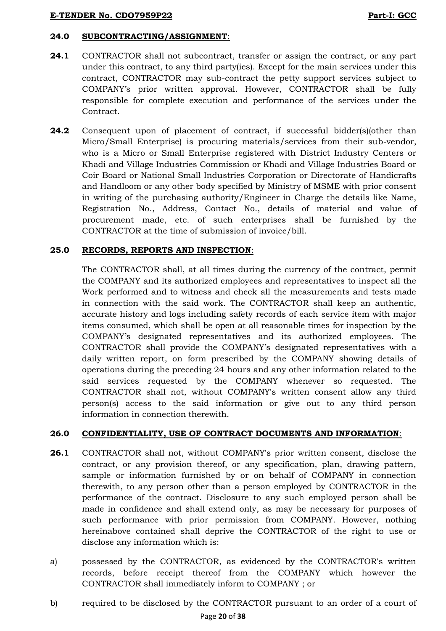# **24.0 SUBCONTRACTING/ASSIGNMENT**:

- **24.1** CONTRACTOR shall not subcontract, transfer or assign the contract, or any part under this contract, to any third party(ies). Except for the main services under this contract, CONTRACTOR may sub-contract the petty support services subject to COMPANY"s prior written approval. However, CONTRACTOR shall be fully responsible for complete execution and performance of the services under the Contract.
- **24.2** Consequent upon of placement of contract, if successful bidder(s)(other than Micro/Small Enterprise) is procuring materials/services from their sub-vendor, who is a Micro or Small Enterprise registered with District Industry Centers or Khadi and Village Industries Commission or Khadi and Village Industries Board or Coir Board or National Small Industries Corporation or Directorate of Handicrafts and Handloom or any other body specified by Ministry of MSME with prior consent in writing of the purchasing authority/Engineer in Charge the details like Name, Registration No., Address, Contact No., details of material and value of procurement made, etc. of such enterprises shall be furnished by the CONTRACTOR at the time of submission of invoice/bill.

## **25.0 RECORDS, REPORTS AND INSPECTION**:

The CONTRACTOR shall, at all times during the currency of the contract, permit the COMPANY and its authorized employees and representatives to inspect all the Work performed and to witness and check all the measurements and tests made in connection with the said work. The CONTRACTOR shall keep an authentic, accurate history and logs including safety records of each service item with major items consumed, which shall be open at all reasonable times for inspection by the COMPANY"s designated representatives and its authorized employees. The CONTRACTOR shall provide the COMPANY"s designated representatives with a daily written report, on form prescribed by the COMPANY showing details of operations during the preceding 24 hours and any other information related to the said services requested by the COMPANY whenever so requested. The CONTRACTOR shall not, without COMPANY's written consent allow any third person(s) access to the said information or give out to any third person information in connection therewith.

## **26.0 CONFIDENTIALITY, USE OF CONTRACT DOCUMENTS AND INFORMATION**:

- **26.1** CONTRACTOR shall not, without COMPANY's prior written consent, disclose the contract, or any provision thereof, or any specification, plan, drawing pattern, sample or information furnished by or on behalf of COMPANY in connection therewith, to any person other than a person employed by CONTRACTOR in the performance of the contract. Disclosure to any such employed person shall be made in confidence and shall extend only, as may be necessary for purposes of such performance with prior permission from COMPANY. However, nothing hereinabove contained shall deprive the CONTRACTOR of the right to use or disclose any information which is:
- a) possessed by the CONTRACTOR, as evidenced by the CONTRACTOR's written records, before receipt thereof from the COMPANY which however the CONTRACTOR shall immediately inform to COMPANY ; or
- b) required to be disclosed by the CONTRACTOR pursuant to an order of a court of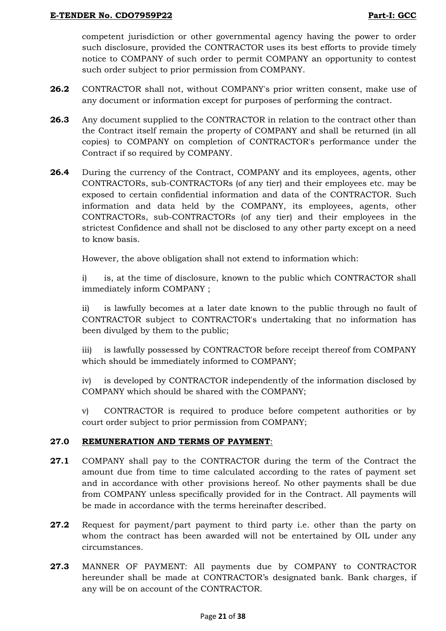competent jurisdiction or other governmental agency having the power to order such disclosure, provided the CONTRACTOR uses its best efforts to provide timely notice to COMPANY of such order to permit COMPANY an opportunity to contest such order subject to prior permission from COMPANY.

- **26.2** CONTRACTOR shall not, without COMPANY's prior written consent, make use of any document or information except for purposes of performing the contract.
- **26.3** Any document supplied to the CONTRACTOR in relation to the contract other than the Contract itself remain the property of COMPANY and shall be returned (in all copies) to COMPANY on completion of CONTRACTOR's performance under the Contract if so required by COMPANY.
- **26.4** During the currency of the Contract, COMPANY and its employees, agents, other CONTRACTORs, sub-CONTRACTORs (of any tier) and their employees etc. may be exposed to certain confidential information and data of the CONTRACTOR. Such information and data held by the COMPANY, its employees, agents, other CONTRACTORs, sub-CONTRACTORs (of any tier) and their employees in the strictest Confidence and shall not be disclosed to any other party except on a need to know basis.

However, the above obligation shall not extend to information which:

i) is, at the time of disclosure, known to the public which CONTRACTOR shall immediately inform COMPANY ;

ii) is lawfully becomes at a later date known to the public through no fault of CONTRACTOR subject to CONTRACTOR's undertaking that no information has been divulged by them to the public;

iii) is lawfully possessed by CONTRACTOR before receipt thereof from COMPANY which should be immediately informed to COMPANY;

iv) is developed by CONTRACTOR independently of the information disclosed by COMPANY which should be shared with the COMPANY;

v) CONTRACTOR is required to produce before competent authorities or by court order subject to prior permission from COMPANY;

## **27.0 REMUNERATION AND TERMS OF PAYMENT**:

- **27.1** COMPANY shall pay to the CONTRACTOR during the term of the Contract the amount due from time to time calculated according to the rates of payment set and in accordance with other provisions hereof. No other payments shall be due from COMPANY unless specifically provided for in the Contract. All payments will be made in accordance with the terms hereinafter described.
- **27.2** Request for payment/part payment to third party i.e. other than the party on whom the contract has been awarded will not be entertained by OIL under any circumstances.
- **27.3** MANNER OF PAYMENT: All payments due by COMPANY to CONTRACTOR hereunder shall be made at CONTRACTOR"s designated bank. Bank charges, if any will be on account of the CONTRACTOR.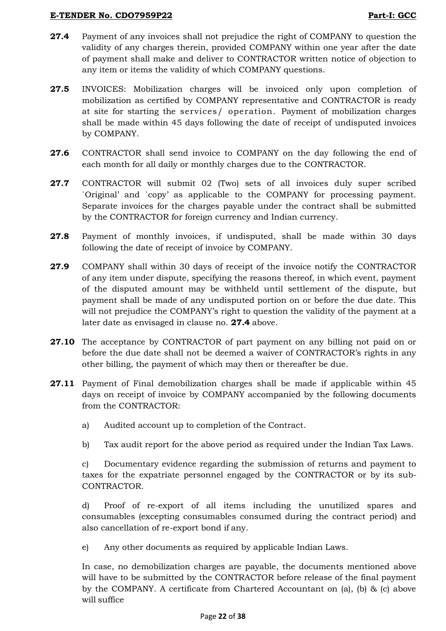- **27.4** Payment of any invoices shall not prejudice the right of COMPANY to question the validity of any charges therein, provided COMPANY within one year after the date of payment shall make and deliver to CONTRACTOR written notice of objection to any item or items the validity of which COMPANY questions.
- **27.5** INVOICES: Mobilization charges will be invoiced only upon completion of mobilization as certified by COMPANY representative and CONTRACTOR is ready at site for starting the services/ operation. Payment of mobilization charges shall be made within 45 days following the date of receipt of undisputed invoices by COMPANY.
- **27.6** CONTRACTOR shall send invoice to COMPANY on the day following the end of each month for all daily or monthly charges due to the CONTRACTOR.
- **27.7** CONTRACTOR will submit 02 (Two) sets of all invoices duly super scribed `Original" and `copy" as applicable to the COMPANY for processing payment. Separate invoices for the charges payable under the contract shall be submitted by the CONTRACTOR for foreign currency and Indian currency.
- **27.8** Payment of monthly invoices, if undisputed, shall be made within 30 days following the date of receipt of invoice by COMPANY.
- **27.9** COMPANY shall within 30 days of receipt of the invoice notify the CONTRACTOR of any item under dispute, specifying the reasons thereof, in which event, payment of the disputed amount may be withheld until settlement of the dispute, but payment shall be made of any undisputed portion on or before the due date. This will not prejudice the COMPANY's right to question the validity of the payment at a later date as envisaged in clause no. **27.4** above.
- **27.10** The acceptance by CONTRACTOR of part payment on any billing not paid on or before the due date shall not be deemed a waiver of CONTRACTOR"s rights in any other billing, the payment of which may then or thereafter be due.
- **27.11** Payment of Final demobilization charges shall be made if applicable within 45 days on receipt of invoice by COMPANY accompanied by the following documents from the CONTRACTOR:
	- a) Audited account up to completion of the Contract.
	- b) Tax audit report for the above period as required under the Indian Tax Laws.

c) Documentary evidence regarding the submission of returns and payment to taxes for the expatriate personnel engaged by the CONTRACTOR or by its sub-CONTRACTOR.

d) Proof of re-export of all items including the unutilized spares and consumables (excepting consumables consumed during the contract period) and also cancellation of re-export bond if any.

e) Any other documents as required by applicable Indian Laws.

In case, no demobilization charges are payable, the documents mentioned above will have to be submitted by the CONTRACTOR before release of the final payment by the COMPANY. A certificate from Chartered Accountant on (a), (b) & (c) above will suffice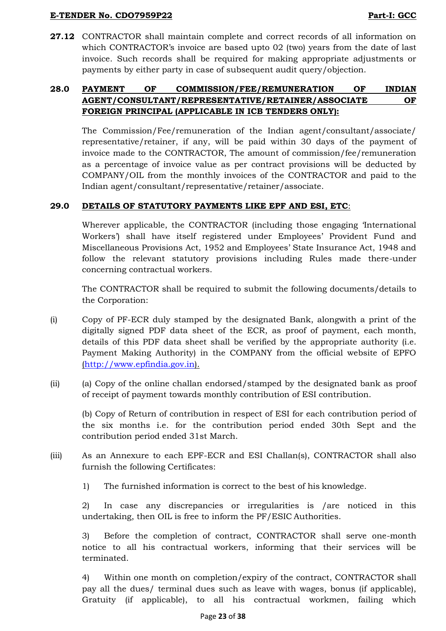**27.12** CONTRACTOR shall maintain complete and correct records of all information on which CONTRACTOR's invoice are based upto 02 (two) years from the date of last invoice. Such records shall be required for making appropriate adjustments or payments by either party in case of subsequent audit query/objection.

# **28.0 PAYMENT OF COMMISSION/FEE/REMUNERATION OF INDIAN AGENT/CONSULTANT/REPRESENTATIVE/RETAINER/ASSOCIATE OF FOREIGN PRINCIPAL (APPLICABLE IN ICB TENDERS ONLY):**

The Commission/Fee/remuneration of the Indian agent/consultant/associate/ representative/retainer, if any, will be paid within 30 days of the payment of invoice made to the CONTRACTOR, The amount of commission/fee/remuneration as a percentage of invoice value as per contract provisions will be deducted by COMPANY/OIL from the monthly invoices of the CONTRACTOR and paid to the Indian agent/consultant/representative/retainer/associate.

# **29.0 DETAILS OF STATUTORY PAYMENTS LIKE EPF AND ESI, ETC**:

Wherever applicable, the CONTRACTOR (including those engaging "International Workers") shall have itself registered under Employees" Provident Fund and Miscellaneous Provisions Act, 1952 and Employees" State Insurance Act, 1948 and follow the relevant statutory provisions including Rules made there-under concerning contractual workers.

The CONTRACTOR shall be required to submit the following documents/details to the Corporation:

- (i) Copy of PF-ECR duly stamped by the designated Bank, alongwith a print of the digitally signed PDF data sheet of the ECR, as proof of payment, each month, details of this PDF data sheet shall be verified by the appropriate authority (i.e. Payment Making Authority) in the COMPANY from the official website of EPFO [\(http://www.epfindia.gov.in\)](http://www.epfindia.gov.in/).
- (ii) (a) Copy of the online challan endorsed/stamped by the designated bank as proof of receipt of payment towards monthly contribution of ESI contribution.

(b) Copy of Return of contribution in respect of ESI for each contribution period of the six months i.e. for the contribution period ended 30th Sept and the contribution period ended 31st March.

- (iii) As an Annexure to each EPF-ECR and ESI Challan(s), CONTRACTOR shall also furnish the following Certificates:
	- 1) The furnished information is correct to the best of his knowledge.

2) In case any discrepancies or irregularities is /are noticed in this undertaking, then OIL is free to inform the PF/ESIC Authorities.

3) Before the completion of contract, CONTRACTOR shall serve one-month notice to all his contractual workers, informing that their services will be terminated.

4) Within one month on completion/expiry of the contract, CONTRACTOR shall pay all the dues/ terminal dues such as leave with wages, bonus (if applicable), Gratuity (if applicable), to all his contractual workmen, failing which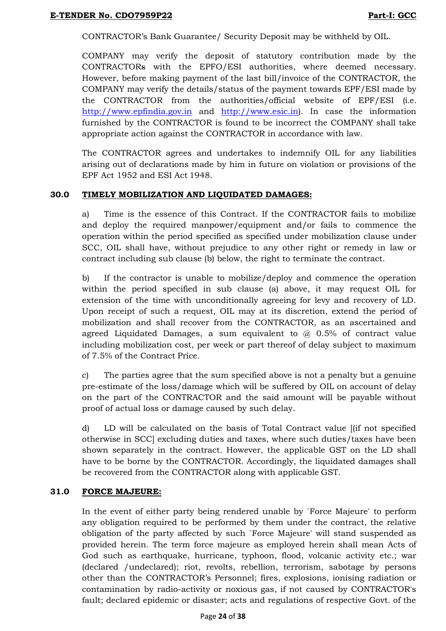CONTRACTOR"s Bank Guarantee/ Security Deposit may be withheld by OIL.

COMPANY may verify the deposit of statutory contribution made by the CONTRACTORs with the EPFO/ESI authorities, where deemed necessary. However, before making payment of the last bill/invoice of the CONTRACTOR, the COMPANY may verify the details/status of the payment towards EPF/ESI made by the CONTRACTOR from the authorities/official website of EPF/ESI (i.e[.](http://www.epfindia.gov.in/) [http://www.epfindia.gov.in](http://www.epfindia.gov.in/) and [http://www.esic.in\)](http://www.esic.in/). In case the information furnished by the CONTRACTOR is found to be incorrect the COMPANY shall take appropriate action against the CONTRACTOR in accordance with law.

The CONTRACTOR agrees and undertakes to indemnify OIL for any liabilities arising out of declarations made by him in future on violation or provisions of the EPF Act 1952 and ESI Act 1948.

## **30.0 TIMELY MOBILIZATION AND LIQUIDATED DAMAGES:**

a) Time is the essence of this Contract. If the CONTRACTOR fails to mobilize and deploy the required manpower/equipment and/or fails to commence the operation within the period specified as specified under mobilization clause under SCC, OIL shall have, without prejudice to any other right or remedy in law or contract including sub clause (b) below, the right to terminate the contract.

b) If the contractor is unable to mobilize/deploy and commence the operation within the period specified in sub clause (a) above, it may request OIL for extension of the time with unconditionally agreeing for levy and recovery of LD. Upon receipt of such a request, OIL may at its discretion, extend the period of mobilization and shall recover from the CONTRACTOR, as an ascertained and agreed Liquidated Damages, a sum equivalent to  $\omega$  0.5% of contract value including mobilization cost, per week or part thereof of delay subject to maximum of 7.5% of the Contract Price.

c) The parties agree that the sum specified above is not a penalty but a genuine pre-estimate of the loss/damage which will be suffered by OIL on account of delay on the part of the CONTRACTOR and the said amount will be payable without proof of actual loss or damage caused by such delay.

d) LD will be calculated on the basis of Total Contract value [(if not specified otherwise in SCC] excluding duties and taxes, where such duties/taxes have been shown separately in the contract. However, the applicable GST on the LD shall have to be borne by the CONTRACTOR. Accordingly, the liquidated damages shall be recovered from the CONTRACTOR along with applicable GST.

# **31.0 FORCE MAJEURE:**

In the event of either party being rendered unable by `Force Majeure' to perform any obligation required to be performed by them under the contract, the relative obligation of the party affected by such `Force Majeure' will stand suspended as provided herein. The term force majeure as employed herein shall mean Acts of God such as earthquake, hurricane, typhoon, flood, volcanic activity etc.; war (declared /undeclared); riot, revolts, rebellion, terrorism, sabotage by persons other than the CONTRACTOR"s Personnel; fires, explosions, ionising radiation or contamination by radio-activity or noxious gas, if not caused by CONTRACTOR's fault; declared epidemic or disaster; acts and regulations of respective Govt. of the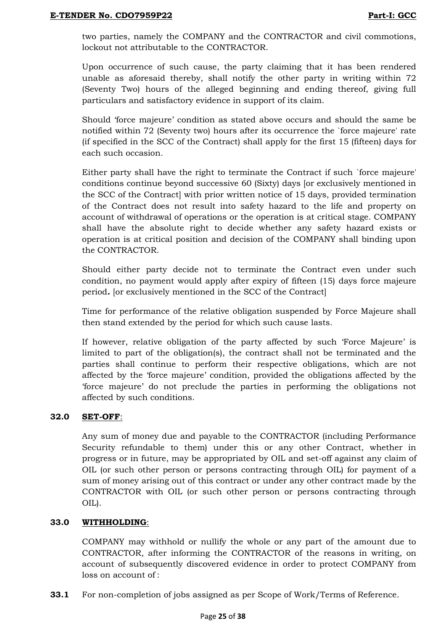two parties, namely the COMPANY and the CONTRACTOR and civil commotions, lockout not attributable to the CONTRACTOR.

Upon occurrence of such cause, the party claiming that it has been rendered unable as aforesaid thereby, shall notify the other party in writing within 72 (Seventy Two) hours of the alleged beginning and ending thereof, giving full particulars and satisfactory evidence in support of its claim.

Should "force majeure" condition as stated above occurs and should the same be notified within 72 (Seventy two) hours after its occurrence the `force majeure' rate (if specified in the SCC of the Contract) shall apply for the first 15 (fifteen) days for each such occasion*.*

Either party shall have the right to terminate the Contract if such `force majeure' conditions continue beyond successive 60 (Sixty) days [or exclusively mentioned in the SCC of the Contract] with prior written notice of 15 days, provided termination of the Contract does not result into safety hazard to the life and property on account of withdrawal of operations or the operation is at critical stage. COMPANY shall have the absolute right to decide whether any safety hazard exists or operation is at critical position and decision of the COMPANY shall binding upon the CONTRACTOR.

Should either party decide not to terminate the Contract even under such condition, no payment would apply after expiry of fifteen (15) days force majeure period*.* [or exclusively mentioned in the SCC of the Contract]

Time for performance of the relative obligation suspended by Force Majeure shall then stand extended by the period for which such cause lasts.

If however, relative obligation of the party affected by such "Force Majeure" is limited to part of the obligation(s), the contract shall not be terminated and the parties shall continue to perform their respective obligations, which are not affected by the "force majeure" condition, provided the obligations affected by the "force majeure" do not preclude the parties in performing the obligations not affected by such conditions.

## **32.0 SET-OFF**:

Any sum of money due and payable to the CONTRACTOR (including Performance Security refundable to them) under this or any other Contract, whether in progress or in future, may be appropriated by OIL and set-off against any claim of OIL (or such other person or persons contracting through OIL) for payment of a sum of money arising out of this contract or under any other contract made by the CONTRACTOR with OIL (or such other person or persons contracting through OIL).

## **33.0 WITHHOLDING**:

COMPANY may withhold or nullify the whole or any part of the amount due to CONTRACTOR, after informing the CONTRACTOR of the reasons in writing, on account of subsequently discovered evidence in order to protect COMPANY from loss on account of :

**33.1** For non-completion of jobs assigned as per Scope of Work/Terms of Reference.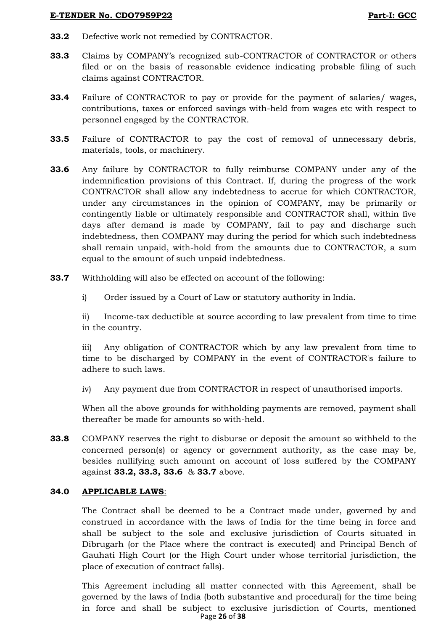- **33.2** Defective work not remedied by CONTRACTOR.
- **33.3** Claims by COMPANY"s recognized sub-CONTRACTOR of CONTRACTOR or others filed or on the basis of reasonable evidence indicating probable filing of such claims against CONTRACTOR.
- **33.4** Failure of CONTRACTOR to pay or provide for the payment of salaries/ wages, contributions, taxes or enforced savings with-held from wages etc with respect to personnel engaged by the CONTRACTOR.
- **33.5** Failure of CONTRACTOR to pay the cost of removal of unnecessary debris, materials, tools, or machinery.
- **33.6** Any failure by CONTRACTOR to fully reimburse COMPANY under any of the indemnification provisions of this Contract. If, during the progress of the work CONTRACTOR shall allow any indebtedness to accrue for which CONTRACTOR, under any circumstances in the opinion of COMPANY, may be primarily or contingently liable or ultimately responsible and CONTRACTOR shall, within five days after demand is made by COMPANY, fail to pay and discharge such indebtedness, then COMPANY may during the period for which such indebtedness shall remain unpaid, with-hold from the amounts due to CONTRACTOR, a sum equal to the amount of such unpaid indebtedness.
- **33.7** Withholding will also be effected on account of the following:
	- i) Order issued by a Court of Law or statutory authority in India.

ii) Income-tax deductible at source according to law prevalent from time to time in the country.

iii) Any obligation of CONTRACTOR which by any law prevalent from time to time to be discharged by COMPANY in the event of CONTRACTOR's failure to adhere to such laws.

iv) Any payment due from CONTRACTOR in respect of unauthorised imports.

When all the above grounds for withholding payments are removed, payment shall thereafter be made for amounts so with-held.

**33.8** COMPANY reserves the right to disburse or deposit the amount so withheld to the concerned person(s) or agency or government authority, as the case may be, besides nullifying such amount on account of loss suffered by the COMPANY against **33.2, 33.3, 33.6** & **33.7** above.

## **34.0 APPLICABLE LAWS**:

The Contract shall be deemed to be a Contract made under, governed by and construed in accordance with the laws of India for the time being in force and shall be subject to the sole and exclusive jurisdiction of Courts situated in Dibrugarh (or the Place where the contract is executed) and Principal Bench of Gauhati High Court (or the High Court under whose territorial jurisdiction, the place of execution of contract falls).

Page **26** of **38** This Agreement including all matter connected with this Agreement, shall be governed by the laws of India (both substantive and procedural) for the time being in force and shall be subject to exclusive jurisdiction of Courts, mentioned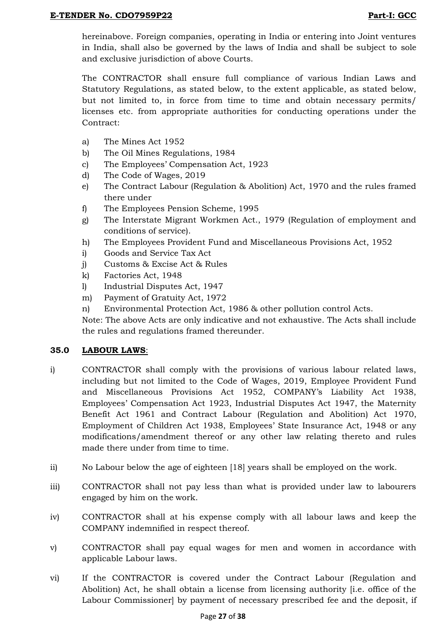hereinabove. Foreign companies, operating in India or entering into Joint ventures in India, shall also be governed by the laws of India and shall be subject to sole and exclusive jurisdiction of above Courts.

The CONTRACTOR shall ensure full compliance of various Indian Laws and Statutory Regulations, as stated below, to the extent applicable, as stated below, but not limited to, in force from time to time and obtain necessary permits/ licenses etc. from appropriate authorities for conducting operations under the Contract:

- a) The Mines Act 1952
- b) The Oil Mines Regulations, 1984
- c) The Employees" Compensation Act, 1923
- d) The Code of Wages, 2019
- e) The Contract Labour (Regulation & Abolition) Act, 1970 and the rules framed there under
- f) The Employees Pension Scheme, 1995
- g) The Interstate Migrant Workmen Act., 1979 (Regulation of employment and conditions of service).
- h) The Employees Provident Fund and Miscellaneous Provisions Act, 1952
- i) Goods and Service Tax Act
- j) Customs & Excise Act & Rules
- k) Factories Act, 1948
- l) Industrial Disputes Act, 1947
- m) Payment of Gratuity Act, 1972
- n) Environmental Protection Act, 1986 & other pollution control Acts.

Note: The above Acts are only indicative and not exhaustive. The Acts shall include the rules and regulations framed thereunder.

## **35.0 LABOUR LAWS**:

- i) CONTRACTOR shall comply with the provisions of various labour related laws, including but not limited to the Code of Wages, 2019, Employee Provident Fund and Miscellaneous Provisions Act 1952, COMPANY"s Liability Act 1938, Employees" Compensation Act 1923, Industrial Disputes Act 1947, the Maternity Benefit Act 1961 and Contract Labour (Regulation and Abolition) Act 1970, Employment of Children Act 1938, Employees" State Insurance Act, 1948 or any modifications/amendment thereof or any other law relating thereto and rules made there under from time to time.
- ii) No Labour below the age of eighteen [18] years shall be employed on the work.
- iii) CONTRACTOR shall not pay less than what is provided under law to labourers engaged by him on the work.
- iv) CONTRACTOR shall at his expense comply with all labour laws and keep the COMPANY indemnified in respect thereof.
- v) CONTRACTOR shall pay equal wages for men and women in accordance with applicable Labour laws.
- vi) If the CONTRACTOR is covered under the Contract Labour (Regulation and Abolition) Act, he shall obtain a license from licensing authority [i.e. office of the Labour Commissioner] by payment of necessary prescribed fee and the deposit, if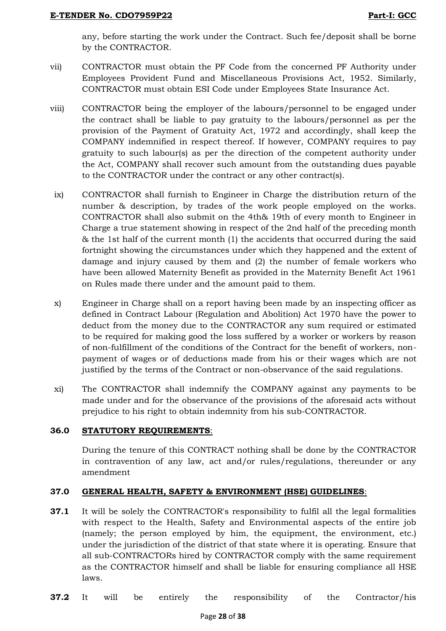any, before starting the work under the Contract. Such fee/deposit shall be borne by the CONTRACTOR.

- vii) CONTRACTOR must obtain the PF Code from the concerned PF Authority under Employees Provident Fund and Miscellaneous Provisions Act, 1952. Similarly, CONTRACTOR must obtain ESI Code under Employees State Insurance Act.
- viii) CONTRACTOR being the employer of the labours/personnel to be engaged under the contract shall be liable to pay gratuity to the labours/personnel as per the provision of the Payment of Gratuity Act, 1972 and accordingly, shall keep the COMPANY indemnified in respect thereof. If however, COMPANY requires to pay gratuity to such labour(s) as per the direction of the competent authority under the Act, COMPANY shall recover such amount from the outstanding dues payable to the CONTRACTOR under the contract or any other contract(s).
- ix) CONTRACTOR shall furnish to Engineer in Charge the distribution return of the number & description, by trades of the work people employed on the works. CONTRACTOR shall also submit on the 4th& 19th of every month to Engineer in Charge a true statement showing in respect of the 2nd half of the preceding month & the 1st half of the current month (1) the accidents that occurred during the said fortnight showing the circumstances under which they happened and the extent of damage and injury caused by them and (2) the number of female workers who have been allowed Maternity Benefit as provided in the Maternity Benefit Act 1961 on Rules made there under and the amount paid to them.
- x) Engineer in Charge shall on a report having been made by an inspecting officer as defined in Contract Labour (Regulation and Abolition) Act 1970 have the power to deduct from the money due to the CONTRACTOR any sum required or estimated to be required for making good the loss suffered by a worker or workers by reason of non-fulfillment of the conditions of the Contract for the benefit of workers, nonpayment of wages or of deductions made from his or their wages which are not justified by the terms of the Contract or non-observance of the said regulations.
- xi) The CONTRACTOR shall indemnify the COMPANY against any payments to be made under and for the observance of the provisions of the aforesaid acts without prejudice to his right to obtain indemnity from his sub-CONTRACTOR.

# **36.0 STATUTORY REQUIREMENTS**:

During the tenure of this CONTRACT nothing shall be done by the CONTRACTOR in contravention of any law, act and/or rules/regulations, thereunder or any amendment

# **37.0 GENERAL HEALTH, SAFETY & ENVIRONMENT (HSE) GUIDELINES**:

- **37.1** It will be solely the CONTRACTOR's responsibility to fulfil all the legal formalities with respect to the Health, Safety and Environmental aspects of the entire job (namely; the person employed by him, the equipment, the environment, etc.) under the jurisdiction of the district of that state where it is operating. Ensure that all sub-CONTRACTORs hired by CONTRACTOR comply with the same requirement as the CONTRACTOR himself and shall be liable for ensuring compliance all HSE laws.
- **37.2** It will be entirely the responsibility of the Contractor/his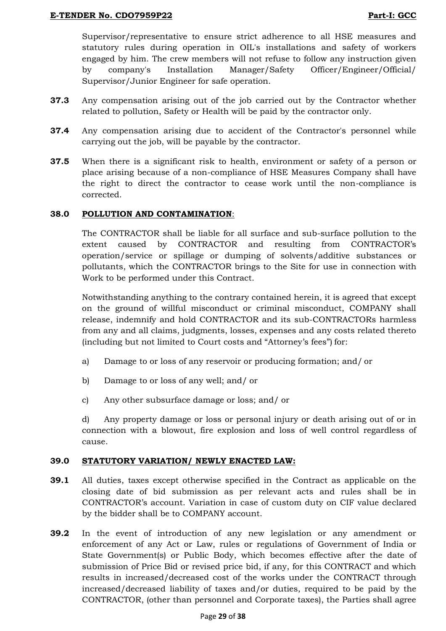Supervisor/representative to ensure strict adherence to all HSE measures and statutory rules during operation in OIL's installations and safety of workers engaged by him. The crew members will not refuse to follow any instruction given by company's Installation Manager/Safety Officer/Engineer/Official/ Supervisor/Junior Engineer for safe operation.

- **37.3** Any compensation arising out of the job carried out by the Contractor whether related to pollution, Safety or Health will be paid by the contractor only.
- **37.4** Any compensation arising due to accident of the Contractor's personnel while carrying out the job, will be payable by the contractor.
- **37.5** When there is a significant risk to health, environment or safety of a person or place arising because of a non-compliance of HSE Measures Company shall have the right to direct the contractor to cease work until the non-compliance is corrected.

## **38.0 POLLUTION AND CONTAMINATION**:

The CONTRACTOR shall be liable for all surface and sub-surface pollution to the extent caused by CONTRACTOR and resulting from CONTRACTOR"s operation/service or spillage or dumping of solvents/additive substances or pollutants, which the CONTRACTOR brings to the Site for use in connection with Work to be performed under this Contract.

Notwithstanding anything to the contrary contained herein, it is agreed that except on the ground of willful misconduct or criminal misconduct, COMPANY shall release, indemnify and hold CONTRACTOR and its sub-CONTRACTORs harmless from any and all claims, judgments, losses, expenses and any costs related thereto (including but not limited to Court costs and "Attorney"s fees") for:

- a) Damage to or loss of any reservoir or producing formation; and/ or
- b) Damage to or loss of any well; and/ or
- c) Any other subsurface damage or loss; and/ or

d) Any property damage or loss or personal injury or death arising out of or in connection with a blowout, fire explosion and loss of well control regardless of cause.

## **39.0 STATUTORY VARIATION/ NEWLY ENACTED LAW:**

- **39.1** All duties, taxes except otherwise specified in the Contract as applicable on the closing date of bid submission as per relevant acts and rules shall be in CONTRACTOR"s account. Variation in case of custom duty on CIF value declared by the bidder shall be to COMPANY account.
- **39.2** In the event of introduction of any new legislation or any amendment or enforcement of any Act or Law, rules or regulations of Government of India or State Government(s) or Public Body, which becomes effective after the date of submission of Price Bid or revised price bid, if any, for this CONTRACT and which results in increased/decreased cost of the works under the CONTRACT through increased/decreased liability of taxes and/or duties, required to be paid by the CONTRACTOR, (other than personnel and Corporate taxes), the Parties shall agree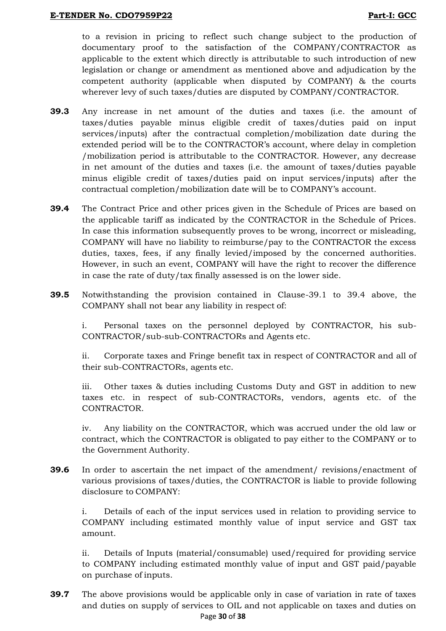to a revision in pricing to reflect such change subject to the production of documentary proof to the satisfaction of the COMPANY/CONTRACTOR as applicable to the extent which directly is attributable to such introduction of new legislation or change or amendment as mentioned above and adjudication by the competent authority (applicable when disputed by COMPANY) & the courts wherever levy of such taxes/duties are disputed by COMPANY/CONTRACTOR.

- **39.3** Any increase in net amount of the duties and taxes (i.e. the amount of taxes/duties payable minus eligible credit of taxes/duties paid on input services/inputs) after the contractual completion/mobilization date during the extended period will be to the CONTRACTOR"s account, where delay in completion /mobilization period is attributable to the CONTRACTOR. However, any decrease in net amount of the duties and taxes (i.e. the amount of taxes/duties payable minus eligible credit of taxes/duties paid on input services/inputs) after the contractual completion/mobilization date will be to COMPANY"s account.
- **39.4** The Contract Price and other prices given in the Schedule of Prices are based on the applicable tariff as indicated by the CONTRACTOR in the Schedule of Prices. In case this information subsequently proves to be wrong, incorrect or misleading, COMPANY will have no liability to reimburse/pay to the CONTRACTOR the excess duties, taxes, fees, if any finally levied/imposed by the concerned authorities. However, in such an event, COMPANY will have the right to recover the difference in case the rate of duty/tax finally assessed is on the lower side.
- **39.5** Notwithstanding the provision contained in Clause-39.1 to 39.4 above, the COMPANY shall not bear any liability in respect of:

i. Personal taxes on the personnel deployed by CONTRACTOR, his sub-CONTRACTOR/sub-sub-CONTRACTORs and Agents etc.

ii. Corporate taxes and Fringe benefit tax in respect of CONTRACTOR and all of their sub-CONTRACTORs, agents etc.

iii. Other taxes & duties including Customs Duty and GST in addition to new taxes etc. in respect of sub-CONTRACTORs, vendors, agents etc. of the CONTRACTOR.

iv. Any liability on the CONTRACTOR, which was accrued under the old law or contract, which the CONTRACTOR is obligated to pay either to the COMPANY or to the Government Authority.

**39.6** In order to ascertain the net impact of the amendment/ revisions/enactment of various provisions of taxes/duties, the CONTRACTOR is liable to provide following disclosure to COMPANY:

i. Details of each of the input services used in relation to providing service to COMPANY including estimated monthly value of input service and GST tax amount.

ii. Details of Inputs (material/consumable) used/required for providing service to COMPANY including estimated monthly value of input and GST paid/payable on purchase of inputs.

Page **30** of **38 39.7** The above provisions would be applicable only in case of variation in rate of taxes and duties on supply of services to OIL and not applicable on taxes and duties on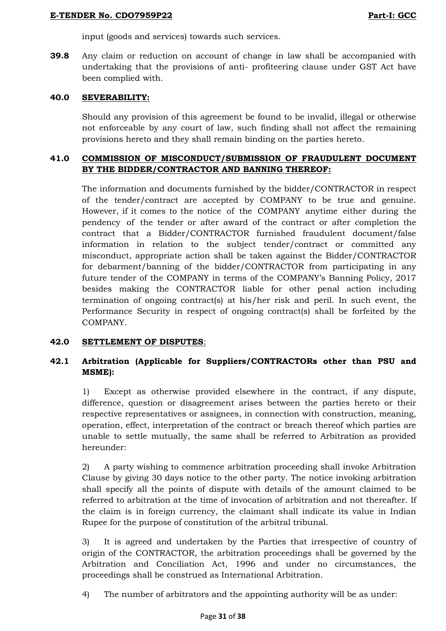input (goods and services) towards such services.

**39.8** Any claim or reduction on account of change in law shall be accompanied with undertaking that the provisions of anti- profiteering clause under GST Act have been complied with.

# **40.0 SEVERABILITY:**

Should any provision of this agreement be found to be invalid, illegal or otherwise not enforceable by any court of law, such finding shall not affect the remaining provisions hereto and they shall remain binding on the parties hereto.

# **41.0 COMMISSION OF MISCONDUCT/SUBMISSION OF FRAUDULENT DOCUMENT BY THE BIDDER/CONTRACTOR AND BANNING THEREOF:**

The information and documents furnished by the bidder/CONTRACTOR in respect of the tender/contract are accepted by COMPANY to be true and genuine. However, if it comes to the notice of the COMPANY anytime either during the pendency of the tender or after award of the contract or after completion the contract that a Bidder/CONTRACTOR furnished fraudulent document/false information in relation to the subject tender/contract or committed any misconduct, appropriate action shall be taken against the Bidder/CONTRACTOR for debarment/banning of the bidder/CONTRACTOR from participating in any future tender of the COMPANY in terms of the COMPANY"s Banning Policy, 2017 besides making the CONTRACTOR liable for other penal action including termination of ongoing contract(s) at his/her risk and peril. In such event, the Performance Security in respect of ongoing contract(s) shall be forfeited by the COMPANY.

## **42.0 SETTLEMENT OF DISPUTES**:

# **42.1 Arbitration (Applicable for Suppliers/CONTRACTORs other than PSU and MSME):**

1) Except as otherwise provided elsewhere in the contract, if any dispute, difference, question or disagreement arises between the parties hereto or their respective representatives or assignees, in connection with construction, meaning, operation, effect, interpretation of the contract or breach thereof which parties are unable to settle mutually, the same shall be referred to Arbitration as provided hereunder:

2) A party wishing to commence arbitration proceeding shall invoke Arbitration Clause by giving 30 days notice to the other party. The notice invoking arbitration shall specify all the points of dispute with details of the amount claimed to be referred to arbitration at the time of invocation of arbitration and not thereafter. If the claim is in foreign currency, the claimant shall indicate its value in Indian Rupee for the purpose of constitution of the arbitral tribunal.

3) It is agreed and undertaken by the Parties that irrespective of country of origin of the CONTRACTOR, the arbitration proceedings shall be governed by the Arbitration and Conciliation Act, 1996 and under no circumstances, the proceedings shall be construed as International Arbitration.

4) The number of arbitrators and the appointing authority will be as under: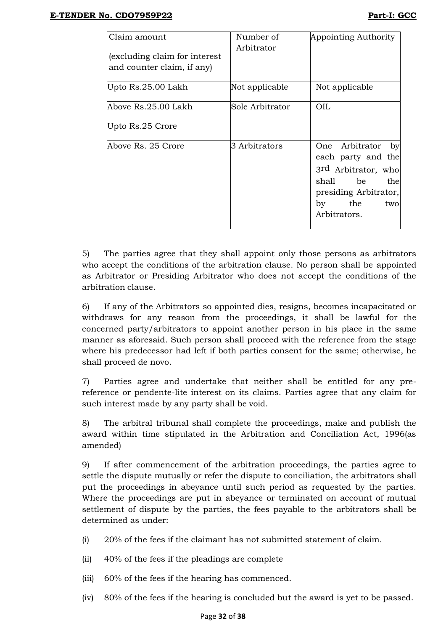| Claim amount                                               | Number of       | Appointing Authority                                                                                                                                   |
|------------------------------------------------------------|-----------------|--------------------------------------------------------------------------------------------------------------------------------------------------------|
| (excluding claim for interest<br>and counter claim, if any | Arbitrator      |                                                                                                                                                        |
| Upto Rs.25.00 Lakh                                         | Not applicable  | Not applicable                                                                                                                                         |
| Above Rs.25.00 Lakh                                        | Sole Arbitrator | OIL                                                                                                                                                    |
| Upto Rs.25 Crore                                           |                 |                                                                                                                                                        |
| Above Rs. 25 Crore                                         | 3 Arbitrators   | One Arbitrator<br>by<br>each party and the<br>3rd Arbitrator, who<br>be<br>shall -<br>the<br>presiding Arbitrator,<br>the<br>by<br>two<br>Arbitrators. |

5) The parties agree that they shall appoint only those persons as arbitrators who accept the conditions of the arbitration clause. No person shall be appointed as Arbitrator or Presiding Arbitrator who does not accept the conditions of the arbitration clause.

6) If any of the Arbitrators so appointed dies, resigns, becomes incapacitated or withdraws for any reason from the proceedings, it shall be lawful for the concerned party/arbitrators to appoint another person in his place in the same manner as aforesaid. Such person shall proceed with the reference from the stage where his predecessor had left if both parties consent for the same; otherwise, he shall proceed de novo.

7) Parties agree and undertake that neither shall be entitled for any prereference or pendente-lite interest on its claims. Parties agree that any claim for such interest made by any party shall be void.

8) The arbitral tribunal shall complete the proceedings, make and publish the award within time stipulated in the Arbitration and Conciliation Act, 1996(as amended)

9) If after commencement of the arbitration proceedings, the parties agree to settle the dispute mutually or refer the dispute to conciliation, the arbitrators shall put the proceedings in abeyance until such period as requested by the parties. Where the proceedings are put in abeyance or terminated on account of mutual settlement of dispute by the parties, the fees payable to the arbitrators shall be determined as under:

- (i) 20% of the fees if the claimant has not submitted statement of claim.
- (ii) 40% of the fees if the pleadings are complete
- (iii) 60% of the fees if the hearing has commenced.
- (iv) 80% of the fees if the hearing is concluded but the award is yet to be passed.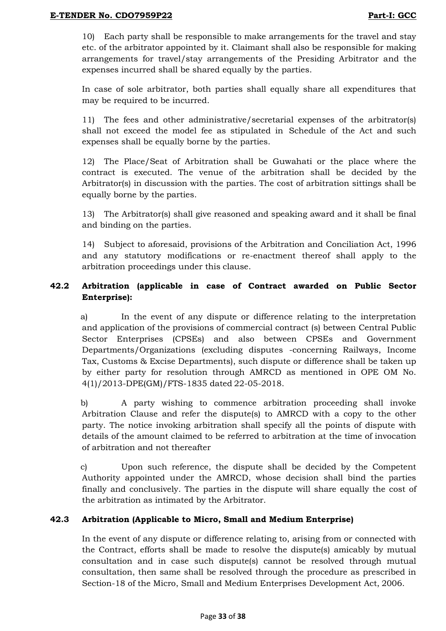10) Each party shall be responsible to make arrangements for the travel and stay etc. of the arbitrator appointed by it. Claimant shall also be responsible for making arrangements for travel/stay arrangements of the Presiding Arbitrator and the expenses incurred shall be shared equally by the parties.

In case of sole arbitrator, both parties shall equally share all expenditures that may be required to be incurred.

11) The fees and other administrative/secretarial expenses of the arbitrator(s) shall not exceed the model fee as stipulated in Schedule of the Act and such expenses shall be equally borne by the parties.

12) The Place/Seat of Arbitration shall be Guwahati or the place where the contract is executed. The venue of the arbitration shall be decided by the Arbitrator(s) in discussion with the parties. The cost of arbitration sittings shall be equally borne by the parties.

13) The Arbitrator(s) shall give reasoned and speaking award and it shall be final and binding on the parties.

14) Subject to aforesaid, provisions of the Arbitration and Conciliation Act, 1996 and any statutory modifications or re-enactment thereof shall apply to the arbitration proceedings under this clause.

# **42.2 Arbitration (applicable in case of Contract awarded on Public Sector Enterprise):**

a) In the event of any dispute or difference relating to the interpretation and application of the provisions of commercial contract (s) between Central Public Sector Enterprises (CPSEs) and also between CPSEs and Government Departments/Organizations (excluding disputes -concerning Railways, Income Tax, Customs & Excise Departments), such dispute or difference shall be taken up by either party for resolution through AMRCD as mentioned in OPE OM No. 4(1)/2013-DPE(GM)/FTS-1835 dated 22-05-2018.

b) A party wishing to commence arbitration proceeding shall invoke Arbitration Clause and refer the dispute(s) to AMRCD with a copy to the other party. The notice invoking arbitration shall specify all the points of dispute with details of the amount claimed to be referred to arbitration at the time of invocation of arbitration and not thereafter

c) Upon such reference, the dispute shall be decided by the Competent Authority appointed under the AMRCD, whose decision shall bind the parties finally and conclusively. The parties in the dispute will share equally the cost of the arbitration as intimated by the Arbitrator.

# **42.3 Arbitration (Applicable to Micro, Small and Medium Enterprise)**

In the event of any dispute or difference relating to, arising from or connected with the Contract, efforts shall be made to resolve the dispute(s) amicably by mutual consultation and in case such dispute(s) cannot be resolved through mutual consultation, then same shall be resolved through the procedure as prescribed in Section-18 of the Micro, Small and Medium Enterprises Development Act, 2006.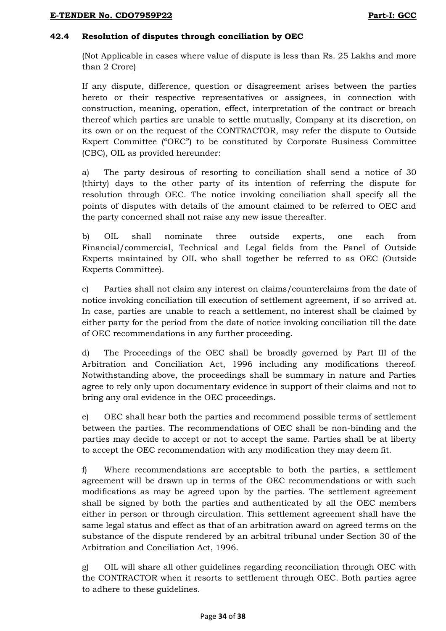# **42.4 Resolution of disputes through conciliation by OEC**

(Not Applicable in cases where value of dispute is less than Rs. 25 Lakhs and more than 2 Crore)

If any dispute, difference, question or disagreement arises between the parties hereto or their respective representatives or assignees, in connection with construction, meaning, operation, effect, interpretation of the contract or breach thereof which parties are unable to settle mutually, Company at its discretion, on its own or on the request of the CONTRACTOR, may refer the dispute to Outside Expert Committee ("OEC") to be constituted by Corporate Business Committee (CBC), OIL as provided hereunder:

a) The party desirous of resorting to conciliation shall send a notice of 30 (thirty) days to the other party of its intention of referring the dispute for resolution through OEC. The notice invoking conciliation shall specify all the points of disputes with details of the amount claimed to be referred to OEC and the party concerned shall not raise any new issue thereafter.

b) OIL shall nominate three outside experts, one each from Financial/commercial, Technical and Legal fields from the Panel of Outside Experts maintained by OIL who shall together be referred to as OEC (Outside Experts Committee).

c) Parties shall not claim any interest on claims/counterclaims from the date of notice invoking conciliation till execution of settlement agreement, if so arrived at. In case, parties are unable to reach a settlement, no interest shall be claimed by either party for the period from the date of notice invoking conciliation till the date of OEC recommendations in any further proceeding.

d) The Proceedings of the OEC shall be broadly governed by Part III of the Arbitration and Conciliation Act, 1996 including any modifications thereof. Notwithstanding above, the proceedings shall be summary in nature and Parties agree to rely only upon documentary evidence in support of their claims and not to bring any oral evidence in the OEC proceedings.

e) OEC shall hear both the parties and recommend possible terms of settlement between the parties. The recommendations of OEC shall be non-binding and the parties may decide to accept or not to accept the same. Parties shall be at liberty to accept the OEC recommendation with any modification they may deem fit.

f) Where recommendations are acceptable to both the parties, a settlement agreement will be drawn up in terms of the OEC recommendations or with such modifications as may be agreed upon by the parties. The settlement agreement shall be signed by both the parties and authenticated by all the OEC members either in person or through circulation. This settlement agreement shall have the same legal status and effect as that of an arbitration award on agreed terms on the substance of the dispute rendered by an arbitral tribunal under Section 30 of the Arbitration and Conciliation Act, 1996.

g) OIL will share all other guidelines regarding reconciliation through OEC with the CONTRACTOR when it resorts to settlement through OEC. Both parties agree to adhere to these guidelines.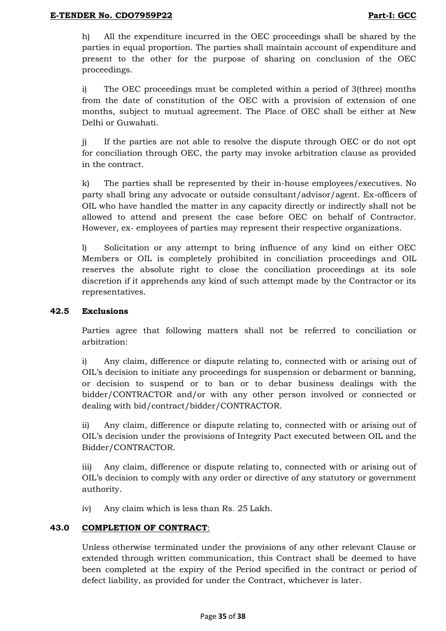h) All the expenditure incurred in the OEC proceedings shall be shared by the parties in equal proportion. The parties shall maintain account of expenditure and present to the other for the purpose of sharing on conclusion of the OEC proceedings.

i) The OEC proceedings must be completed within a period of 3(three) months from the date of constitution of the OEC with a provision of extension of one months, subject to mutual agreement. The Place of OEC shall be either at New Delhi or Guwahati.

j) If the parties are not able to resolve the dispute through OEC or do not opt for conciliation through OEC, the party may invoke arbitration clause as provided in the contract.

k) The parties shall be represented by their in-house employees/executives. No party shall bring any advocate or outside consultant/advisor/agent. Ex-officers of OIL who have handled the matter in any capacity directly or indirectly shall not be allowed to attend and present the case before OEC on behalf of Contractor. However, ex- employees of parties may represent their respective organizations.

l) Solicitation or any attempt to bring influence of any kind on either OEC Members or OIL is completely prohibited in conciliation proceedings and OIL reserves the absolute right to close the conciliation proceedings at its sole discretion if it apprehends any kind of such attempt made by the Contractor or its representatives.

## **42.5 Exclusions**

Parties agree that following matters shall not be referred to conciliation or arbitration:

i) Any claim, difference or dispute relating to, connected with or arising out of OIL"s decision to initiate any proceedings for suspension or debarment or banning, or decision to suspend or to ban or to debar business dealings with the bidder/CONTRACTOR and/or with any other person involved or connected or dealing with bid/contract/bidder/CONTRACTOR.

ii) Any claim, difference or dispute relating to, connected with or arising out of OIL"s decision under the provisions of Integrity Pact executed between OIL and the Bidder/CONTRACTOR.

iii) Any claim, difference or dispute relating to, connected with or arising out of OIL"s decision to comply with any order or directive of any statutory or government authority.

iv) Any claim which is less than Rs. 25 Lakh.

## **43.0 COMPLETION OF CONTRACT**:

Unless otherwise terminated under the provisions of any other relevant Clause or extended through written communication, this Contract shall be deemed to have been completed at the expiry of the Period specified in the contract or period of defect liability, as provided for under the Contract, whichever is later.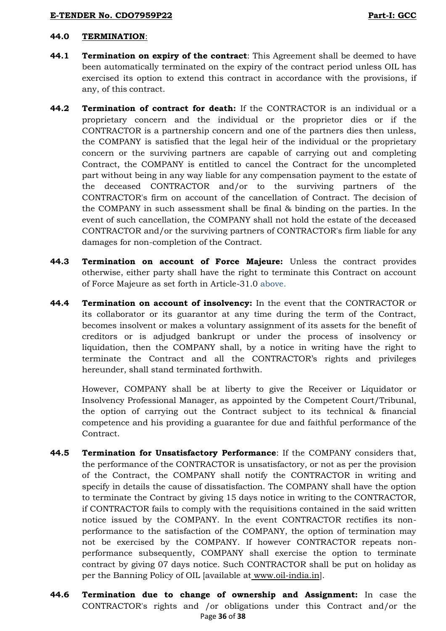### **44.0 TERMINATION**:

- **44.1 Termination on expiry of the contract**: This Agreement shall be deemed to have been automatically terminated on the expiry of the contract period unless OIL has exercised its option to extend this contract in accordance with the provisions, if any, of this contract.
- **44.2 Termination of contract for death:** If the CONTRACTOR is an individual or a proprietary concern and the individual or the proprietor dies or if the CONTRACTOR is a partnership concern and one of the partners dies then unless, the COMPANY is satisfied that the legal heir of the individual or the proprietary concern or the surviving partners are capable of carrying out and completing Contract, the COMPANY is entitled to cancel the Contract for the uncompleted part without being in any way liable for any compensation payment to the estate of the deceased CONTRACTOR and/or to the surviving partners of the CONTRACTOR's firm on account of the cancellation of Contract. The decision of the COMPANY in such assessment shall be final & binding on the parties. In the event of such cancellation, the COMPANY shall not hold the estate of the deceased CONTRACTOR and/or the surviving partners of CONTRACTOR's firm liable for any damages for non-completion of the Contract.
- **44.3 Termination on account of Force Majeure:** Unless the contract provides otherwise, either party shall have the right to terminate this Contract on account of Force Majeure as set forth in Article-31.0 above.
- **44.4 Termination on account of insolvency:** In the event that the CONTRACTOR or its collaborator or its guarantor at any time during the term of the Contract, becomes insolvent or makes a voluntary assignment of its assets for the benefit of creditors or is adjudged bankrupt or under the process of insolvency or liquidation, then the COMPANY shall, by a notice in writing have the right to terminate the Contract and all the CONTRACTOR"s rights and privileges hereunder, shall stand terminated forthwith.

However, COMPANY shall be at liberty to give the Receiver or Liquidator or Insolvency Professional Manager, as appointed by the Competent Court/Tribunal, the option of carrying out the Contract subject to its technical & financial competence and his providing a guarantee for due and faithful performance of the Contract.

- **44.5 Termination for Unsatisfactory Performance**: If the COMPANY considers that, the performance of the CONTRACTOR is unsatisfactory, or not as per the provision of the Contract, the COMPANY shall notify the CONTRACTOR in writing and specify in details the cause of dissatisfaction. The COMPANY shall have the option to terminate the Contract by giving 15 days notice in writing to the CONTRACTOR, if CONTRACTOR fails to comply with the requisitions contained in the said written notice issued by the COMPANY. In the event CONTRACTOR rectifies its nonperformance to the satisfaction of the COMPANY, the option of termination may not be exercised by the COMPANY. If however CONTRACTOR repeats nonperformance subsequently, COMPANY shall exercise the option to terminate contract by giving 07 days notice. Such CONTRACTOR shall be put on holiday as per the Banning Policy of OIL [available at [www.oil-india.in\]](http://www.oil-india.in/).
- Page **36** of **38 44.6 Termination due to change of ownership and Assignment:** In case the CONTRACTOR's rights and /or obligations under this Contract and/or the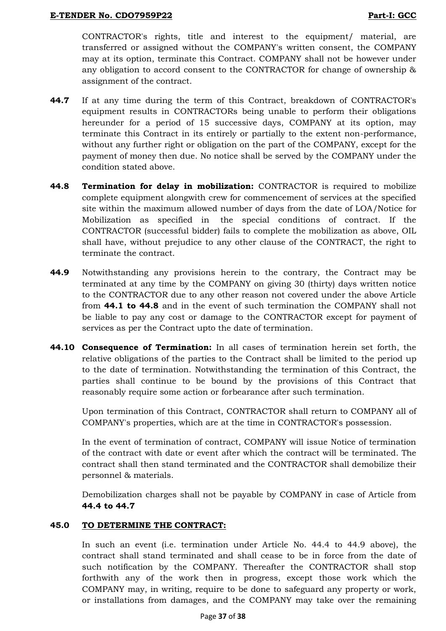CONTRACTOR's rights, title and interest to the equipment/ material, are transferred or assigned without the COMPANY's written consent, the COMPANY may at its option, terminate this Contract. COMPANY shall not be however under any obligation to accord consent to the CONTRACTOR for change of ownership & assignment of the contract.

- **44.7** If at any time during the term of this Contract, breakdown of CONTRACTOR's equipment results in CONTRACTORs being unable to perform their obligations hereunder for a period of 15 successive days, COMPANY at its option, may terminate this Contract in its entirely or partially to the extent non-performance, without any further right or obligation on the part of the COMPANY, except for the payment of money then due. No notice shall be served by the COMPANY under the condition stated above.
- **44.8 Termination for delay in mobilization:** CONTRACTOR is required to mobilize complete equipment alongwith crew for commencement of services at the specified site within the maximum allowed number of days from the date of LOA/Notice for Mobilization as specified in the special conditions of contract. If the CONTRACTOR (successful bidder) fails to complete the mobilization as above, OIL shall have, without prejudice to any other clause of the CONTRACT, the right to terminate the contract.
- **44.9** Notwithstanding any provisions herein to the contrary, the Contract may be terminated at any time by the COMPANY on giving 30 (thirty) days written notice to the CONTRACTOR due to any other reason not covered under the above Article from **44.1 to 44.8** and in the event of such termination the COMPANY shall not be liable to pay any cost or damage to the CONTRACTOR except for payment of services as per the Contract upto the date of termination.
- **44.10 Consequence of Termination:** In all cases of termination herein set forth, the relative obligations of the parties to the Contract shall be limited to the period up to the date of termination. Notwithstanding the termination of this Contract, the parties shall continue to be bound by the provisions of this Contract that reasonably require some action or forbearance after such termination.

Upon termination of this Contract, CONTRACTOR shall return to COMPANY all of COMPANY's properties, which are at the time in CONTRACTOR's possession.

In the event of termination of contract, COMPANY will issue Notice of termination of the contract with date or event after which the contract will be terminated. The contract shall then stand terminated and the CONTRACTOR shall demobilize their personnel & materials.

Demobilization charges shall not be payable by COMPANY in case of Article from **44.4 to 44.7**

## **45.0 TO DETERMINE THE CONTRACT:**

In such an event (i.e. termination under Article No. 44.4 to 44.9 above), the contract shall stand terminated and shall cease to be in force from the date of such notification by the COMPANY. Thereafter the CONTRACTOR shall stop forthwith any of the work then in progress, except those work which the COMPANY may, in writing, require to be done to safeguard any property or work, or installations from damages, and the COMPANY may take over the remaining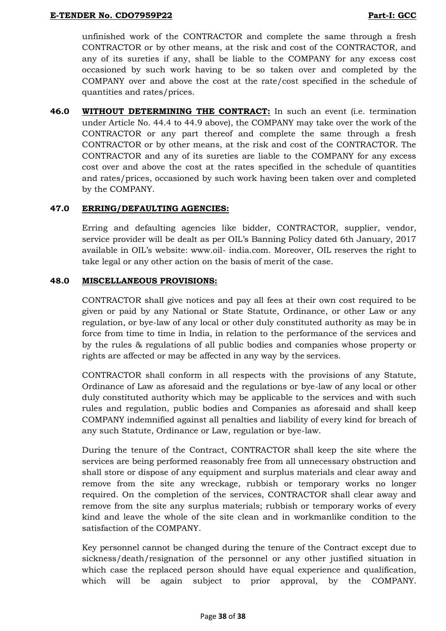unfinished work of the CONTRACTOR and complete the same through a fresh CONTRACTOR or by other means, at the risk and cost of the CONTRACTOR, and any of its sureties if any, shall be liable to the COMPANY for any excess cost occasioned by such work having to be so taken over and completed by the COMPANY over and above the cost at the rate/cost specified in the schedule of quantities and rates/prices.

**46.0 WITHOUT DETERMINING THE CONTRACT:** In such an event (i.e. termination under Article No. 44.4 to 44.9 above), the COMPANY may take over the work of the CONTRACTOR or any part thereof and complete the same through a fresh CONTRACTOR or by other means, at the risk and cost of the CONTRACTOR. The CONTRACTOR and any of its sureties are liable to the COMPANY for any excess cost over and above the cost at the rates specified in the schedule of quantities and rates/prices, occasioned by such work having been taken over and completed by the COMPANY.

## **47.0 ERRING/DEFAULTING AGENCIES:**

Erring and defaulting agencies like bidder, CONTRACTOR, supplier, vendor, service provider will be dealt as per OIL"s Banning Policy dated 6th January, 2017 available in OIL"s website: www.oil- india.com. Moreover, OIL reserves the right to take legal or any other action on the basis of merit of the case.

## **48.0 MISCELLANEOUS PROVISIONS:**

CONTRACTOR shall give notices and pay all fees at their own cost required to be given or paid by any National or State Statute, Ordinance, or other Law or any regulation, or bye-law of any local or other duly constituted authority as may be in force from time to time in India, in relation to the performance of the services and by the rules & regulations of all public bodies and companies whose property or rights are affected or may be affected in any way by the services.

CONTRACTOR shall conform in all respects with the provisions of any Statute, Ordinance of Law as aforesaid and the regulations or bye-law of any local or other duly constituted authority which may be applicable to the services and with such rules and regulation, public bodies and Companies as aforesaid and shall keep COMPANY indemnified against all penalties and liability of every kind for breach of any such Statute, Ordinance or Law, regulation or bye-law.

During the tenure of the Contract, CONTRACTOR shall keep the site where the services are being performed reasonably free from all unnecessary obstruction and shall store or dispose of any equipment and surplus materials and clear away and remove from the site any wreckage, rubbish or temporary works no longer required. On the completion of the services, CONTRACTOR shall clear away and remove from the site any surplus materials; rubbish or temporary works of every kind and leave the whole of the site clean and in workmanlike condition to the satisfaction of the COMPANY.

Key personnel cannot be changed during the tenure of the Contract except due to sickness/death/resignation of the personnel or any other justified situation in which case the replaced person should have equal experience and qualification, which will be again subject to prior approval, by the COMPANY.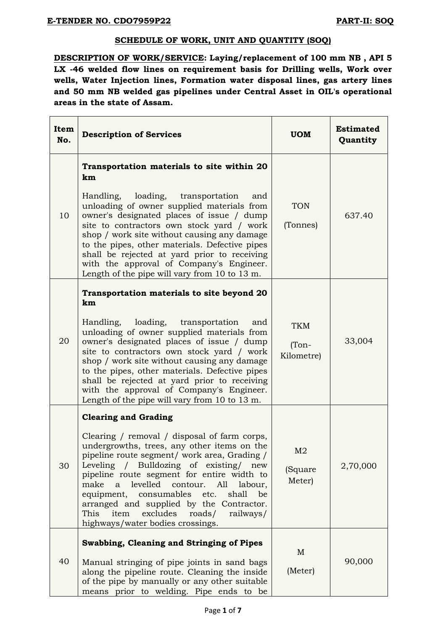### **SCHEDULE OF WORK, UNIT AND QUANTITY (SOQ)**

**DESCRIPTION OF WORK/SERVICE: Laying/replacement of 100 mm NB , API 5 LX -46 welded flow lines on requirement basis for Drilling wells, Work over wells, Water Injection lines, Formation water disposal lines, gas artery lines and 50 mm NB welded gas pipelines under Central Asset in OIL's operational areas in the state of Assam.**

| Item<br>No. | <b>Description of Services</b>                                                                                                                                                                                                                                                                                                                                                                                                                                                                                | <b>UOM</b>                          | <b>Estimated</b><br>Quantity |
|-------------|---------------------------------------------------------------------------------------------------------------------------------------------------------------------------------------------------------------------------------------------------------------------------------------------------------------------------------------------------------------------------------------------------------------------------------------------------------------------------------------------------------------|-------------------------------------|------------------------------|
| 10          | Transportation materials to site within 20<br>km<br>loading, transportation<br>Handling,<br>and<br>unloading of owner supplied materials from<br>owner's designated places of issue / dump<br>site to contractors own stock yard / work<br>shop / work site without causing any damage<br>to the pipes, other materials. Defective pipes<br>shall be rejected at yard prior to receiving<br>with the approval of Company's Engineer.<br>Length of the pipe will vary from 10 to 13 m.                         | <b>TON</b><br>(Tonnes)              | 637.40                       |
| 20          | Transportation materials to site beyond 20<br>km<br>Handling, loading, transportation<br>and<br>unloading of owner supplied materials from<br>owner's designated places of issue / dump<br>site to contractors own stock yard / work<br>shop / work site without causing any damage<br>to the pipes, other materials. Defective pipes<br>shall be rejected at yard prior to receiving<br>with the approval of Company's Engineer.<br>Length of the pipe will vary from 10 to 13 m.                            | <b>TKM</b><br>$(Ton-$<br>Kilometre) | 33,004                       |
| 30          | <b>Clearing and Grading</b><br>Clearing / removal / disposal of farm corps,<br>undergrowths, trees, any other items on the<br>pipeline route segment/ work area, Grading /<br>Leveling / Bulldozing of existing/<br>new<br>pipeline route segment for entire width to<br>levelled<br>contour.<br>All<br>make<br>labour,<br>a<br>equipment, consumables etc.<br>shall<br>be<br>arranged and supplied by the Contractor.<br>excludes<br>This<br>item<br>roads/<br>railways/<br>highways/water bodies crossings. | M <sub>2</sub><br>(Square<br>Meter) | 2,70,000                     |
| 40          | Swabbing, Cleaning and Stringing of Pipes<br>Manual stringing of pipe joints in sand bags<br>along the pipeline route. Cleaning the inside<br>of the pipe by manually or any other suitable<br>means prior to welding. Pipe ends to be                                                                                                                                                                                                                                                                        | M<br>(Meter)                        | 90,000                       |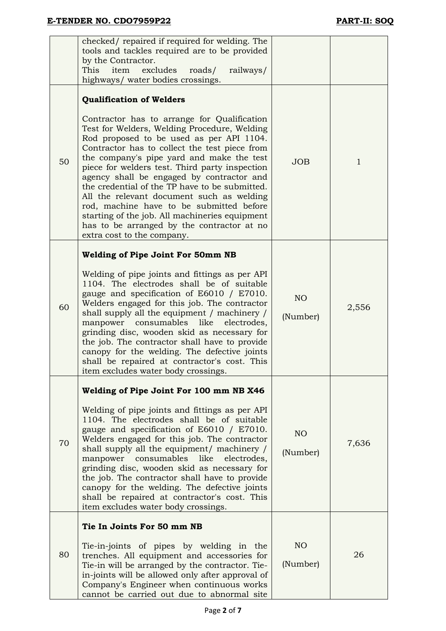|    | checked/ repaired if required for welding. The<br>tools and tackles required are to be provided<br>by the Contractor.<br>excludes<br>This<br>item<br>roads/<br>railways/<br>highways/ water bodies crossings.                                                                                                                                                                                                                                                                                                                                                                                                                                    |                             |              |
|----|--------------------------------------------------------------------------------------------------------------------------------------------------------------------------------------------------------------------------------------------------------------------------------------------------------------------------------------------------------------------------------------------------------------------------------------------------------------------------------------------------------------------------------------------------------------------------------------------------------------------------------------------------|-----------------------------|--------------|
| 50 | <b>Qualification of Welders</b><br>Contractor has to arrange for Qualification<br>Test for Welders, Welding Procedure, Welding<br>Rod proposed to be used as per API 1104.<br>Contractor has to collect the test piece from<br>the company's pipe yard and make the test<br>piece for welders test. Third party inspection<br>agency shall be engaged by contractor and<br>the credential of the TP have to be submitted.<br>All the relevant document such as welding<br>rod, machine have to be submitted before<br>starting of the job. All machineries equipment<br>has to be arranged by the contractor at no<br>extra cost to the company. | <b>JOB</b>                  | $\mathbf{1}$ |
| 60 | <b>Welding of Pipe Joint For 50mm NB</b><br>Welding of pipe joints and fittings as per API<br>1104. The electrodes shall be of suitable<br>gauge and specification of E6010 / E7010.<br>Welders engaged for this job. The contractor<br>shall supply all the equipment / machinery /<br>consumables<br>like<br>electrodes,<br>manpower<br>grinding disc, wooden skid as necessary for<br>the job. The contractor shall have to provide<br>canopy for the welding. The defective joints<br>shall be repaired at contractor's cost. This<br>item excludes water body crossings                                                                     | NO <sub>1</sub><br>(Number) | 2,556        |
| 70 | Welding of Pipe Joint For 100 mm NB X46<br>Welding of pipe joints and fittings as per API<br>1104. The electrodes shall be of suitable<br>gauge and specification of E6010 / E7010.<br>Welders engaged for this job. The contractor<br>shall supply all the equipment/ machinery /<br>manpower consumables like electrodes,<br>grinding disc, wooden skid as necessary for<br>the job. The contractor shall have to provide<br>canopy for the welding. The defective joints<br>shall be repaired at contractor's cost. This<br>item excludes water body crossings.                                                                               | NO <sub>1</sub><br>(Number) | 7,636        |
| 80 | Tie In Joints For 50 mm NB<br>Tie-in-joints of pipes by welding in the<br>trenches. All equipment and accessories for<br>Tie-in will be arranged by the contractor. Tie-<br>in-joints will be allowed only after approval of<br>Company's Engineer when continuous works<br>cannot be carried out due to abnormal site                                                                                                                                                                                                                                                                                                                           | NO <sub>1</sub><br>(Number) | 26           |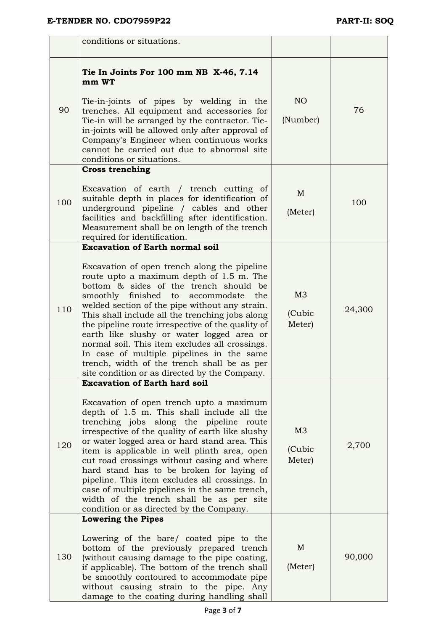|     | conditions or situations.                                                                                                                                                                                                                                                                                                                                                                                                                                                                                                                                                                                                     |                                    |        |
|-----|-------------------------------------------------------------------------------------------------------------------------------------------------------------------------------------------------------------------------------------------------------------------------------------------------------------------------------------------------------------------------------------------------------------------------------------------------------------------------------------------------------------------------------------------------------------------------------------------------------------------------------|------------------------------------|--------|
| 90  | Tie In Joints For 100 mm NB X-46, 7.14<br>mm WT<br>Tie-in-joints of pipes by welding in the<br>trenches. All equipment and accessories for<br>Tie-in will be arranged by the contractor. Tie-<br>in-joints will be allowed only after approval of<br>Company's Engineer when continuous works<br>cannot be carried out due to abnormal site                                                                                                                                                                                                                                                                                   | NO <sub>1</sub><br>(Number)        | 76     |
| 100 | conditions or situations.<br><b>Cross trenching</b><br>Excavation of earth / trench cutting of<br>suitable depth in places for identification of<br>underground pipeline / cables and other<br>facilities and backfilling after identification.<br>Measurement shall be on length of the trench<br>required for identification.                                                                                                                                                                                                                                                                                               | M<br>(Meter)                       | 100    |
| 110 | <b>Excavation of Earth normal soil</b><br>Excavation of open trench along the pipeline<br>route upto a maximum depth of 1.5 m. The<br>bottom & sides of the trench should be<br>smoothly finished to<br>accommodate the<br>welded section of the pipe without any strain.<br>This shall include all the trenching jobs along<br>the pipeline route irrespective of the quality of<br>earth like slushy or water logged area or<br>normal soil. This item excludes all crossings.<br>In case of multiple pipelines in the same<br>trench, width of the trench shall be as per<br>site condition or as directed by the Company. | M <sub>3</sub><br>(Cubic<br>Meter) | 24,300 |
| 120 | <b>Excavation of Earth hard soil</b><br>Excavation of open trench upto a maximum<br>depth of 1.5 m. This shall include all the<br>trenching jobs along the pipeline route<br>irrespective of the quality of earth like slushy<br>or water logged area or hard stand area. This<br>item is applicable in well plinth area, open<br>cut road crossings without casing and where<br>hard stand has to be broken for laying of<br>pipeline. This item excludes all crossings. In<br>case of multiple pipelines in the same trench,<br>width of the trench shall be as per site<br>condition or as directed by the Company.        | M <sub>3</sub><br>(Cubic<br>Meter) | 2,700  |
| 130 | <b>Lowering the Pipes</b><br>Lowering of the bare/ coated pipe to the<br>bottom of the previously prepared trench<br>(without causing damage to the pipe coating,<br>if applicable). The bottom of the trench shall<br>be smoothly contoured to accommodate pipe<br>without causing strain to the pipe. Any<br>damage to the coating during handling shall                                                                                                                                                                                                                                                                    | M<br>(Meter)                       | 90,000 |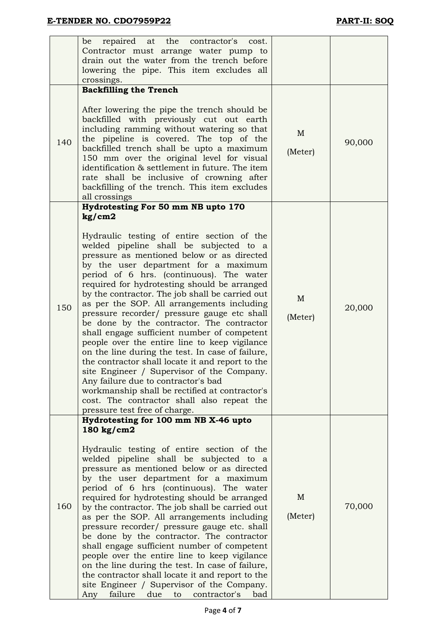|     | repaired at the<br>be<br>contractor's<br>cost.<br>Contractor must arrange water pump to<br>drain out the water from the trench before<br>lowering the pipe. This item excludes all<br>crossings.                                                                                                                                                                                                                                                                                                                                                                                                                                                                                                                                                                                                                                                                                                                                                   |                         |        |
|-----|----------------------------------------------------------------------------------------------------------------------------------------------------------------------------------------------------------------------------------------------------------------------------------------------------------------------------------------------------------------------------------------------------------------------------------------------------------------------------------------------------------------------------------------------------------------------------------------------------------------------------------------------------------------------------------------------------------------------------------------------------------------------------------------------------------------------------------------------------------------------------------------------------------------------------------------------------|-------------------------|--------|
| 140 | <b>Backfilling the Trench</b><br>After lowering the pipe the trench should be<br>backfilled with previously cut out earth<br>including ramming without watering so that<br>the pipeline is covered. The top of the<br>backfilled trench shall be upto a maximum<br>150 mm over the original level for visual<br>identification & settlement in future. The item<br>rate shall be inclusive of crowning after<br>backfilling of the trench. This item excludes<br>all crossings                                                                                                                                                                                                                                                                                                                                                                                                                                                                     | $\mathbf{M}$<br>(Meter) | 90,000 |
| 150 | Hydrotesting For 50 mm NB upto 170<br>kg/cm2<br>Hydraulic testing of entire section of the<br>welded pipeline shall be subjected to a<br>pressure as mentioned below or as directed<br>by the user department for a maximum<br>period of 6 hrs. (continuous). The water<br>required for hydrotesting should be arranged<br>by the contractor. The job shall be carried out<br>as per the SOP. All arrangements including<br>pressure recorder/ pressure gauge etc shall<br>be done by the contractor. The contractor<br>shall engage sufficient number of competent<br>people over the entire line to keep vigilance<br>on the line during the test. In case of failure,<br>the contractor shall locate it and report to the<br>site Engineer / Supervisor of the Company.<br>Any failure due to contractor's bad<br>workmanship shall be rectified at contractor's<br>cost. The contractor shall also repeat the<br>pressure test free of charge. | $\mathbf{M}$<br>(Meter) | 20,000 |
| 160 | Hydrotesting for 100 mm NB X-46 upto<br>180 kg/cm2<br>Hydraulic testing of entire section of the<br>welded pipeline shall be subjected to a<br>pressure as mentioned below or as directed<br>by the user department for a maximum<br>period of 6 hrs (continuous). The water<br>required for hydrotesting should be arranged<br>by the contractor. The job shall be carried out<br>as per the SOP. All arrangements including<br>pressure recorder/ pressure gauge etc. shall<br>be done by the contractor. The contractor<br>shall engage sufficient number of competent<br>people over the entire line to keep vigilance<br>on the line during the test. In case of failure,<br>the contractor shall locate it and report to the<br>site Engineer / Supervisor of the Company.<br>contractor's<br>Any<br>failure due to<br>bad                                                                                                                   | M<br>(Meter)            | 70,000 |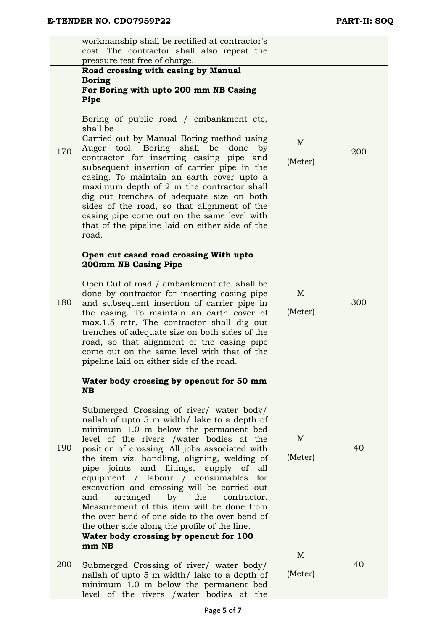|     | workmanship shall be rectified at contractor's<br>cost. The contractor shall also repeat the                                                                                                                                                                                                                                                                                                                                                                                                                                                                                                                  |                         |     |
|-----|---------------------------------------------------------------------------------------------------------------------------------------------------------------------------------------------------------------------------------------------------------------------------------------------------------------------------------------------------------------------------------------------------------------------------------------------------------------------------------------------------------------------------------------------------------------------------------------------------------------|-------------------------|-----|
|     | pressure test free of charge.                                                                                                                                                                                                                                                                                                                                                                                                                                                                                                                                                                                 |                         |     |
|     | Road crossing with casing by Manual                                                                                                                                                                                                                                                                                                                                                                                                                                                                                                                                                                           |                         |     |
|     | <b>Boring</b><br>For Boring with upto 200 mm NB Casing<br>Pipe                                                                                                                                                                                                                                                                                                                                                                                                                                                                                                                                                |                         |     |
| 170 | Boring of public road / embankment etc,<br>shall be<br>Carried out by Manual Boring method using<br>Auger tool. Boring shall be done<br>by<br>contractor for inserting casing pipe<br>and<br>subsequent insertion of carrier pipe in the<br>casing. To maintain an earth cover upto a<br>maximum depth of 2 m the contractor shall<br>dig out trenches of adequate size on both<br>sides of the road, so that alignment of the<br>casing pipe come out on the same level with<br>that of the pipeline laid on either side of the<br>road.                                                                     | M<br>(Meter)            | 200 |
|     | Open cut cased road crossing With upto<br>200mm NB Casing Pipe                                                                                                                                                                                                                                                                                                                                                                                                                                                                                                                                                |                         |     |
| 180 | Open Cut of road / embankment etc. shall be<br>done by contractor for inserting casing pipe<br>and subsequent insertion of carrier pipe in<br>the casing. To maintain an earth cover of<br>max.1.5 mtr. The contractor shall dig out<br>trenches of adequate size on both sides of the<br>road, so that alignment of the casing pipe<br>come out on the same level with that of the<br>pipeline laid on either side of the road.                                                                                                                                                                              | M<br>(Meter)            | 300 |
|     | Water body crossing by opencut for 50 mm<br><b>NB</b>                                                                                                                                                                                                                                                                                                                                                                                                                                                                                                                                                         |                         |     |
| 190 | Submerged Crossing of river/ water body/<br>nallah of upto 5 m width/ lake to a depth of<br>minimum 1.0 m below the permanent bed<br>level of the rivers /water bodies at the<br>position of crossing. All jobs associated with<br>the item viz. handling, aligning, welding of<br>pipe joints and fiitings, supply of<br>all<br>equipment / labour / consumables<br>for<br>excavation and crossing will be carried out<br>arranged by the contractor.<br>and<br>Measurement of this item will be done from<br>the over bend of one side to the over bend of<br>the other side along the profile of the line. | M<br>(Meter)            | 40  |
|     | Water body crossing by opencut for 100                                                                                                                                                                                                                                                                                                                                                                                                                                                                                                                                                                        |                         |     |
| 200 | mm NB<br>Submerged Crossing of river/ water body/<br>nallah of upto 5 m width/ lake to a depth of<br>minimum 1.0 m below the permanent bed<br>level of the rivers /water bodies at the                                                                                                                                                                                                                                                                                                                                                                                                                        | $\mathbf{M}$<br>(Meter) | 40  |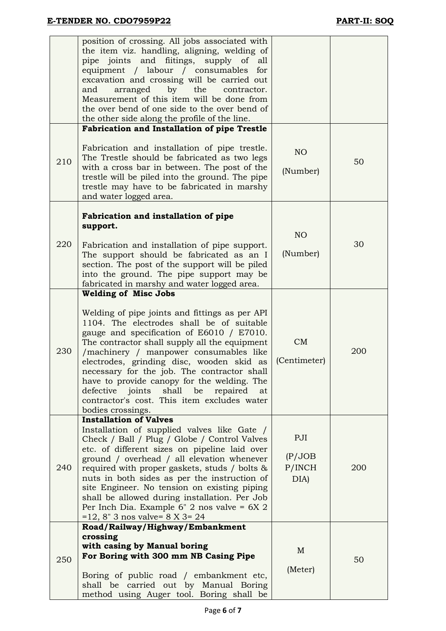|     | position of crossing. All jobs associated with<br>the item viz. handling, aligning, welding of<br>pipe joints and fiitings, supply of<br>all<br>equipment / labour / consumables<br>for<br>excavation and crossing will be carried out<br>the<br>arranged<br>by<br>and<br>contractor.<br>Measurement of this item will be done from<br>the over bend of one side to the over bend of<br>the other side along the profile of the line.                                                                                               |                                  |     |
|-----|-------------------------------------------------------------------------------------------------------------------------------------------------------------------------------------------------------------------------------------------------------------------------------------------------------------------------------------------------------------------------------------------------------------------------------------------------------------------------------------------------------------------------------------|----------------------------------|-----|
| 210 | <b>Fabrication and Installation of pipe Trestle</b><br>Fabrication and installation of pipe trestle.<br>The Trestle should be fabricated as two legs<br>with a cross bar in between. The post of the<br>trestle will be piled into the ground. The pipe<br>trestle may have to be fabricated in marshy<br>and water logged area.                                                                                                                                                                                                    | NO<br>(Number)                   | 50  |
| 220 | Fabrication and installation of pipe<br>support.<br>Fabrication and installation of pipe support.<br>The support should be fabricated as an I<br>section. The post of the support will be piled<br>into the ground. The pipe support may be<br>fabricated in marshy and water logged area.                                                                                                                                                                                                                                          | NO<br>(Number)                   | 30  |
| 230 | <b>Welding of Misc Jobs</b><br>Welding of pipe joints and fittings as per API<br>1104. The electrodes shall be of suitable<br>gauge and specification of E6010 / E7010.<br>The contractor shall supply all the equipment<br>/machinery / manpower consumables like<br>electrodes, grinding disc, wooden skid as<br>necessary for the job. The contractor shall<br>have to provide canopy for the welding. The<br>shall be<br>defective joints<br>repaired<br>at<br>contractor's cost. This item excludes water<br>bodies crossings. | CM<br>(Centimeter)               | 200 |
| 240 | <b>Installation of Valves</b><br>Installation of supplied valves like Gate /<br>Check / Ball / Plug / Globe / Control Valves<br>etc. of different sizes on pipeline laid over<br>ground / overhead / all elevation whenever<br>required with proper gaskets, studs / bolts &<br>nuts in both sides as per the instruction of<br>site Engineer. No tension on existing piping<br>shall be allowed during installation. Per Job<br>Per Inch Dia. Example $6''$ 2 nos valve = $6X$ 2<br>$= 12, 8$ " 3 nos valve= 8 X 3 = 24            | PJI<br>(P/JOB)<br>P/INCH<br>DIA) | 200 |
| 250 | Road/Railway/Highway/Embankment<br>crossing<br>with casing by Manual boring<br>For Boring with 300 mm NB Casing Pipe<br>Boring of public road / embankment etc,<br>shall be carried out by Manual Boring<br>method using Auger tool. Boring shall be                                                                                                                                                                                                                                                                                | M<br>(Meter)                     | 50  |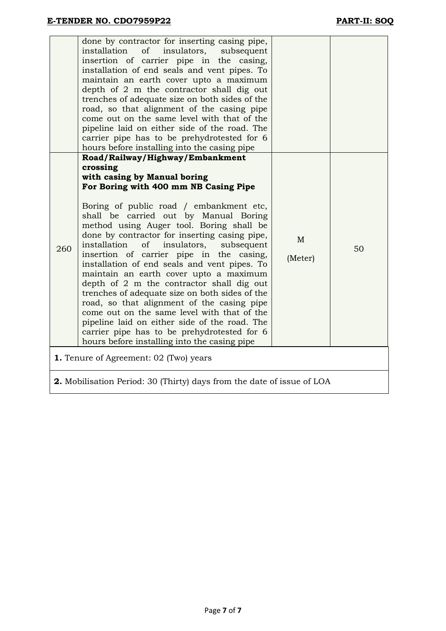|                                                                               | done by contractor for inserting casing pipe,<br>installation<br>of<br>insulators,<br>subsequent<br>insertion of carrier pipe in the casing,<br>installation of end seals and vent pipes. To<br>maintain an earth cover upto a maximum<br>depth of 2 m the contractor shall dig out<br>trenches of adequate size on both sides of the<br>road, so that alignment of the casing pipe<br>come out on the same level with that of the<br>pipeline laid on either side of the road. The<br>carrier pipe has to be prehydrotested for 6<br>hours before installing into the casing pipe                                                                                                                                                                                                                                                         |                         |    |  |  |  |
|-------------------------------------------------------------------------------|--------------------------------------------------------------------------------------------------------------------------------------------------------------------------------------------------------------------------------------------------------------------------------------------------------------------------------------------------------------------------------------------------------------------------------------------------------------------------------------------------------------------------------------------------------------------------------------------------------------------------------------------------------------------------------------------------------------------------------------------------------------------------------------------------------------------------------------------|-------------------------|----|--|--|--|
| 260                                                                           | Road/Railway/Highway/Embankment<br>crossing<br>with casing by Manual boring<br>For Boring with 400 mm NB Casing Pipe<br>Boring of public road / embankment etc,<br>shall be carried out by Manual Boring<br>method using Auger tool. Boring shall be<br>done by contractor for inserting casing pipe,<br>installation<br>of<br>insulators,<br>subsequent<br>insertion of carrier pipe in the casing,<br>installation of end seals and vent pipes. To<br>maintain an earth cover upto a maximum<br>depth of 2 m the contractor shall dig out<br>trenches of adequate size on both sides of the<br>road, so that alignment of the casing pipe<br>come out on the same level with that of the<br>pipeline laid on either side of the road. The<br>carrier pipe has to be prehydrotested for 6<br>hours before installing into the casing pipe | $\mathbf{M}$<br>(Meter) | 50 |  |  |  |
| <b>1.</b> Tenure of Agreement: 02 (Two) years                                 |                                                                                                                                                                                                                                                                                                                                                                                                                                                                                                                                                                                                                                                                                                                                                                                                                                            |                         |    |  |  |  |
| <b>2.</b> Mobilisation Period: 30 (Thirty) days from the date of issue of LOA |                                                                                                                                                                                                                                                                                                                                                                                                                                                                                                                                                                                                                                                                                                                                                                                                                                            |                         |    |  |  |  |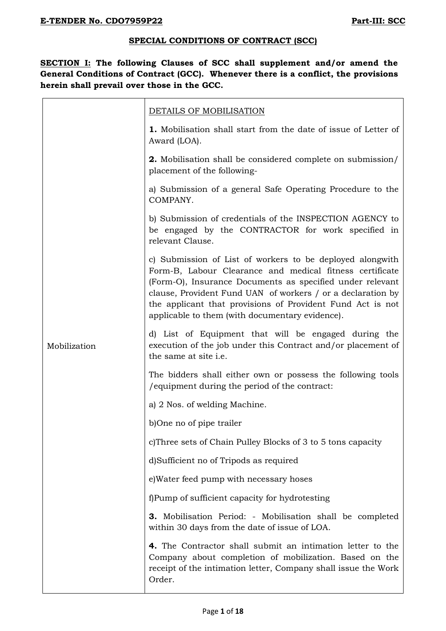#### **SPECIAL CONDITIONS OF CONTRACT (SCC)**

**SECTION I: The following Clauses of SCC shall supplement and/or amend the General Conditions of Contract (GCC). Whenever there is a conflict, the provisions herein shall prevail over those in the GCC.**

|              | DETAILS OF MOBILISATION                                                                                                                                                                                                                                                                                                                                            |  |  |  |  |  |  |
|--------------|--------------------------------------------------------------------------------------------------------------------------------------------------------------------------------------------------------------------------------------------------------------------------------------------------------------------------------------------------------------------|--|--|--|--|--|--|
|              | 1. Mobilisation shall start from the date of issue of Letter of<br>Award (LOA).                                                                                                                                                                                                                                                                                    |  |  |  |  |  |  |
|              | <b>2.</b> Mobilisation shall be considered complete on submission/<br>placement of the following-                                                                                                                                                                                                                                                                  |  |  |  |  |  |  |
|              | a) Submission of a general Safe Operating Procedure to the<br>COMPANY.                                                                                                                                                                                                                                                                                             |  |  |  |  |  |  |
|              | b) Submission of credentials of the INSPECTION AGENCY to<br>be engaged by the CONTRACTOR for work specified in<br>relevant Clause.                                                                                                                                                                                                                                 |  |  |  |  |  |  |
|              | c) Submission of List of workers to be deployed alongwith<br>Form-B, Labour Clearance and medical fitness certificate<br>(Form-O), Insurance Documents as specified under relevant<br>clause, Provident Fund UAN of workers / or a declaration by<br>the applicant that provisions of Provident Fund Act is not<br>applicable to them (with documentary evidence). |  |  |  |  |  |  |
| Mobilization | d) List of Equipment that will be engaged during the<br>execution of the job under this Contract and/or placement of<br>the same at site i.e.                                                                                                                                                                                                                      |  |  |  |  |  |  |
|              | The bidders shall either own or possess the following tools<br>/equipment during the period of the contract:                                                                                                                                                                                                                                                       |  |  |  |  |  |  |
|              | a) 2 Nos. of welding Machine.                                                                                                                                                                                                                                                                                                                                      |  |  |  |  |  |  |
|              | b)One no of pipe trailer                                                                                                                                                                                                                                                                                                                                           |  |  |  |  |  |  |
|              | c)Three sets of Chain Pulley Blocks of 3 to 5 tons capacity                                                                                                                                                                                                                                                                                                        |  |  |  |  |  |  |
|              | d)Sufficient no of Tripods as required                                                                                                                                                                                                                                                                                                                             |  |  |  |  |  |  |
|              | e) Water feed pump with necessary hoses                                                                                                                                                                                                                                                                                                                            |  |  |  |  |  |  |
|              | f)Pump of sufficient capacity for hydrotesting                                                                                                                                                                                                                                                                                                                     |  |  |  |  |  |  |
|              | <b>3.</b> Mobilisation Period: - Mobilisation shall be completed<br>within 30 days from the date of issue of LOA.                                                                                                                                                                                                                                                  |  |  |  |  |  |  |
|              | 4. The Contractor shall submit an intimation letter to the<br>Company about completion of mobilization. Based on the<br>receipt of the intimation letter, Company shall issue the Work<br>Order.                                                                                                                                                                   |  |  |  |  |  |  |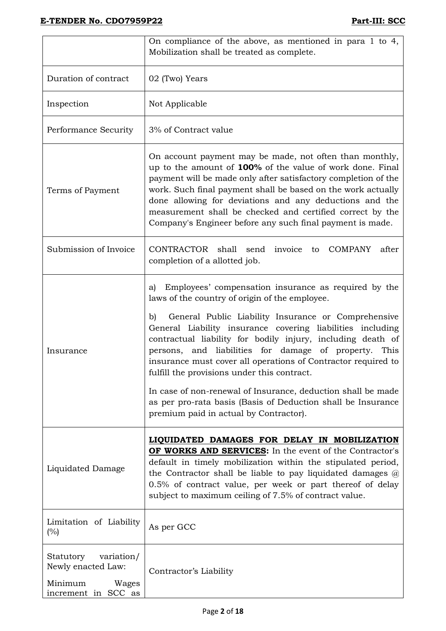|                                                                                          | On compliance of the above, as mentioned in para 1 to 4,<br>Mobilization shall be treated as complete.                                                                                                                                                                                                                                                                                                                                                                                                                                                                                                                                                 |  |  |  |  |
|------------------------------------------------------------------------------------------|--------------------------------------------------------------------------------------------------------------------------------------------------------------------------------------------------------------------------------------------------------------------------------------------------------------------------------------------------------------------------------------------------------------------------------------------------------------------------------------------------------------------------------------------------------------------------------------------------------------------------------------------------------|--|--|--|--|
| Duration of contract                                                                     | 02 (Two) Years                                                                                                                                                                                                                                                                                                                                                                                                                                                                                                                                                                                                                                         |  |  |  |  |
| Inspection                                                                               | Not Applicable                                                                                                                                                                                                                                                                                                                                                                                                                                                                                                                                                                                                                                         |  |  |  |  |
| Performance Security                                                                     | 3% of Contract value                                                                                                                                                                                                                                                                                                                                                                                                                                                                                                                                                                                                                                   |  |  |  |  |
| Terms of Payment                                                                         | On account payment may be made, not often than monthly,<br>up to the amount of 100% of the value of work done. Final<br>payment will be made only after satisfactory completion of the<br>work. Such final payment shall be based on the work actually<br>done allowing for deviations and any deductions and the<br>measurement shall be checked and certified correct by the<br>Company's Engineer before any such final payment is made.                                                                                                                                                                                                            |  |  |  |  |
| Submission of Invoice                                                                    | CONTRACTOR shall send<br>invoice to COMPANY<br>after<br>completion of a allotted job.                                                                                                                                                                                                                                                                                                                                                                                                                                                                                                                                                                  |  |  |  |  |
| Insurance                                                                                | a) Employees' compensation insurance as required by the<br>laws of the country of origin of the employee.<br>General Public Liability Insurance or Comprehensive<br>b)<br>General Liability insurance covering liabilities including<br>contractual liability for bodily injury, including death of<br>persons, and liabilities for damage of property. This<br>insurance must cover all operations of Contractor required to<br>fulfill the provisions under this contract.<br>In case of non-renewal of Insurance, deduction shall be made<br>as per pro-rata basis (Basis of Deduction shall be Insurance<br>premium paid in actual by Contractor). |  |  |  |  |
| Liquidated Damage                                                                        | LIQUIDATED DAMAGES FOR DELAY IN MOBILIZATION<br><b>OF WORKS AND SERVICES:</b> In the event of the Contractor's<br>default in timely mobilization within the stipulated period,<br>the Contractor shall be liable to pay liquidated damages $\varphi$<br>0.5% of contract value, per week or part thereof of delay<br>subject to maximum ceiling of 7.5% of contract value.                                                                                                                                                                                                                                                                             |  |  |  |  |
| Limitation of Liability<br>(%)                                                           | As per GCC                                                                                                                                                                                                                                                                                                                                                                                                                                                                                                                                                                                                                                             |  |  |  |  |
| variation/<br>Statutory<br>Newly enacted Law:<br>Minimum<br>Wages<br>increment in SCC as | Contractor's Liability                                                                                                                                                                                                                                                                                                                                                                                                                                                                                                                                                                                                                                 |  |  |  |  |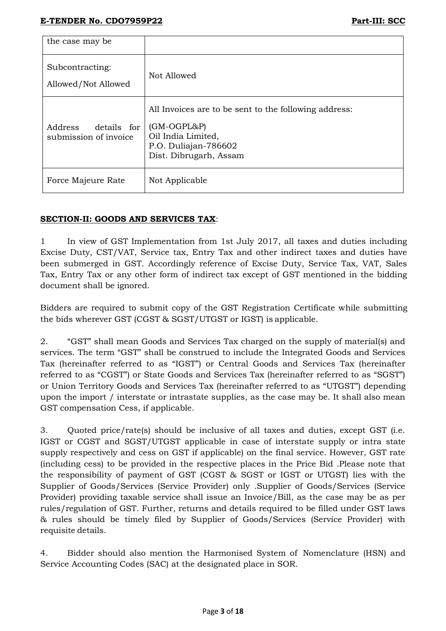| the case may be                                 |                                                                                                                                                |
|-------------------------------------------------|------------------------------------------------------------------------------------------------------------------------------------------------|
| Subcontracting:<br>Allowed/Not Allowed          | Not Allowed                                                                                                                                    |
| Address<br>details for<br>submission of invoice | All Invoices are to be sent to the following address:<br>$(GM-OGPL&P)$<br>Oil India Limited,<br>P.O. Duliajan-786602<br>Dist. Dibrugarh, Assam |
| Force Majeure Rate                              | Not Applicable                                                                                                                                 |

# **SECTION-II: GOODS AND SERVICES TAX**:

1 In view of GST Implementation from 1st July 2017, all taxes and duties including Excise Duty, CST/VAT, Service tax, Entry Tax and other indirect taxes and duties have been submerged in GST. Accordingly reference of Excise Duty, Service Tax, VAT, Sales Tax, Entry Tax or any other form of indirect tax except of GST mentioned in the bidding document shall be ignored.

Bidders are required to submit copy of the GST Registration Certificate while submitting the bids wherever GST (CGST & SGST/UTGST or IGST) is applicable.

2. "GST" shall mean Goods and Services Tax charged on the supply of material(s) and services. The term "GST" shall be construed to include the Integrated Goods and Services Tax (hereinafter referred to as "IGST") or Central Goods and Services Tax (hereinafter referred to as "CGST") or State Goods and Services Tax (hereinafter referred to as "SGST") or Union Territory Goods and Services Tax (hereinafter referred to as "UTGST") depending upon the import / interstate or intrastate supplies, as the case may be. It shall also mean GST compensation Cess, if applicable.

3. Quoted price/rate(s) should be inclusive of all taxes and duties, except GST (i.e. IGST or CGST and SGST/UTGST applicable in case of interstate supply or intra state supply respectively and cess on GST if applicable) on the final service. However, GST rate (including cess) to be provided in the respective places in the Price Bid .Please note that the responsibility of payment of GST (CGST & SGST or IGST or UTGST) lies with the Supplier of Goods/Services (Service Provider) only .Supplier of Goods/Services (Service Provider) providing taxable service shall issue an Invoice/Bill, as the case may be as per rules/regulation of GST. Further, returns and details required to be filled under GST laws & rules should be timely filed by Supplier of Goods/Services (Service Provider) with requisite details.

4. Bidder should also mention the Harmonised System of Nomenclature (HSN) and Service Accounting Codes (SAC) at the designated place in SOR.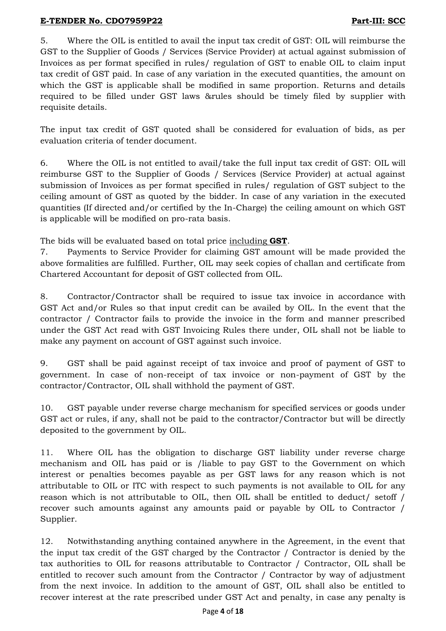5. Where the OIL is entitled to avail the input tax credit of GST: OIL will reimburse the GST to the Supplier of Goods / Services (Service Provider) at actual against submission of Invoices as per format specified in rules/ regulation of GST to enable OIL to claim input tax credit of GST paid. In case of any variation in the executed quantities, the amount on which the GST is applicable shall be modified in same proportion. Returns and details required to be filled under GST laws &rules should be timely filed by supplier with requisite details.

The input tax credit of GST quoted shall be considered for evaluation of bids, as per evaluation criteria of tender document.

6. Where the OIL is not entitled to avail/take the full input tax credit of GST: OIL will reimburse GST to the Supplier of Goods / Services (Service Provider) at actual against submission of Invoices as per format specified in rules/ regulation of GST subject to the ceiling amount of GST as quoted by the bidder. In case of any variation in the executed quantities (If directed and/or certified by the In-Charge) the ceiling amount on which GST is applicable will be modified on pro-rata basis.

The bids will be evaluated based on total price including **GST**.

7. Payments to Service Provider for claiming GST amount will be made provided the above formalities are fulfilled. Further, OIL may seek copies of challan and certificate from Chartered Accountant for deposit of GST collected from OIL.

8. Contractor/Contractor shall be required to issue tax invoice in accordance with GST Act and/or Rules so that input credit can be availed by OIL. In the event that the contractor / Contractor fails to provide the invoice in the form and manner prescribed under the GST Act read with GST Invoicing Rules there under, OIL shall not be liable to make any payment on account of GST against such invoice.

9. GST shall be paid against receipt of tax invoice and proof of payment of GST to government. In case of non-receipt of tax invoice or non-payment of GST by the contractor/Contractor, OIL shall withhold the payment of GST.

10. GST payable under reverse charge mechanism for specified services or goods under GST act or rules, if any, shall not be paid to the contractor/Contractor but will be directly deposited to the government by OIL.

11. Where OIL has the obligation to discharge GST liability under reverse charge mechanism and OIL has paid or is /liable to pay GST to the Government on which interest or penalties becomes payable as per GST laws for any reason which is not attributable to OIL or ITC with respect to such payments is not available to OIL for any reason which is not attributable to OIL, then OIL shall be entitled to deduct/ setoff / recover such amounts against any amounts paid or payable by OIL to Contractor / Supplier.

12. Notwithstanding anything contained anywhere in the Agreement, in the event that the input tax credit of the GST charged by the Contractor / Contractor is denied by the tax authorities to OIL for reasons attributable to Contractor / Contractor, OIL shall be entitled to recover such amount from the Contractor / Contractor by way of adjustment from the next invoice. In addition to the amount of GST, OIL shall also be entitled to recover interest at the rate prescribed under GST Act and penalty, in case any penalty is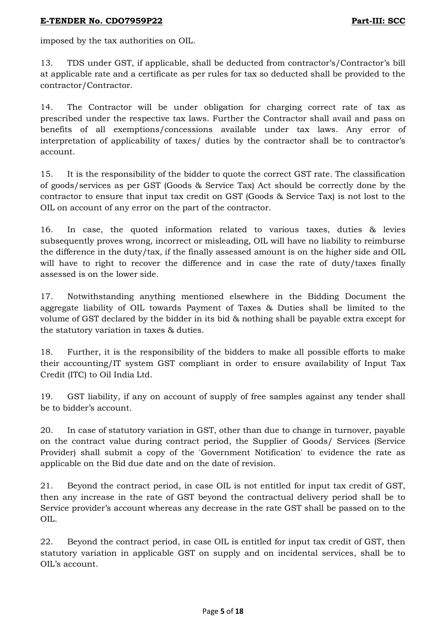imposed by the tax authorities on OIL.

13. TDS under GST, if applicable, shall be deducted from contractor's/Contractor's bill at applicable rate and a certificate as per rules for tax so deducted shall be provided to the contractor/Contractor.

14. The Contractor will be under obligation for charging correct rate of tax as prescribed under the respective tax laws. Further the Contractor shall avail and pass on benefits of all exemptions/concessions available under tax laws. Any error of interpretation of applicability of taxes/ duties by the contractor shall be to contractor's account.

15. It is the responsibility of the bidder to quote the correct GST rate. The classification of goods/services as per GST (Goods & Service Tax) Act should be correctly done by the contractor to ensure that input tax credit on GST (Goods & Service Tax) is not lost to the OIL on account of any error on the part of the contractor.

16. In case, the quoted information related to various taxes, duties & levies subsequently proves wrong, incorrect or misleading, OIL will have no liability to reimburse the difference in the duty/tax, if the finally assessed amount is on the higher side and OIL will have to right to recover the difference and in case the rate of duty/taxes finally assessed is on the lower side.

17. Notwithstanding anything mentioned elsewhere in the Bidding Document the aggregate liability of OIL towards Payment of Taxes & Duties shall be limited to the volume of GST declared by the bidder in its bid & nothing shall be payable extra except for the statutory variation in taxes & duties.

18. Further, it is the responsibility of the bidders to make all possible efforts to make their accounting/IT system GST compliant in order to ensure availability of Input Tax Credit (ITC) to Oil India Ltd.

19. GST liability, if any on account of supply of free samples against any tender shall be to bidder's account.

20. In case of statutory variation in GST, other than due to change in turnover, payable on the contract value during contract period, the Supplier of Goods/ Services (Service Provider) shall submit a copy of the 'Government Notification' to evidence the rate as applicable on the Bid due date and on the date of revision.

21. Beyond the contract period, in case OIL is not entitled for input tax credit of GST, then any increase in the rate of GST beyond the contractual delivery period shall be to Service provider's account whereas any decrease in the rate GST shall be passed on to the OIL.

22. Beyond the contract period, in case OIL is entitled for input tax credit of GST, then statutory variation in applicable GST on supply and on incidental services, shall be to OIL's account.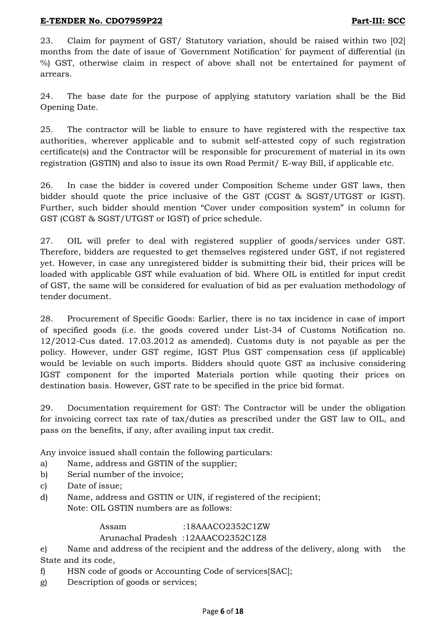23. Claim for payment of GST/ Statutory variation, should be raised within two [02] months from the date of issue of 'Government Notification' for payment of differential (in %) GST, otherwise claim in respect of above shall not be entertained for payment of arrears.

24. The base date for the purpose of applying statutory variation shall be the Bid Opening Date.

25. The contractor will be liable to ensure to have registered with the respective tax authorities, wherever applicable and to submit self-attested copy of such registration certificate(s) and the Contractor will be responsible for procurement of material in its own registration (GSTIN) and also to issue its own Road Permit/ E-way Bill, if applicable etc.

26. In case the bidder is covered under Composition Scheme under GST laws, then bidder should quote the price inclusive of the GST (CGST & SGST/UTGST or IGST). Further, such bidder should mention "Cover under composition system" in column for GST (CGST & SGST/UTGST or IGST) of price schedule.

27. OIL will prefer to deal with registered supplier of goods/services under GST. Therefore, bidders are requested to get themselves registered under GST, if not registered yet. However, in case any unregistered bidder is submitting their bid, their prices will be loaded with applicable GST while evaluation of bid. Where OIL is entitled for input credit of GST, the same will be considered for evaluation of bid as per evaluation methodology of tender document.

28. Procurement of Specific Goods: Earlier, there is no tax incidence in case of import of specified goods (i.e. the goods covered under List-34 of Customs Notification no. 12/2012-Cus dated. 17.03.2012 as amended). Customs duty is not payable as per the policy. However, under GST regime, IGST Plus GST compensation cess (if applicable) would be leviable on such imports. Bidders should quote GST as inclusive considering IGST component for the imported Materials portion while quoting their prices on destination basis. However, GST rate to be specified in the price bid format.

29. Documentation requirement for GST: The Contractor will be under the obligation for invoicing correct tax rate of tax/duties as prescribed under the GST law to OIL, and pass on the benefits, if any, after availing input tax credit.

Any invoice issued shall contain the following particulars:

- a) Name, address and GSTIN of the supplier;
- b) Serial number of the invoice;
- c) Date of issue;
- d) Name, address and GSTIN or UIN, if registered of the recipient; Note: OIL GSTIN numbers are as follows:

Assam :18AAACO2352C1ZW

### Arunachal Pradesh :12AAACO2352C1Z8

e) Name and address of the recipient and the address of the delivery, along with the State and its code,

- f) HSN code of goods or Accounting Code of services[SAC];
- g) Description of goods or services;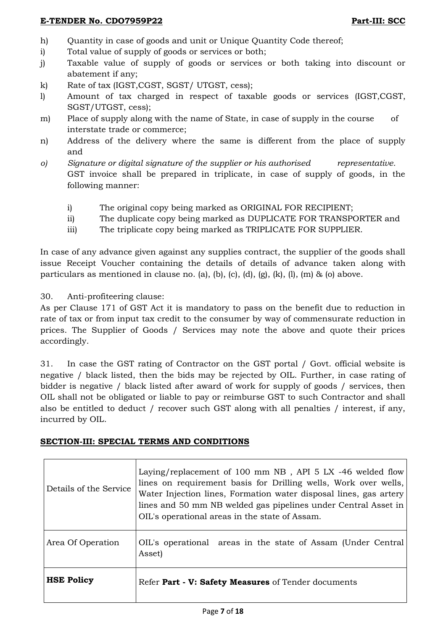- h) Quantity in case of goods and unit or Unique Quantity Code thereof;
- i) Total value of supply of goods or services or both;
- j) Taxable value of supply of goods or services or both taking into discount or abatement if any;
- k) Rate of tax (IGST,CGST, SGST/ UTGST, cess);
- l) Amount of tax charged in respect of taxable goods or services (IGST,CGST, SGST/UTGST, cess);
- m) Place of supply along with the name of State, in case of supply in the course of interstate trade or commerce;
- n) Address of the delivery where the same is different from the place of supply and
- *o) Signature or digital signature of the supplier or his authorised representative.* GST invoice shall be prepared in triplicate, in case of supply of goods, in the following manner:
	- i) The original copy being marked as ORIGINAL FOR RECIPIENT;
	- ii) The duplicate copy being marked as DUPLICATE FOR TRANSPORTER and
	- iii) The triplicate copy being marked as TRIPLICATE FOR SUPPLIER.

In case of any advance given against any supplies contract, the supplier of the goods shall issue Receipt Voucher containing the details of details of advance taken along with particulars as mentioned in clause no. (a), (b), (c), (d),  $(g)$ ,  $(k)$ ,  $(l)$ ,  $(m)$  &  $(o)$  above.

30. Anti-profiteering clause:

As per Clause 171 of GST Act it is mandatory to pass on the benefit due to reduction in rate of tax or from input tax credit to the consumer by way of commensurate reduction in prices. The Supplier of Goods / Services may note the above and quote their prices accordingly.

31. In case the GST rating of Contractor on the GST portal / Govt. official website is negative / black listed, then the bids may be rejected by OIL. Further, in case rating of bidder is negative / black listed after award of work for supply of goods / services, then OIL shall not be obligated or liable to pay or reimburse GST to such Contractor and shall also be entitled to deduct / recover such GST along with all penalties / interest, if any, incurred by OIL.

#### **SECTION-III: SPECIAL TERMS AND CONDITIONS**

| Details of the Service | Laying/replacement of 100 mm NB, API 5 LX -46 welded flow<br>lines on requirement basis for Drilling wells, Work over wells,<br>Water Injection lines, Formation water disposal lines, gas artery<br>lines and 50 mm NB welded gas pipelines under Central Asset in<br>OIL's operational areas in the state of Assam. |
|------------------------|-----------------------------------------------------------------------------------------------------------------------------------------------------------------------------------------------------------------------------------------------------------------------------------------------------------------------|
| Area Of Operation      | OIL's operational areas in the state of Assam (Under Central<br>Asset)                                                                                                                                                                                                                                                |
| <b>HSE Policy</b>      | Refer Part - V: Safety Measures of Tender documents                                                                                                                                                                                                                                                                   |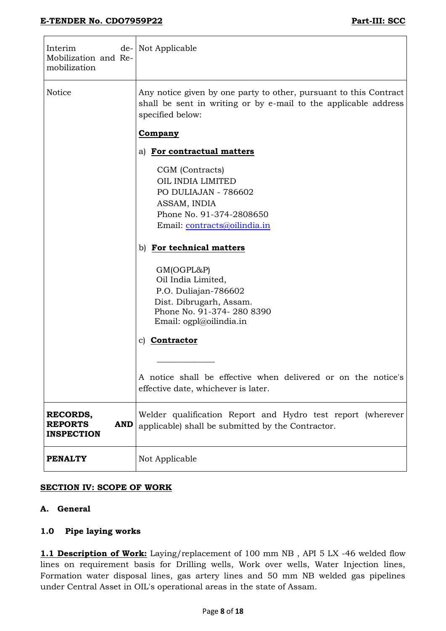$\overline{1}$ 

| Interim<br>Mobilization and Re-<br>mobilization               | de- Not Applicable                                                                                                                                       |
|---------------------------------------------------------------|----------------------------------------------------------------------------------------------------------------------------------------------------------|
| Notice                                                        | Any notice given by one party to other, pursuant to this Contract<br>shall be sent in writing or by e-mail to the applicable address<br>specified below: |
|                                                               | <b>Company</b>                                                                                                                                           |
|                                                               | a) For contractual matters                                                                                                                               |
|                                                               | CGM (Contracts)<br>OIL INDIA LIMITED<br>PO DULIAJAN - 786602<br>ASSAM, INDIA<br>Phone No. 91-374-2808650<br>Email: contracts@oilindia.in                 |
|                                                               | b) For technical matters                                                                                                                                 |
|                                                               | GM(OGPL&P)<br>Oil India Limited,<br>P.O. Duliajan-786602<br>Dist. Dibrugarh, Assam.<br>Phone No. 91-374-280 8390<br>Email: ogpl@oilindia.in              |
|                                                               | c) Contractor                                                                                                                                            |
|                                                               | A notice shall be effective when delivered or on the notice's<br>effective date, whichever is later.                                                     |
| RECORDS,<br><b>REPORTS</b><br><b>AND</b><br><b>INSPECTION</b> | Welder qualification Report and Hydro test report (wherever<br>applicable) shall be submitted by the Contractor.                                         |
| <b>PENALTY</b>                                                | Not Applicable                                                                                                                                           |

#### **SECTION IV: SCOPE OF WORK**

#### **A. General**

#### **1.0 Pipe laying works**

**1.1 Description of Work:** Laying/replacement of 100 mm NB , API 5 LX -46 welded flow lines on requirement basis for Drilling wells, Work over wells, Water Injection lines, Formation water disposal lines, gas artery lines and 50 mm NB welded gas pipelines under Central Asset in OIL's operational areas in the state of Assam.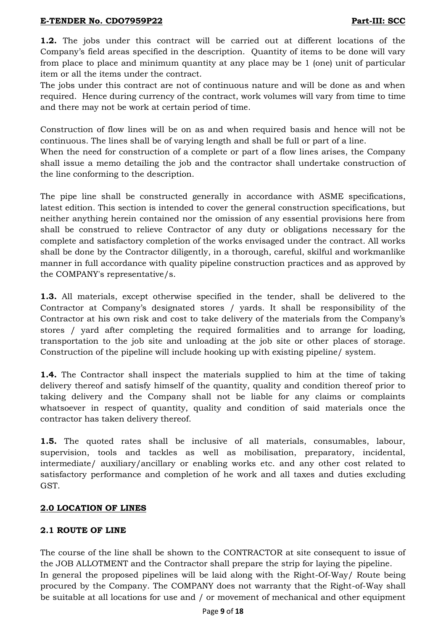**1.2.** The jobs under this contract will be carried out at different locations of the Company's field areas specified in the description. Quantity of items to be done will vary from place to place and minimum quantity at any place may be 1 (one) unit of particular item or all the items under the contract.

The jobs under this contract are not of continuous nature and will be done as and when required. Hence during currency of the contract, work volumes will vary from time to time and there may not be work at certain period of time.

Construction of flow lines will be on as and when required basis and hence will not be continuous. The lines shall be of varying length and shall be full or part of a line.

When the need for construction of a complete or part of a flow lines arises, the Company shall issue a memo detailing the job and the contractor shall undertake construction of the line conforming to the description.

The pipe line shall be constructed generally in accordance with ASME specifications, latest edition. This section is intended to cover the general construction specifications, but neither anything herein contained nor the omission of any essential provisions here from shall be construed to relieve Contractor of any duty or obligations necessary for the complete and satisfactory completion of the works envisaged under the contract. All works shall be done by the Contractor diligently, in a thorough, careful, skilful and workmanlike manner in full accordance with quality pipeline construction practices and as approved by the COMPANY's representative/s.

**1.3.** All materials, except otherwise specified in the tender, shall be delivered to the Contractor at Company's designated stores / yards. It shall be responsibility of the Contractor at his own risk and cost to take delivery of the materials from the Company's stores / yard after completing the required formalities and to arrange for loading, transportation to the job site and unloading at the job site or other places of storage. Construction of the pipeline will include hooking up with existing pipeline/ system.

**1.4.** The Contractor shall inspect the materials supplied to him at the time of taking delivery thereof and satisfy himself of the quantity, quality and condition thereof prior to taking delivery and the Company shall not be liable for any claims or complaints whatsoever in respect of quantity, quality and condition of said materials once the contractor has taken delivery thereof.

**1.5.** The quoted rates shall be inclusive of all materials, consumables, labour, supervision, tools and tackles as well as mobilisation, preparatory, incidental, intermediate/ auxiliary/ancillary or enabling works etc. and any other cost related to satisfactory performance and completion of he work and all taxes and duties excluding GST.

# **2.0 LOCATION OF LINES**

# **2.1 ROUTE OF LINE**

The course of the line shall be shown to the CONTRACTOR at site consequent to issue of the JOB ALLOTMENT and the Contractor shall prepare the strip for laying the pipeline. In general the proposed pipelines will be laid along with the Right-Of-Way/ Route being procured by the Company. The COMPANY does not warranty that the Right-of-Way shall be suitable at all locations for use and / or movement of mechanical and other equipment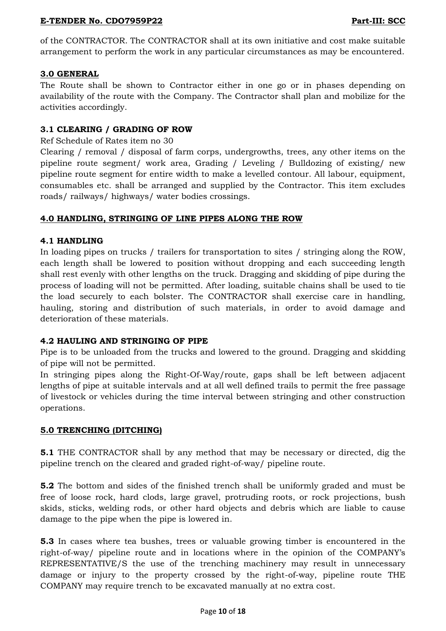of the CONTRACTOR. The CONTRACTOR shall at its own initiative and cost make suitable arrangement to perform the work in any particular circumstances as may be encountered.

#### **3.0 GENERAL**

The Route shall be shown to Contractor either in one go or in phases depending on availability of the route with the Company. The Contractor shall plan and mobilize for the activities accordingly.

# **3.1 CLEARING / GRADING OF ROW**

#### Ref Schedule of Rates item no 30

Clearing / removal / disposal of farm corps, undergrowths, trees, any other items on the pipeline route segment/ work area, Grading / Leveling / Bulldozing of existing/ new pipeline route segment for entire width to make a levelled contour. All labour, equipment, consumables etc. shall be arranged and supplied by the Contractor. This item excludes roads/ railways/ highways/ water bodies crossings.

# **4.0 HANDLING, STRINGING OF LINE PIPES ALONG THE ROW**

#### **4.1 HANDLING**

In loading pipes on trucks / trailers for transportation to sites / stringing along the ROW, each length shall be lowered to position without dropping and each succeeding length shall rest evenly with other lengths on the truck. Dragging and skidding of pipe during the process of loading will not be permitted. After loading, suitable chains shall be used to tie the load securely to each bolster. The CONTRACTOR shall exercise care in handling, hauling, storing and distribution of such materials, in order to avoid damage and deterioration of these materials.

#### **4.2 HAULING AND STRINGING OF PIPE**

Pipe is to be unloaded from the trucks and lowered to the ground. Dragging and skidding of pipe will not be permitted.

In stringing pipes along the Right-Of-Way/route, gaps shall be left between adjacent lengths of pipe at suitable intervals and at all well defined trails to permit the free passage of livestock or vehicles during the time interval between stringing and other construction operations.

#### **5.0 TRENCHING (DITCHING)**

**5.1** THE CONTRACTOR shall by any method that may be necessary or directed, dig the pipeline trench on the cleared and graded right-of-way/ pipeline route.

**5.2** The bottom and sides of the finished trench shall be uniformly graded and must be free of loose rock, hard clods, large gravel, protruding roots, or rock projections, bush skids, sticks, welding rods, or other hard objects and debris which are liable to cause damage to the pipe when the pipe is lowered in.

**5.3** In cases where tea bushes, trees or valuable growing timber is encountered in the right-of-way/ pipeline route and in locations where in the opinion of the COMPANY's REPRESENTATIVE/S the use of the trenching machinery may result in unnecessary damage or injury to the property crossed by the right-of-way, pipeline route THE COMPANY may require trench to be excavated manually at no extra cost.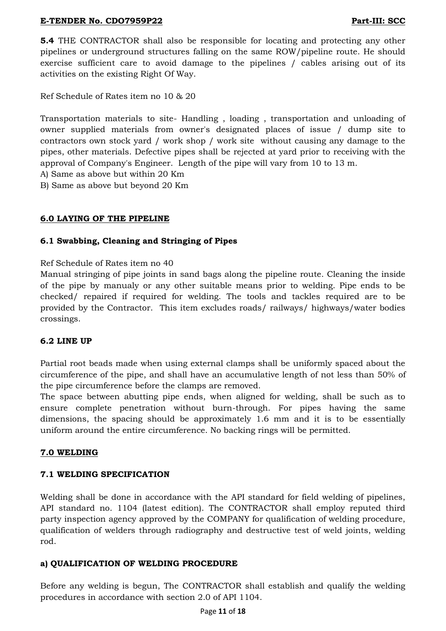**5.4** THE CONTRACTOR shall also be responsible for locating and protecting any other pipelines or underground structures falling on the same ROW/pipeline route. He should exercise sufficient care to avoid damage to the pipelines / cables arising out of its activities on the existing Right Of Way.

Ref Schedule of Rates item no 10 & 20

Transportation materials to site- Handling , loading , transportation and unloading of owner supplied materials from owner's designated places of issue / dump site to contractors own stock yard / work shop / work site without causing any damage to the pipes, other materials. Defective pipes shall be rejected at yard prior to receiving with the approval of Company's Engineer. Length of the pipe will vary from 10 to 13 m.

A) Same as above but within 20 Km

B) Same as above but beyond 20 Km

# **6.0 LAYING OF THE PIPELINE**

# **6.1 Swabbing, Cleaning and Stringing of Pipes**

Ref Schedule of Rates item no 40

Manual stringing of pipe joints in sand bags along the pipeline route. Cleaning the inside of the pipe by manualy or any other suitable means prior to welding. Pipe ends to be checked/ repaired if required for welding. The tools and tackles required are to be provided by the Contractor. This item excludes roads/ railways/ highways/water bodies crossings.

#### **6.2 LINE UP**

Partial root beads made when using external clamps shall be uniformly spaced about the circumference of the pipe, and shall have an accumulative length of not less than 50% of the pipe circumference before the clamps are removed.

The space between abutting pipe ends, when aligned for welding, shall be such as to ensure complete penetration without burn-through. For pipes having the same dimensions, the spacing should be approximately 1.6 mm and it is to be essentially uniform around the entire circumference. No backing rings will be permitted.

#### **7.0 WELDING**

#### **7.1 WELDING SPECIFICATION**

Welding shall be done in accordance with the API standard for field welding of pipelines, API standard no. 1104 (latest edition). The CONTRACTOR shall employ reputed third party inspection agency approved by the COMPANY for qualification of welding procedure, qualification of welders through radiography and destructive test of weld joints, welding rod.

#### **a) QUALIFICATION OF WELDING PROCEDURE**

Before any welding is begun, The CONTRACTOR shall establish and qualify the welding procedures in accordance with section 2.0 of API 1104.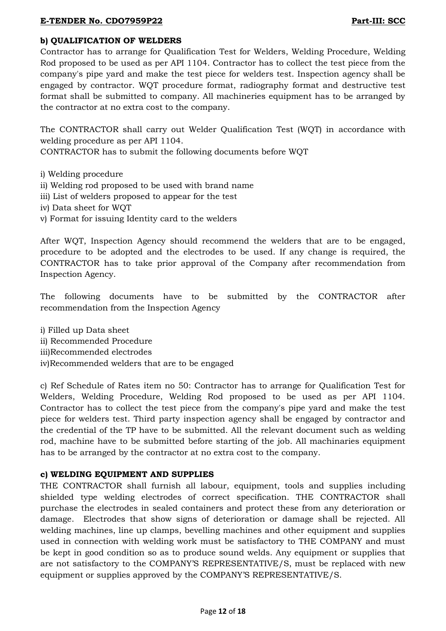# **b) QUALIFICATION OF WELDERS**

Contractor has to arrange for Qualification Test for Welders, Welding Procedure, Welding Rod proposed to be used as per API 1104. Contractor has to collect the test piece from the company's pipe yard and make the test piece for welders test. Inspection agency shall be engaged by contractor. WQT procedure format, radiography format and destructive test format shall be submitted to company. All machineries equipment has to be arranged by the contractor at no extra cost to the company.

The CONTRACTOR shall carry out Welder Qualification Test (WQT) in accordance with welding procedure as per API 1104.

CONTRACTOR has to submit the following documents before WQT

- i) Welding procedure
- ii) Welding rod proposed to be used with brand name
- iii) List of welders proposed to appear for the test
- iv) Data sheet for WQT
- v) Format for issuing Identity card to the welders

After WQT, Inspection Agency should recommend the welders that are to be engaged, procedure to be adopted and the electrodes to be used. If any change is required, the CONTRACTOR has to take prior approval of the Company after recommendation from Inspection Agency.

The following documents have to be submitted by the CONTRACTOR after recommendation from the Inspection Agency

i) Filled up Data sheet ii) Recommended Procedure iii)Recommended electrodes iv)Recommended welders that are to be engaged

c) Ref Schedule of Rates item no 50: Contractor has to arrange for Qualification Test for Welders, Welding Procedure, Welding Rod proposed to be used as per API 1104. Contractor has to collect the test piece from the company's pipe yard and make the test piece for welders test. Third party inspection agency shall be engaged by contractor and the credential of the TP have to be submitted. All the relevant document such as welding rod, machine have to be submitted before starting of the job. All machinaries equipment has to be arranged by the contractor at no extra cost to the company.

#### **c) WELDING EQUIPMENT AND SUPPLIES**

THE CONTRACTOR shall furnish all labour, equipment, tools and supplies including shielded type welding electrodes of correct specification. THE CONTRACTOR shall purchase the electrodes in sealed containers and protect these from any deterioration or damage. Electrodes that show signs of deterioration or damage shall be rejected. All welding machines, line up clamps, bevelling machines and other equipment and supplies used in connection with welding work must be satisfactory to THE COMPANY and must be kept in good condition so as to produce sound welds. Any equipment or supplies that are not satisfactory to the COMPANY'S REPRESENTATIVE/S, must be replaced with new equipment or supplies approved by the COMPANY'S REPRESENTATIVE/S.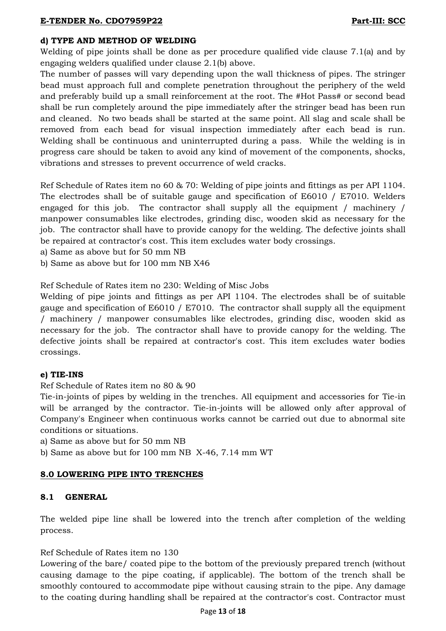# **d) TYPE AND METHOD OF WELDING**

Welding of pipe joints shall be done as per procedure qualified vide clause 7.1(a) and by engaging welders qualified under clause 2.1(b) above.

The number of passes will vary depending upon the wall thickness of pipes. The stringer bead must approach full and complete penetration throughout the periphery of the weld and preferably build up a small reinforcement at the root. The #Hot Pass# or second bead shall be run completely around the pipe immediately after the stringer bead has been run and cleaned. No two beads shall be started at the same point. All slag and scale shall be removed from each bead for visual inspection immediately after each bead is run. Welding shall be continuous and uninterrupted during a pass. While the welding is in progress care should be taken to avoid any kind of movement of the components, shocks, vibrations and stresses to prevent occurrence of weld cracks.

Ref Schedule of Rates item no 60 & 70: Welding of pipe joints and fittings as per API 1104. The electrodes shall be of suitable gauge and specification of E6010 / E7010. Welders engaged for this job. The contractor shall supply all the equipment / machinery / manpower consumables like electrodes, grinding disc, wooden skid as necessary for the job. The contractor shall have to provide canopy for the welding. The defective joints shall be repaired at contractor's cost. This item excludes water body crossings.

a) Same as above but for 50 mm NB

b) Same as above but for 100 mm NB X46

Ref Schedule of Rates item no 230: Welding of Misc Jobs

Welding of pipe joints and fittings as per API 1104. The electrodes shall be of suitable gauge and specification of E6010 / E7010. The contractor shall supply all the equipment / machinery / manpower consumables like electrodes, grinding disc, wooden skid as necessary for the job. The contractor shall have to provide canopy for the welding. The defective joints shall be repaired at contractor's cost. This item excludes water bodies crossings.

#### **e) TIE-INS**

Ref Schedule of Rates item no 80 & 90

Tie-in-joints of pipes by welding in the trenches. All equipment and accessories for Tie-in will be arranged by the contractor. Tie-in-joints will be allowed only after approval of Company's Engineer when continuous works cannot be carried out due to abnormal site conditions or situations.

a) Same as above but for 50 mm NB

b) Same as above but for 100 mm NB X-46, 7.14 mm WT

#### **8.0 LOWERING PIPE INTO TRENCHES**

#### **8.1 GENERAL**

The welded pipe line shall be lowered into the trench after completion of the welding process.

#### Ref Schedule of Rates item no 130

Lowering of the bare/ coated pipe to the bottom of the previously prepared trench (without causing damage to the pipe coating, if applicable). The bottom of the trench shall be smoothly contoured to accommodate pipe without causing strain to the pipe. Any damage to the coating during handling shall be repaired at the contractor's cost. Contractor must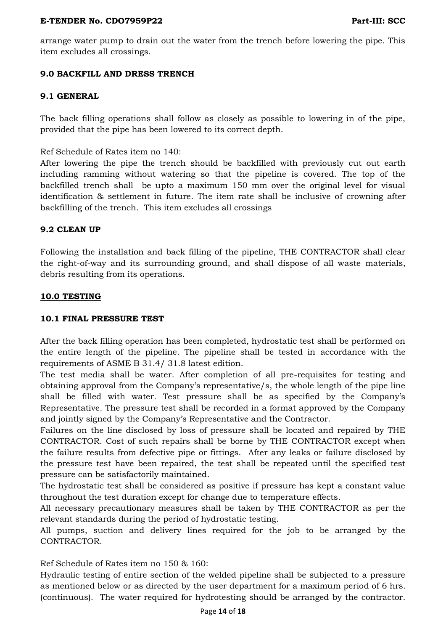arrange water pump to drain out the water from the trench before lowering the pipe. This item excludes all crossings.

## **9.0 BACKFILL AND DRESS TRENCH**

#### **9.1 GENERAL**

The back filling operations shall follow as closely as possible to lowering in of the pipe, provided that the pipe has been lowered to its correct depth.

Ref Schedule of Rates item no 140:

After lowering the pipe the trench should be backfilled with previously cut out earth including ramming without watering so that the pipeline is covered. The top of the backfilled trench shall be upto a maximum 150 mm over the original level for visual identification & settlement in future. The item rate shall be inclusive of crowning after backfilling of the trench. This item excludes all crossings

#### **9.2 CLEAN UP**

Following the installation and back filling of the pipeline, THE CONTRACTOR shall clear the right-of-way and its surrounding ground, and shall dispose of all waste materials, debris resulting from its operations.

#### **10.0 TESTING**

#### **10.1 FINAL PRESSURE TEST**

After the back filling operation has been completed, hydrostatic test shall be performed on the entire length of the pipeline. The pipeline shall be tested in accordance with the requirements of ASME B 31.4/ 31.8 latest edition.

The test media shall be water. After completion of all pre-requisites for testing and obtaining approval from the Company's representative/s, the whole length of the pipe line shall be filled with water. Test pressure shall be as specified by the Company's Representative. The pressure test shall be recorded in a format approved by the Company and jointly signed by the Company's Representative and the Contractor.

Failures on the line disclosed by loss of pressure shall be located and repaired by THE CONTRACTOR. Cost of such repairs shall be borne by THE CONTRACTOR except when the failure results from defective pipe or fittings. After any leaks or failure disclosed by the pressure test have been repaired, the test shall be repeated until the specified test pressure can be satisfactorily maintained.

The hydrostatic test shall be considered as positive if pressure has kept a constant value throughout the test duration except for change due to temperature effects.

All necessary precautionary measures shall be taken by THE CONTRACTOR as per the relevant standards during the period of hydrostatic testing.

All pumps, suction and delivery lines required for the job to be arranged by the CONTRACTOR.

Ref Schedule of Rates item no 150 & 160:

Hydraulic testing of entire section of the welded pipeline shall be subjected to a pressure as mentioned below or as directed by the user department for a maximum period of 6 hrs. (continuous). The water required for hydrotesting should be arranged by the contractor.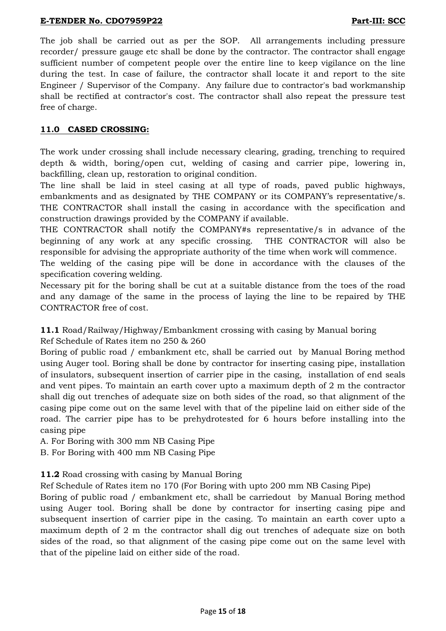The job shall be carried out as per the SOP. All arrangements including pressure recorder/ pressure gauge etc shall be done by the contractor. The contractor shall engage sufficient number of competent people over the entire line to keep vigilance on the line during the test. In case of failure, the contractor shall locate it and report to the site Engineer / Supervisor of the Company. Any failure due to contractor's bad workmanship shall be rectified at contractor's cost. The contractor shall also repeat the pressure test free of charge.

# **11.0 CASED CROSSING:**

The work under crossing shall include necessary clearing, grading, trenching to required depth & width, boring/open cut, welding of casing and carrier pipe, lowering in, backfilling, clean up, restoration to original condition.

The line shall be laid in steel casing at all type of roads, paved public highways, embankments and as designated by THE COMPANY or its COMPANY's representative/s. THE CONTRACTOR shall install the casing in accordance with the specification and construction drawings provided by the COMPANY if available.

THE CONTRACTOR shall notify the COMPANY#s representative/s in advance of the beginning of any work at any specific crossing. THE CONTRACTOR will also be responsible for advising the appropriate authority of the time when work will commence.

The welding of the casing pipe will be done in accordance with the clauses of the specification covering welding.

Necessary pit for the boring shall be cut at a suitable distance from the toes of the road and any damage of the same in the process of laying the line to be repaired by THE CONTRACTOR free of cost.

# **11.1** Road/Railway/Highway/Embankment crossing with casing by Manual boring

Ref Schedule of Rates item no 250 & 260

Boring of public road / embankment etc, shall be carried out by Manual Boring method using Auger tool. Boring shall be done by contractor for inserting casing pipe, installation of insulators, subsequent insertion of carrier pipe in the casing, installation of end seals and vent pipes. To maintain an earth cover upto a maximum depth of 2 m the contractor shall dig out trenches of adequate size on both sides of the road, so that alignment of the casing pipe come out on the same level with that of the pipeline laid on either side of the road. The carrier pipe has to be prehydrotested for 6 hours before installing into the casing pipe

A. For Boring with 300 mm NB Casing Pipe

B. For Boring with 400 mm NB Casing Pipe

#### **11.2** Road crossing with casing by Manual Boring

Ref Schedule of Rates item no 170 (For Boring with upto 200 mm NB Casing Pipe)

Boring of public road / embankment etc, shall be carriedout by Manual Boring method using Auger tool. Boring shall be done by contractor for inserting casing pipe and subsequent insertion of carrier pipe in the casing. To maintain an earth cover upto a maximum depth of 2 m the contractor shall dig out trenches of adequate size on both sides of the road, so that alignment of the casing pipe come out on the same level with that of the pipeline laid on either side of the road.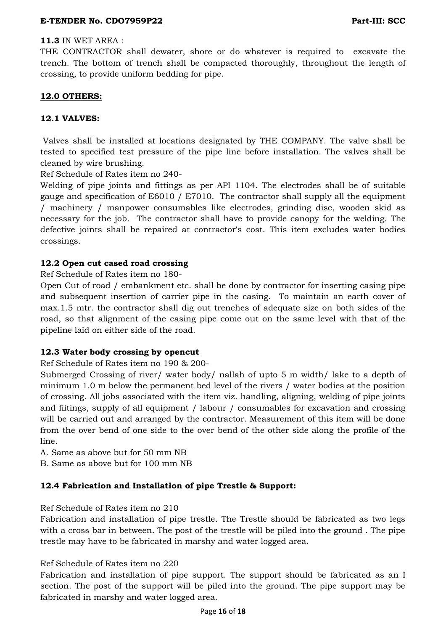# **11.3** IN WET AREA :

THE CONTRACTOR shall dewater, shore or do whatever is required to excavate the trench. The bottom of trench shall be compacted thoroughly, throughout the length of crossing, to provide uniform bedding for pipe.

# **12.0 OTHERS:**

# **12.1 VALVES:**

Valves shall be installed at locations designated by THE COMPANY. The valve shall be tested to specified test pressure of the pipe line before installation. The valves shall be cleaned by wire brushing.

Ref Schedule of Rates item no 240-

Welding of pipe joints and fittings as per API 1104. The electrodes shall be of suitable gauge and specification of E6010 / E7010. The contractor shall supply all the equipment / machinery / manpower consumables like electrodes, grinding disc, wooden skid as necessary for the job. The contractor shall have to provide canopy for the welding. The defective joints shall be repaired at contractor's cost. This item excludes water bodies crossings.

# **12.2 Open cut cased road crossing**

Ref Schedule of Rates item no 180-

Open Cut of road / embankment etc. shall be done by contractor for inserting casing pipe and subsequent insertion of carrier pipe in the casing. To maintain an earth cover of max.1.5 mtr. the contractor shall dig out trenches of adequate size on both sides of the road, so that alignment of the casing pipe come out on the same level with that of the pipeline laid on either side of the road.

#### **12.3 Water body crossing by opencut**

Ref Schedule of Rates item no 190 & 200-

Submerged Crossing of river/ water body/ nallah of upto 5 m width/ lake to a depth of minimum 1.0 m below the permanent bed level of the rivers / water bodies at the position of crossing. All jobs associated with the item viz. handling, aligning, welding of pipe joints and fiitings, supply of all equipment / labour / consumables for excavation and crossing will be carried out and arranged by the contractor. Measurement of this item will be done from the over bend of one side to the over bend of the other side along the profile of the line.

A. Same as above but for 50 mm NB

B. Same as above but for 100 mm NB

#### **12.4 Fabrication and Installation of pipe Trestle & Support:**

Ref Schedule of Rates item no 210

Fabrication and installation of pipe trestle. The Trestle should be fabricated as two legs with a cross bar in between. The post of the trestle will be piled into the ground . The pipe trestle may have to be fabricated in marshy and water logged area.

#### Ref Schedule of Rates item no 220

Fabrication and installation of pipe support. The support should be fabricated as an I section. The post of the support will be piled into the ground. The pipe support may be fabricated in marshy and water logged area.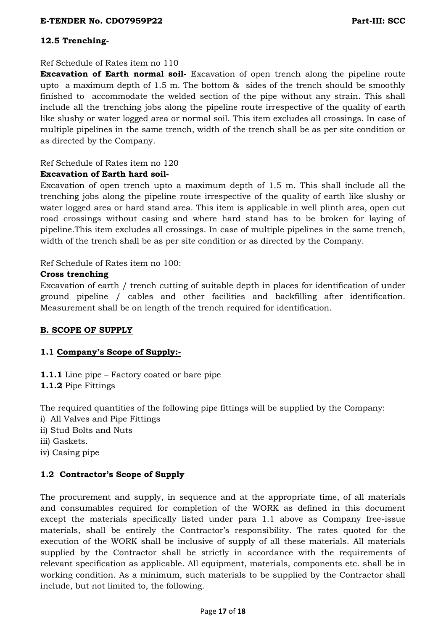# **12.5 Trenching-**

## Ref Schedule of Rates item no 110

**Excavation of Earth normal soil-** Excavation of open trench along the pipeline route upto a maximum depth of 1.5 m. The bottom & sides of the trench should be smoothly finished to accommodate the welded section of the pipe without any strain. This shall include all the trenching jobs along the pipeline route irrespective of the quality of earth like slushy or water logged area or normal soil. This item excludes all crossings. In case of multiple pipelines in the same trench, width of the trench shall be as per site condition or as directed by the Company.

# Ref Schedule of Rates item no 120

# **Excavation of Earth hard soil-**

Excavation of open trench upto a maximum depth of 1.5 m. This shall include all the trenching jobs along the pipeline route irrespective of the quality of earth like slushy or water logged area or hard stand area. This item is applicable in well plinth area, open cut road crossings without casing and where hard stand has to be broken for laying of pipeline.This item excludes all crossings. In case of multiple pipelines in the same trench, width of the trench shall be as per site condition or as directed by the Company.

Ref Schedule of Rates item no 100:

# **Cross trenching**

Excavation of earth / trench cutting of suitable depth in places for identification of under ground pipeline / cables and other facilities and backfilling after identification. Measurement shall be on length of the trench required for identification.

# **B. SCOPE OF SUPPLY**

# **1.1 Company's Scope of Supply:-**

**1.1.1** Line pipe – Factory coated or bare pipe

**1.1.2** Pipe Fittings

The required quantities of the following pipe fittings will be supplied by the Company:

- i) All Valves and Pipe Fittings
- ii) Stud Bolts and Nuts
- iii) Gaskets.
- iv) Casing pipe

# **1.2 Contractor's Scope of Supply**

The procurement and supply, in sequence and at the appropriate time, of all materials and consumables required for completion of the WORK as defined in this document except the materials specifically listed under para 1.1 above as Company free-issue materials, shall be entirely the Contractor's responsibility. The rates quoted for the execution of the WORK shall be inclusive of supply of all these materials. All materials supplied by the Contractor shall be strictly in accordance with the requirements of relevant specification as applicable. All equipment, materials, components etc. shall be in working condition. As a minimum, such materials to be supplied by the Contractor shall include, but not limited to, the following.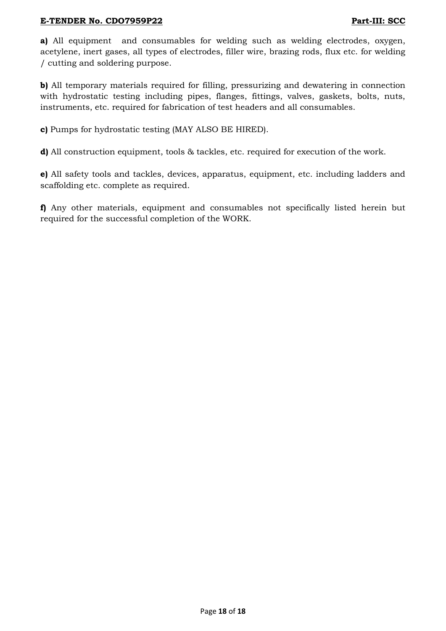**a)** All equipment and consumables for welding such as welding electrodes, oxygen, acetylene, inert gases, all types of electrodes, filler wire, brazing rods, flux etc. for welding / cutting and soldering purpose.

**b)** All temporary materials required for filling, pressurizing and dewatering in connection with hydrostatic testing including pipes, flanges, fittings, valves, gaskets, bolts, nuts, instruments, etc. required for fabrication of test headers and all consumables.

**c)** Pumps for hydrostatic testing (MAY ALSO BE HIRED).

**d)** All construction equipment, tools & tackles, etc. required for execution of the work.

**e)** All safety tools and tackles, devices, apparatus, equipment, etc. including ladders and scaffolding etc. complete as required.

**f)** Any other materials, equipment and consumables not specifically listed herein but required for the successful completion of the WORK.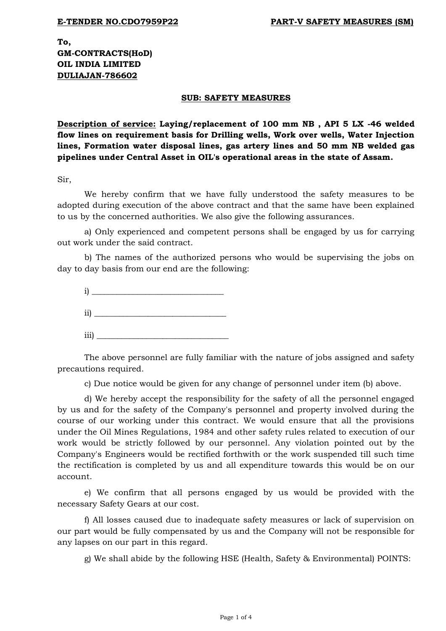**To, GM-CONTRACTS(HoD) OIL INDIA LIMITED DULIAJAN-786602**

#### **SUB: SAFETY MEASURES**

**Description of service: Laying/replacement of 100 mm NB , API 5 LX -46 welded flow lines on requirement basis for Drilling wells, Work over wells, Water Injection lines, Formation water disposal lines, gas artery lines and 50 mm NB welded gas pipelines under Central Asset in OIL's operational areas in the state of Assam.**

Sir,

We hereby confirm that we have fully understood the safety measures to be adopted during execution of the above contract and that the same have been explained to us by the concerned authorities. We also give the following assurances.

a) Only experienced and competent persons shall be engaged by us for carrying out work under the said contract.

b) The names of the authorized persons who would be supervising the jobs on day to day basis from our end are the following:



The above personnel are fully familiar with the nature of jobs assigned and safety precautions required.

c) Due notice would be given for any change of personnel under item (b) above.

d) We hereby accept the responsibility for the safety of all the personnel engaged by us and for the safety of the Company's personnel and property involved during the course of our working under this contract. We would ensure that all the provisions under the Oil Mines Regulations, 1984 and other safety rules related to execution of our work would be strictly followed by our personnel. Any violation pointed out by the Company's Engineers would be rectified forthwith or the work suspended till such time the rectification is completed by us and all expenditure towards this would be on our account.

e) We confirm that all persons engaged by us would be provided with the necessary Safety Gears at our cost.

f) All losses caused due to inadequate safety measures or lack of supervision on our part would be fully compensated by us and the Company will not be responsible for any lapses on our part in this regard.

g) We shall abide by the following HSE (Health, Safety & Environmental) POINTS: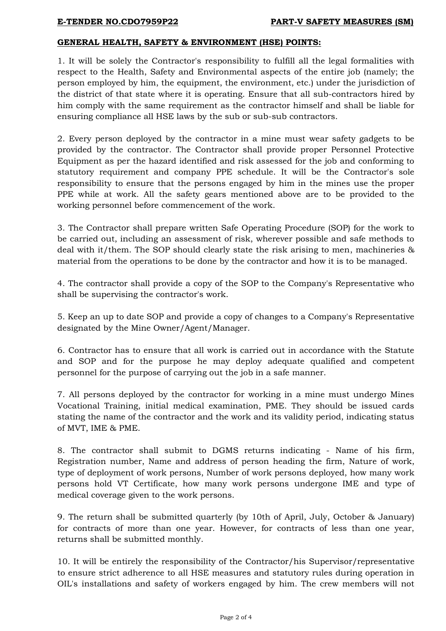#### **GENERAL HEALTH, SAFETY & ENVIRONMENT (HSE) POINTS:**

1. It will be solely the Contractor's responsibility to fulfill all the legal formalities with respect to the Health, Safety and Environmental aspects of the entire job (namely; the person employed by him, the equipment, the environment, etc.) under the jurisdiction of the district of that state where it is operating. Ensure that all sub-contractors hired by him comply with the same requirement as the contractor himself and shall be liable for ensuring compliance all HSE laws by the sub or sub-sub contractors.

2. Every person deployed by the contractor in a mine must wear safety gadgets to be provided by the contractor. The Contractor shall provide proper Personnel Protective Equipment as per the hazard identified and risk assessed for the job and conforming to statutory requirement and company PPE schedule. It will be the Contractor's sole responsibility to ensure that the persons engaged by him in the mines use the proper PPE while at work. All the safety gears mentioned above are to be provided to the working personnel before commencement of the work.

3. The Contractor shall prepare written Safe Operating Procedure (SOP) for the work to be carried out, including an assessment of risk, wherever possible and safe methods to deal with it/them. The SOP should clearly state the risk arising to men, machineries & material from the operations to be done by the contractor and how it is to be managed.

4. The contractor shall provide a copy of the SOP to the Company's Representative who shall be supervising the contractor's work.

5. Keep an up to date SOP and provide a copy of changes to a Company's Representative designated by the Mine Owner/Agent/Manager.

6. Contractor has to ensure that all work is carried out in accordance with the Statute and SOP and for the purpose he may deploy adequate qualified and competent personnel for the purpose of carrying out the job in a safe manner.

7. All persons deployed by the contractor for working in a mine must undergo Mines Vocational Training, initial medical examination, PME. They should be issued cards stating the name of the contractor and the work and its validity period, indicating status of MVT, IME & PME.

8. The contractor shall submit to DGMS returns indicating - Name of his firm, Registration number, Name and address of person heading the firm, Nature of work, type of deployment of work persons, Number of work persons deployed, how many work persons hold VT Certificate, how many work persons undergone IME and type of medical coverage given to the work persons.

9. The return shall be submitted quarterly (by 10th of April, July, October & January) for contracts of more than one year. However, for contracts of less than one year, returns shall be submitted monthly.

10. It will be entirely the responsibility of the Contractor/his Supervisor/representative to ensure strict adherence to all HSE measures and statutory rules during operation in OIL's installations and safety of workers engaged by him. The crew members will not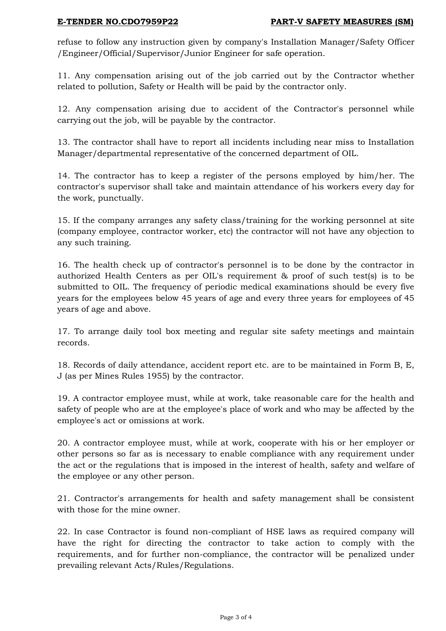refuse to follow any instruction given by company's Installation Manager/Safety Officer /Engineer/Official/Supervisor/Junior Engineer for safe operation.

11. Any compensation arising out of the job carried out by the Contractor whether related to pollution, Safety or Health will be paid by the contractor only.

12. Any compensation arising due to accident of the Contractor's personnel while carrying out the job, will be payable by the contractor.

13. The contractor shall have to report all incidents including near miss to Installation Manager/departmental representative of the concerned department of OIL.

14. The contractor has to keep a register of the persons employed by him/her. The contractor's supervisor shall take and maintain attendance of his workers every day for the work, punctually.

15. If the company arranges any safety class/training for the working personnel at site (company employee, contractor worker, etc) the contractor will not have any objection to any such training.

16. The health check up of contractor's personnel is to be done by the contractor in authorized Health Centers as per OIL's requirement & proof of such test(s) is to be submitted to OIL. The frequency of periodic medical examinations should be every five years for the employees below 45 years of age and every three years for employees of 45 years of age and above.

17. To arrange daily tool box meeting and regular site safety meetings and maintain records.

18. Records of daily attendance, accident report etc. are to be maintained in Form B, E, J (as per Mines Rules 1955) by the contractor.

19. A contractor employee must, while at work, take reasonable care for the health and safety of people who are at the employee's place of work and who may be affected by the employee's act or omissions at work.

20. A contractor employee must, while at work, cooperate with his or her employer or other persons so far as is necessary to enable compliance with any requirement under the act or the regulations that is imposed in the interest of health, safety and welfare of the employee or any other person.

21. Contractor's arrangements for health and safety management shall be consistent with those for the mine owner.

22. In case Contractor is found non-compliant of HSE laws as required company will have the right for directing the contractor to take action to comply with the requirements, and for further non-compliance, the contractor will be penalized under prevailing relevant Acts/Rules/Regulations.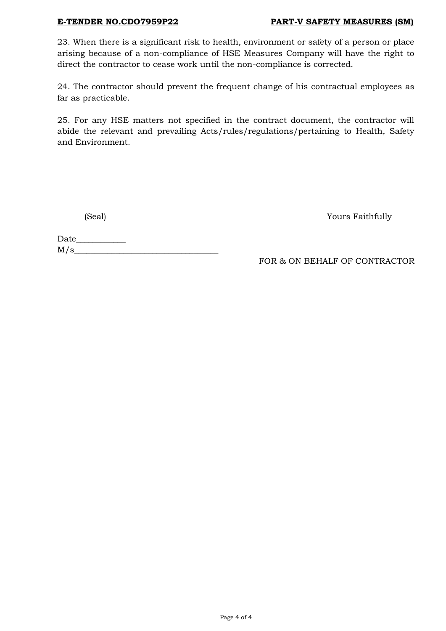#### **E-TENDER NO.CDO7959P22 PART-V SAFETY MEASURES (SM)**

23. When there is a significant risk to health, environment or safety of a person or place arising because of a non-compliance of HSE Measures Company will have the right to direct the contractor to cease work until the non-compliance is corrected.

24. The contractor should prevent the frequent change of his contractual employees as far as practicable.

25. For any HSE matters not specified in the contract document, the contractor will abide the relevant and prevailing Acts/rules/regulations/pertaining to Health, Safety and Environment.

(Seal) Yours Faithfully

Date\_\_\_\_\_\_\_\_\_\_\_\_  $M/s$ 

FOR & ON BEHALF OF CONTRACTOR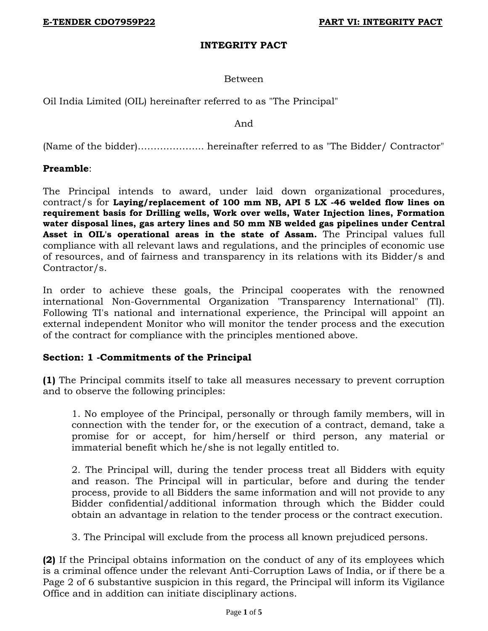## **INTEGRITY PACT**

# Between

Oil India Limited (OIL) hereinafter referred to as "The Principal"

And

(Name of the bidder)………………... hereinafter referred to as "The Bidder/ Contractor"

**Preamble**:

The Principal intends to award, under laid down organizational procedures, contract/s for **Laying/replacement of 100 mm NB, API 5 LX -46 welded flow lines on requirement basis for Drilling wells, Work over wells, Water Injection lines, Formation water disposal lines, gas artery lines and 50 mm NB welded gas pipelines under Central Asset in OIL's operational areas in the state of Assam.** The Principal values full compliance with all relevant laws and regulations, and the principles of economic use of resources, and of fairness and transparency in its relations with its Bidder/s and Contractor/s.

In order to achieve these goals, the Principal cooperates with the renowned international Non-Governmental Organization "Transparency International" (TI). Following TI's national and international experience, the Principal will appoint an external independent Monitor who will monitor the tender process and the execution of the contract for compliance with the principles mentioned above.

#### **Section: 1 -Commitments of the Principal**

**(1)** The Principal commits itself to take all measures necessary to prevent corruption and to observe the following principles:

1. No employee of the Principal, personally or through family members, will in connection with the tender for, or the execution of a contract, demand, take a promise for or accept, for him/herself or third person, any material or immaterial benefit which he/she is not legally entitled to.

2. The Principal will, during the tender process treat all Bidders with equity and reason. The Principal will in particular, before and during the tender process, provide to all Bidders the same information and will not provide to any Bidder confidential/additional information through which the Bidder could obtain an advantage in relation to the tender process or the contract execution.

3. The Principal will exclude from the process all known prejudiced persons.

**(2)** If the Principal obtains information on the conduct of any of its employees which is a criminal offence under the relevant Anti-Corruption Laws of India, or if there be a Page 2 of 6 substantive suspicion in this regard, the Principal will inform its Vigilance Office and in addition can initiate disciplinary actions.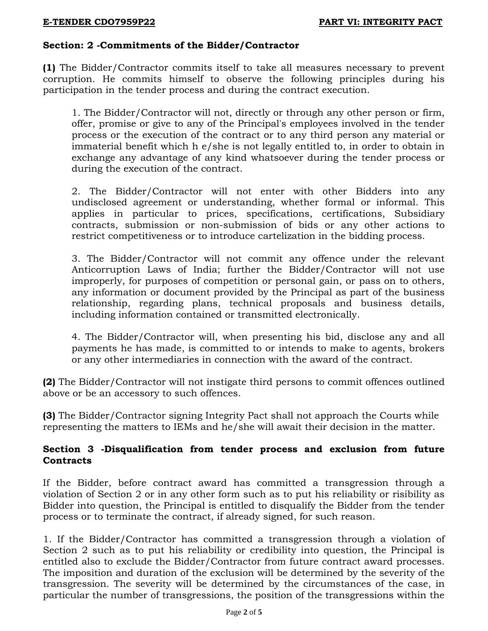# **Section: 2 -Commitments of the Bidder/Contractor**

**(1)** The Bidder/Contractor commits itself to take all measures necessary to prevent corruption. He commits himself to observe the following principles during his participation in the tender process and during the contract execution.

1. The Bidder/Contractor will not, directly or through any other person or firm, offer, promise or give to any of the Principal's employees involved in the tender process or the execution of the contract or to any third person any material or immaterial benefit which h e/she is not legally entitled to, in order to obtain in exchange any advantage of any kind whatsoever during the tender process or during the execution of the contract.

2. The Bidder/Contractor will not enter with other Bidders into any undisclosed agreement or understanding, whether formal or informal. This applies in particular to prices, specifications, certifications, Subsidiary contracts, submission or non-submission of bids or any other actions to restrict competitiveness or to introduce cartelization in the bidding process.

3. The Bidder/Contractor will not commit any offence under the relevant Anticorruption Laws of India; further the Bidder/Contractor will not use improperly, for purposes of competition or personal gain, or pass on to others, any information or document provided by the Principal as part of the business relationship, regarding plans, technical proposals and business details, including information contained or transmitted electronically.

4. The Bidder/Contractor will, when presenting his bid, disclose any and all payments he has made, is committed to or intends to make to agents, brokers or any other intermediaries in connection with the award of the contract.

**(2)** The Bidder/Contractor will not instigate third persons to commit offences outlined above or be an accessory to such offences.

**(3)** The Bidder/Contractor signing Integrity Pact shall not approach the Courts while representing the matters to IEMs and he/she will await their decision in the matter.

# **Section 3 -Disqualification from tender process and exclusion from future Contracts**

If the Bidder, before contract award has committed a transgression through a violation of Section 2 or in any other form such as to put his reliability or risibility as Bidder into question, the Principal is entitled to disqualify the Bidder from the tender process or to terminate the contract, if already signed, for such reason.

1. If the Bidder/Contractor has committed a transgression through a violation of Section 2 such as to put his reliability or credibility into question, the Principal is entitled also to exclude the Bidder/Contractor from future contract award processes. The imposition and duration of the exclusion will be determined by the severity of the transgression. The severity will be determined by the circumstances of the case, in particular the number of transgressions, the position of the transgressions within the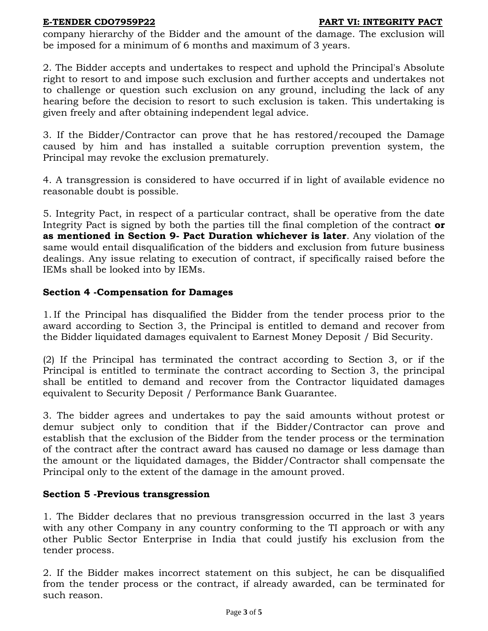#### **E-TENDER CDO7959P22 PART VI: INTEGRITY PACT**

company hierarchy of the Bidder and the amount of the damage. The exclusion will be imposed for a minimum of 6 months and maximum of 3 years.

2. The Bidder accepts and undertakes to respect and uphold the Principal's Absolute right to resort to and impose such exclusion and further accepts and undertakes not to challenge or question such exclusion on any ground, including the lack of any hearing before the decision to resort to such exclusion is taken. This undertaking is given freely and after obtaining independent legal advice.

3. If the Bidder/Contractor can prove that he has restored/recouped the Damage caused by him and has installed a suitable corruption prevention system, the Principal may revoke the exclusion prematurely.

4. A transgression is considered to have occurred if in light of available evidence no reasonable doubt is possible.

5. Integrity Pact, in respect of a particular contract, shall be operative from the date Integrity Pact is signed by both the parties till the final completion of the contract **or as mentioned in Section 9- Pact Duration whichever is later**. Any violation of the same would entail disqualification of the bidders and exclusion from future business dealings. Any issue relating to execution of contract, if specifically raised before the IEMs shall be looked into by IEMs.

# **Section 4 -Compensation for Damages**

1. If the Principal has disqualified the Bidder from the tender process prior to the award according to Section 3, the Principal is entitled to demand and recover from the Bidder liquidated damages equivalent to Earnest Money Deposit / Bid Security.

(2) If the Principal has terminated the contract according to Section 3, or if the Principal is entitled to terminate the contract according to Section 3, the principal shall be entitled to demand and recover from the Contractor liquidated damages equivalent to Security Deposit / Performance Bank Guarantee.

3. The bidder agrees and undertakes to pay the said amounts without protest or demur subject only to condition that if the Bidder/Contractor can prove and establish that the exclusion of the Bidder from the tender process or the termination of the contract after the contract award has caused no damage or less damage than the amount or the liquidated damages, the Bidder/Contractor shall compensate the Principal only to the extent of the damage in the amount proved.

# **Section 5 -Previous transgression**

1. The Bidder declares that no previous transgression occurred in the last 3 years with any other Company in any country conforming to the TI approach or with any other Public Sector Enterprise in India that could justify his exclusion from the tender process.

2. If the Bidder makes incorrect statement on this subject, he can be disqualified from the tender process or the contract, if already awarded, can be terminated for such reason.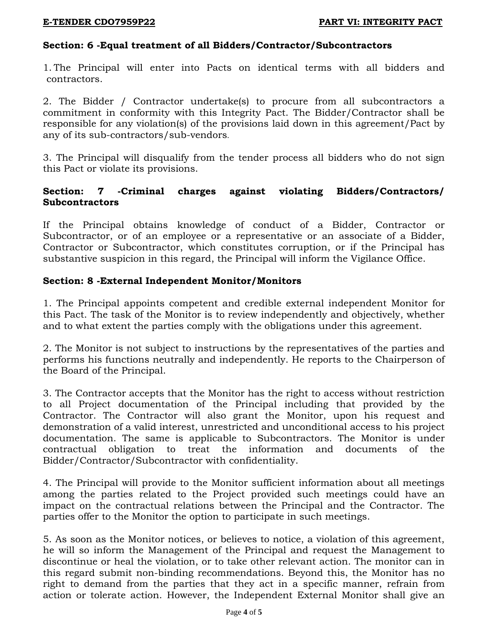# **Section: 6 -Equal treatment of all Bidders/Contractor/Subcontractors**

1. The Principal will enter into Pacts on identical terms with all bidders and contractors.

2. The Bidder / Contractor undertake(s) to procure from all subcontractors a commitment in conformity with this Integrity Pact. The Bidder/Contractor shall be responsible for any violation(s) of the provisions laid down in this agreement/Pact by any of its sub-contractors/sub-vendors.

3. The Principal will disqualify from the tender process all bidders who do not sign this Pact or violate its provisions.

# **Section: 7 -Criminal charges against violating Bidders/Contractors/ Subcontractors**

If the Principal obtains knowledge of conduct of a Bidder, Contractor or Subcontractor, or of an employee or a representative or an associate of a Bidder, Contractor or Subcontractor, which constitutes corruption, or if the Principal has substantive suspicion in this regard, the Principal will inform the Vigilance Office.

# **Section: 8 -External Independent Monitor/Monitors**

1. The Principal appoints competent and credible external independent Monitor for this Pact. The task of the Monitor is to review independently and objectively, whether and to what extent the parties comply with the obligations under this agreement.

2. The Monitor is not subject to instructions by the representatives of the parties and performs his functions neutrally and independently. He reports to the Chairperson of the Board of the Principal.

3. The Contractor accepts that the Monitor has the right to access without restriction to all Project documentation of the Principal including that provided by the Contractor. The Contractor will also grant the Monitor, upon his request and demonstration of a valid interest, unrestricted and unconditional access to his project documentation. The same is applicable to Subcontractors. The Monitor is under contractual obligation to treat the information and documents of the Bidder/Contractor/Subcontractor with confidentiality.

4. The Principal will provide to the Monitor sufficient information about all meetings among the parties related to the Project provided such meetings could have an impact on the contractual relations between the Principal and the Contractor. The parties offer to the Monitor the option to participate in such meetings.

5. As soon as the Monitor notices, or believes to notice, a violation of this agreement, he will so inform the Management of the Principal and request the Management to discontinue or heal the violation, or to take other relevant action. The monitor can in this regard submit non-binding recommendations. Beyond this, the Monitor has no right to demand from the parties that they act in a specific manner, refrain from action or tolerate action. However, the Independent External Monitor shall give an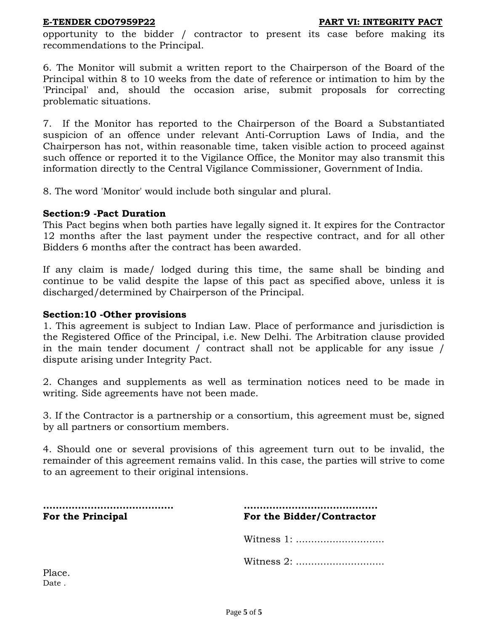opportunity to the bidder / contractor to present its case before making its recommendations to the Principal.

6. The Monitor will submit a written report to the Chairperson of the Board of the Principal within 8 to 10 weeks from the date of reference or intimation to him by the 'Principal' and, should the occasion arise, submit proposals for correcting problematic situations.

7. If the Monitor has reported to the Chairperson of the Board a Substantiated suspicion of an offence under relevant Anti-Corruption Laws of India, and the Chairperson has not, within reasonable time, taken visible action to proceed against such offence or reported it to the Vigilance Office, the Monitor may also transmit this information directly to the Central Vigilance Commissioner, Government of India.

8. The word 'Monitor' would include both singular and plural.

#### **Section:9 -Pact Duration**

This Pact begins when both parties have legally signed it. It expires for the Contractor 12 months after the last payment under the respective contract, and for all other Bidders 6 months after the contract has been awarded.

If any claim is made/ lodged during this time, the same shall be binding and continue to be valid despite the lapse of this pact as specified above, unless it is discharged/determined by Chairperson of the Principal.

#### **Section:10 -Other provisions**

1. This agreement is subject to Indian Law. Place of performance and jurisdiction is the Registered Office of the Principal, i.e. New Delhi. The Arbitration clause provided in the main tender document / contract shall not be applicable for any issue / dispute arising under Integrity Pact.

2. Changes and supplements as well as termination notices need to be made in writing. Side agreements have not been made.

3. If the Contractor is a partnership or a consortium, this agreement must be, signed by all partners or consortium members.

4. Should one or several provisions of this agreement turn out to be invalid, the remainder of this agreement remains valid. In this case, the parties will strive to come to an agreement to their original intensions.

**………………………………….. …………………………………... For the Principal For the Bidder/Contractor**

Witness 1: .............................

Witness 2: .............................

Place. Date .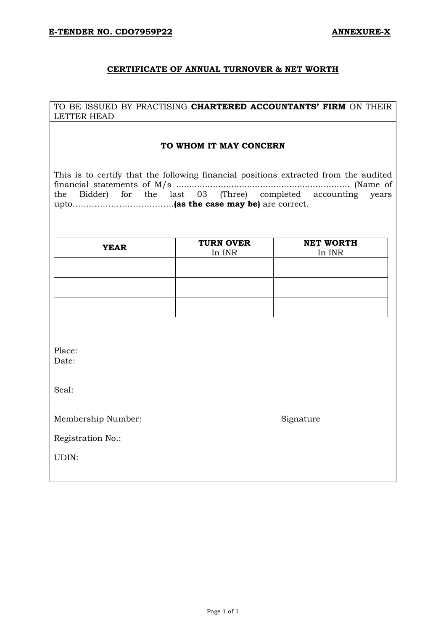#### **CERTIFICATE OF ANNUAL TURNOVER & NET WORTH**

TO BE ISSUED BY PRACTISING **CHARTERED ACCOUNTANTS' FIRM** ON THEIR LETTER HEAD

#### **TO WHOM IT MAY CONCERN**

This is to certify that the following financial positions extracted from the audited financial statements of M/s .................................................................. (Name of the Bidder) for the last 03 (Three) completed accounting years upto……………………………….**(as the case may be)** are correct.

| <b>YEAR</b> | <b>TURN OVER</b><br>In INR | <b>NET WORTH</b><br>In INR |
|-------------|----------------------------|----------------------------|
|             |                            |                            |
|             |                            |                            |
|             |                            |                            |
|             |                            |                            |

Place: Date:

Seal:

Membership Number: Signature

Registration No.:

UDIN: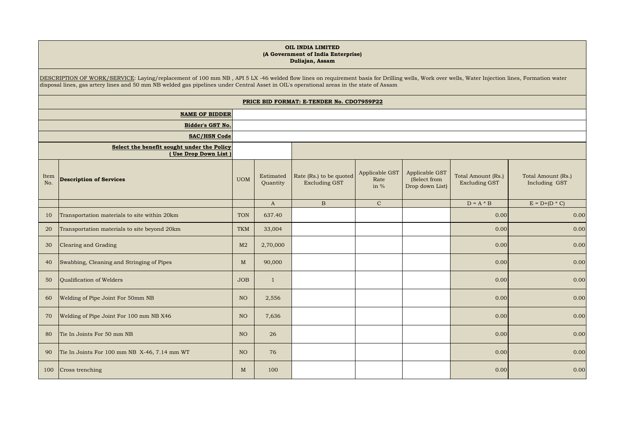#### **OIL INDIA LIMITED (A Government of India Enterprise) Duliajan, Assam**

DESCRIPTION OF WORK/SERVICE: Laying/replacement of 100 mm NB , API 5 LX -46 welded flow lines on requirement basis for Drilling wells, Work over wells, Water Injection lines, Formation water disposal lines, gas artery lines and 50 mm NB welded gas pipelines under Central Asset in OIL's operational areas in the state of Assam

|                         | PRICE BID FORMAT: E-TENDER No. CDO7959P22                          |                 |                       |                                                 |                                |                                                   |                                            |                                     |
|-------------------------|--------------------------------------------------------------------|-----------------|-----------------------|-------------------------------------------------|--------------------------------|---------------------------------------------------|--------------------------------------------|-------------------------------------|
| <b>NAME OF BIDDER</b>   |                                                                    |                 |                       |                                                 |                                |                                                   |                                            |                                     |
| <b>Bidder's GST No.</b> |                                                                    |                 |                       |                                                 |                                |                                                   |                                            |                                     |
|                         | <b>SAC/HSN Code</b>                                                |                 |                       |                                                 |                                |                                                   |                                            |                                     |
|                         | Select the benefit sought under the Policy<br>(Use Drop Down List) |                 |                       |                                                 |                                |                                                   |                                            |                                     |
| Item<br>No.             | <b>Description of Services</b>                                     | <b>UOM</b>      | Estimated<br>Quantity | Rate (Rs.) to be quoted<br><b>Excluding GST</b> | Applicable GST<br>Rate<br>in % | Applicable GST<br>(Select from<br>Drop down List) | Total Amount (Rs.)<br><b>Excluding GST</b> | Total Amount (Rs.)<br>Including GST |
|                         |                                                                    |                 | $\mathbf{A}$          | $\mathbf B$                                     | $\mathbf C$                    |                                                   | $D = A * B$                                | $E = D + (D * C)$                   |
| 10                      | Transportation materials to site within 20km                       | <b>TON</b>      | 637.40                |                                                 |                                |                                                   | 0.00                                       | 0.00                                |
| 20                      | Transportation materials to site beyond 20km                       | <b>TKM</b>      | 33,004                |                                                 |                                |                                                   | 0.00                                       | 0.00                                |
| 30                      | Clearing and Grading                                               | M <sub>2</sub>  | 2,70,000              |                                                 |                                |                                                   | 0.00                                       | 0.00                                |
| 40                      | Swabbing, Cleaning and Stringing of Pipes                          | M               | 90,000                |                                                 |                                |                                                   | 0.00                                       | 0.00                                |
| 50                      | Qualification of Welders                                           | <b>JOB</b>      | $\mathbf{1}$          |                                                 |                                |                                                   | 0.00                                       | 0.00                                |
| 60                      | Welding of Pipe Joint For 50mm NB                                  | NO              | 2,556                 |                                                 |                                |                                                   | 0.00                                       | 0.00                                |
| 70                      | Welding of Pipe Joint For 100 mm NB X46                            | NO <sub>1</sub> | 7,636                 |                                                 |                                |                                                   | 0.00                                       | 0.00                                |
| 80                      | Tie In Joints For 50 mm NB                                         | NO <sub>1</sub> | 26                    |                                                 |                                |                                                   | 0.00                                       | 0.00                                |
| 90                      | Tie In Joints For 100 mm NB X-46, 7.14 mm WT                       | NO <sub>1</sub> | 76                    |                                                 |                                |                                                   | 0.00                                       | 0.00                                |
| 100                     | Cross trenching                                                    | M               | 100                   |                                                 |                                |                                                   | 0.00                                       | 0.00                                |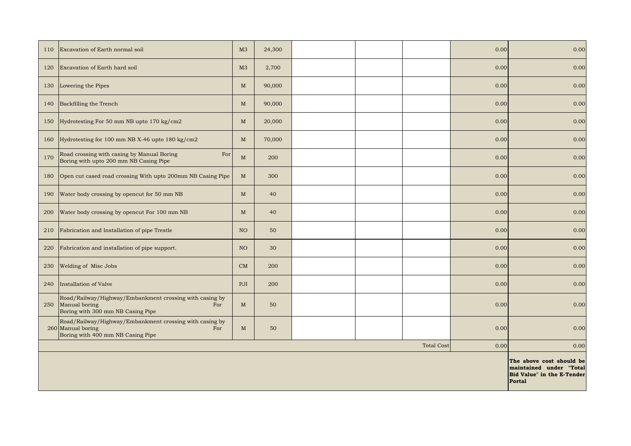| 110 | Excavation of Earth normal soil                                                                                          | M <sub>3</sub>  | 24,300 |  |  | 0.00 | 0.00 |
|-----|--------------------------------------------------------------------------------------------------------------------------|-----------------|--------|--|--|------|------|
| 120 | Excavation of Earth hard soil                                                                                            | M <sub>3</sub>  | 2,700  |  |  | 0.00 | 0.00 |
| 130 | Lowering the Pipes                                                                                                       | M               | 90,000 |  |  | 0.00 | 0.00 |
| 140 | Backfilling the Trench                                                                                                   | M               | 90,000 |  |  | 0.00 | 0.00 |
| 150 | Hydrotesting For 50 mm NB upto 170 kg/cm2                                                                                | M               | 20,000 |  |  | 0.00 | 0.00 |
| 160 | Hydrotesting for 100 mm NB X-46 upto 180 kg/cm2                                                                          | M               | 70,000 |  |  | 0.00 | 0.00 |
| 170 | For<br>Road crossing with casing by Manual Boring<br>Boring with upto 200 mm NB Casing Pipe                              | M               | 200    |  |  | 0.00 | 0.00 |
| 180 | Open cut cased road crossing With upto 200mm NB Casing Pipe                                                              | M               | 300    |  |  | 0.00 | 0.00 |
| 190 | Water body crossing by opencut for 50 mm NB                                                                              | $\mathbf M$     | 40     |  |  | 0.00 | 0.00 |
| 200 | Water body crossing by opencut For 100 mm NB                                                                             | M               | 40     |  |  | 0.00 | 0.00 |
| 210 | Fabrication and Installation of pipe Trestle                                                                             | NO <sub>1</sub> | 50     |  |  | 0.00 | 0.00 |
| 220 | Fabrication and installation of pipe support.                                                                            | NO <sub>1</sub> | 30     |  |  | 0.00 | 0.00 |
| 230 | Welding of Misc Jobs                                                                                                     | CM              | 200    |  |  | 0.00 | 0.00 |
| 240 | Installation of Valve                                                                                                    | PJI             | 200    |  |  | 0.00 | 0.00 |
| 250 | Road/Railway/Highway/Embankment crossing with casing by<br>Manual boring<br>For<br>Boring with 300 mm NB Casing Pipe     | $\mathbf M$     | 50     |  |  | 0.00 | 0.00 |
|     | Road/Railway/Highway/Embankment crossing with casing by<br>260 Manual boring<br>For<br>Boring with 400 mm NB Casing Pipe | $\mathbf{M}$    | 50     |  |  | 0.00 | 0.00 |
|     | <b>Total Cost</b><br>0.00<br>0.00                                                                                        |                 |        |  |  |      |      |
|     | The above cost should be<br>maintained under<br>"Total<br>Bid Value" in the E-Tender<br>Portal                           |                 |        |  |  |      |      |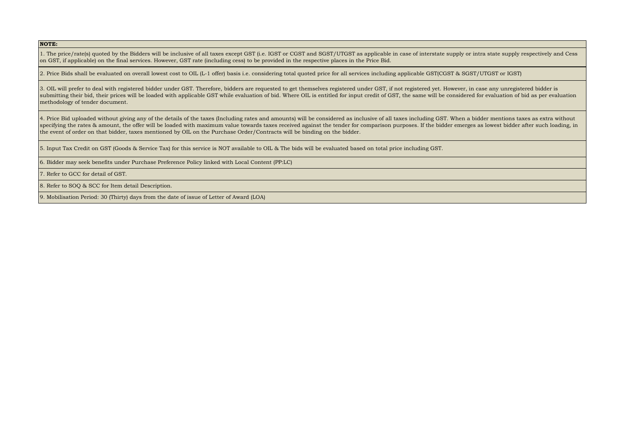**NOTE:**

1. The price/rate(s) quoted by the Bidders will be inclusive of all taxes except GST (i.e. IGST or CGST and SGST/UTGST as applicable in case of interstate supply or intra state supply respectively and Cess on GST, if applicable) on the final services. However, GST rate (including cess) to be provided in the respective places in the Price Bid.

2. Price Bids shall be evaluated on overall lowest cost to OIL (L-1 offer) basis i.e. considering total quoted price for all services including applicable GST(CGST & SGST/UTGST or IGST)

3. OIL will prefer to deal with registered bidder under GST. Therefore, bidders are requested to get themselves registered under GST, if not registered yet. However, in case any unregistered bidder is submitting their bid, their prices will be loaded with applicable GST while evaluation of bid. Where OIL is entitled for input credit of GST, the same will be considered for evaluation of bid as per evaluation methodology of tender document.

4. Price Bid uploaded without giving any of the details of the taxes (Including rates and amounts) will be considered as inclusive of all taxes including GST. When a bidder mentions taxes as extra without specifying the rates & amount, the offer will be loaded with maximum value towards taxes received against the tender for comparison purposes. If the bidder emerges as lowest bidder after such loading, in the event of order on that bidder, taxes mentioned by OIL on the Purchase Order/Contracts will be binding on the bidder.

5. Input Tax Credit on GST (Goods & Service Tax) for this service is NOT available to OIL & The bids will be evaluated based on total price including GST.

6. Bidder may seek benefits under Purchase Preference Policy linked with Local Content (PP:LC)

7. Refer to GCC for detail of GST.

8. Refer to SOQ & SCC for Item detail Description.

9. Mobilisation Period: 30 (Thirty) days from the date of issue of Letter of Award (LOA)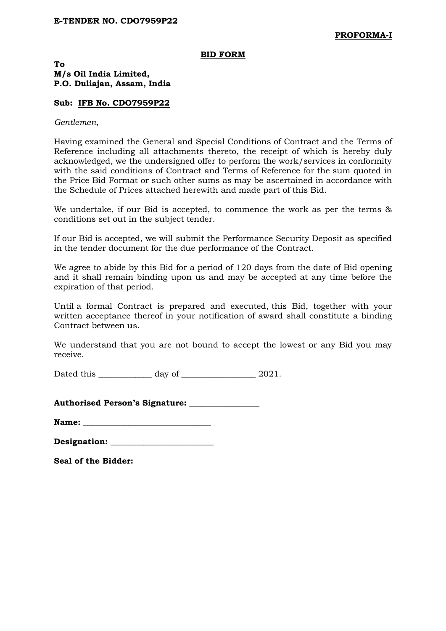#### **BID FORM**

#### **To M/s Oil India Limited, P.O. Duliajan, Assam, India**

#### **Sub: IFB No. CDO7959P22**

#### *Gentlemen*,

Having examined the General and Special Conditions of Contract and the Terms of Reference including all attachments thereto, the receipt of which is hereby duly acknowledged, we the undersigned offer to perform the work/services in conformity with the said conditions of Contract and Terms of Reference for the sum quoted in the Price Bid Format or such other sums as may be ascertained in accordance with the Schedule of Prices attached herewith and made part of this Bid.

We undertake, if our Bid is accepted, to commence the work as per the terms & conditions set out in the subject tender.

If our Bid is accepted, we will submit the Performance Security Deposit as specified in the tender document for the due performance of the Contract.

We agree to abide by this Bid for a period of 120 days from the date of Bid opening and it shall remain binding upon us and may be accepted at any time before the expiration of that period.

Until a formal Contract is prepared and executed, this Bid, together with your written acceptance thereof in your notification of award shall constitute a binding Contract between us.

We understand that you are not bound to accept the lowest or any Bid you may receive.

Dated this \_\_\_\_\_\_\_\_\_\_\_\_\_ day of \_\_\_\_\_\_\_\_\_\_\_\_\_\_\_\_\_\_ 2021.

**Authorised Person's Signature:** \_\_\_\_\_\_\_\_\_\_\_\_\_\_\_\_\_

| Designation: |  |
|--------------|--|
|              |  |

**Seal of the Bidder:**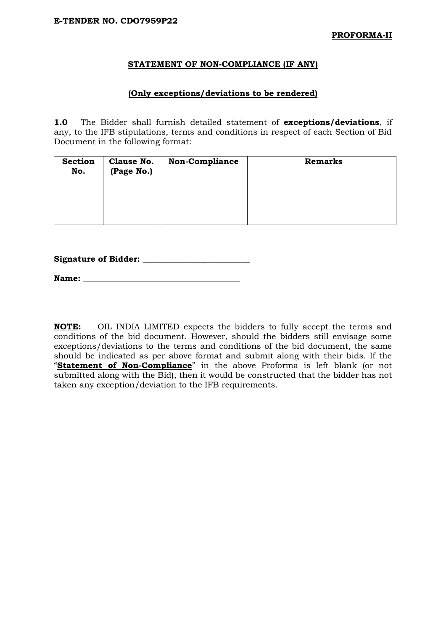#### **STATEMENT OF NON-COMPLIANCE (IF ANY)**

#### **(Only exceptions/deviations to be rendered)**

**1.0** The Bidder shall furnish detailed statement of **exceptions/deviations**, if any, to the IFB stipulations, terms and conditions in respect of each Section of Bid Document in the following format:

| <b>Section</b><br>No. | Clause No.<br>(Page No.) | <b>Non-Compliance</b> | <b>Remarks</b> |
|-----------------------|--------------------------|-----------------------|----------------|
|                       |                          |                       |                |
|                       |                          |                       |                |
|                       |                          |                       |                |

#### **Signature of Bidder: \_\_\_\_\_\_\_\_\_\_\_\_\_\_\_\_\_\_\_\_\_\_\_\_\_\_**

**Name:**  $\blacksquare$ 

**NOTE:** OIL INDIA LIMITED expects the bidders to fully accept the terms and conditions of the bid document. However, should the bidders still envisage some exceptions/deviations to the terms and conditions of the bid document, the same should be indicated as per above format and submit along with their bids. If the "**Statement of Non-Compliance**" in the above Proforma is left blank (or not submitted along with the Bid), then it would be constructed that the bidder has not taken any exception/deviation to the IFB requirements.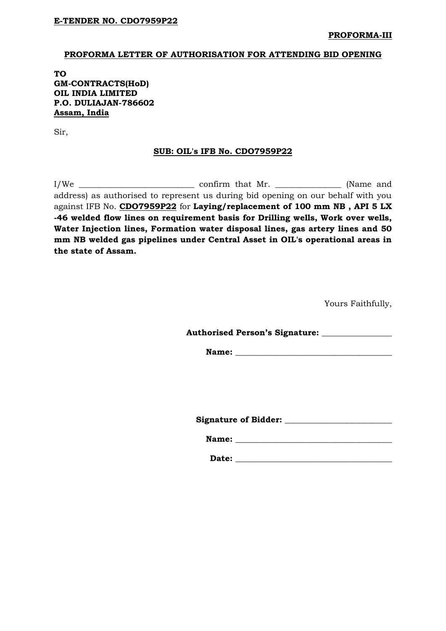#### **PROFORMA LETTER OF AUTHORISATION FOR ATTENDING BID OPENING**

**TO GM-CONTRACTS(HoD) OIL INDIA LIMITED P.O. DULIAJAN-786602 Assam, India** 

Sir,

#### **SUB: OIL's IFB No. CDO7959P22**

I/We \_\_\_\_\_\_\_\_\_\_\_\_\_\_\_\_\_\_\_\_\_\_\_\_\_\_\_\_ confirm that Mr. \_\_\_\_\_\_\_\_\_\_\_\_\_\_\_\_ (Name and address) as authorised to represent us during bid opening on our behalf with you against IFB No. **CDO7959P22** for **Laying/replacement of 100 mm NB , API 5 LX -46 welded flow lines on requirement basis for Drilling wells, Work over wells, Water Injection lines, Formation water disposal lines, gas artery lines and 50 mm NB welded gas pipelines under Central Asset in OIL's operational areas in the state of Assam.**

Yours Faithfully,

**Authorised Person's Signature: \_\_\_\_\_\_\_\_\_\_\_\_\_\_\_\_\_** 

**Name: \_\_\_\_\_\_\_\_\_\_\_\_\_\_\_\_\_\_\_\_\_\_\_\_\_\_\_\_\_\_\_\_\_\_\_\_\_\_** 

**Signature of Bidder: \_\_\_\_\_\_\_\_\_\_\_\_\_\_\_\_\_\_\_\_\_\_\_\_\_\_** 

Name:

**Date: \_\_\_\_\_\_\_\_\_\_\_\_\_\_\_\_\_\_\_\_\_\_\_\_\_\_\_\_\_\_\_\_\_\_\_\_\_\_**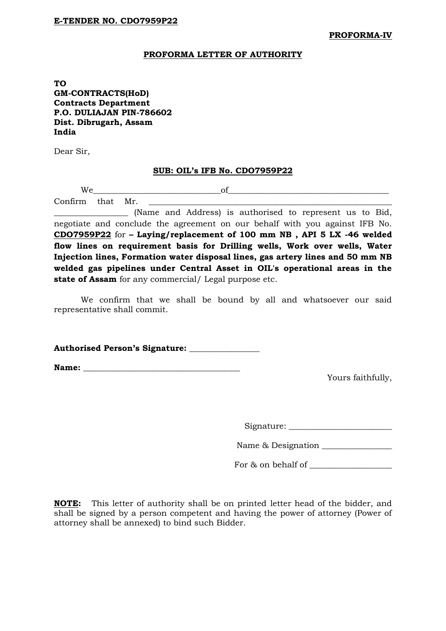**PROFORMA-IV**

#### **PROFORMA LETTER OF AUTHORITY**

**TO GM-CONTRACTS(HoD) Contracts Department P.O. DULIAJAN PIN-786602 Dist. Dibrugarh, Assam India**

Dear Sir,

#### **SUB: OIL's IFB No. CDO7959P22**

We\_\_\_\_\_\_\_\_\_\_\_\_\_\_\_\_\_\_\_\_\_\_\_\_\_\_\_\_\_\_\_of\_\_\_\_\_\_\_\_\_\_\_\_\_\_\_\_\_\_\_\_\_\_\_\_\_\_\_\_\_\_\_\_\_\_\_\_\_\_\_ Confirm that Mr.

\_\_\_\_\_\_\_\_\_\_\_\_\_\_\_\_\_\_ (Name and Address) is authorised to represent us to Bid, negotiate and conclude the agreement on our behalf with you against IFB No. **CDO7959P22** for **– Laying/replacement of 100 mm NB , API 5 LX -46 welded flow lines on requirement basis for Drilling wells, Work over wells, Water Injection lines, Formation water disposal lines, gas artery lines and 50 mm NB welded gas pipelines under Central Asset in OIL's operational areas in the state of Assam** for any commercial/ Legal purpose etc.

We confirm that we shall be bound by all and whatsoever our said representative shall commit.

**Authorised Person's Signature: \_\_\_\_\_\_\_\_\_\_\_\_\_\_\_\_\_** 

**Name:**  $\blacksquare$ 

Yours faithfully,

Signature: \_\_\_\_\_\_\_\_\_\_\_\_\_\_\_\_\_\_\_\_\_\_\_\_\_

Name & Designation

For & on behalf of

**NOTE:** This letter of authority shall be on printed letter head of the bidder, and shall be signed by a person competent and having the power of attorney (Power of attorney shall be annexed) to bind such Bidder.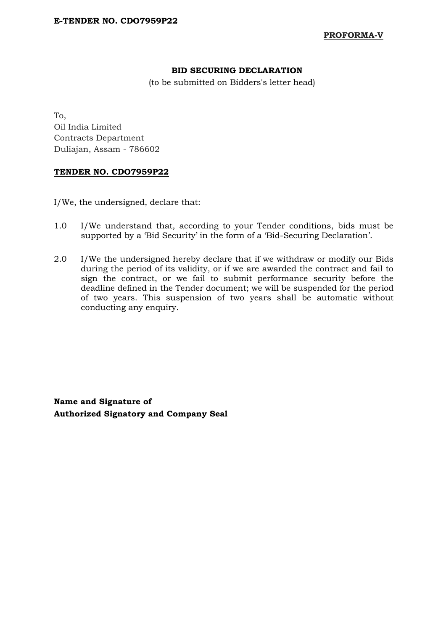**PROFORMA-V**

# **BID SECURING DECLARATION**

(to be submitted on Bidders's letter head)

To, Oil India Limited Contracts Department Duliajan, Assam - 786602

# **TENDER NO. CDO7959P22**

I/We, the undersigned, declare that:

- 1.0 I/We understand that, according to your Tender conditions, bids must be supported by a 'Bid Security' in the form of a 'Bid-Securing Declaration'.
- 2.0 I/We the undersigned hereby declare that if we withdraw or modify our Bids during the period of its validity, or if we are awarded the contract and fail to sign the contract, or we fail to submit performance security before the deadline defined in the Tender document; we will be suspended for the period of two years. This suspension of two years shall be automatic without conducting any enquiry.

**Name and Signature of Authorized Signatory and Company Seal**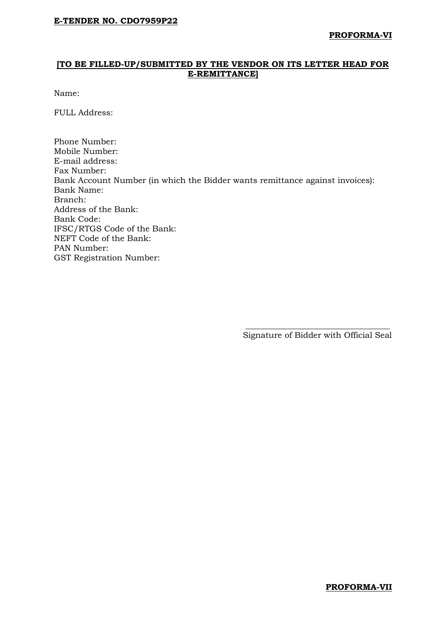# **[TO BE FILLED-UP/SUBMITTED BY THE VENDOR ON ITS LETTER HEAD FOR E-REMITTANCE]**

Name:

FULL Address:

Phone Number: Mobile Number: E-mail address: Fax Number: Bank Account Number (in which the Bidder wants remittance against invoices): Bank Name: Branch: Address of the Bank: Bank Code: IFSC/RTGS Code of the Bank: NEFT Code of the Bank: PAN Number: GST Registration Number:

 $\overline{\phantom{a}}$  , and the contract of the contract of the contract of the contract of the contract of the contract of the contract of the contract of the contract of the contract of the contract of the contract of the contrac

Signature of Bidder with Official Seal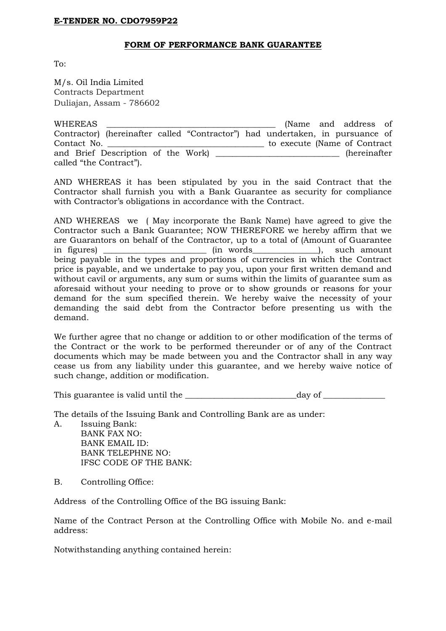# **FORM OF PERFORMANCE BANK GUARANTEE**

 $T_{\Omega}$ .

M/s. Oil India Limited Contracts Department Duliajan, Assam - 786602

| WHEREAS                 |  |                                                                               |                               | (Name and address of |  |
|-------------------------|--|-------------------------------------------------------------------------------|-------------------------------|----------------------|--|
|                         |  | Contractor) (hereinafter called "Contractor") had undertaken, in pursuance of |                               |                      |  |
| Contact No.             |  |                                                                               | to execute (Name of Contract) |                      |  |
|                         |  |                                                                               |                               | (hereinafter         |  |
| called "the Contract"). |  |                                                                               |                               |                      |  |

AND WHEREAS it has been stipulated by you in the said Contract that the Contractor shall furnish you with a Bank Guarantee as security for compliance with Contractor's obligations in accordance with the Contract.

AND WHEREAS we ( May incorporate the Bank Name) have agreed to give the Contractor such a Bank Guarantee; NOW THEREFORE we hereby affirm that we are Guarantors on behalf of the Contractor, up to a total of (Amount of Guarantee in figures) and  $\sum_{i=1}^{\infty}$  (in words and  $\sum_{i=1}^{\infty}$  ), such amount being payable in the types and proportions of currencies in which the Contract price is payable, and we undertake to pay you, upon your first written demand and without cavil or arguments, any sum or sums within the limits of guarantee sum as aforesaid without your needing to prove or to show grounds or reasons for your demand for the sum specified therein. We hereby waive the necessity of your demanding the said debt from the Contractor before presenting us with the demand.

We further agree that no change or addition to or other modification of the terms of the Contract or the work to be performed thereunder or of any of the Contract documents which may be made between you and the Contractor shall in any way cease us from any liability under this guarantee, and we hereby waive notice of such change, addition or modification.

This guarantee is valid until the \_\_\_\_\_\_\_\_\_\_\_\_\_\_\_\_\_\_\_\_\_\_\_\_\_\_\_day of \_\_\_\_\_\_\_\_\_\_\_\_\_\_\_

The details of the Issuing Bank and Controlling Bank are as under:

A. Issuing Bank:

BANK FAX NO: BANK EMAIL ID: BANK TELEPHNE NO: IFSC CODE OF THE BANK:

B. Controlling Office:

Address of the Controlling Office of the BG issuing Bank:

Name of the Contract Person at the Controlling Office with Mobile No. and e-mail address:

Notwithstanding anything contained herein: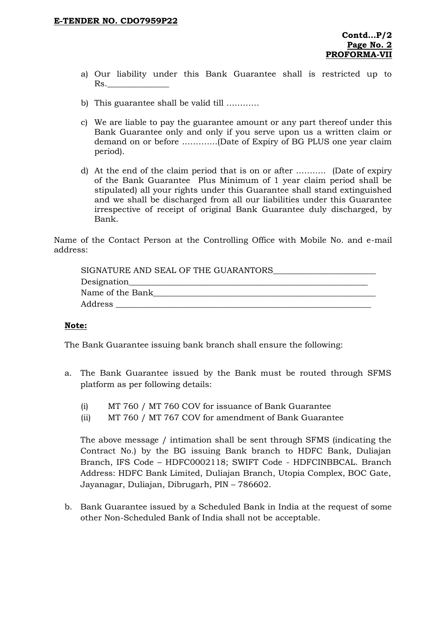- a) Our liability under this Bank Guarantee shall is restricted up to Rs.
- b) This guarantee shall be valid till …………
- c) We are liable to pay the guarantee amount or any part thereof under this Bank Guarantee only and only if you serve upon us a written claim or demand on or before ………….(Date of Expiry of BG PLUS one year claim period).
- d) At the end of the claim period that is on or after ……….. (Date of expiry of the Bank Guarantee Plus Minimum of 1 year claim period shall be stipulated) all your rights under this Guarantee shall stand extinguished and we shall be discharged from all our liabilities under this Guarantee irrespective of receipt of original Bank Guarantee duly discharged, by Bank.

Name of the Contact Person at the Controlling Office with Mobile No. and e-mail address:

| SIGNATURE AND SEAL OF THE GUARANTORS |  |
|--------------------------------------|--|
| Designation                          |  |
| Name of the Bank                     |  |
| Address                              |  |

#### **Note:**

The Bank Guarantee issuing bank branch shall ensure the following:

- a. The Bank Guarantee issued by the Bank must be routed through SFMS platform as per following details:
	- (i) MT 760 / MT 760 COV for issuance of Bank Guarantee
	- (ii) MT 760 / MT 767 COV for amendment of Bank Guarantee

The above message / intimation shall be sent through SFMS (indicating the Contract No.) by the BG issuing Bank branch to HDFC Bank, Duliajan Branch, IFS Code – HDFC0002118; SWIFT Code - HDFCINBBCAL. Branch Address: HDFC Bank Limited, Duliajan Branch, Utopia Complex, BOC Gate, Jayanagar, Duliajan, Dibrugarh, PIN – 786602.

b. Bank Guarantee issued by a Scheduled Bank in India at the request of some other Non-Scheduled Bank of India shall not be acceptable.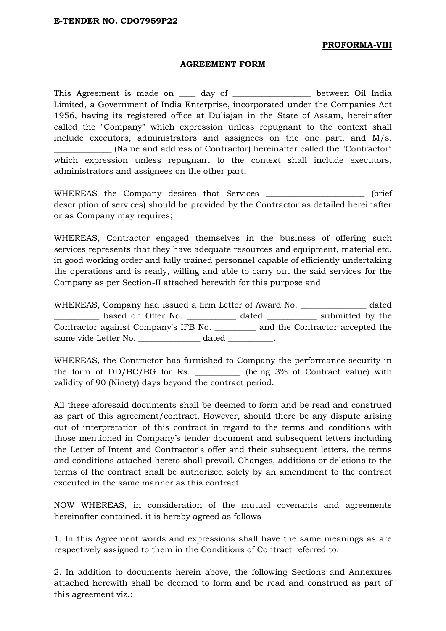#### **PROFORMA-VIII**

#### **AGREEMENT FORM**

This Agreement is made on \_\_\_\_\_ day of \_\_\_\_\_\_\_\_\_\_\_\_\_\_\_\_\_\_\_ between Oil India Limited, a Government of India Enterprise, incorporated under the Companies Act 1956, having its registered office at Duliajan in the State of Assam, hereinafter called the "Company" which expression unless repugnant to the context shall include executors, administrators and assignees on the one part, and M/s. \_\_\_\_\_\_\_\_\_\_\_\_\_\_ (Name and address of Contractor) hereinafter called the "Contractor" which expression unless repugnant to the context shall include executors, administrators and assignees on the other part,

WHEREAS the Company desires that Services \_\_\_\_\_\_\_\_\_\_\_\_\_\_\_\_\_\_\_\_\_\_\_ (brief description of services) should be provided by the Contractor as detailed hereinafter or as Company may requires;

WHEREAS, Contractor engaged themselves in the business of offering such services represents that they have adequate resources and equipment, material etc. in good working order and fully trained personnel capable of efficiently undertaking the operations and is ready, willing and able to carry out the said services for the Company as per Section-II attached herewith for this purpose and

WHEREAS, Company had issued a firm Letter of Award No. \_\_\_\_\_\_\_\_\_\_\_\_\_\_\_\_ dated \_\_\_\_\_\_\_\_\_\_\_ based on Offer No. \_\_\_\_\_\_\_\_\_\_\_\_ dated \_\_\_\_\_\_\_\_\_\_\_\_ submitted by the Contractor against Company's IFB No. \_\_\_\_\_\_\_\_\_\_ and the Contractor accepted the same vide Letter No. \_\_\_\_\_\_\_\_\_\_\_\_\_\_\_\_\_ dated \_\_\_\_\_\_\_\_\_\_.

WHEREAS, the Contractor has furnished to Company the performance security in the form of DD/BC/BG for Rs. \_\_\_\_\_\_\_\_\_\_\_ (being 3% of Contract value) with validity of 90 (Ninety) days beyond the contract period.

All these aforesaid documents shall be deemed to form and be read and construed as part of this agreement/contract. However, should there be any dispute arising out of interpretation of this contract in regard to the terms and conditions with those mentioned in Company"s tender document and subsequent letters including the Letter of Intent and Contractor's offer and their subsequent letters, the terms and conditions attached hereto shall prevail. Changes, additions or deletions to the terms of the contract shall be authorized solely by an amendment to the contract executed in the same manner as this contract.

NOW WHEREAS, in consideration of the mutual covenants and agreements hereinafter contained, it is hereby agreed as follows –

1. In this Agreement words and expressions shall have the same meanings as are respectively assigned to them in the Conditions of Contract referred to.

2. In addition to documents herein above, the following Sections and Annexures attached herewith shall be deemed to form and be read and construed as part of this agreement viz.: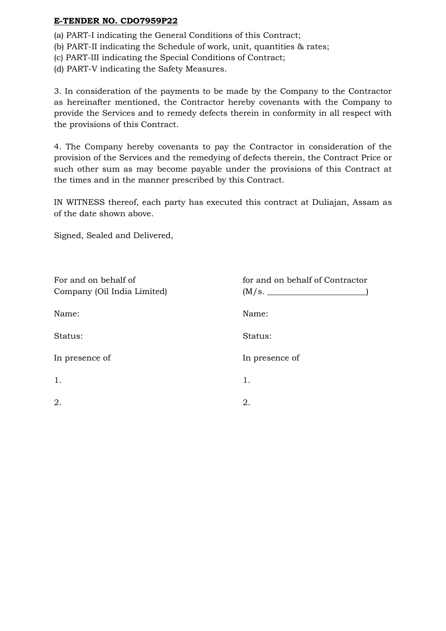- (a) PART-I indicating the General Conditions of this Contract;
- (b) PART-II indicating the Schedule of work, unit, quantities & rates;
- (c) PART-III indicating the Special Conditions of Contract;
- (d) PART-V indicating the Safety Measures.

3. In consideration of the payments to be made by the Company to the Contractor as hereinafter mentioned, the Contractor hereby covenants with the Company to provide the Services and to remedy defects therein in conformity in all respect with the provisions of this Contract.

4. The Company hereby covenants to pay the Contractor in consideration of the provision of the Services and the remedying of defects therein, the Contract Price or such other sum as may become payable under the provisions of this Contract at the times and in the manner prescribed by this Contract.

IN WITNESS thereof, each party has executed this contract at Duliajan, Assam as of the date shown above.

Signed, Sealed and Delivered,

| For and on behalf of<br>Company (Oil India Limited) | for and on behalf of Contractor<br>(M/s. |
|-----------------------------------------------------|------------------------------------------|
| Name:                                               | Name:                                    |
| Status:                                             | Status:                                  |
| In presence of                                      | In presence of                           |
| 1.                                                  | 1.                                       |
| 2.                                                  | 2.                                       |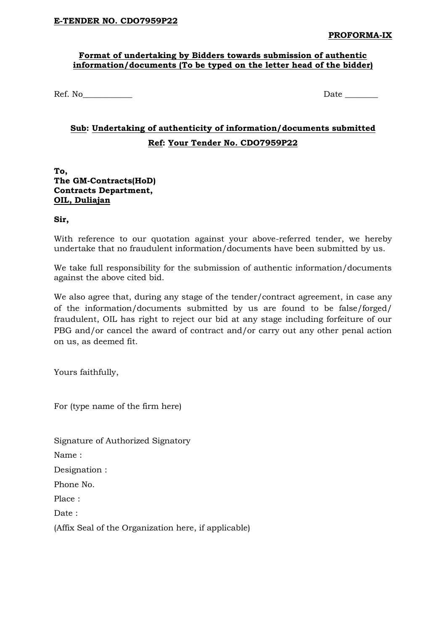# **Format of undertaking by Bidders towards submission of authentic information/documents (To be typed on the letter head of the bidder)**

Ref. No\_\_\_\_\_\_\_\_\_\_\_\_ Date \_\_\_\_\_\_\_\_

# **Sub: Undertaking of authenticity of information/documents submitted Ref: Your Tender No. CDO7959P22**

### **To, The GM-Contracts(HoD) Contracts Department, OIL, Duliajan**

**Sir,**

With reference to our quotation against your above-referred tender, we hereby undertake that no fraudulent information/documents have been submitted by us.

We take full responsibility for the submission of authentic information/documents against the above cited bid.

We also agree that, during any stage of the tender/contract agreement, in case any of the information/documents submitted by us are found to be false/forged/ fraudulent, OIL has right to reject our bid at any stage including forfeiture of our PBG and/or cancel the award of contract and/or carry out any other penal action on us, as deemed fit.

Yours faithfully,

For (type name of the firm here)

Signature of Authorized Signatory

Name :

Designation :

Phone No.

Place :

Date :

(Affix Seal of the Organization here, if applicable)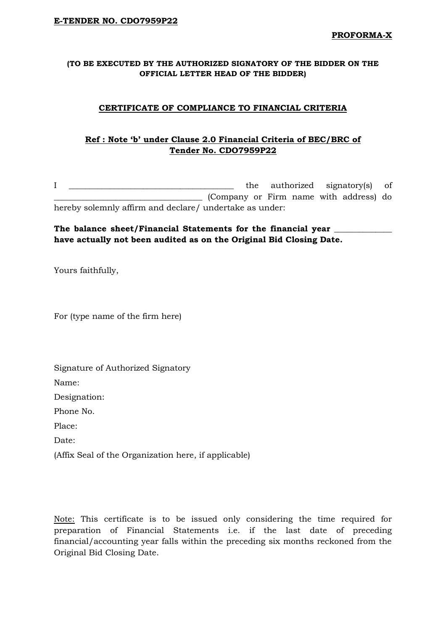# **(TO BE EXECUTED BY THE AUTHORIZED SIGNATORY OF THE BIDDER ON THE OFFICIAL LETTER HEAD OF THE BIDDER)**

# **CERTIFICATE OF COMPLIANCE TO FINANCIAL CRITERIA**

# **Ref : Note 'b' under Clause 2.0 Financial Criteria of BEC/BRC of Tender No. CDO7959P22**

I \_\_\_\_\_\_\_\_\_\_\_\_\_\_\_\_\_\_\_\_\_\_\_\_\_\_\_\_\_\_\_\_\_\_\_\_\_\_\_\_ the authorized signatory(s) of \_\_\_\_\_\_\_\_\_\_\_\_\_\_\_\_\_\_\_\_\_\_\_\_\_\_\_\_\_\_\_\_\_\_\_\_ (Company or Firm name with address) do hereby solemnly affirm and declare/ undertake as under:

# The balance sheet/Financial Statements for the financial year  $\blacksquare$ **have actually not been audited as on the Original Bid Closing Date.**

Yours faithfully,

For (type name of the firm here)

Signature of Authorized Signatory

Name:

Designation:

Phone No.

Place:

Date:

(Affix Seal of the Organization here, if applicable)

Note: This certificate is to be issued only considering the time required for preparation of Financial Statements i.e. if the last date of preceding financial/accounting year falls within the preceding six months reckoned from the Original Bid Closing Date.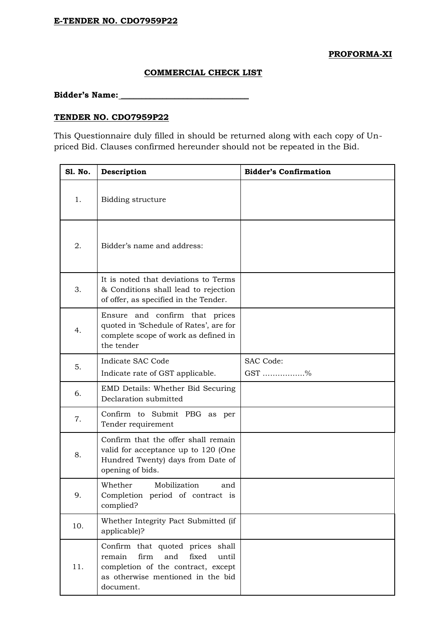#### **PROFORMA-XI**

# **COMMERCIAL CHECK LIST**

**Bidder's Name: \_\_\_\_\_\_\_\_\_\_\_\_\_\_\_\_\_\_\_\_\_\_\_\_\_\_\_\_\_\_\_**

# **TENDER NO. CDO7959P22**

This Questionnaire duly filled in should be returned along with each copy of Unpriced Bid. Clauses confirmed hereunder should not be repeated in the Bid.

| Sl. No. | Description                                                                                                                                                         | <b>Bidder's Confirmation</b> |
|---------|---------------------------------------------------------------------------------------------------------------------------------------------------------------------|------------------------------|
| 1.      | Bidding structure                                                                                                                                                   |                              |
| 2.      | Bidder's name and address:                                                                                                                                          |                              |
| 3.      | It is noted that deviations to Terms<br>& Conditions shall lead to rejection<br>of offer, as specified in the Tender.                                               |                              |
| 4.      | Ensure and confirm that prices<br>quoted in 'Schedule of Rates', are for<br>complete scope of work as defined in<br>the tender                                      |                              |
| 5.      | Indicate SAC Code<br>Indicate rate of GST applicable.                                                                                                               | SAC Code:<br>GST %           |
| 6.      | EMD Details: Whether Bid Securing<br>Declaration submitted                                                                                                          |                              |
| 7.      | Confirm to Submit PBG as per<br>Tender requirement                                                                                                                  |                              |
| 8.      | Confirm that the offer shall remain<br>valid for acceptance up to 120 (One<br>Hundred Twenty) days from Date of<br>opening of bids.                                 |                              |
| 9.      | Mobilization<br>Whether<br>and<br>Completion period of contract is<br>complied?                                                                                     |                              |
| 10.     | Whether Integrity Pact Submitted (if<br>applicable)?                                                                                                                |                              |
| 11.     | Confirm that quoted prices shall<br>remain<br>firm<br>and<br>fixed<br>until<br>completion of the contract, except<br>as otherwise mentioned in the bid<br>document. |                              |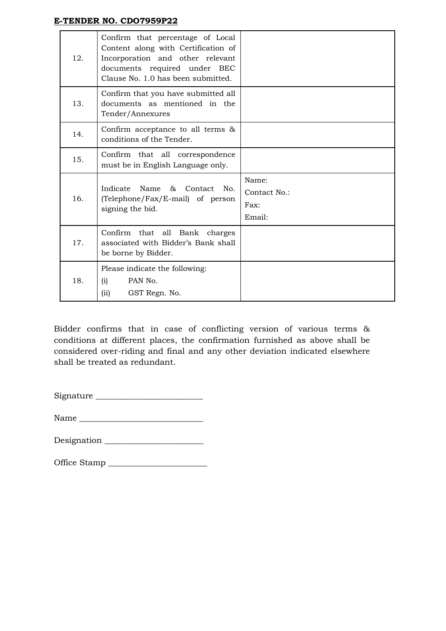| 12. | Confirm that percentage of Local<br>Content along with Certification of<br>Incorporation and other relevant<br>documents required under BEC<br>Clause No. 1.0 has been submitted. |                                         |
|-----|-----------------------------------------------------------------------------------------------------------------------------------------------------------------------------------|-----------------------------------------|
| 13. | Confirm that you have submitted all<br>documents as mentioned in the<br>Tender/Annexures                                                                                          |                                         |
| 14. | Confirm acceptance to all terms &<br>conditions of the Tender.                                                                                                                    |                                         |
| 15. | Confirm that all correspondence<br>must be in English Language only.                                                                                                              |                                         |
| 16. | Indicate<br>Name<br>85<br>Contact<br>No.<br>(Telephone/Fax/E-mail) of person<br>signing the bid.                                                                                  | Name:<br>Contact No.:<br>Fax:<br>Email: |
| 17. | Confirm<br>that all Bank<br>charges<br>associated with Bidder's Bank shall<br>be borne by Bidder.                                                                                 |                                         |
| 18. | Please indicate the following:<br>PAN No.<br>(i)<br>(ii)<br>GST Regn. No.                                                                                                         |                                         |

Bidder confirms that in case of conflicting version of various terms & conditions at different places, the confirmation furnished as above shall be considered over-riding and final and any other deviation indicated elsewhere shall be treated as redundant.

Signature \_\_\_\_\_\_\_\_\_\_\_\_\_\_\_\_\_\_\_\_\_\_\_\_\_\_

Name \_\_\_\_\_\_\_\_\_\_\_\_\_\_\_\_\_\_\_\_\_\_\_\_\_\_\_\_\_\_

Designation \_\_\_\_\_\_\_\_\_\_\_\_\_\_\_\_\_\_\_\_\_\_\_\_

Office Stamp \_\_\_\_\_\_\_\_\_\_\_\_\_\_\_\_\_\_\_\_\_\_\_\_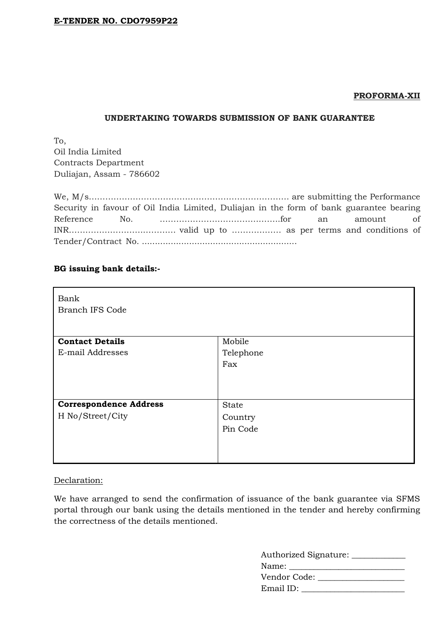#### **PROFORMA-XII**

#### **UNDERTAKING TOWARDS SUBMISSION OF BANK GUARANTEE**

To, Oil India Limited Contracts Department Duliajan, Assam - 786602

| Security in favour of Oil India Limited, Duliajan in the form of bank guarantee bearing |  |  |  |  |  |
|-----------------------------------------------------------------------------------------|--|--|--|--|--|
|                                                                                         |  |  |  |  |  |
|                                                                                         |  |  |  |  |  |
|                                                                                         |  |  |  |  |  |

# **BG issuing bank details:-**

| Bank<br><b>Branch IFS Code</b> |              |
|--------------------------------|--------------|
| <b>Contact Details</b>         | Mobile       |
| E-mail Addresses               | Telephone    |
|                                | Fax          |
|                                |              |
| <b>Correspondence Address</b>  | <b>State</b> |
| H No/Street/City               | Country      |
|                                | Pin Code     |
|                                |              |

# Declaration:

We have arranged to send the confirmation of issuance of the bank guarantee via SFMS portal through our bank using the details mentioned in the tender and hereby confirming the correctness of the details mentioned.

| Authorized Signature: ____________ |
|------------------------------------|
| Name: www.                         |
| Vendor Code: _____                 |
| Email ID:                          |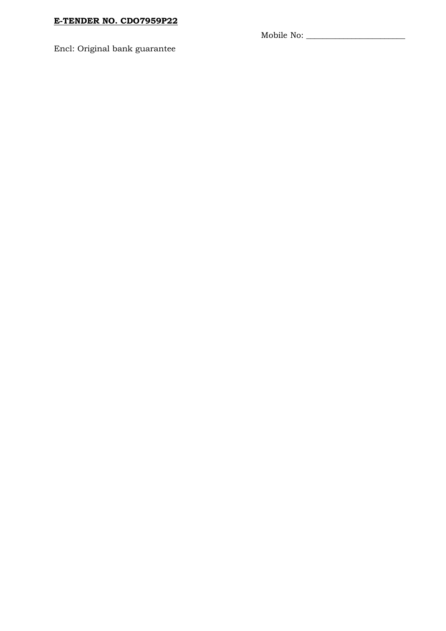Mobile No: \_\_\_\_\_\_\_\_\_\_\_\_\_\_\_\_\_\_\_\_\_\_\_\_

Encl: Original bank guarantee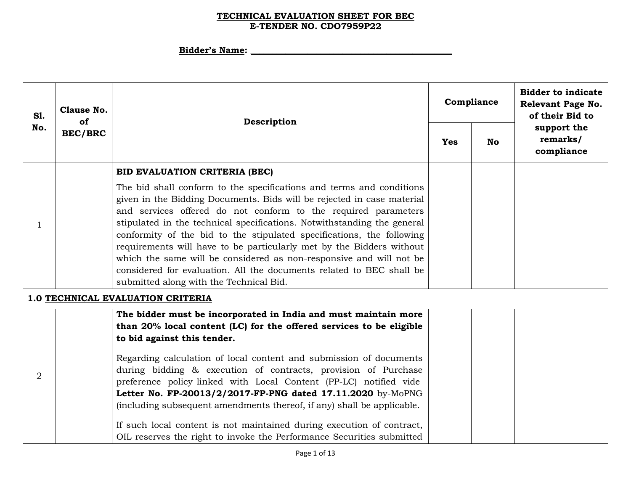# **Bidder's Name: \_\_\_\_\_\_\_\_\_\_\_\_\_\_\_\_\_\_\_\_\_\_\_\_\_\_\_\_\_\_\_\_\_\_\_\_\_\_\_\_\_\_\_\_\_\_**

| <b>S1.</b>     | Clause No.<br>of |                                                                                                                                                                                                                                                                                                                                                                                                                                                                                                                                                                                                                                                                               |            | Compliance | <b>Bidder to indicate</b><br>Relevant Page No.<br>of their Bid to |  |  |
|----------------|------------------|-------------------------------------------------------------------------------------------------------------------------------------------------------------------------------------------------------------------------------------------------------------------------------------------------------------------------------------------------------------------------------------------------------------------------------------------------------------------------------------------------------------------------------------------------------------------------------------------------------------------------------------------------------------------------------|------------|------------|-------------------------------------------------------------------|--|--|
| No.            | <b>BEC/BRC</b>   | Description                                                                                                                                                                                                                                                                                                                                                                                                                                                                                                                                                                                                                                                                   | <b>Yes</b> | <b>No</b>  | support the<br>remarks/<br>compliance                             |  |  |
|                |                  | BID EVALUATION CRITERIA (BEC)                                                                                                                                                                                                                                                                                                                                                                                                                                                                                                                                                                                                                                                 |            |            |                                                                   |  |  |
| 1              |                  | The bid shall conform to the specifications and terms and conditions<br>given in the Bidding Documents. Bids will be rejected in case material<br>and services offered do not conform to the required parameters<br>stipulated in the technical specifications. Notwithstanding the general<br>conformity of the bid to the stipulated specifications, the following<br>requirements will have to be particularly met by the Bidders without<br>which the same will be considered as non-responsive and will not be<br>considered for evaluation. All the documents related to BEC shall be<br>submitted along with the Technical Bid.                                        |            |            |                                                                   |  |  |
|                |                  | 1.0 TECHNICAL EVALUATION CRITERIA                                                                                                                                                                                                                                                                                                                                                                                                                                                                                                                                                                                                                                             |            |            |                                                                   |  |  |
| $\overline{2}$ |                  | The bidder must be incorporated in India and must maintain more<br>than 20% local content (LC) for the offered services to be eligible<br>to bid against this tender.<br>Regarding calculation of local content and submission of documents<br>during bidding & execution of contracts, provision of Purchase<br>preference policy linked with Local Content (PP-LC) notified vide<br>Letter No. FP-20013/2/2017-FP-PNG dated 17.11.2020 by-MoPNG<br>(including subsequent amendments thereof, if any) shall be applicable.<br>If such local content is not maintained during execution of contract,<br>OIL reserves the right to invoke the Performance Securities submitted |            |            |                                                                   |  |  |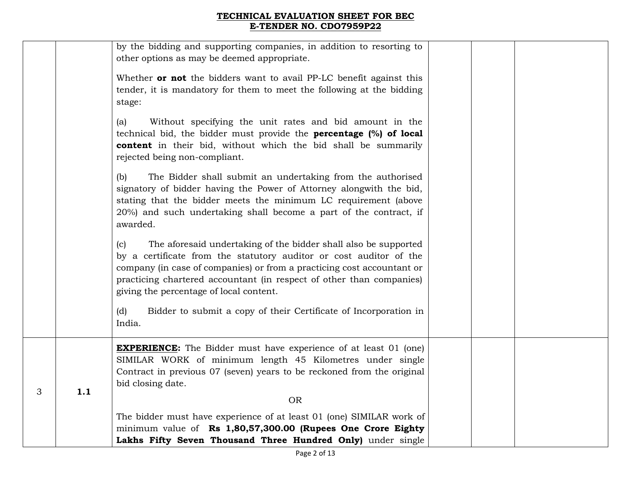|   |     | by the bidding and supporting companies, in addition to resorting to<br>other options as may be deemed appropriate.                                                                                                                                                                                                                       |  |  |
|---|-----|-------------------------------------------------------------------------------------------------------------------------------------------------------------------------------------------------------------------------------------------------------------------------------------------------------------------------------------------|--|--|
|   |     | Whether <b>or not</b> the bidders want to avail PP-LC benefit against this<br>tender, it is mandatory for them to meet the following at the bidding<br>stage:                                                                                                                                                                             |  |  |
|   |     | Without specifying the unit rates and bid amount in the<br>(a)<br>technical bid, the bidder must provide the <b>percentage</b> (%) of local<br>content in their bid, without which the bid shall be summarily<br>rejected being non-compliant.                                                                                            |  |  |
|   |     | The Bidder shall submit an undertaking from the authorised<br>(b)<br>signatory of bidder having the Power of Attorney alongwith the bid,<br>stating that the bidder meets the minimum LC requirement (above<br>20%) and such undertaking shall become a part of the contract, if<br>awarded.                                              |  |  |
|   |     | The aforesaid undertaking of the bidder shall also be supported<br>(c)<br>by a certificate from the statutory auditor or cost auditor of the<br>company (in case of companies) or from a practicing cost accountant or<br>practicing chartered accountant (in respect of other than companies)<br>giving the percentage of local content. |  |  |
|   |     | Bidder to submit a copy of their Certificate of Incorporation in<br>(d)<br>India.                                                                                                                                                                                                                                                         |  |  |
| 3 | 1.1 | <b>EXPERIENCE:</b> The Bidder must have experience of at least 01 (one)<br>SIMILAR WORK of minimum length 45 Kilometres under single<br>Contract in previous 07 (seven) years to be reckoned from the original<br>bid closing date.<br><b>OR</b>                                                                                          |  |  |
|   |     | The bidder must have experience of at least 01 (one) SIMILAR work of<br>minimum value of Rs 1,80,57,300.00 (Rupees One Crore Eighty<br>Lakhs Fifty Seven Thousand Three Hundred Only) under single                                                                                                                                        |  |  |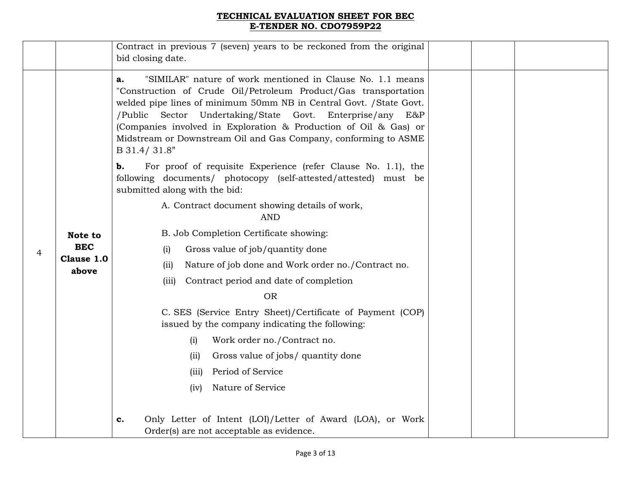|   |                     | Contract in previous 7 (seven) years to be reckoned from the original<br>bid closing date.                                                                                                                                                                                                                                                                                                                                        |  |
|---|---------------------|-----------------------------------------------------------------------------------------------------------------------------------------------------------------------------------------------------------------------------------------------------------------------------------------------------------------------------------------------------------------------------------------------------------------------------------|--|
|   |                     | "SIMILAR" nature of work mentioned in Clause No. 1.1 means<br>a.<br>"Construction of Crude Oil/Petroleum Product/Gas transportation<br>welded pipe lines of minimum 50mm NB in Central Govt. / State Govt.<br>/Public Sector Undertaking/State Govt. Enterprise/any<br>E&P<br>(Companies involved in Exploration & Production of Oil & Gas) or<br>Midstream or Downstream Oil and Gas Company, conforming to ASME<br>B 31.4/31.8" |  |
|   |                     | For proof of requisite Experience (refer Clause No. 1.1), the<br>b.<br>following documents/ photocopy (self-attested/attested) must be<br>submitted along with the bid:                                                                                                                                                                                                                                                           |  |
|   |                     | A. Contract document showing details of work,<br><b>AND</b>                                                                                                                                                                                                                                                                                                                                                                       |  |
|   | Note to             | B. Job Completion Certificate showing:                                                                                                                                                                                                                                                                                                                                                                                            |  |
| 4 | <b>BEC</b>          | Gross value of job/quantity done<br>(i)                                                                                                                                                                                                                                                                                                                                                                                           |  |
|   | Clause 1.0<br>above | Nature of job done and Work order no./Contract no.<br>(iii)                                                                                                                                                                                                                                                                                                                                                                       |  |
|   |                     | Contract period and date of completion<br>(iii)                                                                                                                                                                                                                                                                                                                                                                                   |  |
|   |                     | <b>OR</b>                                                                                                                                                                                                                                                                                                                                                                                                                         |  |
|   |                     | C. SES (Service Entry Sheet)/Certificate of Payment (COP)<br>issued by the company indicating the following:                                                                                                                                                                                                                                                                                                                      |  |
|   |                     | Work order no./Contract no.<br>(i)                                                                                                                                                                                                                                                                                                                                                                                                |  |
|   |                     | Gross value of jobs/ quantity done<br>(ii)                                                                                                                                                                                                                                                                                                                                                                                        |  |
|   |                     | Period of Service<br>(iii)                                                                                                                                                                                                                                                                                                                                                                                                        |  |
|   |                     | Nature of Service<br>(iv)                                                                                                                                                                                                                                                                                                                                                                                                         |  |
|   |                     | Only Letter of Intent (LOI)/Letter of Award (LOA), or Work<br>c.<br>Order(s) are not acceptable as evidence.                                                                                                                                                                                                                                                                                                                      |  |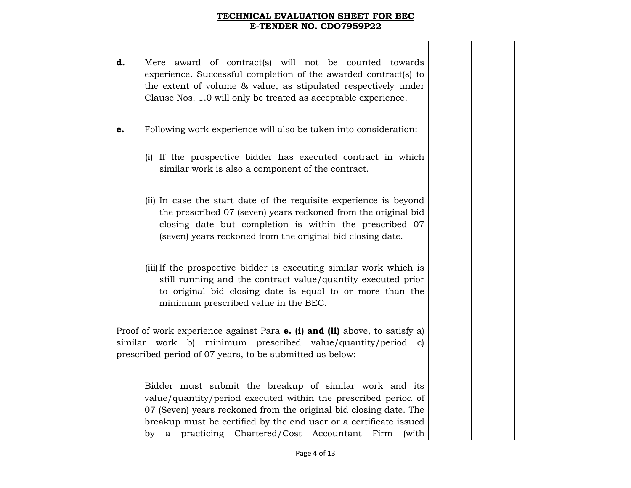| d. | Mere award of contract(s) will not be counted towards<br>experience. Successful completion of the awarded contract(s) to<br>the extent of volume & value, as stipulated respectively under<br>Clause Nos. 1.0 will only be treated as acceptable experience.                                                                  |  |  |
|----|-------------------------------------------------------------------------------------------------------------------------------------------------------------------------------------------------------------------------------------------------------------------------------------------------------------------------------|--|--|
| e. | Following work experience will also be taken into consideration:                                                                                                                                                                                                                                                              |  |  |
|    | (i) If the prospective bidder has executed contract in which<br>similar work is also a component of the contract.                                                                                                                                                                                                             |  |  |
|    | (ii) In case the start date of the requisite experience is beyond<br>the prescribed 07 (seven) years reckoned from the original bid<br>closing date but completion is within the prescribed 07<br>(seven) years reckoned from the original bid closing date.                                                                  |  |  |
|    | (iii) If the prospective bidder is executing similar work which is<br>still running and the contract value/quantity executed prior<br>to original bid closing date is equal to or more than the<br>minimum prescribed value in the BEC.                                                                                       |  |  |
|    | Proof of work experience against Para <b>e. (i) and (ii)</b> above, to satisfy a)<br>similar work b) minimum prescribed value/quantity/period c)<br>prescribed period of 07 years, to be submitted as below:                                                                                                                  |  |  |
|    | Bidder must submit the breakup of similar work and its<br>value/quantity/period executed within the prescribed period of<br>07 (Seven) years reckoned from the original bid closing date. The<br>breakup must be certified by the end user or a certificate issued<br>by a practicing Chartered/Cost Accountant Firm<br>(with |  |  |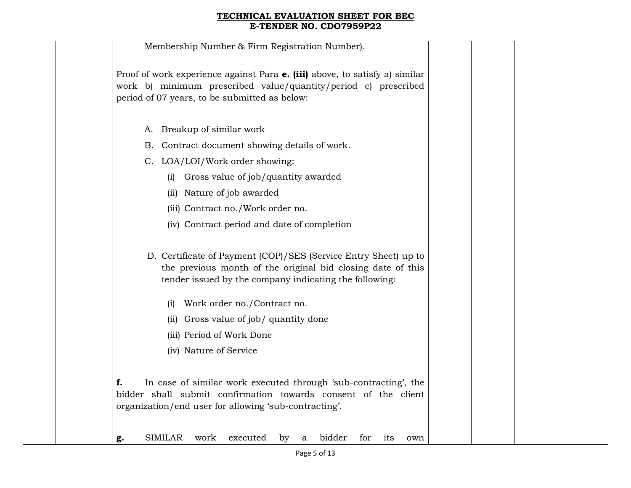| Membership Number & Firm Registration Number).                                                                                                                                                        |  |
|-------------------------------------------------------------------------------------------------------------------------------------------------------------------------------------------------------|--|
| Proof of work experience against Para <b>e. (iii)</b> above, to satisfy a) similar<br>work b) minimum prescribed value/quantity/period c) prescribed<br>period of 07 years, to be submitted as below: |  |
| A. Breakup of similar work                                                                                                                                                                            |  |
| Contract document showing details of work.<br>В.                                                                                                                                                      |  |
| C. LOA/LOI/Work order showing:                                                                                                                                                                        |  |
| Gross value of job/quantity awarded<br>(i)                                                                                                                                                            |  |
| Nature of job awarded<br>(i)                                                                                                                                                                          |  |
| (iii) Contract no./Work order no.                                                                                                                                                                     |  |
| (iv) Contract period and date of completion                                                                                                                                                           |  |
| D. Certificate of Payment (COP)/SES (Service Entry Sheet) up to<br>the previous month of the original bid closing date of this<br>tender issued by the company indicating the following:              |  |
| Work order no./Contract no.<br>(1)                                                                                                                                                                    |  |
| Gross value of job/ quantity done<br>(i)                                                                                                                                                              |  |
| (iii) Period of Work Done                                                                                                                                                                             |  |
| (iv) Nature of Service                                                                                                                                                                                |  |
| In case of similar work executed through 'sub-contracting', the<br>f.<br>bidder shall submit confirmation towards consent of the client<br>organization/end user for allowing 'sub-contracting'.      |  |
| <b>SIMILAR</b><br>bidder<br>executed<br>work<br>for<br>by<br>its<br>a<br>own<br>g.                                                                                                                    |  |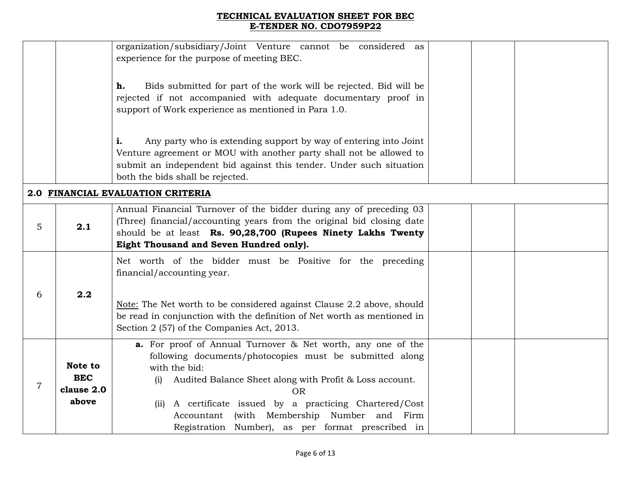|                |                                              | organization/subsidiary/Joint Venture cannot be considered as<br>experience for the purpose of meeting BEC.                                                                                                                                                                                                                                                                                      |  |
|----------------|----------------------------------------------|--------------------------------------------------------------------------------------------------------------------------------------------------------------------------------------------------------------------------------------------------------------------------------------------------------------------------------------------------------------------------------------------------|--|
|                |                                              | Bids submitted for part of the work will be rejected. Bid will be<br>h.<br>rejected if not accompanied with adequate documentary proof in<br>support of Work experience as mentioned in Para 1.0.                                                                                                                                                                                                |  |
|                |                                              | Any party who is extending support by way of entering into Joint<br>i.<br>Venture agreement or MOU with another party shall not be allowed to<br>submit an independent bid against this tender. Under such situation<br>both the bids shall be rejected.                                                                                                                                         |  |
|                |                                              | 2.0 FINANCIAL EVALUATION CRITERIA                                                                                                                                                                                                                                                                                                                                                                |  |
| 5              | 2.1                                          | Annual Financial Turnover of the bidder during any of preceding 03<br>(Three) financial/accounting years from the original bid closing date<br>should be at least Rs. 90,28,700 (Rupees Ninety Lakhs Twenty<br>Eight Thousand and Seven Hundred only).                                                                                                                                           |  |
|                |                                              | Net worth of the bidder must be Positive for the preceding<br>financial/accounting year.                                                                                                                                                                                                                                                                                                         |  |
| 6              | 2.2                                          | Note: The Net worth to be considered against Clause 2.2 above, should<br>be read in conjunction with the definition of Net worth as mentioned in<br>Section 2 (57) of the Companies Act, 2013.                                                                                                                                                                                                   |  |
| $\overline{7}$ | Note to<br><b>BEC</b><br>clause 2.0<br>above | <b>a.</b> For proof of Annual Turnover & Net worth, any one of the<br>following documents/photocopies must be submitted along<br>with the bid:<br>Audited Balance Sheet along with Profit & Loss account.<br>(i)<br><b>OR</b><br>A certificate issued by a practicing Chartered/Cost<br>(ii)<br>Accountant (with Membership Number and Firm<br>Registration Number), as per format prescribed in |  |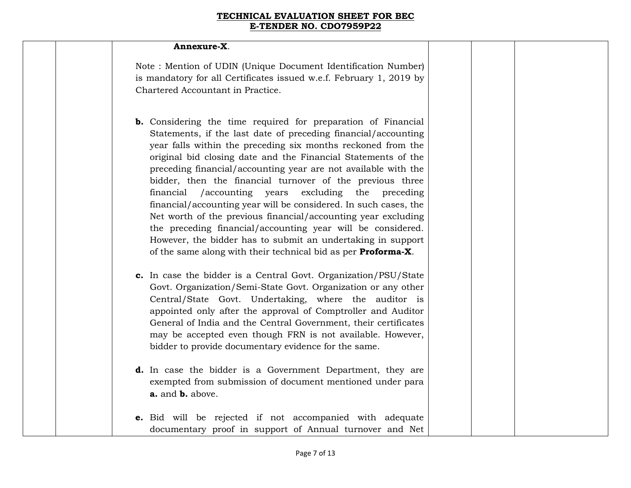#### **Annexure-X**.

Note : Mention of UDIN (Unique Document Identification Number) is mandatory for all Certificates issued w.e.f. February 1, 2019 by Chartered Accountant in Practice.

- **b.** Considering the time required for preparation of Financial Statements, if the last date of preceding financial/accounting year falls within the preceding six months reckoned from the original bid closing date and the Financial Statements of the preceding financial/accounting year are not available with the bidder, then the financial turnover of the previous three financial /accounting years excluding the preceding financial/accounting year will be considered. In such cases, the Net worth of the previous financial/accounting year excluding the preceding financial/accounting year will be considered. However, the bidder has to submit an undertaking in support of the same along with their technical bid as per **Proforma-X**.
- **c.** In case the bidder is a Central Govt. Organization/PSU/State Govt. Organization/Semi-State Govt. Organization or any other Central/State Govt. Undertaking, where the auditor is appointed only after the approval of Comptroller and Auditor General of India and the Central Government, their certificates may be accepted even though FRN is not available. However, bidder to provide documentary evidence for the same.
- **d.** In case the bidder is a Government Department, they are exempted from submission of document mentioned under para **a.** and **b.** above.
- **e.** Bid will be rejected if not accompanied with adequate documentary proof in support of Annual turnover and Net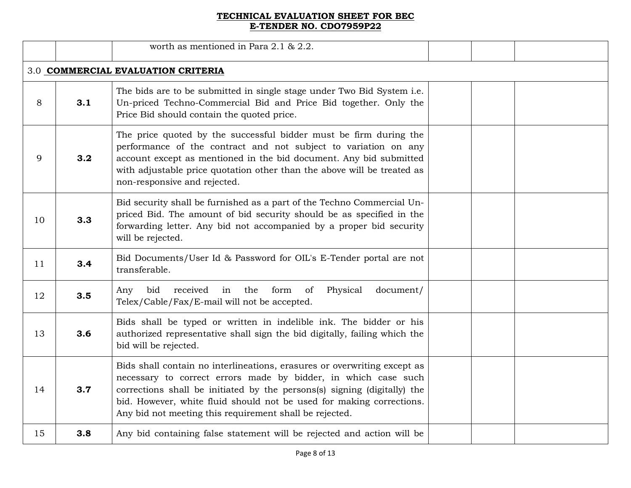|    |                                    | worth as mentioned in Para $2.1$ & $2.2$ .                                                                                                                                                                                                                                                                                                                |  |  |  |  |
|----|------------------------------------|-----------------------------------------------------------------------------------------------------------------------------------------------------------------------------------------------------------------------------------------------------------------------------------------------------------------------------------------------------------|--|--|--|--|
|    | 3.0 COMMERCIAL EVALUATION CRITERIA |                                                                                                                                                                                                                                                                                                                                                           |  |  |  |  |
| 8  | 3.1                                | The bids are to be submitted in single stage under Two Bid System i.e.<br>Un-priced Techno-Commercial Bid and Price Bid together. Only the<br>Price Bid should contain the quoted price.                                                                                                                                                                  |  |  |  |  |
| 9  | 3.2                                | The price quoted by the successful bidder must be firm during the<br>performance of the contract and not subject to variation on any<br>account except as mentioned in the bid document. Any bid submitted<br>with adjustable price quotation other than the above will be treated as<br>non-responsive and rejected.                                     |  |  |  |  |
| 10 | 3.3                                | Bid security shall be furnished as a part of the Techno Commercial Un-<br>priced Bid. The amount of bid security should be as specified in the<br>forwarding letter. Any bid not accompanied by a proper bid security<br>will be rejected.                                                                                                                |  |  |  |  |
| 11 | 3.4                                | Bid Documents/User Id & Password for OIL's E-Tender portal are not<br>transferable.                                                                                                                                                                                                                                                                       |  |  |  |  |
| 12 | 3.5                                | form<br>bid<br>received<br>in<br>the<br>of<br>Physical<br>document/<br>Any<br>Telex/Cable/Fax/E-mail will not be accepted.                                                                                                                                                                                                                                |  |  |  |  |
| 13 | 3.6                                | Bids shall be typed or written in indelible ink. The bidder or his<br>authorized representative shall sign the bid digitally, failing which the<br>bid will be rejected.                                                                                                                                                                                  |  |  |  |  |
| 14 | 3.7                                | Bids shall contain no interlineations, erasures or overwriting except as<br>necessary to correct errors made by bidder, in which case such<br>corrections shall be initiated by the persons(s) signing (digitally) the<br>bid. However, white fluid should not be used for making corrections.<br>Any bid not meeting this requirement shall be rejected. |  |  |  |  |
| 15 | 3.8                                | Any bid containing false statement will be rejected and action will be                                                                                                                                                                                                                                                                                    |  |  |  |  |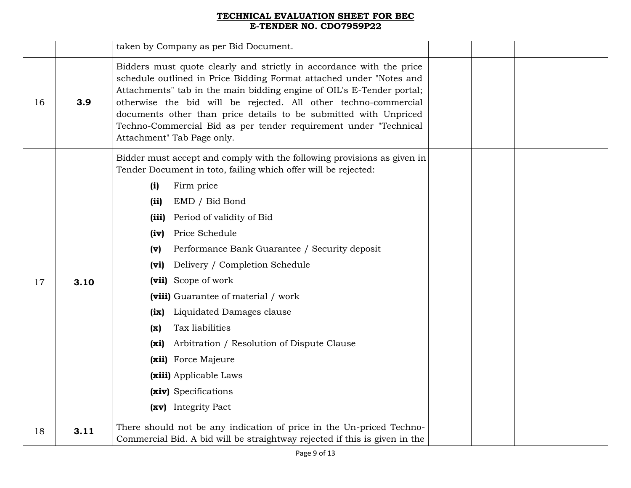|    |      | taken by Company as per Bid Document.                                                                                                                                                                                                                                                                                                                                                                                                                                                                                                                                                                                                                               |  |  |
|----|------|---------------------------------------------------------------------------------------------------------------------------------------------------------------------------------------------------------------------------------------------------------------------------------------------------------------------------------------------------------------------------------------------------------------------------------------------------------------------------------------------------------------------------------------------------------------------------------------------------------------------------------------------------------------------|--|--|
| 16 | 3.9  | Bidders must quote clearly and strictly in accordance with the price<br>schedule outlined in Price Bidding Format attached under "Notes and<br>Attachments" tab in the main bidding engine of OIL's E-Tender portal;<br>otherwise the bid will be rejected. All other techno-commercial<br>documents other than price details to be submitted with Unpriced<br>Techno-Commercial Bid as per tender requirement under "Technical<br>Attachment" Tab Page only.                                                                                                                                                                                                       |  |  |
| 17 | 3.10 | Bidder must accept and comply with the following provisions as given in<br>Tender Document in toto, failing which offer will be rejected:<br>Firm price<br>(i)<br>EMD / Bid Bond<br>(ii)<br>Period of validity of Bid<br>(iii)<br>Price Schedule<br>(iv)<br>Performance Bank Guarantee / Security deposit<br>(v)<br>Delivery / Completion Schedule<br>(vi)<br>(vii) Scope of work<br>(viii) Guarantee of material / work<br>Liquidated Damages clause<br>$\left( \text{ix} \right)$<br>Tax liabilities<br>(x)<br>Arbitration / Resolution of Dispute Clause<br>(xi)<br>(xii) Force Majeure<br>(xiii) Applicable Laws<br>(xiv) Specifications<br>(xv) Integrity Pact |  |  |
| 18 | 3.11 | There should not be any indication of price in the Un-priced Techno-<br>Commercial Bid. A bid will be straightway rejected if this is given in the                                                                                                                                                                                                                                                                                                                                                                                                                                                                                                                  |  |  |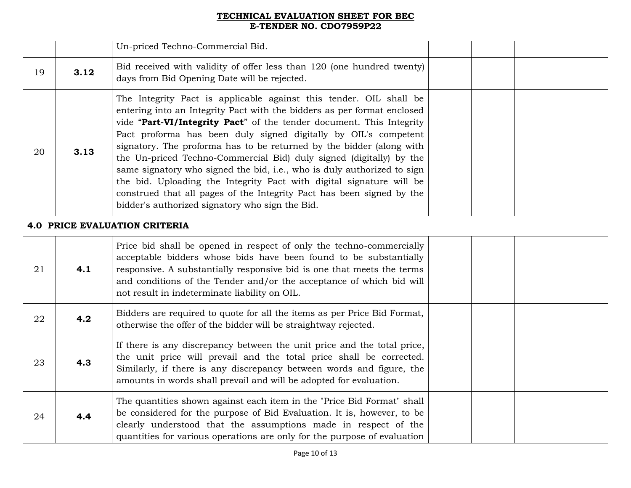|    |                                      | Un-priced Techno-Commercial Bid.                                                                                                                                                                                                                                                                                                                                                                                                                                                                                                                                                                                                                                                                                       |  |  |  |  |
|----|--------------------------------------|------------------------------------------------------------------------------------------------------------------------------------------------------------------------------------------------------------------------------------------------------------------------------------------------------------------------------------------------------------------------------------------------------------------------------------------------------------------------------------------------------------------------------------------------------------------------------------------------------------------------------------------------------------------------------------------------------------------------|--|--|--|--|
| 19 | 3.12                                 | Bid received with validity of offer less than 120 (one hundred twenty)<br>days from Bid Opening Date will be rejected.                                                                                                                                                                                                                                                                                                                                                                                                                                                                                                                                                                                                 |  |  |  |  |
| 20 | 3.13                                 | The Integrity Pact is applicable against this tender. OIL shall be<br>entering into an Integrity Pact with the bidders as per format enclosed<br>vide "Part-VI/Integrity Pact" of the tender document. This Integrity<br>Pact proforma has been duly signed digitally by OIL's competent<br>signatory. The proforma has to be returned by the bidder (along with<br>the Un-priced Techno-Commercial Bid) duly signed (digitally) by the<br>same signatory who signed the bid, i.e., who is duly authorized to sign<br>the bid. Uploading the Integrity Pact with digital signature will be<br>construed that all pages of the Integrity Pact has been signed by the<br>bidder's authorized signatory who sign the Bid. |  |  |  |  |
|    | <b>4.0 PRICE EVALUATION CRITERIA</b> |                                                                                                                                                                                                                                                                                                                                                                                                                                                                                                                                                                                                                                                                                                                        |  |  |  |  |
| 21 | 4.1                                  | Price bid shall be opened in respect of only the techno-commercially<br>acceptable bidders whose bids have been found to be substantially<br>responsive. A substantially responsive bid is one that meets the terms<br>and conditions of the Tender and/or the acceptance of which bid will<br>not result in indeterminate liability on OIL.                                                                                                                                                                                                                                                                                                                                                                           |  |  |  |  |
| 22 | 4.2                                  | Bidders are required to quote for all the items as per Price Bid Format,<br>otherwise the offer of the bidder will be straightway rejected.                                                                                                                                                                                                                                                                                                                                                                                                                                                                                                                                                                            |  |  |  |  |
| 23 | 4.3                                  | If there is any discrepancy between the unit price and the total price,<br>the unit price will prevail and the total price shall be corrected.<br>Similarly, if there is any discrepancy between words and figure, the<br>amounts in words shall prevail and will be adopted for evaluation.                                                                                                                                                                                                                                                                                                                                                                                                                           |  |  |  |  |
| 24 | 4.4                                  | The quantities shown against each item in the "Price Bid Format" shall<br>be considered for the purpose of Bid Evaluation. It is, however, to be<br>clearly understood that the assumptions made in respect of the<br>quantities for various operations are only for the purpose of evaluation                                                                                                                                                                                                                                                                                                                                                                                                                         |  |  |  |  |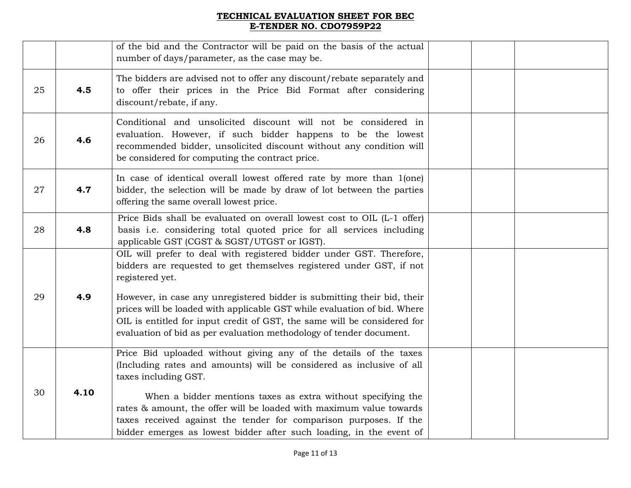|    |      | of the bid and the Contractor will be paid on the basis of the actual<br>number of days/parameter, as the case may be.                                                                                                                                                                                                                                                                                                                                                    |  |  |
|----|------|---------------------------------------------------------------------------------------------------------------------------------------------------------------------------------------------------------------------------------------------------------------------------------------------------------------------------------------------------------------------------------------------------------------------------------------------------------------------------|--|--|
| 25 | 4.5  | The bidders are advised not to offer any discount/rebate separately and<br>to offer their prices in the Price Bid Format after considering<br>discount/rebate, if any.                                                                                                                                                                                                                                                                                                    |  |  |
| 26 | 4.6  | Conditional and unsolicited discount will not be considered in<br>evaluation. However, if such bidder happens to be the lowest<br>recommended bidder, unsolicited discount without any condition will<br>be considered for computing the contract price.                                                                                                                                                                                                                  |  |  |
| 27 | 4.7  | In case of identical overall lowest offered rate by more than 1(one)<br>bidder, the selection will be made by draw of lot between the parties<br>offering the same overall lowest price.                                                                                                                                                                                                                                                                                  |  |  |
| 28 | 4.8  | Price Bids shall be evaluated on overall lowest cost to OIL (L-1 offer)<br>basis i.e. considering total quoted price for all services including<br>applicable GST (CGST & SGST/UTGST or IGST).                                                                                                                                                                                                                                                                            |  |  |
| 29 | 4.9  | OIL will prefer to deal with registered bidder under GST. Therefore,<br>bidders are requested to get themselves registered under GST, if not<br>registered yet.<br>However, in case any unregistered bidder is submitting their bid, their<br>prices will be loaded with applicable GST while evaluation of bid. Where<br>OIL is entitled for input credit of GST, the same will be considered for<br>evaluation of bid as per evaluation methodology of tender document. |  |  |
| 30 | 4.10 | Price Bid uploaded without giving any of the details of the taxes<br>(Including rates and amounts) will be considered as inclusive of all<br>taxes including GST.<br>When a bidder mentions taxes as extra without specifying the<br>rates & amount, the offer will be loaded with maximum value towards<br>taxes received against the tender for comparison purposes. If the<br>bidder emerges as lowest bidder after such loading, in the event of                      |  |  |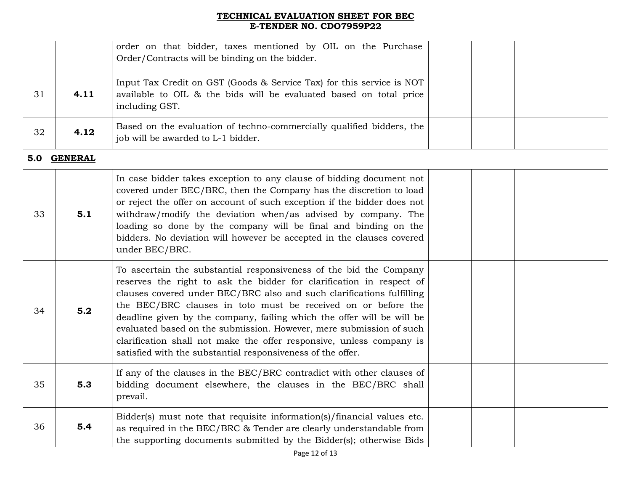|    |             | order on that bidder, taxes mentioned by OIL on the Purchase<br>Order/Contracts will be binding on the bidder.                                                                                                                                                                                                                                                                                                                                                                                                                                                               |  |  |
|----|-------------|------------------------------------------------------------------------------------------------------------------------------------------------------------------------------------------------------------------------------------------------------------------------------------------------------------------------------------------------------------------------------------------------------------------------------------------------------------------------------------------------------------------------------------------------------------------------------|--|--|
| 31 | 4.11        | Input Tax Credit on GST (Goods & Service Tax) for this service is NOT<br>available to OIL & the bids will be evaluated based on total price<br>including GST.                                                                                                                                                                                                                                                                                                                                                                                                                |  |  |
| 32 | 4.12        | Based on the evaluation of techno-commercially qualified bidders, the<br>job will be awarded to L-1 bidder.                                                                                                                                                                                                                                                                                                                                                                                                                                                                  |  |  |
|    | 5.0 GENERAL |                                                                                                                                                                                                                                                                                                                                                                                                                                                                                                                                                                              |  |  |
| 33 | 5.1         | In case bidder takes exception to any clause of bidding document not<br>covered under BEC/BRC, then the Company has the discretion to load<br>or reject the offer on account of such exception if the bidder does not<br>withdraw/modify the deviation when/as advised by company. The<br>loading so done by the company will be final and binding on the<br>bidders. No deviation will however be accepted in the clauses covered<br>under BEC/BRC.                                                                                                                         |  |  |
| 34 | 5.2         | To ascertain the substantial responsiveness of the bid the Company<br>reserves the right to ask the bidder for clarification in respect of<br>clauses covered under BEC/BRC also and such clarifications fulfilling<br>the BEC/BRC clauses in toto must be received on or before the<br>deadline given by the company, failing which the offer will be will be<br>evaluated based on the submission. However, mere submission of such<br>clarification shall not make the offer responsive, unless company is<br>satisfied with the substantial responsiveness of the offer. |  |  |
| 35 | 5.3         | If any of the clauses in the BEC/BRC contradict with other clauses of<br>bidding document elsewhere, the clauses in the BEC/BRC shall<br>prevail.                                                                                                                                                                                                                                                                                                                                                                                                                            |  |  |
| 36 | 5.4         | Bidder(s) must note that requisite information(s)/financial values etc.<br>as required in the BEC/BRC & Tender are clearly understandable from<br>the supporting documents submitted by the Bidder(s); otherwise Bids                                                                                                                                                                                                                                                                                                                                                        |  |  |